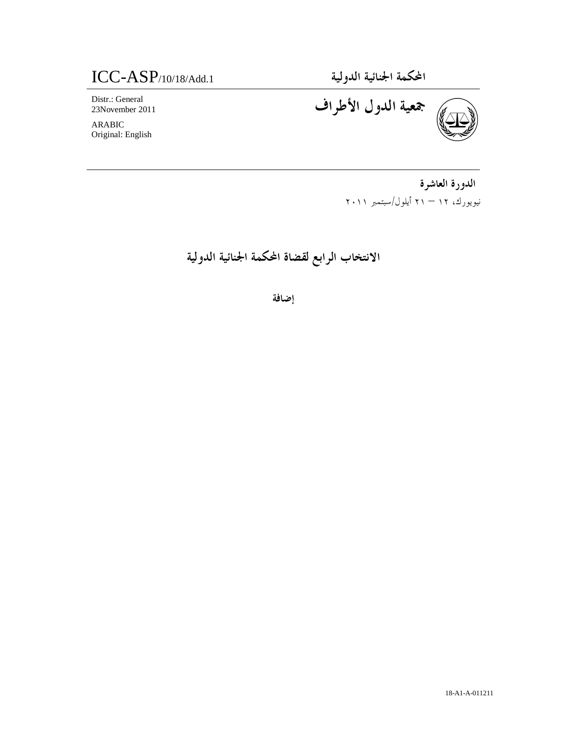المحكمة الجنائية الدولية .1Add.1 - 1Add -1Add.1 - 1Add -1Add -1

Distr.: General 23November 2011

ARABIC Original: English



الدورة العاشرة نيويورك، – ١٢ ٢١ أيلول/سبتمبر ٢٠١١

الانتخاب الرابع لقضاة المحكمة الجنائية الدولية

إضافة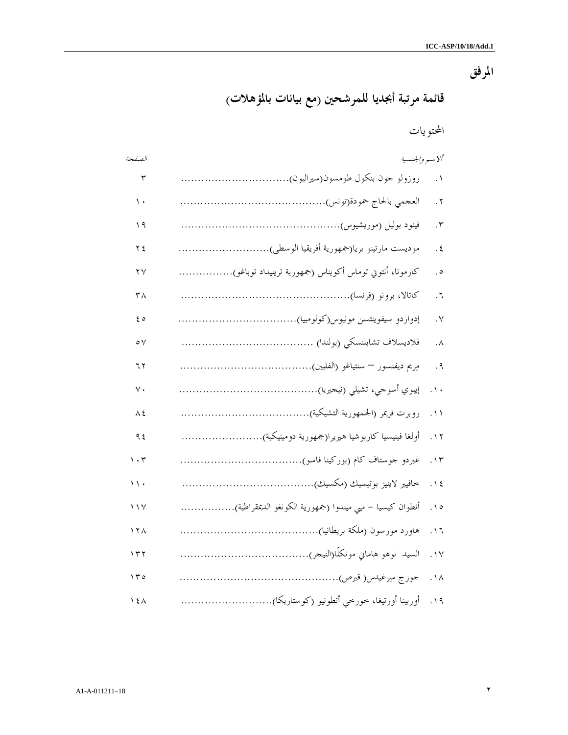# المرفق

قائمة مرتبة أبجديا للمرشحين (مع بيانات بالمؤهلات )

المحتويات

| الصفحة                          | ألاسم والجنسية                                          |                         |
|---------------------------------|---------------------------------------------------------|-------------------------|
| $\mathbf{r}$                    | روزولو حون بنكول طومسون(سيراليون)                       | ۰١                      |
| ١.                              |                                                         | ۲.                      |
| ۱۹                              |                                                         | ۳.                      |
| ۲٤                              | موديست مارتينو بريا(جمهورية أفريقيا الوسطى)             | . $\epsilon$            |
| ۲٧                              | كارمونا، أنتوني توماس أكويناس (جمهورية ترينيداد توباغو) | $\cdot$                 |
| ٣٨                              |                                                         | ٦.                      |
| ه ٤                             |                                                         | $\cdot$ $\vee$          |
| $\circ \vee$                    |                                                         | $\cdot^{\wedge}$        |
| ۶ ۲                             |                                                         | . $9$                   |
| ٧.                              |                                                         | $\ddotsc$               |
| ٨٤                              |                                                         | $\cdot \wedge$          |
| ۹ ٤                             | أولغا فينيسيا كاربوشيا هيريرا(جمهورية دومينيكية)        | .17                     |
| $\mathcal{L} \cdot \mathcal{L}$ |                                                         | $\cdot \setminus \tau$  |
| $\langle \rangle$ .             |                                                         | $. \setminus 5$         |
| ١١٧                             | أنطوان كيسيا – مبي ميندوا (جمهورية الكونغو الديمقراطية) | $\cdot \setminus \circ$ |
| ۱۲۸                             |                                                         | $. \vee$                |
| $\gamma \tau$                   |                                                         | $\cdot \vee$            |
| ۱۳۰                             |                                                         | $\cdot \wedge$          |
| $\lambda$                       | أوربينا أورتيغا، خورخي أنطونيو (كوستاريكا)              | $. \setminus 9$         |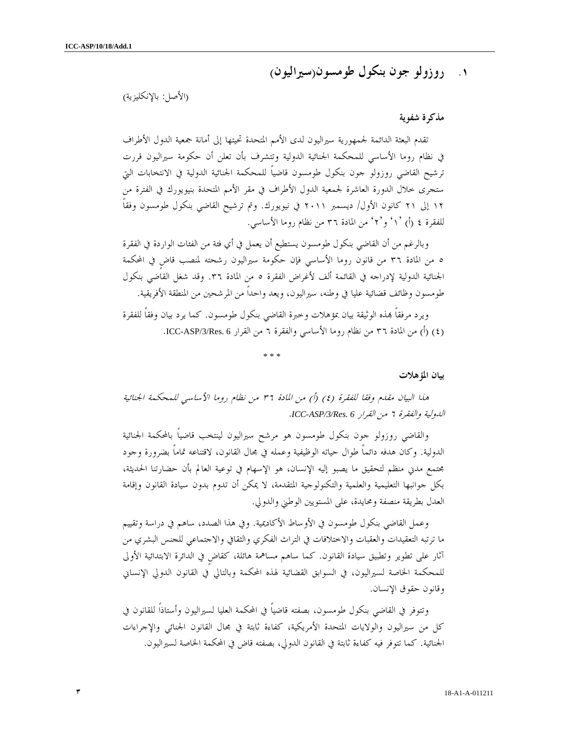# ١. روزولو جون بنكول طومسون(سيراليون)

(الأصل: بالإنكليزية)

#### مذكرة شفوية

تقدم البعثة الدائمة لجمهورية سيراليون لدى الأمم المتحدة تحيتها إلى أمانة جمعية الدول الأطراف في نظام روما الأساسي للمحكمة الجنائية الدولية وتتشرف بأن تعلن أن حكومة سيراليون قررت ترشيح القاضي روزولو جون بنكول طومسون قاضياً للمحكمة الجنائية الدولية في الانتخابات التي ستجرى خلال الدورة العاشرة لجمعية الدول الأطراف في مقر الأمم المتحدة بنيويورك في الفترة من ١٢ إلى ٢١ كانون الأول/ ديسمبر ٢٠١١ في نيويورك. وتم ترشيح القاضي بنكول طومسون وفقاً للفقرة ٤ (أ) `١ ٗ و`٢ ٗ من المادة ٣٦ من نظام روما الأساسي.

وبالرغم من أن القاضي بنكول طومسون يستطيع أن يعمل في أي فئة من الفئات الواردة في الفقرة ٥ من المادة ٣٦ من قانون روما الأساسي فإن حكومة سيراليون رشحته لمنصب قاضٍ في المحكمة الجنائية الدولية لإدراجه في القائمة ألف لأغراض الفقرة ٥ من المادة .٣٦ وقد شغل القاضي بنكول طومسون وظائف قضائية عليا في وطنه، سيراليون، ويعد واحداً من المرشحين من المنطقة الأفريقية .

ويرد مرفقاً بمذه الوثيقة بيان بمؤهلات وخبرة القاضي بنكول طومسون. كما يرد بيان وفقاً للفقرة (٤) (أ) من المادة ٣٦ من نظام روما الأساسي والفقرة ٦ من القرار ICC-ASP/3/Res. 6.

\* \* \*

#### بيان المؤهلات

هذا البيان مقدم وفقا للفقرة ٤( ) أ) ( من المادة ٣٦ من نظام روما الأساسي للمحكمة الجنائية الدولية والفقرة ٦ من القرار *6 .Res/3/ASP-ICC* .

والقاضي روزولو جون بنكول طومسون هو مرشح سيراليون لينتخب قاضياً بالمحكمة الجنائية الدولية. وكان هدفه دائماً طوال حياته الوظيفية وعمله في مجال القانون، لاقتناعه تماماً بضرورة وجود مجتمع مدني منظم لتحقيق ما يصبو إليه الإنسان، هو الإسهام في توعية العالم بأن حضارتنا الحديثة، بكل جوانبها التعليمية والعلمية والتكنولوجية المتقدمة، لا يمكن أن تدوم بدون سيادة القانون وإقامة العدل بطريقة منصفة ومحايدة، على المستويين الوطني والدولي .

وعمل القاضي بنكول طومسون في الأوساط الأكاديمية. وفي هذا الصدد، ساهم في دراسة وتقييم ما ترتبه التعقيدات والعقبات والاختلافات في التراث الفكري والثقافي والاجتماعي للجنس البشري من آثار على تطوير وتطبيق سيادة القانون. كما ساهم مساهمة هائلة، كقاضٍ في الدائرة الابتدائية الأولى للمحكمة الخاصة لسيراليون، في السوابق القضائية لهذه المحكمة وبالتالي في القانون الدولي الإنساني وقانون حقوق الإنسان .

وتتوفر في القاضي بنكول طومسون، بصفته قاضياً في المحكمة العليا لسيراليون وأستاذاً للقانون في كل من سيراليون والولايات المتحدة الأمريكية، كفاءة ثابتة في مجال القانون الجنائي والإجراءات الجنائية. كما تتوفر فيه كفاءة ثابتة في القانون الدولي، بصفته قاض في المحكمة الخاصة لسيراليون .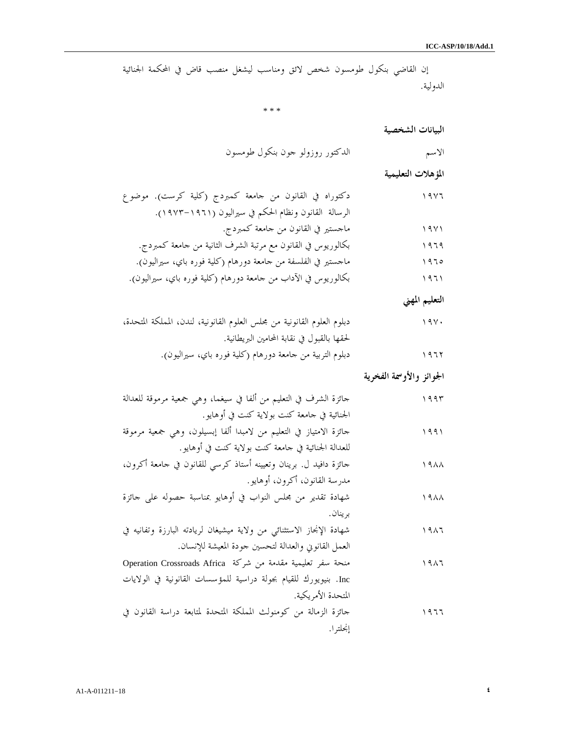إن القاضي بنكول طومسون شخص لائق ومناسب ليشغل منصب قاض في المحكمة الجنائية الدولية.

\* \* \*

البيانات الشخصية

الاسم الدكتور روزولو جون بنكول طومسون

المؤهلات التعليمية

| ۱۹۷۶ | دكتوراه في القانون من جامعة كمبردج (كلية كرست). موضوع         |
|------|---------------------------------------------------------------|
|      | الرسالة القانون ونظام الحكم في سيراليون (١٩٦١–١٩٧٣).          |
| 19Y1 | ماجستير في القانون من جامعة كمبردج.                           |
| 1979 | بكالوريوس في القانون مع مرتبة الشرف الثانية من جامعة كمبردج.  |
| 1970 | ماجستير في الفلسفة من جامعة دورهام (كلية فوره باي، سيراليون). |
|      |                                                               |

١٩٦١ بكالوريوس في الآداب من جامعة دورهام (كلية فوره باي، سيراليون ).

التعليم المهني

| دبلوم العلوم القانونية من محلس العلوم القانونية، لندن، المملكة المتحدة، | 19Y. |
|-------------------------------------------------------------------------|------|
| لحقها بالقبول في نقابة المحامين البريطانية.                             |      |
| دبلوم التربية من جامعة دورهام (كلية فوره باي، سيراليون).                | 1977 |

الجوائز والأوسمة الفخرية

| جائزة الشرف في التعليم من ألفا في سيغما، وهي جمعية مرموقة للعدالة    | ۱۹۹۳ |
|----------------------------------------------------------------------|------|
| الجنائية في حامعة كنت بولاية كنت في أوهايو.                          |      |
| حائزة الامتياز في التعليم من لامبدا ألفا إبسيلون، وهي جمعية مرموقة   | ۱۹۹۱ |
| للعدالة الجنائية في جامعة كنت بولاية كنت في أوهايو.                  |      |
| جائزة دافيد ل. برينان وتعيينه أستاذ كرسي للقانون في جامعة أكرون،     | ۱۹۸۸ |
| مدرسة القانون، أكرون، أوهايو.                                        |      |
| شهادة تقدير من محلس النواب في أوهايو بمناسبة حصوله على حائزة         | ۱۹۸۸ |
| برينان.                                                              |      |
| شهادة الإنجاز الاستثنائي من ولاية ميشيغان لريادته البارزة وتفانيه في | ۱۹۸٦ |
| العمل القانويي والعدالة لتحسين حودة المعيشة للإنسان.                 |      |
| منحة سفر تعليمية مقدمة من شركة Operation Crossroads Africa           | ۱۹۸٦ |
| Inc. بنيويورك للقيام بجولة دراسية للمؤسسات القانونية في الولايات     |      |
| المتحدة الأمريكية.                                                   |      |
| جائزة الزمالة من كومنولث المملكة المتحدة لمتابعة دراسة القانون في    | ۱۹٦٦ |
| إنجلترا.                                                             |      |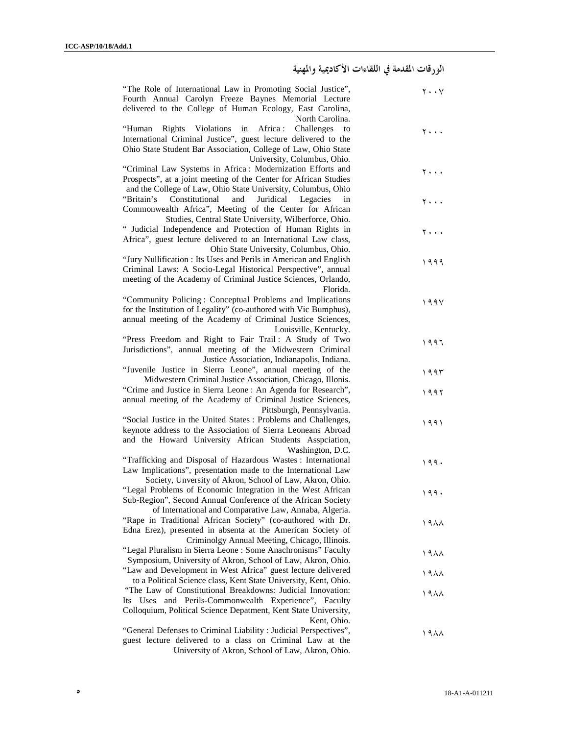# الورقات المقدمة في اللقاءات الأكاديمية والمهنية

| "The Role of International Law in Promoting Social Justice",<br>Fourth Annual Carolyn Freeze Baynes Memorial Lecture<br>delivered to the College of Human Ecology, East Carolina,                   | $\mathsf{y}\cdot\mathsf{y}$ |  |
|-----------------------------------------------------------------------------------------------------------------------------------------------------------------------------------------------------|-----------------------------|--|
| North Carolina.                                                                                                                                                                                     |                             |  |
| Rights Violations in<br>Africa :<br>Challenges<br>"Human<br>to<br>International Criminal Justice", guest lecture delivered to the<br>Ohio State Student Bar Association, College of Law, Ohio State | 7                           |  |
| University, Columbus, Ohio.                                                                                                                                                                         |                             |  |
| "Criminal Law Systems in Africa: Modernization Efforts and<br>Prospects", at a joint meeting of the Center for African Studies<br>and the College of Law, Ohio State University, Columbus, Ohio     | 7                           |  |
| "Britain's<br>Constitutional<br>and<br>Juridical<br>Legacies<br>in<br>Commonwealth Africa", Meeting of the Center for African<br>Studies, Central State University, Wilberforce, Ohio.              | ۲۰۰۰                        |  |
| " Judicial Independence and Protection of Human Rights in                                                                                                                                           |                             |  |
| Africa", guest lecture delivered to an International Law class,                                                                                                                                     | ۲۰۰۰                        |  |
| Ohio State University, Columbus, Ohio.                                                                                                                                                              |                             |  |
| "Jury Nullification : Its Uses and Perils in American and English                                                                                                                                   |                             |  |
| Criminal Laws: A Socio-Legal Historical Perspective", annual                                                                                                                                        | ۱۹۹۹                        |  |
| meeting of the Academy of Criminal Justice Sciences, Orlando,                                                                                                                                       |                             |  |
| Florida.                                                                                                                                                                                            |                             |  |
| "Community Policing: Conceptual Problems and Implications                                                                                                                                           | 199V                        |  |
| for the Institution of Legality" (co-authored with Vic Bumphus),                                                                                                                                    |                             |  |
| annual meeting of the Academy of Criminal Justice Sciences,                                                                                                                                         |                             |  |
| Louisville, Kentucky.                                                                                                                                                                               |                             |  |
| "Press Freedom and Right to Fair Trail: A Study of Two                                                                                                                                              | ۱۹۹۶                        |  |
| Jurisdictions", annual meeting of the Midwestern Criminal                                                                                                                                           |                             |  |
| Justice Association, Indianapolis, Indiana.                                                                                                                                                         |                             |  |
| "Juvenile Justice in Sierra Leone", annual meeting of the<br>Midwestern Criminal Justice Association, Chicago, Illonis.                                                                             | ۱۹۹۳                        |  |
| "Crime and Justice in Sierra Leone : An Agenda for Research",                                                                                                                                       |                             |  |
| annual meeting of the Academy of Criminal Justice Sciences,                                                                                                                                         | ۱۹۹۲                        |  |
| Pittsburgh, Pennsylvania.                                                                                                                                                                           |                             |  |
| "Social Justice in the United States : Problems and Challenges,                                                                                                                                     | ۱۹۹۱                        |  |
| keynote address to the Association of Sierra Leoneans Abroad                                                                                                                                        |                             |  |
| and the Howard University African Students Asspciation,                                                                                                                                             |                             |  |
| Washington, D.C.                                                                                                                                                                                    |                             |  |
| "Trafficking and Disposal of Hazardous Wastes: International                                                                                                                                        | ۱۹۹۰                        |  |
| Law Implications", presentation made to the International Law                                                                                                                                       |                             |  |
| Society, Unversity of Akron, School of Law, Akron, Ohio.<br>"Legal Problems of Economic Integration in the West African                                                                             |                             |  |
| Sub-Region", Second Annual Conference of the African Society                                                                                                                                        | 199.                        |  |
| of International and Comparative Law, Annaba, Algeria.                                                                                                                                              |                             |  |
| "Rape in Traditional African Society" (co-authored with Dr.                                                                                                                                         | ۱۹۸۸                        |  |
| Edna Erez), presented in absenta at the American Society of                                                                                                                                         |                             |  |
| Criminolgy Annual Meeting, Chicago, Illinois.                                                                                                                                                       |                             |  |
| "Legal Pluralism in Sierra Leone : Some Anachronisms" Faculty                                                                                                                                       | ۱۹۸۸                        |  |
| Symposium, University of Akron, School of Law, Akron, Ohio.                                                                                                                                         |                             |  |
| "Law and Development in West Africa" guest lecture delivered                                                                                                                                        | ۱۹۸۸                        |  |
| to a Political Science class, Kent State University, Kent, Ohio.                                                                                                                                    |                             |  |
| "The Law of Constitutional Breakdowns: Judicial Innovation:<br>Its Uses and Perils-Commonwealth Experience", Faculty                                                                                | 1988                        |  |
| Colloquium, Political Science Depatment, Kent State University,                                                                                                                                     |                             |  |
| Kent, Ohio.                                                                                                                                                                                         |                             |  |
| "General Defenses to Criminal Liability : Judicial Perspectives",                                                                                                                                   | ۱۹۸۸                        |  |
| guest lecture delivered to a class on Criminal Law at the                                                                                                                                           |                             |  |
| University of Akron, School of Law, Akron, Ohio.                                                                                                                                                    |                             |  |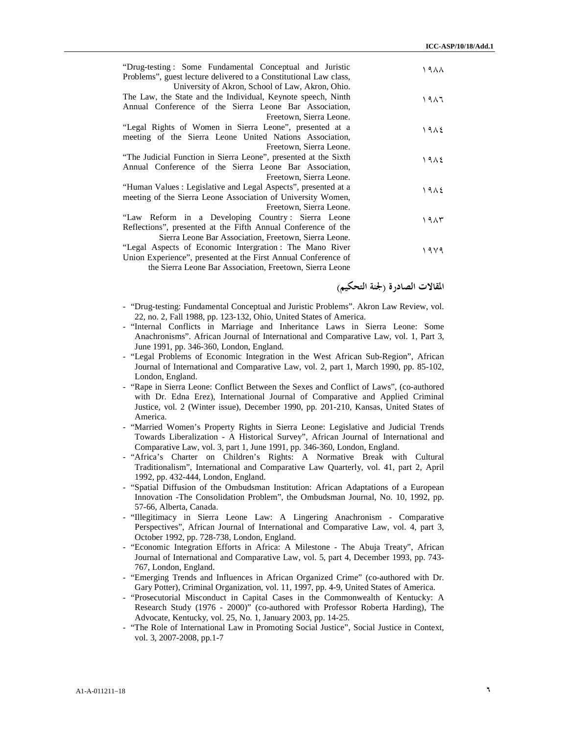| "Drug-testing: Some Fundamental Conceptual and Juristic<br>Problems", guest lecture delivered to a Constitutional Law class,                                                                                                                   | ۱۹۸۸ |
|------------------------------------------------------------------------------------------------------------------------------------------------------------------------------------------------------------------------------------------------|------|
| University of Akron, School of Law, Akron, Ohio.<br>The Law, the State and the Individual, Keynote speech, Ninth<br>Annual Conference of the Sierra Leone Bar Association,                                                                     | ۱۹۸٦ |
| Freetown, Sierra Leone.<br>"Legal Rights of Women in Sierra Leone", presented at a<br>meeting of the Sierra Leone United Nations Association,<br>Freetown, Sierra Leone.                                                                       | ۱۹۸٤ |
| "The Judicial Function in Sierra Leone", presented at the Sixth<br>Annual Conference of the Sierra Leone Bar Association,<br>Freetown, Sierra Leone.                                                                                           | ۱۹۸٤ |
| "Human Values : Legislative and Legal Aspects", presented at a<br>meeting of the Sierra Leone Association of University Women,                                                                                                                 | ۱۹۸٤ |
| Freetown, Sierra Leone.<br>"Law Reform in a Developing Country: Sierra Leone<br>Reflections", presented at the Fifth Annual Conference of the                                                                                                  | ۱۹۸۳ |
| Sierra Leone Bar Association, Freetown, Sierra Leone.<br>"Legal Aspects of Economic Intergration: The Mano River<br>Union Experience", presented at the First Annual Conference of<br>the Sierra Leone Bar Association. Freetown, Sierra Leone | ۱۹۷۹ |

المقالات الصادرة (لجنة التحكيم )

- "Drug-testing: Fundamental Conceptual and Juristic Problems". Akron Law Review, vol. 22, no. 2, Fall 1988, pp. 123-132, Ohio, United States of America.
- "Internal Conflicts in Marriage and Inheritance Laws in Sierra Leone: Some Anachronisms". African Journal of International and Comparative Law, vol. 1, Part 3, June 1991, pp. 346-360, London, England.
- "Legal Problems of Economic Integration in the West African Sub-Region", African Journal of International and Comparative Law, vol. 2, part 1, March 1990, pp. 85-102, London, England.
- "Rape in Sierra Leone: Conflict Between the Sexes and Conflict of Laws", (co-authored with Dr. Edna Erez), International Journal of Comparative and Applied Criminal Justice, vol. 2 (Winter issue), December 1990, pp. 201-210, Kansas, United States of America.
- "Married Women's Property Rights in Sierra Leone: Legislative and Judicial Trends Towards Liberalization - A Historical Survey", African Journal of International and Comparative Law, vol. 3, part 1, June 1991, pp. 346-360, London, England.
- "Africa's Charter on Children's Rights: A Normative Break with Cultural Traditionalism", International and Comparative Law Quarterly, vol. 41, part 2, April 1992, pp. 432-444, London, England.
- "Spatial Diffusion of the Ombudsman Institution: African Adaptations of a European Innovation -The Consolidation Problem", the Ombudsman Journal, No. 10, 1992, pp. 57-66, Alberta, Canada.
- "Illegitimacy in Sierra Leone Law: A Lingering Anachronism Comparative Perspectives", African Journal of International and Comparative Law, vol. 4, part 3, October 1992, pp. 728-738, London, England.
- "Economic Integration Efforts in Africa: A Milestone The Abuja Treaty", African Journal of International and Comparative Law, vol. 5, part 4, December 1993, pp. 743- 767, London, England.
- "Emerging Trends and Influences in African Organized Crime" (co-authored with Dr. Gary Potter), Criminal Organization, vol. 11, 1997, pp. 4-9, United States of America.
- "Prosecutorial Misconduct in Capital Cases in the Commonwealth of Kentucky: A Research Study (1976 - 2000)" (co-authored with Professor Roberta Harding), The Advocate, Kentucky, vol. 25, No. 1, January 2003, pp. 14-25.
- "The Role of International Law in Promoting Social Justice", Social Justice in Context, vol. 3, 2007-2008, pp.1-7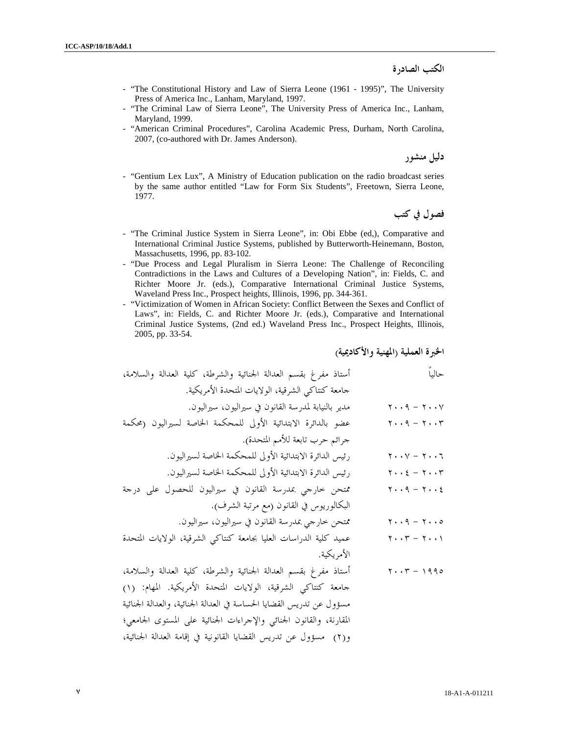الكتب الصادرة

- "The Constitutional History and Law of Sierra Leone (1961 1995)", The University Press of America Inc., Lanham, Maryland, 1997.
- "The Criminal Law of Sierra Leone", The University Press of America Inc., Lanham, Maryland, 1999.
- "American Criminal Procedures", Carolina Academic Press, Durham, North Carolina, 2007, (co-authored with Dr. James Anderson).

دليل منشور

- "Gentium Lex Lux", A Ministry of Education publication on the radio broadcast series by the same author entitled "Law for Form Six Students", Freetown, Sierra Leone, 1977.

فصول في كتب

- "The Criminal Justice System in Sierra Leone", in: Obi Ebbe (ed,), Comparative and International Criminal Justice Systems, published by Butterworth-Heinemann, Boston, Massachusetts, 1996, pp. 83-102.
- "Due Process and Legal Pluralism in Sierra Leone: The Challenge of Reconciling Contradictions in the Laws and Cultures of a Developing Nation", in: Fields, C. and Richter Moore Jr. (eds.), Comparative International Criminal Justice Systems, Waveland Press Inc., Prospect heights, Illinois, 1996, pp. 344-361.
- "Victimization of Women in African Society: Conflict Between the Sexes and Conflict of Laws", in: Fields, C. and Richter Moore Jr. (eds.), Comparative and International Criminal Justice Systems, (2nd ed.) Waveland Press Inc., Prospect Heights, Illinois, 2005, pp. 33-54.

الخبرة العملية (المهنية والأكاديمية )

حالياً أستاذ مفرغ بقسم العدالة الجنائية والشرطة، كلية العدالة والسلامة، جامعة كنتاكي الشرقية، الولايات المتحدة الأمريكية . ٢٠٠٧ - ٢٠٠٩ مدير بالنيابة لمدرسة القانون في سيراليون، سيراليون . ٢٠٠٣ - ٢٠٠٩ عضو بالدائرة الابتدائية الأولى للمحكمة الخاصة لسيراليون (محكمة جرائم حرب تابعة للأمم المتحدة ). ٢٠٠٦ - ٢٠٠٧ رئيس الدائرة الابتدائية الأولى للمحكمة الخاصة لسيراليون . ٢٠٠٣ - ٢٠٠٤ رئيس الدائرة الابتدائية الأولى للمحكمة الخاصة لسيراليون . ٢٠٠٤ - ٢٠٠٩ ممتحن خارجي بمدرسة القانون في سيراليون للحصول على درجة البكالوريوس في القانون مع( مرتبة الشرف ). ٢٠٠٥ - ٢٠٠٩ ممتحن خارجي بمدرسة القانون في سيراليون، سيراليون . ٢٠٠١ - ٢٠٠٣ عميد كلية الدراسات العليا بجامعة كنتاكي الشرقية، الولايات المتحدة الأمريكية . ١٩٩٥ - ٢٠٠٣ أستاذ مفرغ بقسم العدالة الجنائية والشرطة، كلية العدالة والسلامة، جامعة كنتاكي الشرقية، الولايات المتحدة الأمريكية . المهام: ( )١ مسؤول عن تدريس القضايا الحساسة في العدالة الجنائية، والعدالة الجنائية المقارنة، والقانون الجنائي والإجراءات الجنائية على المستوى الجامعي؛ )٢(و مسؤول عن تدريس القضايا القانونية في إقامة العدالة الجنائية،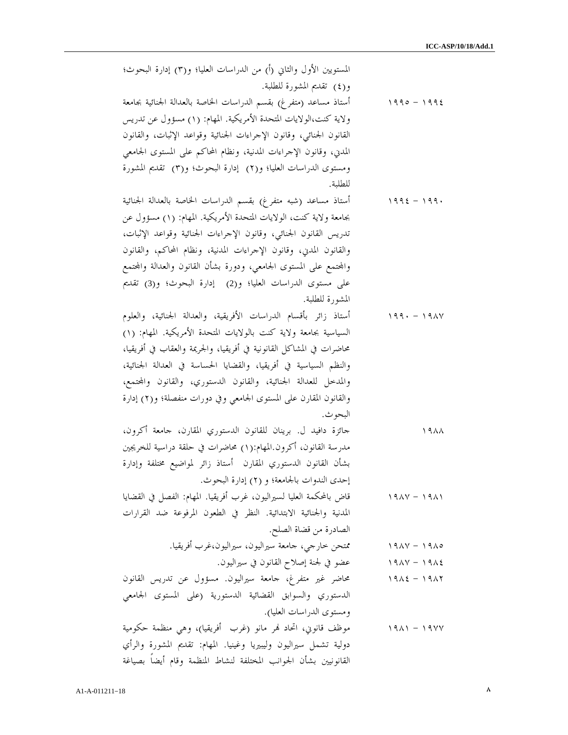| المستويين الأول والثاني (أ) من الدراسات العليا؛ و(٣) إدارة البحوث؛    |                                 |
|-----------------------------------------------------------------------|---------------------------------|
| و(٤) تقديم المشورة للطلبة.                                            |                                 |
| أستاذ مساعد (متفرغ) بقسم الدراسات الخاصة بالعدالة الجنائية بجامعة     | $1990 - 1992$                   |
| ولاية كنت،الولايات المتحدة الأمريكية. المهام: (١) مسؤول عن تدريس      |                                 |
| القانون الجنائبي، وقانون الإحراءات الجنائية وقواعد الإثبات، والقانون  |                                 |
| المدني، وقانون الإحراءات المدنية، ونظام المحاكم على المستوى الجامعي   |                                 |
| ومستوى الدراسات العليا؛ و(٢) إدارة البحوث؛ و(٣) تقديم المشورة         |                                 |
| للطلبة.                                                               |                                 |
| أستاذ مساعد (شبه متفرغ) بقسم الدراسات الخاصة بالعدالة الجنائية        | $1992 - 199.$                   |
| بجامعة ولاية كنت، الولايات المتحدة الأمريكية. المهام: (١) مسؤول عن    |                                 |
| تدريس القانون الجنائبي، وقانون الإحراءات الجنائية وقواعد الإثبات،     |                                 |
| والقانون المدين، وقانون الإحراءات المدنية، ونظام المحاكم، والقانون    |                                 |
| والمحتمع على المستوى الجامعي، ودورة بشأن القانون والعدالة والمحتمع    |                                 |
| على مستوى الدراسات العليا؛ و(2) إدارة البحوث؛ و(3) تقديم              |                                 |
| المشورة للطلبة.                                                       |                                 |
| أستاذ زائر بأقسام الدراسات الأفريقية، والعدالة الجنائية، والعلوم      | $199. - 191V$                   |
| السياسية بجامعة ولاية كنت بالولايات المتحدة الأمريكية. المهام: (١)    |                                 |
| محاضرات في المشاكل القانونية في أفريقيا، والجريمة والعقاب في أفريقيا، |                                 |
| والنظم السياسية في أفريقيا، والقضايا الحساسة في العدالة الجنائية،     |                                 |
| والمدحل للعدالة الجنائية، والقانون الدستوري، والقانون والمحتمع،       |                                 |
| والقانون المقارن على المستوى الجامعي وفي دورات منفصلة؛ و(٢) إدارة     |                                 |
| البحو ث.                                                              |                                 |
| جائزة دافيد ل. برينان للقانون الدستوري المقارن، جامعة أكرون،          | 1911                            |
| مدرسة القانون، أكرون.المهام:(١) محاضرات في حلقة دراسية للخريجين       |                                 |
| بشأن القانون الدستوري المقارن أستاذ زائر لمواضيع مختلفة وإدارة        |                                 |
| إحدى الندوات بالجامعة؛ و (٢) إدارة البحوث.                            |                                 |
| قاض بالمحكمة العليا لسيراليون، غرب أفريقيا. المهام: الفصل في القضايا  | $19AY - 19AY$                   |
| المدنية والجنائية الابتدائية. النظر في الطعون المرفوعة ضد القرارات    |                                 |
| الصادرة من قضاة الصلح.                                                |                                 |
| ممتحن خارجي، جامعة سيراليون، سيراليون،غرب أفريقيا.                    | $19\lambda V - 19\lambda o$     |
| عضو في لجنة إصلاح القانون في سيراليون.                                | $19AY - 19A2$                   |
| محاضر غير متفرغ، جامعة سيراليون. مسؤول عن تدريس القانون               | $19\lambda\xi - 19\lambda\zeta$ |
| الدستوري والسوابق القضائية الدستورية (على المستوى الجامعي             |                                 |
| ومستوى الدراسات العليا).                                              |                                 |
| موظف قانوني، اتحاد نمر مانو (غرب أفريقيا)، وهي منظمة حكومية           | $1911 - 19YY$                   |
| دولية تشمل سيراليون وليبيريا وغينيا. المهام: تقديم المشورة والرأي     |                                 |
| القانونيين بشأن الجوانب المختلفة لنشاط المنظمة وقام أيضا بصياغة       |                                 |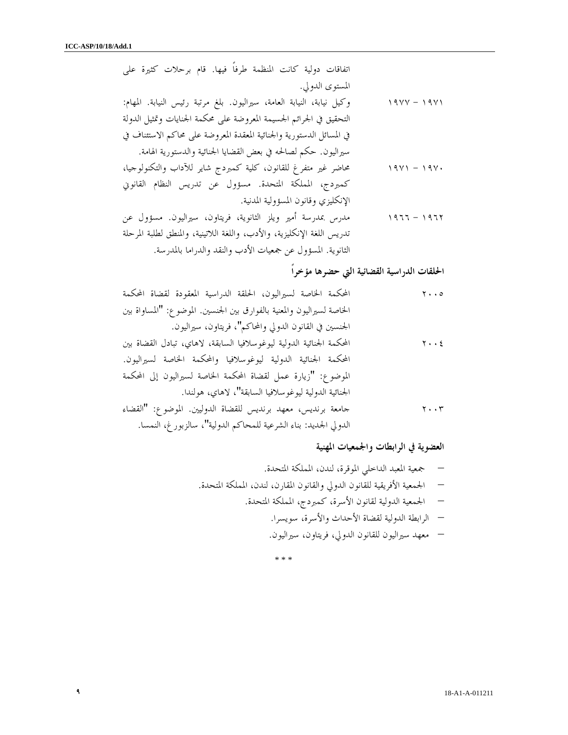اتفاقات دولية كانت المنظمة طرفاً فيها. قام برحلات كثيرة على المستوى الدولي . ١٩٧١ – ١٩٧٧ - هيكل نيابة، النيابة العامة، سيراليون. بلغ مرتبة رئيس النيابة. المهام: التحقيق في الجرائم الجسيمة المعروضة على محكمة الجنايات وتمثيل الدولة في المسائل الدستورية والجنائية المعقدة المعروضة على محاكم الاستئناف في سيراليون. حكم لصالحه في بعض القضايا الجنائية والدستورية الهامة . ١٩٧٠ - ١٩٧١ محاضر غير متفرغ للقانون، كلية كمبردج شاير للآداب والتكنولوجيا، كمبردج، المملكة المتحدة. مسؤول عن تدريس النظام القانوني الإنكليزي وقانون المسؤولية المدنية . ١٩٦٢ - ١٩٦٦ مدرس بمدرسة أمير ويلز الثانوية، فريتاون، سيراليون. مسؤول عن تدريس اللغة الإنكليزية، والأدب، واللغة اللاتينية، والمنطق لطلبة المرحلة الثانوية. المسؤول عن جمعيات الأدب والنقد والدراما بالمدرسة .

# الحلقات الدراسية القضائية التي حضرها مؤخراً

| المحكمة الخاصة لسيراليون، الحلقة الدراسية المعقودة لقضاة المحكمة       | $\mathbf{y} \cdot \cdot \mathbf{0}$ |
|------------------------------------------------------------------------|-------------------------------------|
| الخاصة لسيراليون والمعنية بالفوارق بين الجنسين. الموضوع: "المساواة بين |                                     |
| الجنسين في القانون الدولي والمحاكم"، فريتاون، سيراليون.                |                                     |
| المحكمة الجنائية الدولية ليوغوسلافيا السابقة، لاهاي، تبادل القضاة بين  | $y \cdot z$                         |
| المحكمة الجنائية الدولية ليوغوسلافيا والمحكمة الخاصة لسيراليون.        |                                     |
| الموضوع: "زيارة عمل لقضاة المحكمة الخاصة لسيراليون إلى المحكمة         |                                     |
| الجنائية الدولية ليوغوسلافيا السابقة"، لاهاي، هولندا.                  |                                     |
| جامعة برنديس، معهد برنديس للقضاة الدوليين. الموضوع: "القضاء            | $\mathbf{Y} \cdot \mathbf{Y}$       |
| الدولي الجديد: بناء الشرعية للمحاكم الدولية"، سالزبور غ، النمسا.       |                                     |

### العضوية في الرابطات والجمعيات المهنية

– جمعية المعبد الداخلي الموقرة، لندن، المملكة المتحدة .

- الجمعية الأفريقية للقانون الدولي والقانون المقارن، لندن، المملكة المتحدة .
	- الجمعية الدولية لقانون الأسرة، كمبردج، المملكة المتحدة .
		- الرابطة الدولية لقضاة الأحداث والأسرة، سويسرا .
		- معهد سيراليون للقانون الدولي، فريتاون، سيراليون.

\* \* \*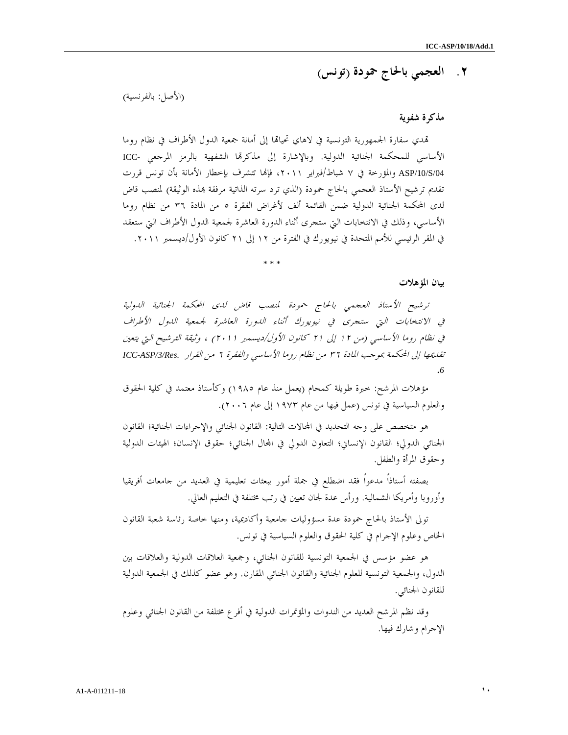## ٢. العجمي بالحاج حمودة ( تونس )

(الأصل: بالفرنسية )

### مذكرة شفوية

تمدي سفارة الجمهورية التونسية في لاهاي تحيالها إلى أمانة جمعية الدول الأطراف في نظام روما الأساسي للمحكمة الجنائية الدولية. وبالإشارة إلى مذكرا الشفهية بالرمز المرجعي -ICC /04S/10/ASP والمؤرخة في ٧ شباط/فبراير ،٢٠١١ فإا تتشرف بإخطار الأمانة بأن تونس قررت تقديم ترشيح الأستاذ العجمبي بالحاج حمودة (الذي ترد سرته الذاتية مرفقة بمذه الوثيقة) لمنصب قاض لدى المحكمة الجنائية الدولية ضمن القائمة ألف لأغراض الفقرة ٥ من المادة ٣٦ من نظام روما الأساسي، وذلك في الانتخابات التي ستجرى أثناء الدورة العاشرة لجمعية الدول الأطراف التي ستعقد في المقر الرئيسي للأمم المتحدة في نيويورك في الفترة من ١٢ إلى ٢١ كانون الأول/ديسمبر ٢٠١١ .

\* \* \*

#### بيان المؤهلات

ترشيح الأستاذ العجمي بالحاج حمودة لمنصب قاض لدى المحكمة الجنائية الدولية في الانتخابات التي ستجرى في نيويورك أثناء الدورة العاشرة لجمعية الدول الأطراف في نظام روما الأساسي (من ١٢ إلى ٢١ كانون الأول/ديسمبر ٢٠١١) ، وثيقة الترشيح التي يتعين تقديمها إلى المحكمة بموجب المادة ٣٦ من نظام روما الأساسي والفقرة ٦ من القرار *.Res/3/ASP-ICC* .*6*

مؤهلات المرشح: خبرة طويلة كمحام (يعمل منذ عام ١٩٨٥) وكأستاذ معتمد في كلية الحقوق والعلوم السياسية في تونس (عمل فيها من عام ١٩٧٣ إلى عام ٢٠٠٦ ).

هو متخصص على وجه التحديد في المحالات التالية: القانون الجنائي والإجراءات الجنائية؛ القانون الجنائي الدولي؛ القانون الإنساني؛ التعاون الدولي في المجال الجنائي؛ حقوق الإنسان؛ الهيئات الدولية وحقوق المرأة والطفل .

بصفته أستاذاً مدعواً فقد اضطلع في جملة أمور ببعثات تعليمية في العديد من جامعات أفريقيا وأوروبا وأمريكا الشمالية. ورأس عدة لجان تعيين في رتب مختلفة في التعليم العالي .

تولى الأستاذ بالحاج حمودة عدة مسؤوليات جامعية وأكاديمية، ومنها خاصة رئاسة شعبة القانون الخاص وعلوم الإجرام في كلية الحقوق والعلوم السياسية في تونس .

هو عضو مؤسس في الجمعية التونسية للقانون الجنائي، وجمعية العلاقات الدولية والعلاقات بين الدول، والجمعية التونسية للعلوم الجنائية والقانون الجنائي المقارن. وهو عضو كذلك في الجمعية الدولية للقانون الجنائي .

وقد نظم المرشح العديد من الندوات والمؤتمرات الدولية في أفرع مختلفة من القانون الجنائي وعلوم الإجرام وشارك فيها .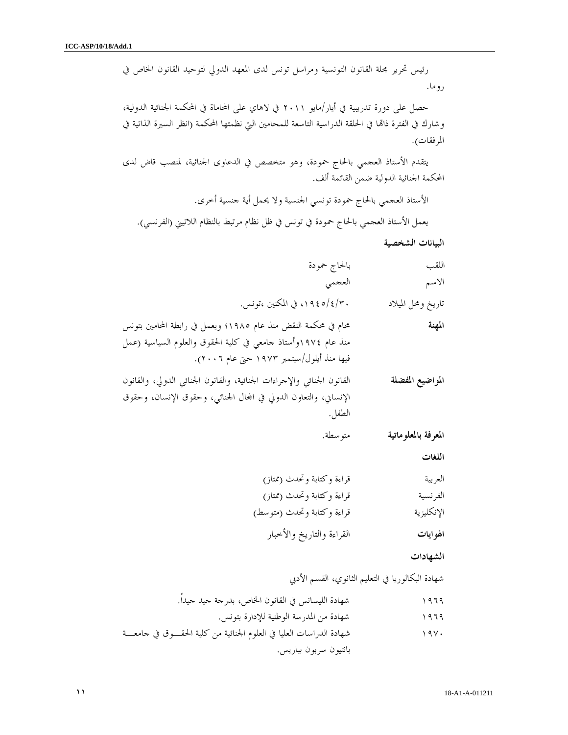رئيس تحرير مجلة القانون التونسية ومراسل تونس لدى المعهد الدولي لتوحيد القانون الخاص في روما .

حصل على دورة تدريبية في أيار/مايو ٢٠١١ في لاهاي على المحاماة في المحكمة الجنائية الدولية، وشارك في الفترة ذاتما في الحلقة الدراسية التاسعة للمحامين التي نظمتها المحكمة (انظر السيرة الذاتية في المرفقات ).

يتقدم الأستاذ العجمي بالحاج حمودة، وهو متخصص في الدعاوى الجنائية، لمنصب قاض لدى المحكمة الجنائية الدولية ضمن القائمة ألف .

الأستاذ العجمي بالحاج حمودة تونسي الجنسية ولا يحمل أية جنسية أخرى . يعمل الأستاذ العجمي بالحاج حمودة في تونس في ظل نظام مرتبط بالنظام اللاتيني (الفرنسي ).

البيانات الشخصية

| بالحاج حمودة | اللقب |
|--------------|-------|
| العجمي       | الاسم |

تاريخ ومحل الميلاد ٣٠/٤/ ،١٩٤٥ في المكنين ،تونس .

المهنة محام في محكمة النقض منذ عام ١٩٨٥؛ ويعمل في رابطة المحامين بتونس منذ عام ١٩٧٤وأستاذ جامعي في كلية الحقوق والعلوم السياسية (عمل فيها منذ أيلول/سبتمبر ١٩٧٣ حتى عام ٢٠٠٦ ).

ا**لمواضيع المفضلة** القانون الجنائي والإجراءات الجنائية، والقانون الجنائي الدولي، والقانون الإنساني، والتعاون الدولي في المحال الجنائي، وحقوق الإنسان، وحقوق الطفل .

المعرفة بالمعلوماتية متوسطة .

اللغات

- العربية قراءة وكتابة وتحدث (ممتاز )
- الفرنسية قراءة وكتابة وتحدث (ممتاز )
- الإنكليزية قراءة وكتابة وتحدث (متوسط)
	- الهوايات القراءة والتاريخ والأخبار

الشهادات

شهادة البكالوريا في التعليم الثانوي، القسم الأدبي

١٩٦٩ شهادة الليسانس في القانون الخاص، بدرجة جيد جيداً . ١٩٦٩ شهادة من المدرسة الوطنية للإدارة بتونس . ١٩٧٠ شهادة الدراسات العليا في العلوم الجنائية من كلية الحقـوق في جامعـة بانتيون سربون بباريس .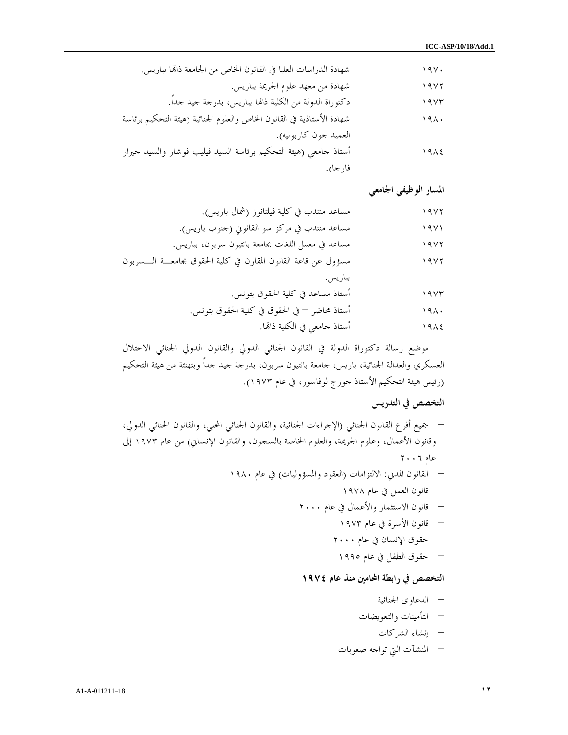| شهادة الدراسات العليا في القانون الخاص من الجامعة ذاتما بباريس.        | 194. |
|------------------------------------------------------------------------|------|
| شهادة من معهد علوم الجريمة بباريس.                                     | 19Y  |
| دكتوراة الدولة من الكلية ذاتما بباريس، بدرجة جيد حداً.                 | 19Yr |
| شهادة الأستاذية في القانون الخاص والعلوم الجنائية (هيئة التحكيم برئاسة | 191. |
| العميد حون كاربونيه).                                                  |      |
| أستاذ حامعي (هيئة التحكيم برئاسة السيد فيليب فوشار والسيد حيرار        | 1912 |
| فارجا).                                                                |      |

المسار الوظيفي الجامعي

| مساعد منتدب في كلية فيلتانوز (شمال باريس).                         | 1972 |
|--------------------------------------------------------------------|------|
| مساعد منتدب في مركز سو القانوني (حنوب باريس).                      | ۱۹۷۱ |
| مساعد في معمل اللغات بجامعة بانتيون سربون، بباريس.                 | 19Y  |
| مسؤول عن قاعة القانون المقارن في كلية الحقوق بجامعـــة الــــسربون | 1972 |
| بباريس.                                                            |      |
| أستاذ مساعد في كلية الحقوق بتونس.                                  | 1957 |
| أستاذ محاضر — في الحقوق في كلية الحقوق بتونس.                      | 191. |
| أستاذ جامعي في الكلية ذاتما.                                       | 1912 |

موضع رسالة دكتوراة الدولة في القانون الجنائي الدولي والقانون الدولي الجنائي الاحتلال العسكري والعدالة الجنائية، باريس، جامعة بانتيون سربون، بدرجة جيد جداً وبتهنئة من هيئة التحكيم (رئيس هيئة التحكيم الأستاذ جورج لوفاسور، في عام ١٩٧٣ ).

### التخصص في التدريس

– جميع أفرع القانون الجنائي (الإجراءات الجنائية، والقانون الجنائي المحلي، والقانون الجنائي الدولي، وقانون الأعمال، وعلوم الجريمة، والعلوم الخاصة بالسجون، والقانون الإنساني) من عام ١٩٧٣ إلى عام ٢٠٠٦

- القانون المدني: الالتزامات (العقود والمسؤوليات) في عام ١٩٨٠
	- قانون العمل في عام ١٩٧٨
	- قانون الاستثمار والأعمال في عام ٢٠٠٠
		- قانون الأسرة في عام ١٩٧٣
		- حقوق الإنسان في عام ٢٠٠٠
		- حقوق الطفل في عام ١٩٩٥

### التخصص في رابطة المحامين منذ عام ١٩٧٤

- الدعاوى الجنائية
- التأمينات والتعويضات
	- إنشاء الشركات
- المنشآت التي تواجه صعوبات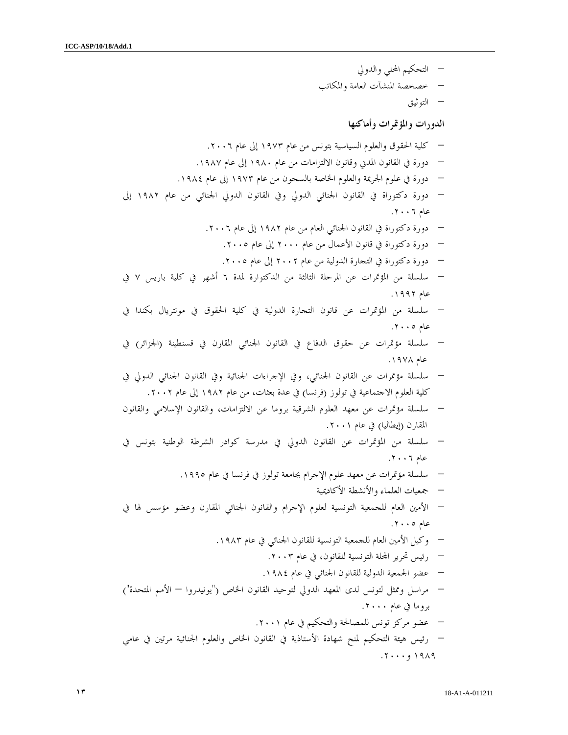- التحكيم المحلي والدولي
- خصخصة المنشآت العامة والمكاتب
	- التوثيق

### الدورات والمؤتمرات وأماكنها

- كلية الحقوق والعلوم السياسية بتونس من عام ١٩٧٣ إلى عام ٢٠٠٦ .
- دورة في القانون المدني وقانون الالتزامات من عام ١٩٨٠ إلى عام ١٩٨٧ .
- دورة في علوم الجريمة والعلوم الخاصة بالسجون من عام ١٩٧٣ إلى عام ١٩٨٤ .
- دورة دكتوراة في القانون الجنائي الدولي وفي القانون الدولي الجنائي من عام ١٩٨٢ إلى عام ٢٠٠٦ .
	- دورة دكتوراة في القانون الجنائي العام من عام ١٩٨٢ إلى عام ٢٠٠٦ .
		- دورة دكتوراة في قانون الأعمال من عام ٢٠٠٠ إلى عام ٢٠٠٥ .
		- دورة دكتوراة في التجارة الدولية من عام ٢٠٠٢ إلى عام ٢٠٠٥ .
- سلسلة من المؤتمرات عن المرحلة الثالثة من الدكتوارة لمدة ٦ أشهر في كلية باريس ٧ في عام ١٩٩٢ .
- سلسلة من المؤتمرات عن قانون التجارة الدولية في كلية الحقوق في مونتريال بكندا في عام ٢٠٠٥ .
- سلسلة مؤتمرات عن حقوق الدفاع في القانون الجنائي المقارن في قسنطينة (الجزائر) في عام ١٩٧٨ .
- سلسلة مؤتمرات عن القانون الجنائي، وفي الإجراءات الجنائية وفي القانون الجنائي الدولي في كلية العلوم الاجتماعية في تولوز (فرنسا) في عدة بعثات، من عام ١٩٨٢ إلى عام ٢٠٠٢ .
- سلسلة مؤتمرات عن معهد العلوم الشرقية بروما عن الالتزامات، والقانون الإسلامي والقانون المقارن (إيطاليا) في عام ٢٠٠١ .
- سلسلة من المؤتمرات عن القانون الدولي في مدرسة كوادر الشرطة الوطنية بتونس في عام ٢٠٠٦ .
	- سلسلة مؤتمرات عن معهد علوم الإجرام بجامعة تولوز في فرنسا في عام ١٩٩٥ .
		- جمعيات العلماء والأنشطة الأكاديمية
- الأمين العام للجمعية التونسية لعلوم الإجرام والقانون الجنائي المقارن وعضو مؤسس لها في عام ٢٠٠٥ .
	- وكيل الأمين العام للجمعية التونسية للقانون الجنائي في عام ١٩٨٣ .
		- رئيس تحرير الة التونسية للقانون، في عام ٢٠٠٣ .
		- عضو الجمعية الدولية للقانون الجنائي في عام ١٩٨٤ .
- مراسل وممثل لتونس لدى المعهد الدولي لتوحيد القانون الخاص ("يونيدروا الأمم المتحدة ") بروما في عام ٢٠٠٠ .
- عضو مركز تونس للمصالحة والتحكيم في عام ٢٠٠١ . – رئيس هيئة التحكيم لمنح شهادة الأستاذية في القانون الخاص والعلوم الجنائية مرتين في عامي ١٩٨٩ و٢٠٠٠ .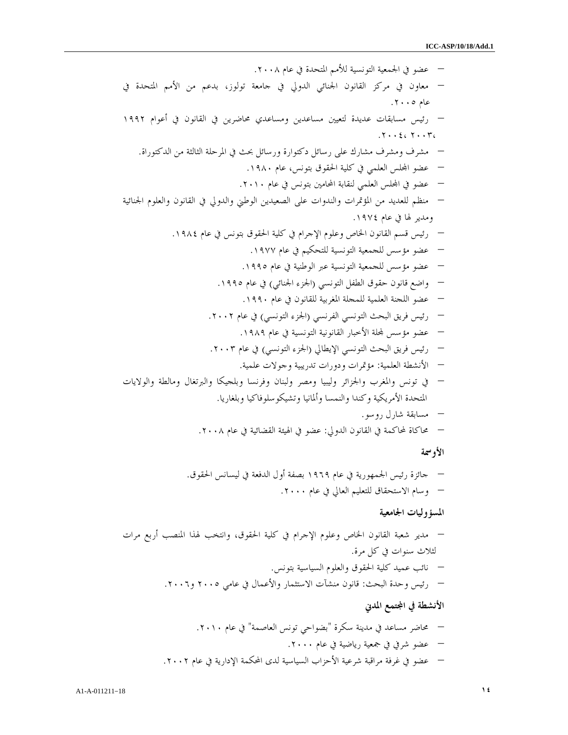– عضو في الجمعية التونسية للأمم المتحدة في عام ٢٠٠٨ . – معاون في مركز القانون الجنائي الدولي في جامعة تولوز، بدعم من الأمم المتحدة في عام ٢٠٠٥ . – رئيس مسابقات عديدة لتعيين مساعدين ومساعدي محاضرين في القانون في أعوام ١٩٩٢ . ٢٠٠٤ ، ٢٠٠٣، – مشرف ومشرف مشارك على رسائل دكتوارة ورسائل بحث في المرحلة الثالثة من الدكتوراة . – عضو الس العلمي في كلية الحقوق بتونس، عام ١٩٨٠ . – عضو في الس العلمي لنقابة المحامين بتونس في عام ٢٠١٠ . – منظم للعديد من المؤتمرات والندوات على الصعيدين الوطني والدولي في القانون والعلوم الجنائية ومدير لها في عام ١٩٧٤ . – رئيس قسم القانون الخاص وعلوم الإجرام في كلية الحقوق بتونس في عام ١٩٨٤ . – عضو مؤسس للجمعية التونسية للتحكيم في عام ١٩٧٧ . – عضو مؤسس للجمعية التونسية عبر الوطنية في عام ١٩٩٥ . – واضع قانون حقوق الطفل التونسي (الجزء الجنائي) في عام ١٩٩٥ . – عضو اللجنة العلمية للمجلة المغربية للقانون في عام ١٩٩٠ . – رئيس فريق البحث التونسي الفرنسي (الجزء التونسي) في عام ٢٠٠٢ . – عضو مؤسس لة الأخبار القانونية التونسية في عام ١٩٨٩ . – رئيس فريق البحث التونسي الإيطالي (الجزء التونسي) في عام .٢٠٠٣ – الأنشطة العلمية: مؤتمرات ودورات تدريبية وجولات علمية. – في تونس والمغرب والجزائر وليبيا ومصر ولبنان وفرنسا وبلجيكا والبرتغال ومالطة والولايات المتحدة الأمريكية وكندا والنمسا وألمانيا وتشيكوسلوفاكيا وبلغاريا. – مسابقة شارل روسو. – محاكاة لمحاكمة في القانون الدولي: عضو في الهيئة القضائية في عام .٢٠٠٨

الأوسمة

– جائزة رئيس الجمهورية في عام ١٩٦٩ بصفة أول الدفعة في ليسانس الحقوق . – وسام الاستحقاق للتعليم العالي في عام ٢٠٠٠ .

# المسؤوليات الجامعية

– مدير شعبة القانون الخاص وعلوم الإجرام في كلية الحقوق، وانتخب لهذا المنصب أربع مرات لثلاث سنوات في كل مرة . – نائب عميد كلية الحقوق والعلوم السياسية بتونس . – رئيس وحدة البحث: قانون منشآت الاستثمار والأعمال في عامي ٢٠٠٥ و٢٠٠٦ . الأنشطة في اتمع المدني

– محاضر مساعد في مدينة سكرة "بضواحي تونس العاصمة" في عام ٢٠١٠ . – عضو شرفي في جمعية رياضية في عام ٢٠٠٠ . – عضو في غرفة مراقبة شرعية الأحزاب السياسية لدى المحكمة الإدارية في عام ٢٠٠٢ .

 $A1-A-011211-18$   $\qquad \qquad$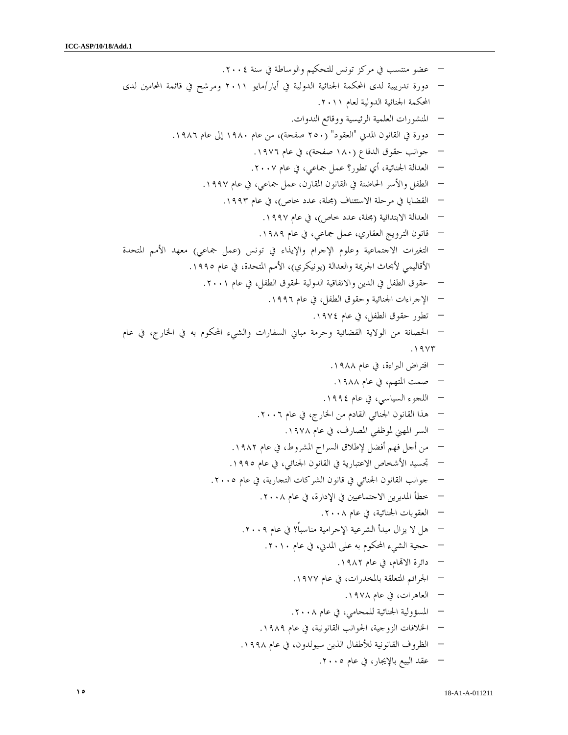– عضو منتسب في مركز تونس للتحكيم والوساطة في سنة .٢٠٠٤ – دورة تدريبية لدى المحكمة الجنائية الدولية في أيار/مايو ٢٠١١ ومرشح في قائمة المحامين لدى المحكمة الجنائية الدولية لعام ٢٠١١ . – المنشورات العلمية الرئيسية ووقائع الندوات . – دورة في القانون المدني "العقود" (٢٥٠ صفحة)، من عام ١٩٨٠ إلى عام ١٩٨٦ . – جوانب حقوق الدفاع (١٨٠ صفحة)، في عام ١٩٧٦ . – العدالة الجنائية، أي تطور؟ عمل جماعي، في عام ٢٠٠٧ . – الطفل والأسر الحاضنة في القانون المقارن، عمل جماعي، في عام ١٩٩٧ . – القضايا في مرحلة الاستئناف (مجلة، عدد خاص)، في عام ١٩٩٣ . – العدالة الابتدائية (مجلة، عدد خاص)، في عام ١٩٩٧ . – قانون الترويج العقاري، عمل جماعي، في عام ١٩٨٩ . – التغيرات الاجتماعية وعلوم الإجرام والإيذاء في تونس (عمل جماعي) معهد الأمم المتحدة الأقاليمي لأبحاث الجريمة والعدالة (يونيكري)، الأمم المتحدة، في عام ١٩٩٥ . – حقوق الطفل في الدين والاتفاقية الدولية لحقوق الطفل، في عام ٢٠٠١ . – الإجراءات الجنائية وحقوق الطفل، في عام ١٩٩٦ . – تطور حقوق الطفل، في عام ١٩٧٤ . – الحصانة من الولاية القضائية وحرمة مباني السفارات والشيء المحكوم به في الخارج، في عام . ١٩٧٣ – افتراض البراءة، في عام ١٩٨٨ . – صمت المتهم، في عام ١٩٨٨ . – اللجوء السياسي، في عام ١٩٩٤ . – هذا القانون الجنائي القادم من الخارج، في عام ٢٠٠٦ . – السر المهني لموظفي المصارف، في عام ١٩٧٨ . – من أجل فهم أفضل لإطلاق السراح المشروط، في عام ١٩٨٢ . – تجسيد الأشخاص الاعتبارية في القانون الجنائي، في عام ١٩٩٥ . – جوانب القانون الجنائي في قانون الشركات التجارية، في عام ٢٠٠٥ . – خطأ المديرين الاجتماعيين في الإدارة، في عام ٢٠٠٨ . – العقوبات الجنائية، في عام ٢٠٠٨ . – هل لا يزال مبدأ الشرعية الإجرامية مناسباً؟ في عام ٢٠٠٩ . – حجية الشيء المحكوم به على المدني، في عام ٢٠١٠ . – دائرة الاام، في عام ١٩٨٢ . – الجرائم المتعلقة بالمخدرات، في عام ١٩٧٧ . – العاهرات، في عام ١٩٧٨ . – المسؤولية الجنائية للمحامي، في عام ٢٠٠٨ . – الخلافات الزوجية، الجوانب القانونية، في عام ١٩٨٩ . – الظروف القانونية للأطفال الذين سيولدون، في عام ١٩٩٨ .

– عقد البيع بالإيجار، في عام ٢٠٠٥ .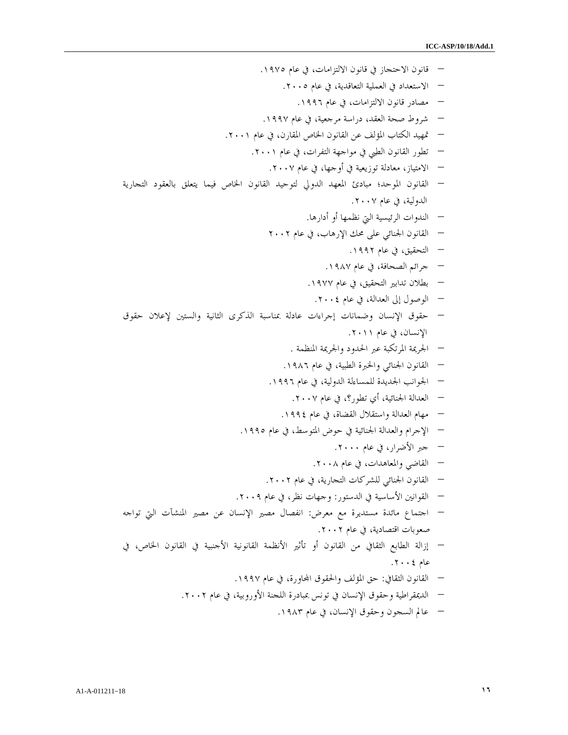– قانون الاحتجاز في قانون الالتزامات، في عام ١٩٧٥ . – الاستعداد في العملية التعاقدية، في عام ٢٠٠٥ . – مصادر قانون الالتزامات، في عام ١٩٩٦ . – شروط صحة العقد، دراسة مرجعية، في عام ١٩٩٧ . – تمهيد الكتاب المؤلف عن القانون الخاص المقارن، في عام ٢٠٠١ . – تطور القانون الطبي في مواجهة التفرات، في عام ٢٠٠١ . – الامتياز، معادلة توزيعية في أوجها، في عام ٢٠٠٧ . – القانون الموحد؛ مبادئ المعهد الدولي لتوحيد القانون الخاص فيما يتعلق بالعقود التجارية الدولية، في عام .٢٠٠٧ – الندوات الرئيسية التي نظمها أو أدارها. – القانون الجنائي على محك الإرهاب، في عام ٢٠٠٢ – التحقيق، في عام ١٩٩٢ . – جرائم الصحافة، في عام ١٩٨٧ . – بطلان تدابير التحقيق، في عام ١٩٧٧ . – الوصول إلى العدالة، في عام ٢٠٠٤ . – حقوق الإنسان وضمانات إجراءات عادلة بمناسبة الذكرى الثانية والستين لإعلان حقوق الإنسان، في عام ٢٠١١ . – الجريمة المرتكبة عبر الحدود والجريمة المنظمة . – القانون الجنائي والخبرة الطبية، في عام ١٩٨٦ . – الجوانب الجديدة للمساءلة الدولية، في عام ١٩٩٦ . – العدالة الجنائية، أي تطور؟، في عام ٢٠٠٧ . – مهام العدالة واستقلال القضاة، في عام ١٩٩٤ . – الإجرام والعدالة الجنائية في حوض المتوسط، في عام ١٩٩٥ . – جبر الأضرار، في عام ٢٠٠٠ . – القاضي والمعاهدات، في عام ٢٠٠٨ . – القانون الجنائي للشركات التجارية، في عام ٢٠٠٢ . – القوانين الأساسية في الدستور: وجهات نظر، في عام ٢٠٠٩ . – اجتماع مائدة مستديرة مع معرض: انفصال مصير الإنسان عن مصير المنشآت التي تواجه صعوبات اقتصادية، في عام ٢٠٠٢ . – إزالة الطابع الثقافي من القانون أو تأثير الأنظمة القانونية الأجنبية في القانون الخاص، في عام ٢٠٠٤ . – القانون الثقافي: حق المؤلف والحقوق ااورة، في عام ١٩٩٧ . – الديمقراطية وحقوق الإنسان في تونس بمبادرة اللجنة الأوروبية، في عام ٢٠٠٢ .

– عالم السجون وحقوق الإنسان، في عام ١٩٨٣ .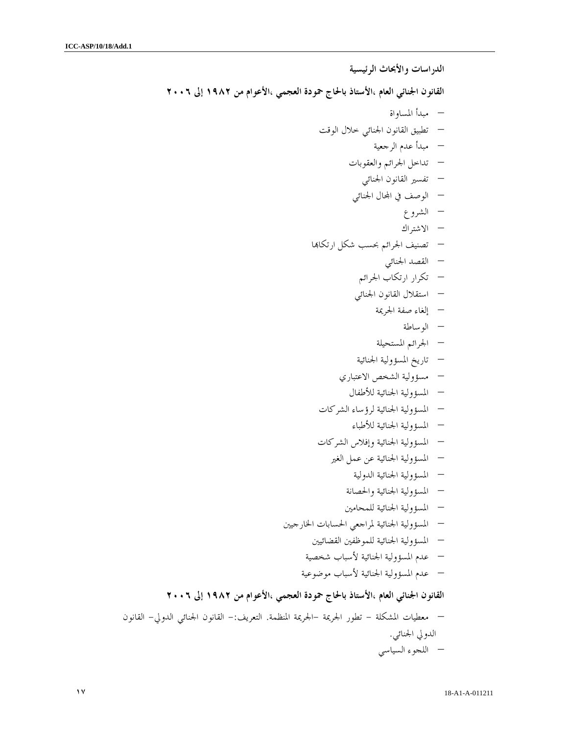الدراسات والأبحاث الرئيسية القانون الجنائي العام ،الأستاذ بالحاج حمودة العجمي ،الأعوام من ١٩٨٢ إلى ٢٠٠٦ – مبدأ المساواة – تطبيق القانون الجنائي خلال الوقت – مبدأ عدم الرجعية – تداخل الجرائم والعقوبات – تفسير القانون الجنائي – الوصف في المحال الجنائ<sub>ي</sub> – الشروع – الاشتراك – تصنيف الجرائم بحسب شكل ارتكاا – القصد الجنائ ي – تكرار ارتكاب الجرائم – استقلال القانون الجنائي – إلغاء صفة الجريمة – الوساطة – الجرائم المستحيلة – تاريخ المسؤولية الجنائية – مسؤولية الشخص الاعتباري – المسؤولية الجنائية للأطفال – المسؤولية الجنائية لرؤساء الشركات – المسؤولية الجنائية للأطباء – المسؤولية الجنائية وإفلاس الشركات – المسؤولية الجنائية عن عمل الغير – المسؤولية الجنائية الدولية – المسؤولية الجنائية والحصانة – المسؤولية الجنائية للمحامين – المسؤولية الجنائية لمراجعي الحسابات الخارجيين – المسؤولية الجنائية للموظفين القضائيين – عدم المسؤولية الجنائية لأسباب شخصية – عدم المسؤولية الجنائية لأسباب موضوعية القانون الجنائي العام ،الأستاذ بالحاج حمودة العجمي ،الأعوام من ١٩٨٢ إلى ٢٠٠٦

– معطيات المشكلة - تطور الجريمة - الجريمة المنظمة. التعريف :- القانون الجنائي الدولي - القانون الدولي الجنائي . – اللجوء السياسي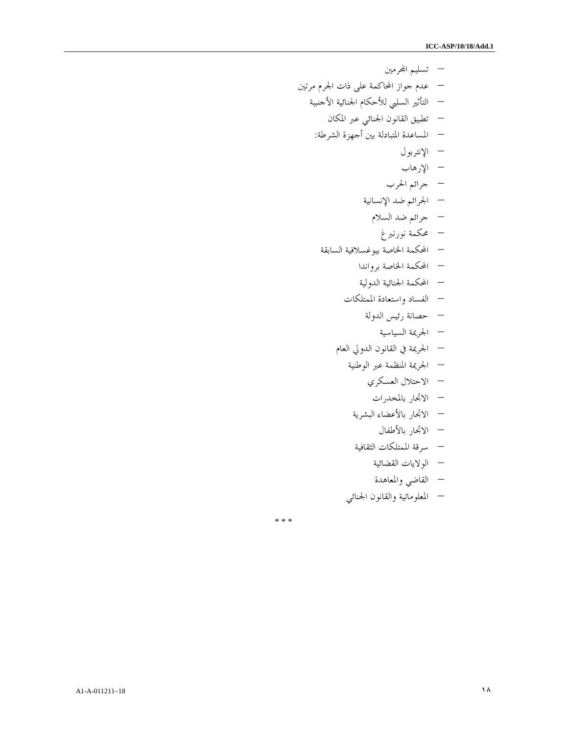– تسليم ارمين – عدم جواز المحاكمة على ذات الجرم مرتين – التأثير السلبي للأحكام الجنائية الأجنبية – تطبيق القانون الجنائي عبر المكان – المساعدة المتبادلة بين أجهزة الشرطة : – الإنتربول – الإرهاب – جرائم الحرب – الجرائم ضد الإنسانية – جرائم ضد السلام – محكمة نورنبرغ – المحكمة الخاصة بيوغسلافية السابقة – المحكمة الخاصة برواندا – المحكمة الجنائية الدولية – الفساد واستعادة الممتلكات – حصانة رئيس الدولة – الجريمة السياسية – الجريمة في القانون الدولي العام – الجريمة المنظمة عبر الوطنية – الاحتلال العسكري – الاتجار بالمخدرات – الاتجار بالأعضاء البشرية – الاتجار بالأطفال – سرقة الممتلكات الثقا فية – الولايات القضائية – القاضي والمعاهدة

– المعلوماتية والقانون الجنائي

\* \* \*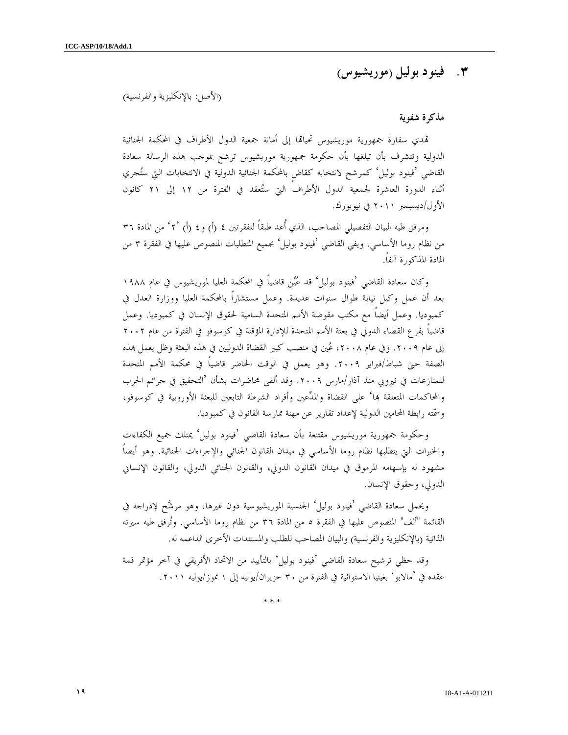## ٣. فينود بوليل ( موريشيوس )

(الأصل: بالإنكليزية والفرنسية )

### مذكرة شفوية

تمدي سفارة جمهورية موريشيوس تحياتما إلى أمانة جمعية الدول الأطراف في المحكمة الجنائية الدولية وتتشرف بأن تبلغها بأن حكومة جمهورية موريشيوس ترشح بموجب هذه الرسالة سعادة القاضي 'فينود بوليل' كمرشح لانتخابه كقاضٍ بالمحكمة الجنائية الدولية في الانتخابات التي ستجري أثناء الدورة العاشرة لجمعية الدول الأطراف التي ستعقد في الفترة من ١٢ إلى ٢١ كانون الأول/ديسبمبر ٢٠١١ في نيويورك .

ومرفق طيه البيان التفصيلي المصاحب، الذي أُعد طبقاً للفقرتين ٤ (أ) و٤ (أ) ٢<sup>٠،</sup> من المادة ٣٦ من نظام روما الأساسي. ويفي القاضي 'فينود بوليل' بجميع المتطلبات المنصوص عليها في الفقرة ٣ من المادة المذكورة آنفاً .

وكان سعادة القاضي 'فينود بوليل' قد عين قاضياً في المحكمة العليا لموريشيوس في عام ١٩٨٨ بعد أن عمل وكيل نيابة طوال سنوات عديدة. وعمل مستشاراً بالمحكمة العليا ووزارة العدل في كمبوديا. وعمل أيضاً مع مكتب مفوضة الأمم المتحدة السامية لحقوق الإنسان في كمبوديا. وعمل قاضياً بفرع القضاء الدولي في بعثة الأمم المتحدة للإدارة المؤقتة في كوسوفو في الفترة من عام ٢٠٠٢ إلى عام ٢٠٠٩. وفي عام ٢٠٠٨، عُين في منصب كبير القضاة الدوليين في هذه البعثة وظل يعمل بمذه الصفة حتى شباط/فبراير .٢٠٠٩ وهو يعمل في الوقت الحاضر قاضياً في محكمة الأمم المتحدة للمنازعات في نيروبي منذ آذار/مارس .٢٠٠٩ وقد ألقى محاضرات بشأن 'التحقيق في جرائم الحرب والمحاكمات المتعلقة بما' على القضاة والمدِّعين وأفراد الشرطة التابعين للبعثة الأوروبية في كوسوفو، وسمته رابطة المحامين الدولية لإعداد تقارير عن مهنة ممارسة القانون في كمبوديا .

وحكومة جمهورية موريشيوس مقتنعة بأن سعادة القاضي 'فينود بوليل' يمتلك جميع الكفاءات والخبرات التي يتطلبها نظام روما الأساسي في ميدان القانون الجنائي والإجراءات الجنائية. وهو أيضاً مشهود له بإسهامه المرموق في ميدان القانون الدولي، والقانون الجنائي الدولي، والقانون الإنساني الدولي، وحقوق الإنسان .

ويحمل سعادة القاضي 'فينود بوليل' الجنسية الموريشيوسية دون غيرها، وهو مرشح لإدراجه في القائمة "ألف" المنصوص عليها في الفقرة ٥ من المادة ٣٦ من نظام روما الأساسي. وترفق طيه سيرته الذاتية (بالإنكليزية والفرنسية) والبيان المصاحب للطلب والمستندات الأخرى الداعمه له .

وقد حظي ترشيح سعادة القاضي 'فينود بوليل' بالتأييد من الاتحاد الأفريقي في آخر مؤتمر قمة عقده في 'مالابو' بغينيا الاستوائية في الفترة من ٣٠ حزيران/يونيه إلى ١ تموز/يوليه ٢٠١١ .

\* \* \*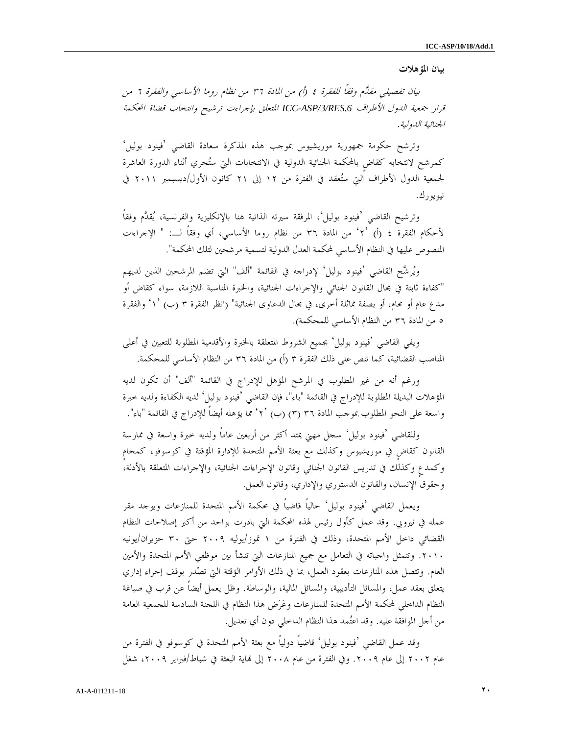### بيان المؤهلات

 بيان تفصيلي مقدم وفقاً للفقرة ٤ ) أ ( من المادة ٣٦ من نظام روما الأساسي والفقرة ٦ من قرار جمعية الدول الأطراف *.6RES/3/ASP-ICC* المتعلق بإجراءت ترشيح وانتخاب قضاة المحكمة الجنائية الدولية .

 وترشح حكومة جمهورية موريشيوس بموجب هذه المذكرة سعادة القاضي 'فينود بوليل' كمرشح لانتخابه كقاضٍ بالمحكمة الجنائية الدولية في الانتخابات التي ستجري أثناء الدورة العاشرة لجمعية الدول الأطراف التي ستعقد في الفترة من ١٢ إلى ٢١ كانون الأول/ديسبمبر ٢٠١١ في نيويورك .

 وترشيح القاضي 'فينود بوليل'، المرفقة سيرته الذاتية هنا بالإنكليزية والفرنسية، يقدم وفقاً لأحكام الفقرة ٤ ٢') أ ( ' من المادة ٣٦ من نظام روما الأساسي، أي وفقاً لـ: " الإجراءات المنصوص عليها في النظام الأساسي لمحكمة العدل الدولية لتسمية مرشحين لتلك المحكمة ".

 ويرشح القاضي 'فينود بوليل' لإدراجه في القائمة "ألف" التي تضم المرشحين الذين لديهم "كفاءة ثابتة في مجال القانون الجنائي والإجراءات الجنائية، والخبرة المناسبة اللازمة، سواء كقاض أو مدع عام أو محام، أو بصفة مماثلة أخرى، في مجال الدعاوى الجنائية" (انظر الفقرة ٣ ب ( ' ١') والفقرة ٥ من المادة ٣٦ من النظام الأساسي للمحكمة ).

 ويفي القاضي 'فينود بوليل' بجميع الشروط المتعلقة بالخبرة والأقدمية المطلوبة للتعيين في أعلى المناصب القضائية، كما تنص على ذلك الفقرة ٣ (أ) من المادة ٣٦ من النظام الأساسي للمحكمة.

 ورغم أنه من غير المطلوب في المرشح المؤهل للإدراج في القائمة "ألف" أن تكون لديه المؤهلات البديلة المطلوبة للإدراج في القائمة "باء" ، فإن القاضي 'فينود بوليل' لديه الكفاءة ولديه خبرة واسعة على النحو المطلوب بموجب المادة ٣٦ (٣) (ب) '٢ ُ مما يؤهله أيضاً للإدراج في القائمة "باء".

 وللقاضي 'فينود بوليل' سجل مهني يمتد أكثر من أربعين عاماً ولديه خبرة واسعة في ممارسة القانون كقاضٍ في موريشيوس وكذلك مع بعثة الأمم المتحدة للإدارة المؤقتة في كوسوفو، كمحامٍ وكمدعٍ وكذلك في تدريس القانون الجنائي وقانون الإجراءات الجنائية، والإجراءات المتعلقة بالأدلة، وحقوق الإنسان، والقانون الدستوري والإداري، وقانون العمل .

ويعمل القاضي 'فينود بوليل' حالياً قاضياً في محكمة الأمم المتحدة للمنازعات ويوجد مقر عمله في نيروبي. وقد عمل كأول رئيس لهذه المحكمة التي بادرت بواحد من أكبر إصلاحات النظام القضائي داخل الأمم المتحدة، وذلك في الفترة من ١ تموز/يوليه ٢٠٠٩ حتى ٣٠ حزيران/يونيه .٢٠١٠ وتتمثل واجباته في التعامل مع جميع المنازعات التي تنشأ بين موظفي الأمم المتحدة والأمين العام. وتتصل هذه المنازعات بعقود العمل، بما في ذلك الأوامر الؤقتة التي تصدر بوقف إجراء إداري يتعلق بعقد عمل، والمسائل التأديبية، والمسائل المالية، والوساطة. وظل يعمل أيضاً عن قرب في صياغة النظام الداخلي لمحكمة الأمم المتحدة للمنازعات وعرض هذا النظام في اللجنة السادسة للجمعية العامة من أجل الموافقة عليه. وقد اعتمد هذا النظام الداخلي دون أي تعديل .

 وقد عمل القاضي 'فينود بوليل' قاضياً دولياً مع بعثة الأمم المتحدة في كوسوفو في الفترة من عام ٢٠٠٢ إلى عام ٢٠٠٩. وفي الفترة من عام ٢٠٠٨ إلى نماية البعثة في شباط/فبراير ٢٠٠٩، شغل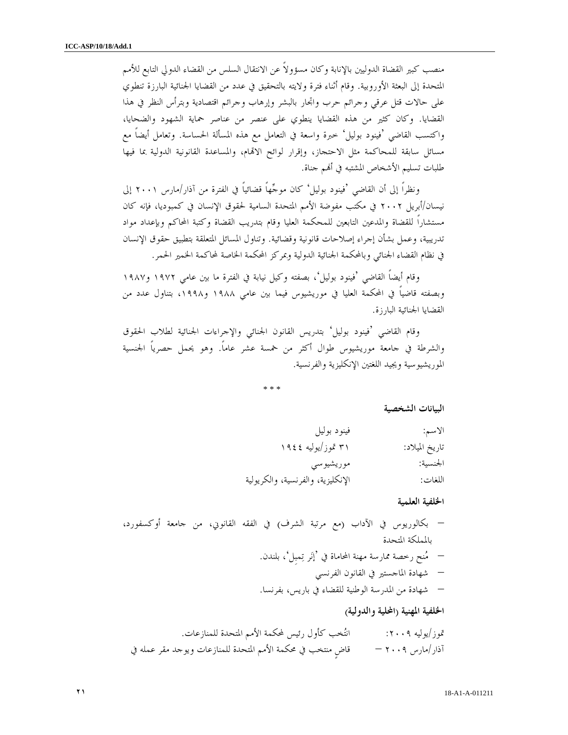منصب كبير القضاة الدوليين بالإنابة وكان مسؤولاً عن الانتقال السلس من القضاء الدولي التابع للأمم المتحدة إلى البعثة الأوروبية. وقام أثناء فترة ولايته بالتحقيق في عدد من القضايا الجنائية البارزة تنطوي على حالات قتل عرقي وجرائم حرب واتجار بالبشر وإرهاب وجرائم اقتصادية وبترأس النظر في هذا القضايا. وكان كثير من هذه القضايا ينطوي على عنصر من عناصر حماية الشهود والضحايا، واكتسب القاضي 'فينود بوليل' خبرة واسعة في التعامل مع هذه المسألة الحساسة. وتعامل أيضاً مع مسائل سابقة للمحاكمة مثل الاحتجاز، وإقرار لوائح الاام، والمساعدة القانونية الدولية بما فيها طلبات تسليم الأشخاص المشتبه في أم جناة .

 ونظراً إلى أن القاضي 'فينود بوليل' كان موجهاً قضائياً في الفترة من آذار/مارس ٢٠٠١ إلى نيسان/أبريل ٢٠٠٢ في مكتب مفوضة الأمم المتحدة السامية لحقوق الإنسان في كمبوديا، فإنه كان مستشاراً للقضاة والمدعين التابعين للمحكمة العليا وقام بتدريب القضاة وكتبة المحاكم وبإعداد مواد تدريبية، وعمل بشأن إجراء إصلاحات قانونية وقضائية. وتناول المسائل المتعلقة بتطبيق حقوق الإنسان في نظام القضاء الجنائي وبالمحكمة الجنائية الدولية وبمركز المحكمة الخاصة لمحاكمة الخمير الحمر .

 وقام أيضاً القاضي 'فينود بوليل'، بصفته وكيل نيابة في الفترة ما بين عامي ١٩٧٢ و١٩٨٧ وبصفته قاضياً في المحكمة العليا في موريشيوس فيما بين عامي ١٩٨٨ و،١٩٩٨ بتناول عدد من القضايا الجنائية البارزة .

 وقام القاضي 'فينود بوليل' بتدريس القانون الجنائي والإجراءات الجنائية لطلاب الحقوق والشرطة في جامعة موريشيوس طوال أكثر من خمسة عشر عاماً. وهو يحمل حصرياً الجنسية الموريشيوسية ويجيد اللغتين الإنكليزية والفرنسية .

\* \* \*

البيانات الشخصية

| الاسم:         | فينود بوليل                       |
|----------------|-----------------------------------|
| تاريخ الميلاد: | ۳۱ تموز/يوليه ١٩٤٤                |
| الجنسية:       | موريشيوسي                         |
| اللغات:        | الإنكليزية، والفرنسية، والكريولية |

الخلفية العلمية

– بكالوريوس في الآداب (مع مرتبة الشرف) في الفقه القانوني، من جامعة أوكسفورد، بالمملكة المتحدة – منح رخصة ممارسة مهنة المحاماة في 'إنر تمبِل'، بلندن. – شهادة الماجستير في القانون الفرنسي – شهادة من المدرسة الوطنية للقضاء في باريس، بفرنسا. الخلفية المهنية (المحلية والدولية )

/تموز يوليه :٢٠٠٩ انتخب كأول رئيس لمحكمة الأمم المتحدة للمنازعات . آذار/مارس ٢٠٠٩ – قاضٍ منتخب في محكمة الأمم المتحدة للمنازعات ويوجد مقر عمله في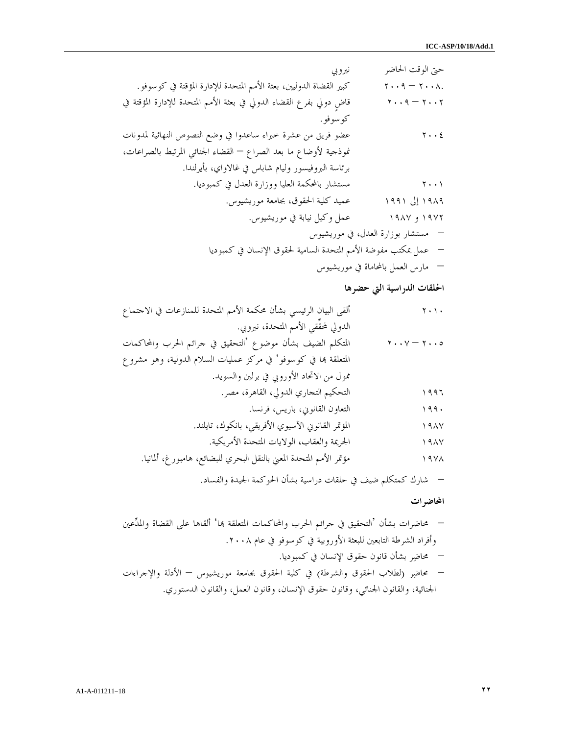حتى الوقت الحاضر نيروبي ٢٠٠٨. – ٢٠٠٩ كبير القضاة الدوليين، بعثة الأمم المتحدة للإدارة المؤقتة في كوسوفو . ٢٠٠٢ – ٢٠٠٩ قاضٍ دولي بفرع القضاء الدولي في بعثة الأمم المتحدة للإدارة المؤقتة في كوسوفو . ٢٠٠٤ عضو فريق من عشرة خبراء ساعدوا في وضع النصوص النهائية لمدونات نموذجية لأوضاع ما بعد الصراع – القضاء الجنائي المرتبط بالصراعات، برئاسة البروفيسور وليام شاباس في غالاواي، بأيرلندا . ٢٠٠١ مستشار بالمحكمة العليا ووزارة العدل في كمبوديا . ١٩٨٩ إلى ١٩٩١ عميد كلية الحقوق، بجامعة موريشيوس . ١٩٧٢ و ١٩٨٧ عمل وكيل نيابة في موريشيوس . – مستشار بوزارة العدل، في موريشيوس – عمل بمكتب مفوضة الأمم المتحدة السامية لحقوق الإنسان في كمبوديا – مارس العمل بالمحاماة في موريشيوس

الحلقات الدراسية التي حضرها

٢٠١٠ ألقى البيان الرئيسي بشأن محكمة الأمم المتحدة للمنازعات في الاجتماع الدولي لمحقِّقي الأمم المتحدة، نيروبي . ٢٠٠٥ – ٢٠٠٧ المتكلم الضيف بشأن موضوع 'التحقيق في جرائم الحرب والمحاكمات المتعلقة ا في كوسوفو' في مركز عمليات السلام الدولية، وهو مشروع ممول من الاتحاد الأوروبي في برلين والسويد . ١٩٩٦ التحكيم التجاري الدولي، القاهرة، مصر . ١٩٩٠ التعاون القانوني، باريس، فرنسا . ١٩٨٧ المؤتمر القانوني الآسيوي الأفريقي، بانكوك، تايلند . ١٩٨٧ الجريمة والعقاب، الولايات المتحدة الأمريكية . ١٩٧٨ مؤتمر الأمم المتحدة المعني بالنقل البحري للبضائع، هامبورغ، ألمانيا .

– شارك كمتكلم ضيف في حلقات دراسية بشأن الحوكمة الجيدة والفساد.

المحاضرات

– محاضرات بشأن 'التحقيق في جرائم الحرب والمحاكمات المتعلقة ا' ألقاها على القضاة والمدعين وأفراد الشرطة التابعين للبعثة الأوروبية في كوسوفو في عام .٢٠٠٨ – محاضر بشأن قانون حقوق الإنسان في كمبوديا. – محاضر (لطلاب الحقوق والشرطة) في كلية الحقوق بجامعة موريشيوس – الأدلة والإجراءات الجنائية، والقانون الجنائي، وقانون حقوق الإنسان، وقانون العمل، والقانون الدستوري.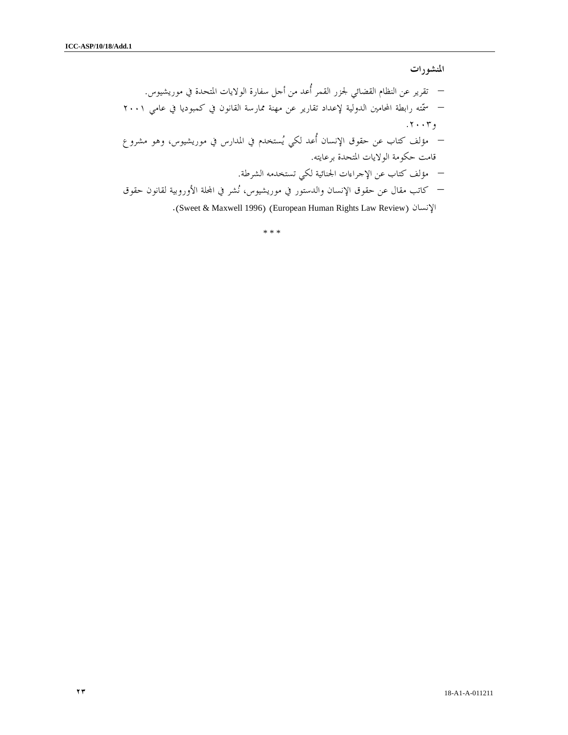المنشورات

– تقرير عن النظام القضائي لجزر القمر أُعد من أجل سفارة الولايات المتحدة في موريشيوس. – سمته رابطة المحامين الدولية لإعداد تقارير عن مهنة ممارسة القانون في كمبوديا في عامي ٢٠٠١ و.٢٠٠٣ – مؤلف كتاب عن حقوق الإنسان أُعد لكي يستخدم في المدارس في موريشيوس، وهو مشروع قامت حكومة الولايات المتحدة برعايته. – مؤلف كتاب عن الإجراءات الجنائية لكي تستخدمه الشرطة. – كاتب مقال عن حقوق الإنسان والدستور في موريشيوس، نشر في الة الأوروبية لقانون حقوق

.(Sweet & Maxwell 1996) (European Human Rights Law Review) الإنسان

\* \* \*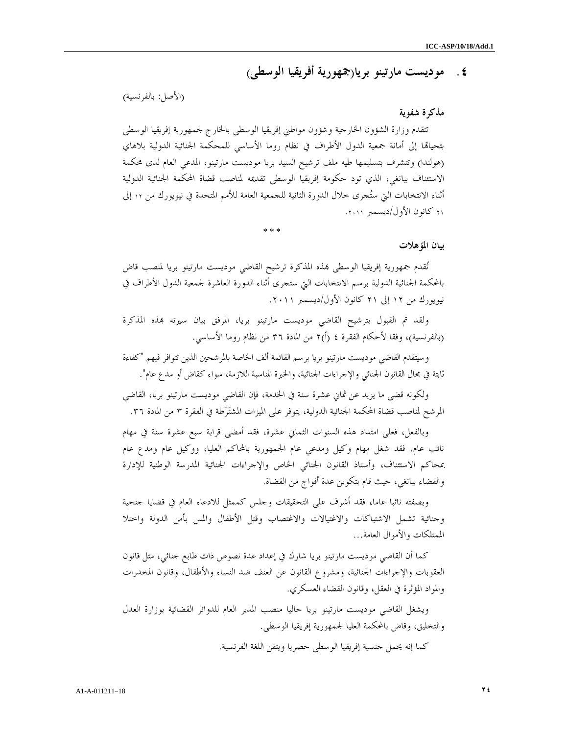# ٤. موديست مارتينو بريا(جمهورية أفريقيا الوسطى )

### (الأصل: بالفرنسية)

### مذكرة شفوية

تتقدم وزارة الشؤون الخارجية وشؤون مواطني إفريقيا الوسطى بالخارج لجمهورية إفريقيا الوسطى بتحيالها إلى أمانة جمعية الدول الأطراف في نظام روما الأساسي للمحكمة الجنائية الدولية بلاهاي (هولندا) وتتشرف بتسليمها طيه ملف ترشيح السيد بريا موديست مارتينو، المدعي العام لدى محكمة الاستئناف ببانغي، الذي تود حكومة إفريقيا الوسطى تقديمه لمناصب قضاة المحكمة الجنائية الدولية أثناء الانتخابات التي ستجرى خلال الدورة الثانية للجمعية العامة للأمم المتحدة في نيويورك من ١٢ إلى ٢١ كانون الأول/ديسمبر ٢٠١١ .

\* \* \*

#### بيان المؤهلات

تُقدم جمهورية إفريقيا الوسطى بمذه المذكرة ترشيح القاضي موديست مارتينو بريا لمنصب قاض بالمحكمة الجنائية الدولية برسم الانتخابات التي ستجرى أثناء الدورة العاشرة لجمعية الدول الأطراف في نيويورك من ١٢ إلى ٢١ كانون الأول/ديسمبر ٢٠١١ .

ولقد تم القبول بترشيح القاضي موديست مارتينو بريا، المرفق بيان سيرته بمذه المذكرة (بالفرنسية)، وفقا لأحكام الفقرة ٤ (أ)٢ من المادة ٣٦ من نظام روما الأساسي.

وسيتقدم القاضي موديست مارتينو بريا برسم القائمة ألف الخاصة بالمرشحين الذين تتوافر فيهم "كفاءة ثابتة في مجال القانون الجنائي والإجراءات الجنائية، والخبرة المناسبة اللازمة، سواء كقاض أو مدع عام ".

ولكونه قضى ما يزيد عن ثماني عشرة سنة في الخدمة، فإن القاضي موديست مارتينو بريا، القاضي المرشح لمناصب قضاة المحكمة الجنائية الدولية، يتوفر على الميزات المشترطة في الفقرة ٣ من المادة ٣٦.

وبالفعل، فعلى امتداد هذه السنوات الثماني عشرة، فقد أمضى قرابة سبع عشرة سنة في مهام نائب عام. فقد شغل مهام وكيل ومدعي عام الجمهورية بالمحاكم العليا، ووكيل عام ومدع عام بمحاكم الاستئناف، وأستاذ القانون الجنائي الخاص والإجراءات الجنائية المدرسة الوطنية للإدارة والقضاء ببانغي، حيث قام بتكوين عدة أفواج من القضاة .

وبصفته نائبا عاما، فقد أشرف على التحقيقات وجلس كممثل للادعاء العام في قضايا جنحية وجنائية تشمل الاشتباكات والاغتيالات والاغتصاب وقتل الأطفال والمس بأمن الدولة واختلا الممتلكات والأموال العامة...

كما أن القاضي موديست مارتينو بريا شارك في إعداد عدة نصوص ذات طابع جنائي، مثل قانون العقوبات والإجراءات الجنائية، ومشروع القانون عن العنف ضد النساء والأطفال، وقانون المخدرات والمواد المؤثرة في العقل، وقانون القضاء العسكري .

ويشغل القاضي موديست مارتينو بريا حاليا منصب المدير العام للدوائر القضائية بوزارة العدل والتخليق، وقاض بالمحكمة العليا لجمهورية إفريقيا الوسطى .

كما إنه يحمل جنسية إفريقيا الوسطى حصريا ويتقن اللغة الفرنسية .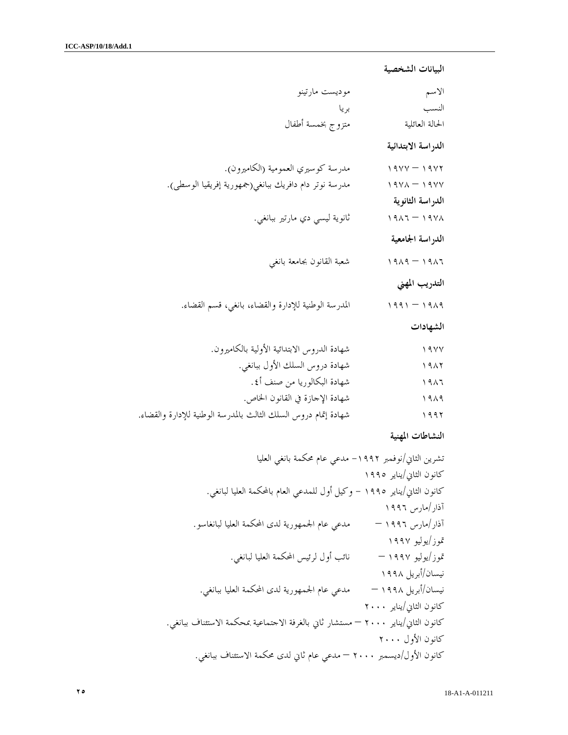```
البيانات الشخصية
```

| موديست مارتينو                                                  | الاسم               |
|-----------------------------------------------------------------|---------------------|
| بريا                                                            | النسب               |
| متزوج بخمسة أطفال                                               | الحالة العائلية     |
|                                                                 | الدراسة الابتدائية  |
| مدرسة كوسيري العمومية (الكاميرون).                              | $19YY - 19YY$       |
| مدرسة نوتر دام دافريك ببانغي(جمهورية إفريقيا الوسطى).           | $19Y\Lambda - 19YY$ |
|                                                                 | الدراسة الثانوية    |
| ثانوية ليسى دي مارتير ببانغي.                                   | $1917 - 1911$       |
|                                                                 | الدراسة الجامعية    |
| شعبة القانون بجامعة بانغى                                       | $1919 - 1917$       |
|                                                                 | التدريب المهني      |
| المدرسة الوطنية للإدارة والقضاء، بانغي، قسم القضاء.             | $1991 - 1919$       |
|                                                                 | الشهادات            |
| شهادة الدروس الابتدائية الأولية بالكاميرون.                     | $\sqrt{9}$          |
| شهادة دروس السلك الأول ببانغي.                                  | 1917                |
| شهادة البكالوريا من صنف أ٤.                                     | 1917                |
| شهادة الإحازة في القانون الخاص.                                 | 1919                |
| شهادة إتمام دروس السلك الثالث بالمدرسة الوطنية للإدارة والقضاء. | ۱۹۹۲                |

## النشاطات المهنية

تشرين الثاني/نوفمبر -١٩٩٢ مدعي عام محكمة بانغي العليا كانون الثاني/يناير ١٩٩٥ كانون الثاني/يناير ١٩٩٥ - وكيل أول للمدعي العام بالمحكمة العليا لبانغي . آذار/مارس ١٩٩٦ آذار/مارس ١٩٩٦ – مدعي عام الجمهورية لدى المحكمة العليا لبانغاسو . /تموز يوليو ١٩٩٧ /تموز يوليو ١٩٩٧ – نائب أول لرئيس المحكمة العليا لبانغي . نيسان/أبريل ١٩٩٨ نيسان/أبريل ١٩٩٨ – مدعي عام الجمهورية لدى المحكمة العليا ببانغي . كانون الثاني/يناير ٢٠٠٠ كانون الثاني/يناير ٢٠٠٠ – مستشار ثاني بالغرفة الاجتماعية بمحكمة الاستئناف ببانغي . كانون الأول ٢٠٠٠ كانون الأول/ديسمبر ٢٠٠٠ – مدعي عام ثاني لدى محكمة الاستئناف ببانغي .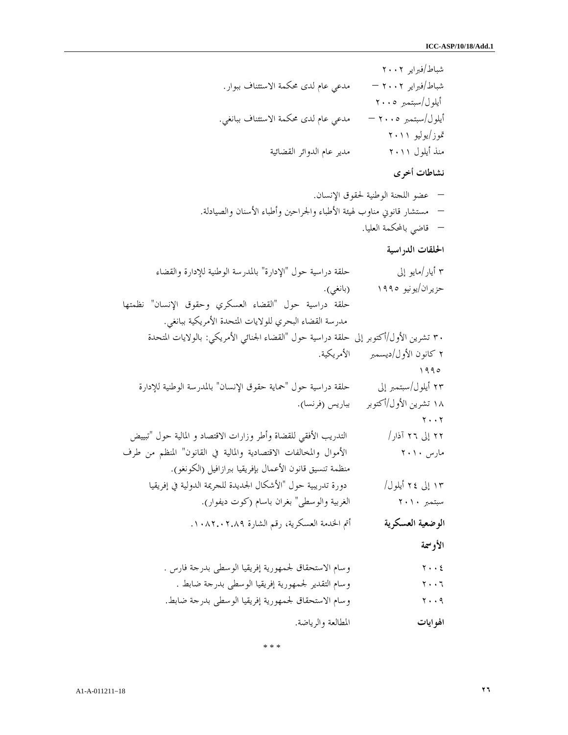شباط/فبراير ٢٠٠٢ شباط/فبراير ٢٠٠٢ – مدعي عام لدى محكمة الاستئناف ببوار . أيلول/سبتمبر ٢٠٠٥ أيلول/سبتمبر ٢٠٠٥ – مدعي عام لدى محكمة الاستئناف ببانغي . /تموز يوليو ٢٠١١ منذ أيلول ٢٠١١ مدير عام الدوائر القضائية

نشاطات أخرى

– عضو اللجنة الوطنية لحقوق الإنسان . – مستشار قانوني مناوب لهيئة الأطباء والجراحين وأطباء الأسنان والصيادلة . – قاضي بالمحكمة العليا .

الحلقات الدراسية

٣ أيار/مايو إلى حلقة دراسية حول "الإدارة " بالمدرسة الوطنية للإدارة والقضاء حزيران/يونيو ١٩٩٥ (بانغي .) حلقة دراسية حول "القضاء العسكري وحقوق الإنسان" نظمتها مدرسة القضاء البحري للولايات المتحدة الأمريكية ببانغي . ٣٠ تشرين الأول/أكتوبر إلى حلقة دراسية حول "القضاء الجنائي الأمريكي: بالولايات المتحدة ٢ كانون الأول/ديسمبر الأمريكية . ١٩٩٥ ٢٣ أيلول/سبتمبر إلى حلقة دراسية حول "حماية حقوق الإنسان" بالمدرسة الوطنية للإدارة ١٨ تشرين الأول/أكتوبر بباريس (فرنسا .) ٢٠٠٢ ٢٢ إلى ٢٦ آذار/ التدريب الأفقي للقضاة وأطر وزارات الاقتصاد و المالية حول "تبييض مارس ٢٠١٠ الأموال والمخالفات الاقتصادية والمالية في القانون" المنظم من طرف منظمة تنسيق قانون الأعمال بإفريقيا ببرازافيل (الكونغو .) ١٣ إلى ٢٤ أيلول/ دورة تدريبية حول "الأشكال الجديدة للجريمة الدولية في إفريقيا سبتمبر ٢٠١٠ الغربية والوسطى" بغران باسام (كوت ديفوار .) الوضعية العسكرية أتم الخدمة العسكرية، رقم الشارة .١٠٨٢.٠٢.٨٩ الأوسمة

٢٠٠٤ وسام الاستحقاق لجمهورية إفريقيا الوسطى بدرجة فارس . ٢٠٠٦ وسام التقدير لجمهورية إفريقيا الوسطى بدرجة ضابط . ٢٠٠٩ وسام الاستحقاق لجمهورية إفريقيا الوسطى بدرجة ضابط . الهوايات المطالعة والرياضة .

\* \* \*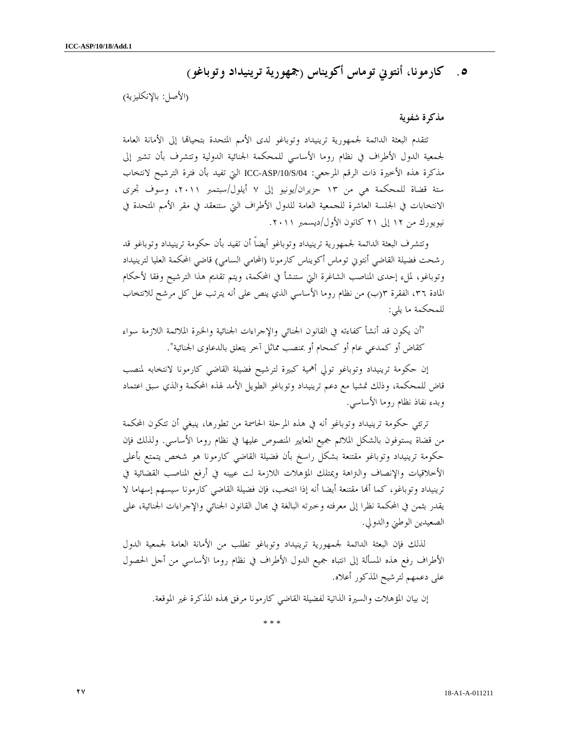۰. كارمونا، أنتوني توماس أكويناس (جمهورية ترينيداد وتوباغو)

(الأصل: بالإنكليزية )

#### مذكرة شفوية

تتقدم البعثة الدائمة لجمهورية ترينيداد وتوباغو لدى الأمم المتحدة بتحيالها إلى الأمانة العامة لجمعية الدول الأطراف في نظام روما الأساسي للمحكمة الجنائية الدولية وتتشرف بأن تشير إلى مذكرة هذه الأخيرة ذات الرقم المرجعي: ICC-ASP/10/S/04 التي تفيد بأن فترة الترشيح لانتخاب ستة قضاة للمحكمة هي من ١٣ حزيران/يونيو إلى ٧ أيلول/سبتمبر ،٢٠١١ وسوف تجرى الانتخابات في الجلسة العاشرة للجمعية العامة للدول الأطراف التي ستنعقد في مقر الأمم المتحدة في نيويورك من ١٢ إلى ٢١ كانون الأول/ديسمبر ٢٠١١ .

وتتشرف البعثة الدائمة لجمهورية ترينيداد وتوباغو أيضاً أن تفيد بأن حكومة ترينيداد وتوباغو قد رشحت فضيلة القاضي أنتوني توماس أكويناس كارمونا (المحامي السامي) قاضي المحكمة العليا لترينيداد وتوباغو، لملء إحدى المناصب الشاغرة التي ستنشأ في المحكمة، ويتم تقديم هذا الترشيح وفقا لأحكام المادة ،٣٦ الفقرة ب(٣ ) من نظام روما الأساسي الذي ينص على أنه يترتب عل كل مرشح للانتخاب للمحكمة ما يلي:

"أن يكون قد أنشأ كفاءته في القانون الجنائي والإجراءات الجنائية والخبرة الملائمة اللازمة سواء كقاض أو كمدعي عام أو كمحام أو بمنصب مماثل آخر يتعلق بالدعاوى الجنائية ".

إن حكومة ترينيداد وتوباغو تولي أهمية كبيرة لترشيح فضيلة القاضي كارمونا لانتخابه لمنصب قاض للمحكمة، وذلك تمشيا مع دعم ترينيداد وتوباغو الطويل الأمد لهذه المحكمة والذي سبق اعتماد وبدء نفاذ نظام روما الأساسي .

ترتئي حكومة ترينيداد وتوباغو أنه في هذه المرحلة الحاسمة من تطورها، ينبغي أن تتكون المحكمة من قضاة يستوفون بالشكل الملائم جميع المعايير المنصوص عليها في نظام روما الأساسي. ولذلك فإن حكومة ترينيداد وتوباغو مقتنعة بشكل راسخ بأن فضيلة القاضي كارمونا هو شخص يتمتع بأعلى الأخلاقيات والإنصاف والتراهة ويمتلك المؤهلات اللازمة لت عيينه في أرفع المناصب القضائية في ترينيداد وتوباغو، كما ألها مقتنعة أيضا أنه إذا انتخب، فإن فضيلة القاضي كارمونا سيسهم إسهاما لا يقدر بثمن في المحكمة نظرا إلى معرفته وخبرته البالغة في مجال القانون الجنائي والإجراءات الجنائية، على الصعيدين الوطني والدولي .

لذلك فإن البعثة الدائمة لجمهورية ترينيداد وتوباغو تطلب من الأمانة العامة لجمعية الدول الأطراف رفع هذه المسألة إلى انتباه جميع الدول الأطراف في نظام روما الأساسي من أجل الحصول على دعمهم لترشيح المذكور أعلاه .

إن بيان المؤهلات والسيرة الذاتية لفضيلة القاضي كارمونا مرفق ذه المذكرة غير الموقعة.

\* \* \*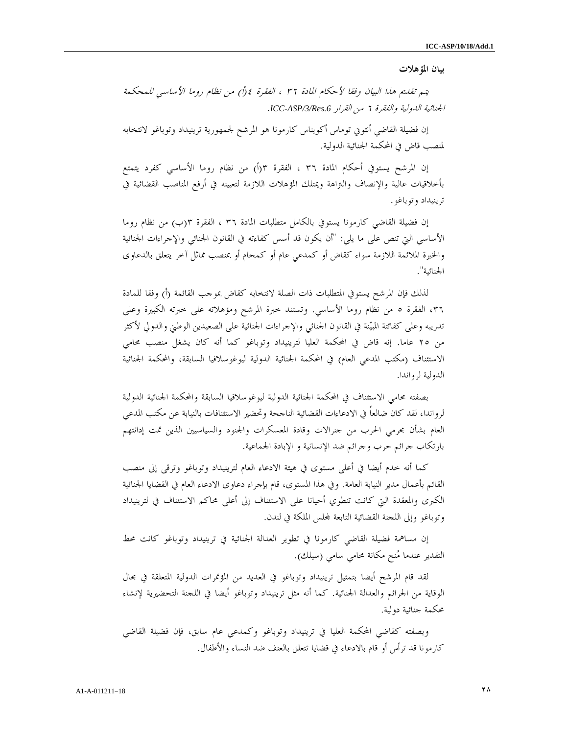#### بيان المؤهلات

يتم تقديم هذا البيان وفقا لأحكام المادة ٣٦ ، الفقرة ) أ(٤ من نظام روما الأساسي للمحكمة الجنائية الدولية والفقرة ٦ من القرار *.6Res/3/ASP-ICC* .

إن فضيلة القاضي أنتوني توماس أكويناس كارمونا هو المرشح لجمهورية ترينيداد وتوباغو لانتخابه لمنصب قاض في المحكمة الجنائية الدولية .

إن المرشح يستوفي أحكام المادة ٣٦ ، الفقرة ٣(أ) من نظام روما الأساسي كفرد يتمتع بأخلاقيات عالية والإنصاف والتراهة ويمتلك المؤهلات اللازمة لتعيينه في أرفع المناصب القضائية في ترينيداد وتوباغو .

إن فضيلة القاضي كارمونا يستوفي بالكامل متطلبات المادة ٣٦ ، الفقرة ب(٣ ) من نظام روما الأساسي التي تنص على ما يلي: "أن يكون قد أسس كفاءته في القانون الجنائي والإجراءات الجنائية والخبرة الملائمة اللازمة سواء كقاض أو كمدعي عام أو كمحام أو بمنصب مماثل آخر يتعلق بالدعاوى الجنائية ".

لذلك فإن المرشح يستوفي المتطلبات ذات الصلة لانتخابه كقاض بموجب القائمة (أ) وفقا للمادة ،٣٦ الفقرة ٥ من نظام روما الأساسي. وتستند خبرة المرشح ومؤهلاته على خبرته الكبيرة وعلى تدريبه وعلى كفائتة المبينة في القانون الجنائي والإجراءات الجنائية على الصعيدين الوطني والدولي لأكثر من ٢٥ عاما. إنه قاض في المحكمة العليا لترينيداد وتوباغو كما أنه كان يشغل منصب محامي الاستئناف (مكتب المدعي العام) في المحكمة الجنائية الدولية ليوغوسلافيا السابقة، والمحكمة الجنائية الدولية لرواندا .

بصفته محامي الاستئناف في المحكمة الجنائية الدولية ليوغوسلافيا السابقة والمحكمة الجنائية الدولية لرواندا، لقد كان ضالعاً في الادعاءات القضائية الناجحة وتحضير الاستئنافات بالنيابة عن مكتب المدعي العام بشأن مجرمي الحرب من جنرالات وقادة المعسكرات والجنود والسياسيين الذين تمت إدانتهم بارتكاب جرائم حرب وجرائم ضد الإنسانية و الإبادة الجماعية .

كما أنه خدم أيضا في أعلى مستوى في هيئة الادعاء العام لترينيداد وتوباغو وترقى إلى منصب القائم بأعمال مدير النيابة العامة. وفي هذا المستوى، قام بإجراء دعاوى الادعاء العام في القضايا الجنائية الكبرى والمعقدة التي كانت تنطوي أحيانا على الاستئناف إلى أعلى محاكم الاستئناف في لترينيداد وتوباغو وإلى اللجنة القضائية التابعة لس الملكة في لندن.

إن مساهمة فضيلة القاضي كارمونا في تطوير العدالة الجنائية في ترينيداد وتوباغو كانت محط التقدير عندما منح مكانة محامي سامي (سيلك).

لقد قام المرشح أيضا بتمثيل ترينيداد وتوباغو في العديد من المؤتمرات الدولية المتعلقة في مجال الوقاية من الجرائم والعدالة الجنائية. كما أنه مثل ترينيداد وتوباغو أيضا في اللجنة التحضيرية لإنشاء محكمة جنائية دولية.

وبصفته كقاضي المحكمة العليا في ترينيداد وتوباغو وكمدعي عام سابق، فإن فضيلة القاضي كارمونا قد ترأس أو قام بالادعاء في قضايا تتعلق بالعنف ضد النساء والأطفال.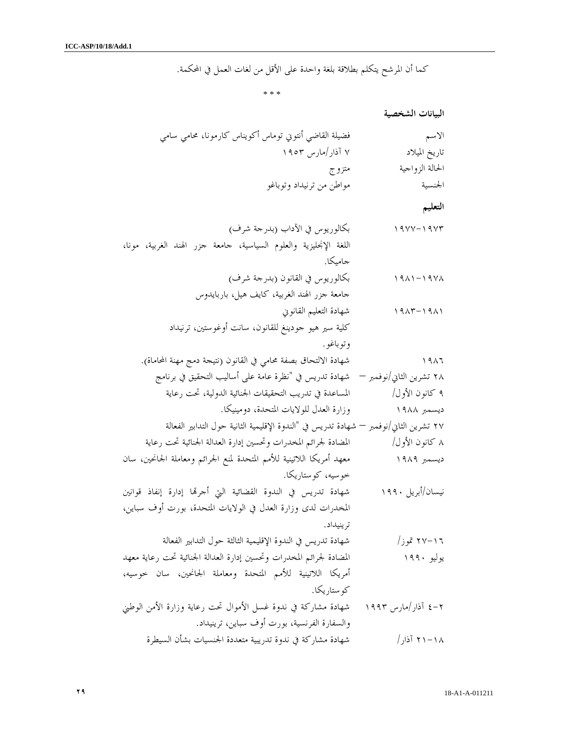كما أن المرشح يتكلم بطلاقة بلغة واحدة على الأقل من لغات العمل في المحكمة.

\* \* \*

البيانات الشخصية

| الاسم           | فضيلة القاضي أنتوني توماس أكويناس كارمونا، محامي سامي |
|-----------------|-------------------------------------------------------|
| تاريخ الميلاد   | ۷ آذار/مارس ۱۹۰۳                                      |
| الحالة الزواجية | متزوج                                                 |
| الجنسية         | مواطن من ترنيداد وتوباغو                              |

التعليم

١٩٧٧-١٩٧٣ بكالوريوس في الآداب (بدرجة شرف ) اللغة الإنجليزية والعلوم السياسية، جامعة جزر الهند الغربية، مونا، جاميكا . ١٩٨١-١٩٧٨ بكالوريوس في القانون (بدرجة شرف ) جامعة جزر الهند الغربية، كايف هيل، باربايدوس ١٩٨٣-١٩٨١ شهادة التعليم القانوني كلية سير هيو جودينغ للقانون، سانت أوغوستين، ترنيداد وتوباغو . ١٩٨٦ شهادة الالتحاق بصفة محامي في القانون (نتيجة دمج مهنة المحاماة ). ٢٨ تشرين الثاني/نوفمبر – شهادة تدريس في "نظرة عامة على أساليب التحقيق في برنامج ٩ كانون الأول/ المساعدة في تدريب التحقيقات الجنائية الدولية، تحت رعاية ديسمبر ١٩٨٨ وزارة العدل للولايات المتحدة، دومينيكا . ٢٧ تشرين الثاني/نوفمبر – شهادة تدريس في "الندوة الإقليمية الثانية حول التدابير الفعالة ٨ كانون الأول/ المضادة لجرائم المخدرات وتحسين إدارة العدالة الجنائية تحت رعاية ديسمبر ١٩٨٩ معهد أمريكا اللاتينية للأمم المتحدة لمنع الجرائم ومعاملة الجانحين، سان خوسيه، كوستاريكا . نيسان/أبريل ١٩٩٠ شهادة تدريس في الندوة القضائية التي أجرا إدارة إنفاذ قوانين

المخدرات لدى وزارة العدل في الولايات المتحدة، بورت أوف سباين، ترينيداد. ١٦- ٢٧ تموز/ شهادة تدريس في الندوة الإقليمية الثالثة حول التدابير الفعالة

يوليو ١٩٩٠ المضادة لجرائم المخدرات وتحسين إدارة العدالة الجنائية تحت رعاية معهد أمريكا اللاتينية للأمم المتحدة ومعاملة الجانحين، سان خوسيه، كوستاريكا .

٢-٤ آذار/مارس ١٩٩٣ شهادة مشاركة في ندوة غسل الأموال تحت رعاية وزارة الأمن الوطني والسفارة الفرنسية، بورت أوف سباين، ترينيداد . ١٨- ٢١ آذار/ شهادة مشاركة في ندوة تدريبية متعددة الجنسيات بشأن السيطرة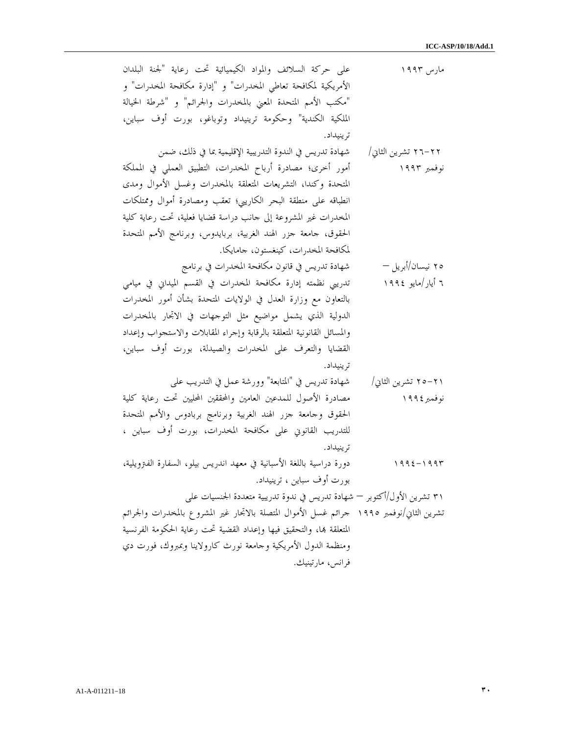| على حركة السلائف والمواد الكيميائية تحت رعاية "لجنة البلدان<br>مارس ۱۹۹۳                   |
|--------------------------------------------------------------------------------------------|
| الأمريكية لمكافحة تعاطي المخدرات" و "إدارة مكافحة المخدرات" و                              |
| "مكتب الأمم المتحدة المعنى بالمخدرات والجرائم" و "شرطة الخيالة                             |
| الملكية الكندية" وحكومة ترينيداد وتوباغو، بورت أوف سباين،                                  |
| تر ينيداد.                                                                                 |
| شهادة تدريس في الندوة التدريبية الإقليمية بما في ذلك، ضمن<br>۲۲–۲۲ تشرین الثانی/           |
| أمور أخرى؛ مصادرة أرباح المخدرات، التطبيق العملي في المملكة<br>نوفمبر ۱۹۹۳                 |
| المتحدة وكندا، التشريعات المتعلقة بالمخدرات وغسل الأموال ومدى                              |
| انطباقه على منطقة البحر الكاريبي؛ تعقب ومصادرة أموال وممتلكات                              |
| المخدرات غير المشروعة إلى حانب دراسة قضايا فعلية، تحت رعاية كلية                           |
| الحقوق، حامعة جزر الهند الغربية، بربايدوس، وبرنامج الأمم المتحدة                           |
| لمكافحة المخدرات، كينغستون، جامايكا.                                                       |
| شهادة تدريس في قانون مكافحة المخدرات في برنامج<br>ە۲ نيسان/أبريل —                         |
| ٦ أيار/مايو ١٩٩٤<br>تدريبي نظمته إدارة مكافحة المخدرات في القسم الميداني في ميامي          |
| بالتعاون مع وزارة العدل في الولايات المتحدة بشأن أمور المخدرات                             |
| الدولية الذي يشمل مواضيع مثل التوجهات في الاتحار بالمخدرات                                 |
| والمسائل القانونية المتعلقة بالرقابة وإجراء المقابلات والاستحواب وإعداد                    |
| القضايا والتعرف على المخدرات والصيدلة، بورت أوف سباين،                                     |
| تر ينيداد.                                                                                 |
| شهادة تدريس في "المتابعة" وورشة عمل في التدريب على<br>۲۱–۲۵ تشرین الثانی/                  |
| مصادرة الأصول للمدعين العامين والمحققين المحليين تحت رعاية كلية<br>نوفمبر ١٩٩٤             |
| الحقوق وحامعة حزر الهند الغربية وبرنامج بربادوس والأمم المتحدة                             |
| للتدريب القانويي على مكافحة المخدرات، بورت أوف سباين ،                                     |
| تر ينيداد.                                                                                 |
| دورة دراسية باللغة الأسبانية في معهد اندريس بيلو، السفارة الفتزويلية،<br>۱۹۹٤ – ۱۹۹۳       |
| بورت أوف سباين ، ترينيداد.                                                                 |
| ٣١ تشرين الأول/أكتوبر — شهادة تدريس في ندوة تدريبية متعددة الجنسيات على                    |
| تشرين الثانى/نوفمبر ١٩٩٥ حرائم غسل الأموال المتصلة بالاتحار غير المشروع بالمخدرات والجرائم |
| المتعلقة بما، والتحقيق فيها وإعداد القضية تحت رعاية الحكومة الفرنسية                       |
| ومنظمة الدول الأمريكية وجامعة نورث كارولاينا وبمبروك، فورت دي                              |
| فرانس، مارتينيك.                                                                           |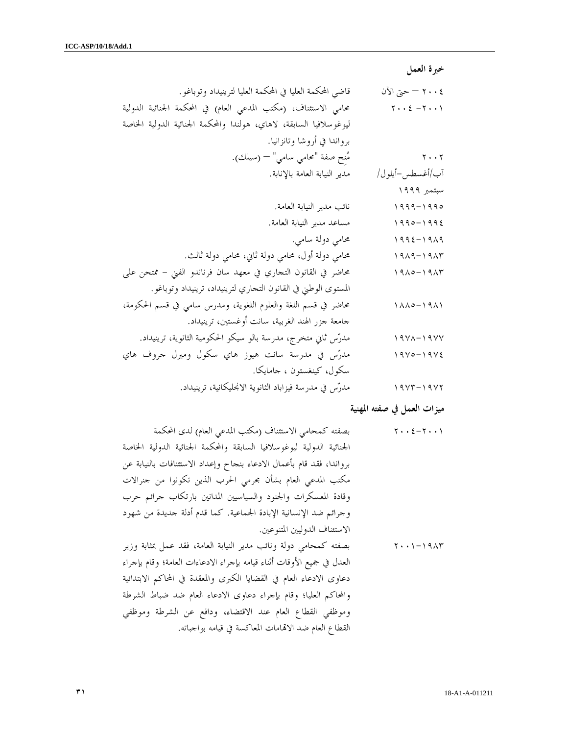خبرة العمل

٢٠٠٤ – حتى الآن قاضي المحكمة العليا في المحكمة العليا لترينيداد وتوباغو . ٢٠٠١ - ٢٠٠٤ محامي الاستئناف، (مكتب المدعي العام) في المحكمة الجنائية الدولية ليوغوسلافيا السابقة، لاهاي، هولندا والمحكمة الجنائية الدولية الخاصة برواندا في أروشا وتانزانيا . ٢٠٠٢ منِح صفة "محامي سامي –" (سيلك ). /آب أغسطس-أيلول/ مدير النيابة العامة بالإنابة . سبتمبر ١٩٩٩ ١٩٩٩-١٩٩٥ نائب مدير النيابة العامة . ١٩٩٥-١٩٩٤ مساعد مدير النيابة العامة . ١٩٩٤-١٩٨٩ محامي دولة سامي . ١٩٨٩-١٩٨٣ محامي دولة أول، محامي دولة ثاني، محامي دولة ثالث . ١٩٨٥-١٩٨٣ محاضر في القانون التجاري في معهد سان فرناندو الفني - ممتحن على المستوى الوطني في القانون التجاري لترينيداد، ترينيداد وتوباغو . ١٨٨٥-١٩٨١ محاضر في قسم اللغة والعلوم اللغوية، ومدرس سامي في قسم الحكومة، جامعة جزر الهند الغربية، سانت أوغستين، ترينيداد . ١٩٧٨-١٩٧٧ مدرس ثاني متخرج، مدرسة بالو سيكو الحكومية الثانوية، ترينيداد . ١٩٧٥-١٩٧٤ مدرس في مدرسة سانت هيوز هاي سكول وميرل جروف هاي سكول، كينغستون ، جامايكا . ١٩٧٣-١٩٧٢ مدرس في مدرسة فيزاباد الثانوية الانجليكانية، ترينيداد .

ميزات العمل في صفته المهنية

٢٠٠٤-٢٠٠١ بصفته كمحامي الاستئناف (مكتب المدعي الع ) ام لدى المحكمة الجنائية الدولية ليوغوسلافيا السابقة والمحكمة الجنائية الدولية الخاصة برواندا، فقد قام بأعمال الادعاء بنجاح وإعداد الاستئنافات بالنيابة عن مكتب المدعي العام بشأن مجرمي الحرب الذين تكونوا من جنرالات وقادة المعسكرات والجنود والسياسيين المدانين بارتكاب جرائم حرب وجرائم ضد الإنسانية الإبادة الجماعية. كما قدم أدلة جديدة من شهود الاستئناف الدوليين المتنوعين . ٢٠٠١-١٩٨٣ بصفته كمحامي دولة ونائب مدير النيابة العامة، فقد عمل بمثابة وزير

العدل في جميع الأوقات أثناء قيامه بإجراء الادعاءات العامة؛ وقام بإجراء دعاوى الادعاء العام في القضايا الكبرى والمعقدة في المحاكم الابتدائية والمحاكم العليا؛ وقام بإجراء دعاوى الادعاء العام ضد ضباط الشرطة وموظفي القطاع العام عند الاقتضاء، ودافع عن الشرطة وموظفي القطاع العام ضد الاامات المعاكسة في قيامه بواجباته .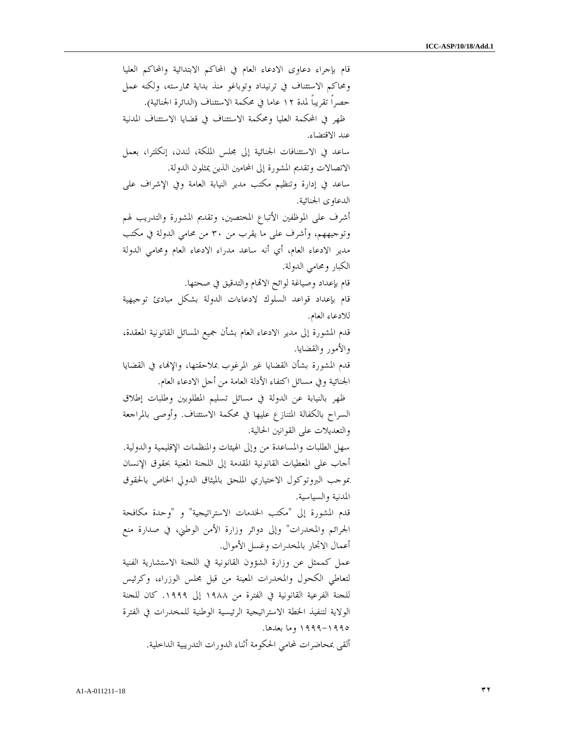قام بإجراء دعاوى الادعاء العام في المحاكم الابتدائية والمحاكم العليا ومحاكم الاستئناف في ترنيداد وتوباغو منذ بداية ممارسته، ولكنه عمل حصراً تقريباً لمدة ١٢ عاما في محكمة الاستئناف (الدائرة الجنائية ). ظهر في المحكمة العليا ومحكمة الاستئناف في قضايا الاستئناف المدنية عند الاقتضاء . ساعد في الاستئنافات الجنائية إلى مجلس الملكة، لندن، إنكلترا، بعمل الاتصالات وتقديم المشورة إلى المحامين الذين يمثلون الدولة . ساعد في إدارة وتنظيم مكتب مدير النيابة العامة وفي الإشراف على الدعاوى الجنائية . أشرف على الموظفين الأتباع المختصين، وتقديم المشورة والتدريب لهم وتوجيههم، وأشرف على ما يقرب من ٣٠ من محامي الدولة في مكتب مدير الادعاء العام، أي أنه ساعد مدراء الادعاء العام ومحامي الدولة الكبار ومحامي الدولة . قام بإعداد وصياغة لوائح الاتمام والتدقيق في صحتها. قام بإعداد قواعد السلوك لادعاءات الدولة بشكل مبادئ توجيهية للادعاء العام . قدم المشورة إلى مدير الادعاء العام بشأن جميع المسائل القانونية المعقدة، والأمور والقضايا . قدم المشورة بشأن القضايا غير المرغوب بملاحقتها، والإنماء في القضايا الجنائية وفي مسائل اكتفاء الأدلة العامة من أجل الادعاء العام . ظهر بالنيابة عن الدولة في مسائل تسليم المطلوبين وطلبات إطلاق السراح بالكفالة المتنازع عليها في محكمة الاستئناف. وأوصى بالمراجعة والتعديلات على القوانين الحالية . سهل الطلبات والمساعدة من وإلى الهيئات والمنظمات الإقليمية والدولية . أجاب على المعطيات القانونية المقدمة إلى اللجنة المعنية بحقوق الإنسان بموجب البروتوكول الاختياري الملحق بالميثاق الدولي الخاص بالحقوق المدنية والسياسية . قدم المشورة إلى "مكتب الخدمات الاستراتيجية" و "وحدة مكافحة الجرائم والمخدرات" وإلى دوائر وزارة الأمن الوطني، في صدارة منع أعمال الاتجار بالمخدرات وغسل الأموال . عمل كممثل عن وزارة الشؤون القانونية في اللجنة الاستشارية الفنية لتعاطي الكحول والمخدرات المعينة من قبل مجلس الوزراء، وكرئيس للجنة الفرعية القانونية في الفترة من ١٩٨٨ إلى .١٩٩٩ كان للجنة الولاية لتنفيذ الخطة الاستراتيجية الرئيسية الوطنية للمخدرات في الفترة ١٩٩٩-١٩٩٥ وما بعدها . ألقى بمحاضرات لمحامي الحكومة أثناء الدورات التدريبية الداخلية .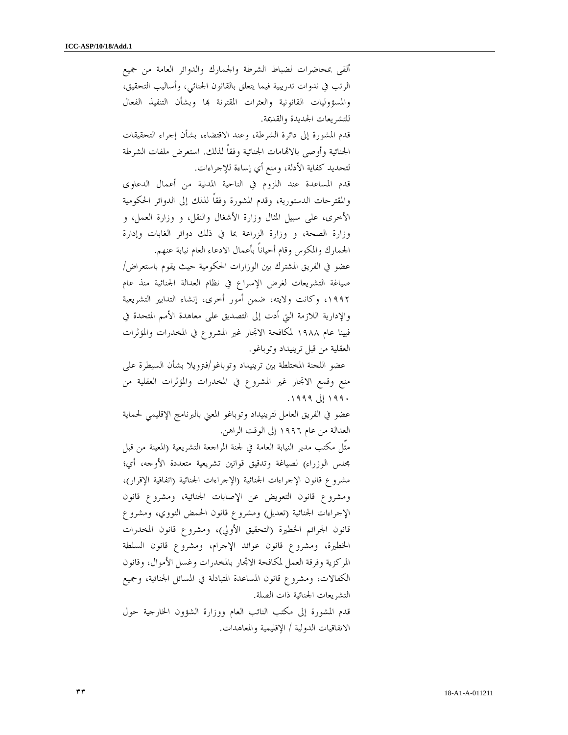ألقى بمحاضرات لضباط الشرطة والجمارك والدوائر العامة من جميع الرتب في ندوات تدريبية فيما يتعلق بالقانون الجنائي، وأساليب التحقيق، والمسؤوليات القانونية والعثرات المقترنة بما وبشأن التنفيذ الفعال للتشريعات الجديدة والقديمة .

 قدم المشورة إلى دائرة الشرطة، وعند الاقتضاء، بشأن إجراء التحقيقات الجنائية وأوصى بالاامات الجنائية وفقاً لذلك. استعرض ملفات الشرطة لتحديد كفاية الأدلة، ومنع أي إساءة للإجراءات .

 قدم المساعدة عند اللزوم في الناحية المدنية من أعمال الدعاوى والمقترحات الدستورية، وقدم المشورة وفقاً لذلك إلى الدوائر الحكومية الأخرى، على سبيل المثال وزارة الأشغال والنقل، و وزارة العمل، و وزارة الصحة، و وزارة الزراعة بما في ذلك دوائر الغابات وإدارة الجمارك والمكوس وقام أحياناً بأعمال الادعاء العام نيابة عنهم .

 عضو في الفريق المشترك بين الوزارات الحكومية حيث يقوم باستعراض/ صياغة التشريعات لغرض الإسراع في نظام العدالة الجنائية منذ عام ،١٩٩٢ وكانت ولايته، ضمن أمور أخرى، إنشاء التدابير التشريعية والإدارية اللازمة التي أدت إلى التصديق على معاهدة الأمم المتحدة في فيينا عام ١٩٨٨ لمكافحة الاتجار غير المشروع في المخدرات والمؤثرات العقلية من قبل ترينيداد وتوباغو .

 عضو اللجنة المختلطة بين ترينيداد وتوباغو/فترويلا بشأن السيطرة على منع وقمع الاتجار غير المشروع في المخدرات والمؤثرات العقلية من ١٩٩٠ إلى ١٩٩٩ .

 عضو في الفريق العامل لترينيداد وتوباغو المعني بالبرنامج الإقليمي لحماية العدالة من عام ١٩٩٦ إلى الوقت الراهن .

 مثّل مكتب مدير النيابة العامة في لجنة المراجعة التشريعية (المعينة من قبل مجلس الوزراء) لصياغة وتدقيق قوانين تشريعية متعددة الأوجه، أي؛ مشروع قانون الإجراءات الجنائية (الإجراءات الجنائية (اتفاقية الإقرار)، ومشروع قانون التعويض عن الإصابات الجنائية، ومشروع قانون الإجراءات الجنائية (تعديل) ومشروع قانون الحمض النووي، ومشروع قانون الجرائم الخطيرة (التحقيق الأولي)، ومشروع قانون المخدرات الخطيرة، ومشروع قانون عوائد الإجرام، ومشروع قانون السلطة المركزية وفرقة العمل لمكافحة الاتجار بالمخدرات وغسل الأموال، وقانون الكفالات، ومشروع قانون المساعدة المتبادلة في المسائل الجنائية، وجميع التشريعات الجنائية ذات الصلة .

 قدم المشورة إلى مكتب النائب العام ووزارة الشؤون الخارجية حول الاتفاقيات الدولية / الإقليمية والمعاهدات .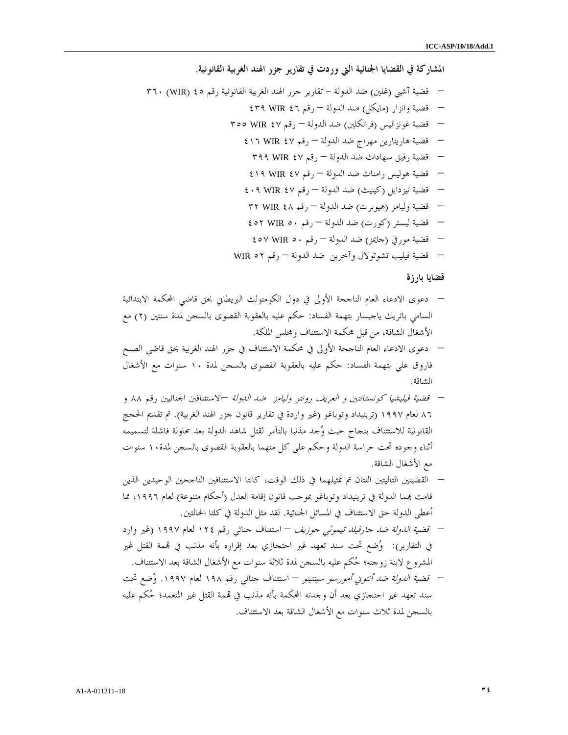المشاركة في القضايا الجنائية التي وردت في تقارير جزر الهند الغربية القانونية .

– قضية آشبي (غلين) ضد الدولة - تقارير جزر الهند الغربية القانونية رقم (٤٥ WIR (٣٦٠ – قضية وانزار (مايكل) ضد الدولة – رقم ٤٦ WIR ٤٣٩ – قضية غونزاليس (فرانكلين) ضد الدولة – رقم ٤٧ WIR ٣٥٥ – قضية هارينارين مهراج ضد الدولة – رقم ٤٧ WIR ٤١٦ – قضية رفيق سهاداث ضد الدولة – رقم ٤٧ WIR ٣٩٩ – قضية هوليس رامناث ضد الدول –ة رقم ٤٧ WIR ٤١٩ – قضية تيزدايل (كينيث) ضد الدولة – رقم ٤٧ WIR ٤٠٩ – قضية وليامز (هيوبرت) ضد الدولة – رقم ٤٨ WIR ٣٢ – قضية ليستر (كورت) ضد الدولة – رقم ٥٠ WIR ٤٥٢ – قضية مورفي (جايمز) ضد الدولة – رقم ٥٠ WIR ٤٥٧ – قضية فيليب تشوتولال وآخرين ضد الدولة – رقم ٥٢ WIR

قضايا بارزة

- دعوى الادعاء العام الناجحة الأولى في دول الكومنولث البريطاني بحق قاضي المحكمة الابتدائية السامي باتريك ياجيسار بتهمة الفساد: حكم عليه بالعقوبة القصوى بالسجن لمدة سنتين ٢( ) مع الأشغال الشاقة، من قبل محكمة الاستئناف ومجلس الملكة.
- دعوى الادعاء العام الناجحة الأولى في محكمة الاستئناف في جزر الهند الغربية بحق قاضي الصلح فاروق علي بتهمة الفساد: حكم عليه بالعقوبة القصوى بالسجن لمدة ١٠ سنوات مع الأشغال الشاقة.
- قضية فيليشيا كونستانتين و العريف رونتو وليامز ضد الدولة الاستئنافين الجنائيين رقم ٨٨ و ٨٦ لعام ١٩٩٧ (ترينيداد وتوباغو (غير واردة في تقارير قانون جزر الهند الغربية). تم تقديم الحجج القانونية للاستئناف بنجاح حيث وجد مذنبا بالتآمر لقتل شاهد الدولة بعد محاولة فاشلة لتسميمه أثناء وجوده تحت حراسة الدولة وحكم على كل منهما بالعقوبة القصوى بالسجن لمدة١٠ سنوات مع الأشغال الشاقة .
- القضيتين التاليتين اللتان تم تمثيلهما في ذلك الوقت، كانتا الاستئنافين الناجحين الوحيدين الذين قامت بمما الدولة في ترينيداد وتوباغو بموجب قانون إقامة العدل (أحكام متنوعة) لعام ١٩٩٦، مما أعطى الدولة حق الاستئناف في المسائل الجنائية. لقد مثل الدولة في كلتا الحالتين.
- قضية الدولة ضد جارفيلد تيموثي جوزيف استئناف جنائي رقم ١٢٤ لعام ١٩٩٧ (غير وارد في التقارير): وضع تحت سند تعهد غير احتجازي بعد إقراره بأنه مذنب في مة القتل غير المشروع لابنة زوجته؛ حكم عليه بالسجن لمدة ثلاثة سنوات مع الأشغال الشاقة بعد الاستئناف.
- قضية الدولة ضد أنتوني أمورسو سينتينو استئناف جنائي رقم ١٩٨ لعام .١٩٩٧ وضع تحت سند تعهد غير احتجازي بعد أن وجدته المحكمة بأنه مذنب في مة القتل غير المتعمد؛ حكم عليه بالسجن لمدة ثلاث سنوات مع الأشغال الشاقة بعد الاستئناف.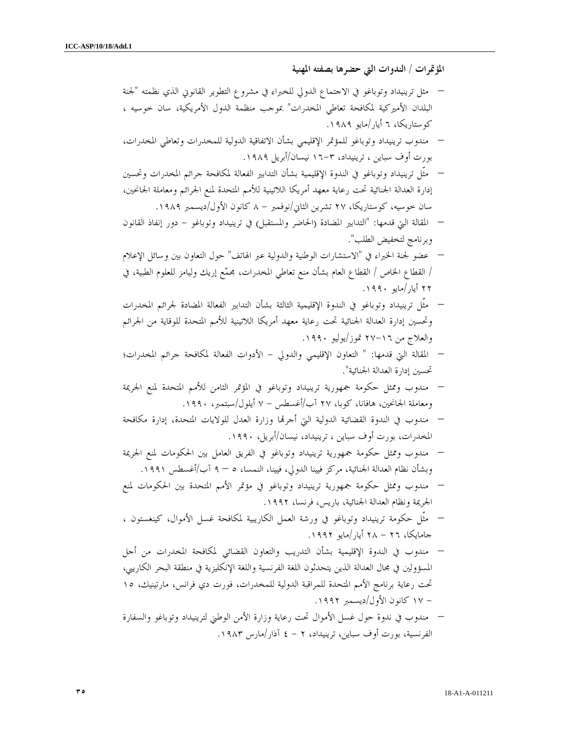المؤتمرات / الندوات التي حضرها بصفته المهنية

- مثل ترينيداد وتوباغو في الاجتماع الدولي للخبراء في مشروع التطوير القانوني الذي نظمته "لجنة البلدان الأميركية لمكافحة تعاطي المخدرات" بموجب منظمة الدول الأمريكية، سان خوسيه ، كوستاريكا، ٦ أيار/مايو ١٩٨٩ .
- مندوب ترينيداد وتوباغو للمؤتمر الإقليمي بشأن الاتفاقية الدولية للمخدرات وتعاطي المخدرات، بورت أوف سباين ، ترينيداد، ٣- ١٦ نيسان/أبريل ١٩٨٩ .
- مثّل ترينيداد وتوباغو في الندوة الإقليمية بشأن التدابير الفعالة لمكافحة جرائم المخدرات وتحسين إدارة العدالة الجنائية تحت رعاية معهد أمريكا اللاتينية للأمم المتحدة لمنع الجرائم ومعاملة الجانحين، سان خوسيه، كوستاريكا، ٢٧ تشرين الثاني/نوفمبر ٨ - كانون الأول/ديسمبر ١٩٨٩ .
- المقالة التي قدمها: "التدابير المضادة (الحاضر والمستقبل) في ترينيداد وتوباغو دور إنفاذ القانون وبرنامج لتخفيض الطلب ".
- عضو لجنة الخبراء في "الاستشارات الوطنية والدولية عبر الهاتف" حول التعاون بين وسائل الإعلام / القطاع الخاص / القطاع العام بشأن منع تعاطي المخدرات، مجمع إريك وليامز للعلوم الطبية، في ٢٢ أيار/مايو ١٩٩٠ .
- مثّل ترينيداد وتوباغو في الندوة الإقليمية الثالثة بشأن التدابير الفعالة المضادة لجرائم المخدرات وتحسين إدارة العدالة الجنائية تحت رعاية معهد أمريكا اللاتينية للأمم المتحدة للوقاية من الجرائم والعلاج من ١٦- ٢٧ تموز/يوليو .١٩٩٠
- المقالة التي قدمها: " التعاون الإقليمي والدولي الأدوات الفعالة لمكافحة جرائم المخدرات؛ تحسين إدارة العدالة الجنائية ".
- مندوب وممثل حكومة جمهورية ترينيداد وتوباغو في المؤتمر الثامن للأمم المتحدة لمنع الجريمة ومعاملة الجانحين، هافانا، كوبا، ٢٧ آب/أغسطس ٧ - أيلول/سبتمبر، .١٩٩٠
- مندوب في الندوة القضائية الدولية التي أجرا وزارة العدل للولايات المتحدة، إدارة مكافحة المخدرات، بورت أوف سباين ، ترينيداد، نيسان/أبريل، ١٩٩٠ .
- مندوب وممثل حكومة جمهورية ترينيداد وتوباغو في الفريق العامل بين الحكومات لمنع الجريمة وبشأن نظام العدالة الجنائية، مركز فيينا الدولي، فيينا، النمسا، ٩ – ٥ آب/أغسطس ١٩٩١ .
- مندوب وممثل حكومة جمهورية ترينيداد وتوباغو في مؤتمر الأمم المتحدة بين الحكومات لمنع الجريمة ونظام العدالة الجنائية، باريس، فرنسا، ١٩٩٢ .
- مثّل حكومة ترينيداد وتوباغو في ورشة العمل الكاريبية لمكافحة غسل الأموال، كينغستون ، جامايكا، - ٢٦ ٢٨ أيار/مايو .١٩٩٢
- مندوب في الندوة الإقليمية بشأن التدريب والتعاون القضائي لمكافحة المخدرات من أجل المسؤولين في مجال العدالة الذين يتحدثون اللغة الفرنسية واللغة الإنكليزية في منطقة البحر الكاريبي، تحت رعاية برنامج الأمم المتحدة للمراقبة الدولية للمخدرات، فورت دي فرانس، مارتينيك، ١٥ - ١٧ كانون الأول/ديسمبر .١٩٩٢
- مندوب في ندوة حول غسل الأموال تحت رعاية وزارة الأمن الوطني لترينيداد وتوباغو والسفارة الفرنسية، بورت أوف سباين، ترينيداد، ٤ - ٢ آذار/مارس ١٩٨٣ .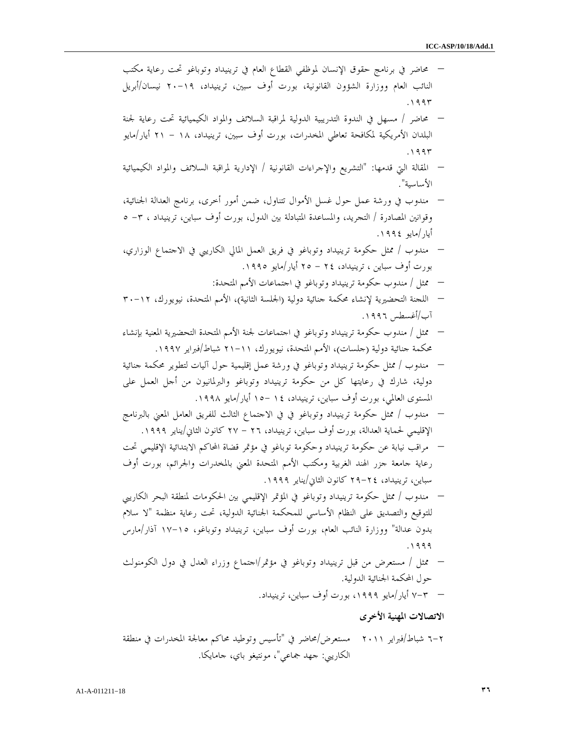– محاضر في برنامج حقوق الإنسان لموظفي القطاع العام في ترينيداد وتوباغو تحت رعاية مكتب النائب العام ووزارة الشؤون القانونية، بورت أوف سبين، ترينيداد، ١٩- ٢٠ نيسان/أبريل . ١٩٩٣ – محاضر / مسهل في الندوة التدريبية الدولية لمراقبة السلائف والمواد الكيميائية تحت رعاية لجنة البلدان الأمريكية لمكافحة تعاطي المخدرات، بورت أوف سبين، ترينيداد، ١٨ - ٢١ أيار/مايو . ١٩٩٣ – المقالة التي قدمها: "التشريع والإجراءات القانونية / الإدارية لمراقبة السلائف والمواد الكيميائية الأساسية ". – مندوب في ورشة عمل حول غسل الأموال تتناول، ضمن أمور أخرى، برنامج العدالة الجنائية، وقوانين المصادرة / التجريد، والمساعدة المتبادلة بين الدول، بورت أوف سباين، ترينيداد ، ٥ ٣- أيار/مايو ١٩٩٤ . – مندوب / ممثل حكومة ترينيداد وتوباغو في فريق العمل المالي الكاريبي في الاجتماع الوزاري، بورت أوف سباين ، ترينيداد، - ٢٤ ٢٥ أيار/مايو .١٩٩٥ – ممثل / مندوب حكومة ترينيداد وتوباغو في اجتماعات الأمم المتحدة : – اللجنة التحضيرية لإنشاء محكمة جنائية دولية (الجلسة الثانية)، الأمم المتحدة، نيويورك، ١٢- ٣٠ /آب أغسطس ١٩٩٦ . – ممثل / مندوب حكومة ترينيداد وتوباغو في اجتماعات لجنة الأمم المتحدة التحضيرية المعنية بإنشاء محكمة جنائية دولية (جلسات)، الأمم المتحدة، نيويورك، ١١- ٢١ شباط/فبراير ١٩٩٧ . – مندوب / ممثل حكومة ترينيداد وتوباغو في ورشة عمل إقليمية حول آليات لتطوير محكمة جنائية دولية، شارك في رعايتها كل من حكومة ترينيداد وتوباغو والبرلمانيون من أجل العمل على المستوى العالمي، بورت أوف سباين، ترينيداد، - ١٤ ١٥ أيار/مايو ١٩٩٨ . – مندوب / ممثل حكومة ترينيداد وتوباغو في في الاجتماع الثالث للفريق العامل المعني بالبرنامج الإقليمي لحماية العدالة، بورت أوف سباين، ترينيداد، - ٢٦ ٢٧ كانون الثاني/يناير ١٩٩٩ . – مراقب نيابة عن حكومة ترينيداد وحكومة توباغو في مؤتمر قضاة المحاكم الابتدائية الإقليمي تحت رعاية جامعة جزر الهند الغربية ومكتب الأمم المتحدة المعني بالمخدرات والجرائم، بورت أوف سباين، ترينيداد، ٢٤- ٢٩ كانون الثاني/يناير ١٩٩٩ . – مندوب / ممثل حكومة ترينيداد وتوباغو في المؤتمر الإقليمي بين الحكومات لمنطقة البحر الكاريبي للتوقيع والتصديق على النظام الأساسي للمحكمة الجنائية الدولية، تحت رعاية منظمة "لا سلام بدون عدالة" ووزارة النائب العام، بورت أوف سباين، ترينيداد وتوباغو، ١٥- ١٧ آذار/مارس . ١٩٩٩ – ممثل / مستعرض من قبل ترينيداد وتوباغو في مؤتمر/اجتماع وزراء العدل في دول الكومنولث حول المحكمة الجنائية الدولية. – ٣-٧ أيار/مايو ،١٩٩٩ بورت أوف سباين، ترينيداد . الاتصالات المهنية الأخرى

٢-٦ شباط/فبراير ٢٠١١ مستعرض/محاضر في "تأسيس وتوطيد محاكم معالجة المخدرات في منطقة الكاريبي: جهد جماعي"، مونتيغو باي، جامايكا .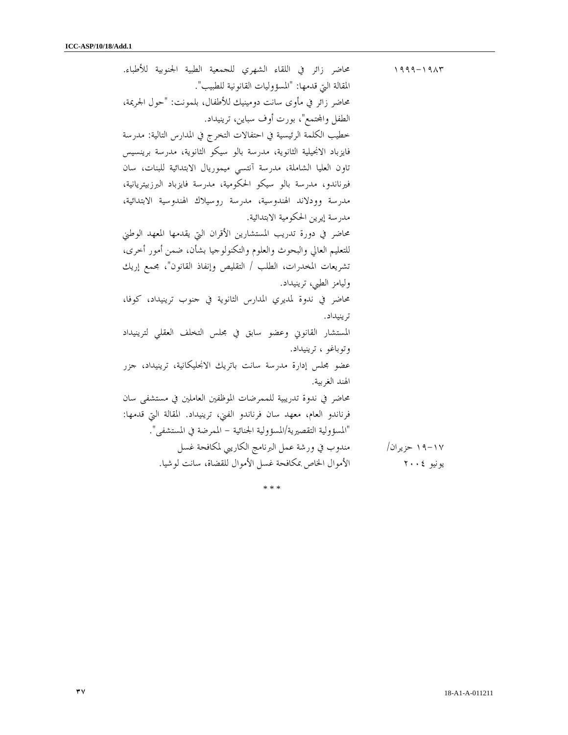| محاضر زائر في اللقاء الشهري للجمعية الطبية الجنوبية للأطباء.         | $1999 - 1917$ |
|----------------------------------------------------------------------|---------------|
| المقالة التي قدمها: "المسؤوليات القانونية للطبيب".                   |               |
| محاضر زائر في مأوى سانت دومينيك للأطفال، بلمونت: "حول الجريمة،       |               |
| الطفل والمحتمع"، بورت أوف سباين، ترينيداد.                           |               |
| خطيب الكلمة الرئيسية في احتفالات التخرج في المدارس التالية: مدرسة    |               |
| فايزباد الانجيلية الثانوية، مدرسة بالو سيكو الثانوية، مدرسة برينسيس  |               |
| تاون العليا الشاملة، مدرسة آنتسى ميموريال الابتدائية للبنات، سان     |               |
| فيرناندو، مدرسة بالو سيكو الحكومية، مدرسة فايزباد البرزبيتريانية،    |               |
| مدرسة وودلاند الهندوسية، مدرسة روسيلاك الهندوسية الابتدائية،         |               |
| مدرسة إيرين الحكومية الابتدائية.                                     |               |
| محاضر في دورة تدريب المستشارين الأقران التي يقدمها المعهد الوطني     |               |
| للتعليم العالي والبحوث والعلوم والتكنولوجيا بشأن، ضمن أمور أخرى،     |               |
| تشريعات المخدرات، الطلب / التقليص وإنفاذ القانون"، مجمع إريك         |               |
| وليامز الطبي، ترينيداد.                                              |               |
| محاضر في ندوة لمديري المدارس الثانوية في حنوب ترينيداد، كوفا،        |               |
| تر پنيداد.                                                           |               |
| المستشار القانوني وعضو سابق في مجلس التخلف العقلي لترينيداد          |               |
| وتوباغو ، ترینیداد.                                                  |               |
| عضو مجلس إدارة مدرسة سانت باتريك الانحليكانية، ترينيداد، جزر         |               |
| الهند الغربية.                                                       |               |
| محاضر في ندوة تدريبية للممرضات الموظفين العاملين في مستشفى سان       |               |
| فرناندو العام، معهد سان فرناندو الفني، ترينيداد. المقالة التي قدمها: |               |
| "المسؤولية التقصيرية/المسؤولية الجنائية – الممرضة في المستشفى".      |               |
| مندوب في ورشة عمل البرنامج الكاريبي لمكافحة غسل                      | ۱۹–۱۹ حزیران/ |
| الأموال الخاص بمكافحة غسل الأموال للقضاة، سانت لوشيا.                | يونيو ٢٠٠٤    |

\* \* \*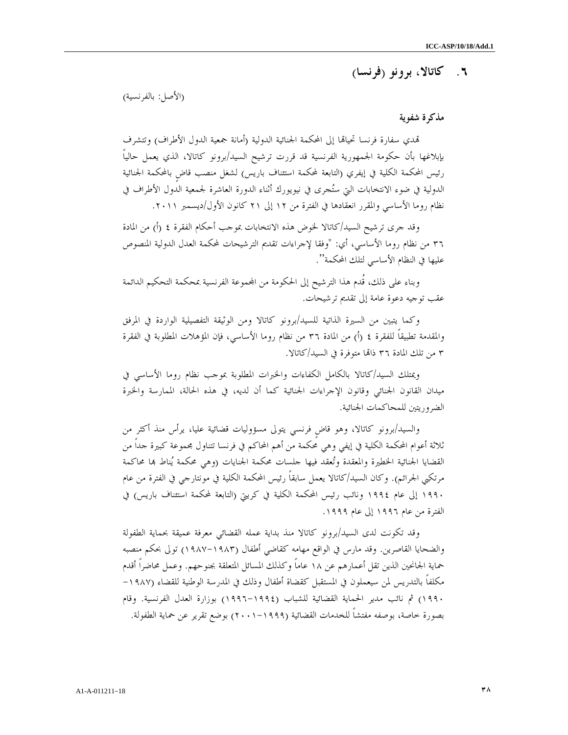## ٦. كاتالا، برونو (فرنسا )

(الأصل: بالفرنسية)

#### مذكرة شفوية

تمدي سفارة فرنسا تحياقما إلى المحكمة الجنائية الدولية (أمانة جمعية الدول الأطراف) وتتشرف بإبلاغها بأن حكومة الجمهورية الفرنسية قد قررت ترشيح السيد/برونو كاتالا، الذي يعمل حالياً رئيس المحكمة الكلية في إيفري (التابعة لمحكمة استئناف باريس) لشغل منصب قاضٍ بالمحكمة الجنائية الدولية في ضوء الانتخابات التي ستجرى في نيويورك أثناء الدورة العاشرة لجمعية الدول الأطراف في نظام روما الأساسي والمقرر انعقادها في الفترة من ١٢ إلى ٢١ كانون الأول/ديسمبر ٢٠١١ .

وقد جرى ترشيح السيد/كاتالا لخوض هذه الانتخابات بموجب أحكام الفقرة ٤ (أ) من المادة ٣٦ من نظام روما الأساسي، أي: "وفقا لإجراءات تقديم الترشيحات لمحكمة العدل الدولية المنصوص عليها في النظام الأساسي لتلك المحكمة ."

 وبناء على ذلك، قُدم هذا الترشيح إلى الحكومة من اموعة الفرنسية بمحكمة التحكيم الدائمة عقب توجيه دعوة عامة إلى تقديم ترشيحات .

 وكما يتبين من السيرة الذاتية للسيد/برونو كاتالا ومن الوثيقة التفصيلية الواردة في المرفق والمقدمة تطبيقاً للفقرة ٤ (أ) من المادة ٣٦ من نظام روما الأساسي، فإن المؤهلات المطلوبة في الفقرة ٣ من تلك المادة ٣٦ ذاا متوفرة في السيد/كاتالا .

 ويمتلك السيد/كاتالا بالكامل الكفاءات والخبرات المطلوبة بموجب نظام روما الأساسي في ميدان القانون الجنائي وقانون الإجراءات الجنائية كما أن لديه، في هذه الحالة، الممارسة والخبرة الضروريتين للمحاكمات الجنائية .

 والسيد/برونو كاتالا، وهو قاضٍ فرنسي يتولى مسؤوليات قضائية عليا، يرأس منذ أكثر من ثلاثة أعوام المحكمة الكلية في إيفي وهي محكمة من أهم المحاكم في فرنسا تتناول مجموعة كبيرة جداً من القضايا الجنائية الخطيرة والمعقدة وتُعقد فيها جلسات محكمة الجنايات (وهي محكمة يُناط بما محاكمة مرتكبي الجرائم). وكان السيد/كاتالا يعمل سابقاً رئيس المحكمة الكلية في مونتارجي في الفترة من عام ١٩٩٠ إلى عام ١٩٩٤ ونائب رئيس المحكمة الكلية في كريتي (التابعة لمحكمة استئناف باريس) في الفترة من عام ١٩٩٦ إلى عام ١٩٩٩ .

 وقد تكونت لدى السيد/برونو كاتالا منذ بداية عمله القضائي معرفة عميقة بحماية الطفولة والضحايا القاصرين. وقد مارس في الواقع مهامه كقاضي أطفال (١٩٨٧-١٩٨٣) تولى بحكم منصبه حماية الجانحين الذين تقل أعمارهم عن ١٨ عاماً وكذلك المسائل المتعلقة بجنوحهم. وعمل محاضراً أقدم مكلفاً بالتدريس لمن سيعملون في المستقبل كقضاة أطفال وذلك في المدرسة الوطنية للقضاء (-١٩٨٧ ١٩٩٠) ثم نائب مدير الحماية القضائية للشباب (١٩٩٦-١٩٩٤) بوزارة العدل الفرنسية. وقام بصورة خاصة، بوصفه مفتشاً للخدمات القضائية (٢٠٠١-١٩٩٩) بوضع تقرير عن حماية الطفولة .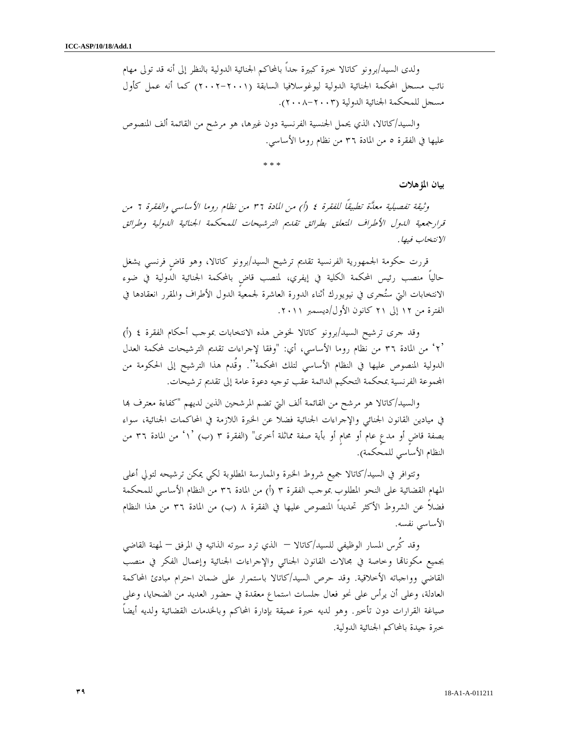ولدى السيد/برونو كاتالا خبرة كبيرة جداً بالمحاكم الجنائية الدولية بالنظر إلى أنه قد تولى مهام نائب مسجل المحكمة الجنائية الدولية ليوغوسلافيا السابقة (٢٠٠٢-٢٠٠١) كما أنه عمل كأول مسجل للمحكمة الجنائية الدولية (٢٠٠٨-٢٠٠٣ ).

والسيد/كاتالا، الذي يحمل الجنسية الفرنسية دون غيرها، هو مرشح من القائمة ألف المنصوص عليها في الفقرة ٥ من المادة ٣٦ من نظام روما الأساسي .

\* \* \*

بيان المؤهلات

وثيقة تفصيلية معدَّة تطبيقاً للفقرة ٤ (أ) من المادة ٣٦ من نظام روما الأساسي والفقرة ٦ من قرارجمعية الدول الأطراف المتعلق بطرائق تقديم الترشيحات للمحكمة الجنائية الدولية وطرائق الانتخاب فيها .

قررت حكومة الجمهورية الفرنسية تقديم ترشيح السيد/برونو كاتالا، وهو قاضٍ فرنسي يشغل حالياً منصب رئيس المحكمة الكلية في إيفري، لمنصب قاضٍ بالمحكمة الجنائية الدولية في ضوء الانتخابات التي ستجرى في نيويورك أثناء الدورة العاشرة لجمعية الدول الأطراف والمقرر انعقادها في الفترة من ١٢ إلى ٢١ كانون الأول/ديسمبر ٢٠١١ .

وقد جرى ترشيح السيد/برونو كاتالا لخوض هذه الانتخابات بموجب أحكام الفقرة ٤ (أ) ٢' ' من المادة ٣٦ من نظام روما الأساسي، أي: "وفقا لإجراءات تقديم الترشيحات لمحكمة العدل الدولية المنصوص عليها في النظام الأساسي لتلك المحكمة". وقُدم هذا الترشيح إلى الحكومة من اموعة الفرنسية بمحكمة التحكيم الدائمة عقب توجيه دعوة عامة إلى تقديم ترشيحات .

 والسيد/كاتالا هو مرشح من القائمة ألف التي تضم المرشحين الذين لديهم "كفاءة معترف ا في ميادين القانون الجنائي والإجراءات الجنائية فضلا عن الخبرة اللازمة في المحاكمات الجنائية، سواء بصفة قاضٍ أو مدعٍ عام أو محامٍ أو بأية صفة مماثلة أخرى" (الفقرة ٣ ب ( ١') ' من المادة ٣٦ من النظام الأساسي للمحكمة ).

 وتتوافر في السيد/كاتالا جميع شروط الخبرة والممارسة المطلوبة لكي يمكن ترشيحه لتولي أعلى المهام القضائية على النحو المطلوب بموجب الفقرة ٣ (أ) من المادة ٣٦ من النظام الأساسي للمحكمة فضلاً عن الشروط الأكثر تحديداً المنصوص عليها في الفقرة ٨ (ب) من المادة ٣٦ من هذا النظام الأساسي نفسه .

 وقد كُرس المسار الوظيفي للسيد/كاتالا – الذي ترد سيرته الذاتيه في المرفق – لمهنة القاضي بجميع مكوناقما وخاصة في مجالات القانون الجنائبي والإجراءات الجنائية وإعمال الفكر في منصب القاضي وواجباته الأخلاقية. وقد حرص السيد/كاتالا باستمرار على ضمان احترام مبادئ المحاكمة العادلة، وعلى أن يرأس على نحو فعال جلسات استماع معقدة في حضور العديد من الضحايا، وعلى صياغة القرارات دون تأخير. وهو لديه خبرة عميقة بإدارة المحاكم وبالخدمات القضائية ولديه أيضاً خبرة جيدة بالمحاكم الجنائية الدولية .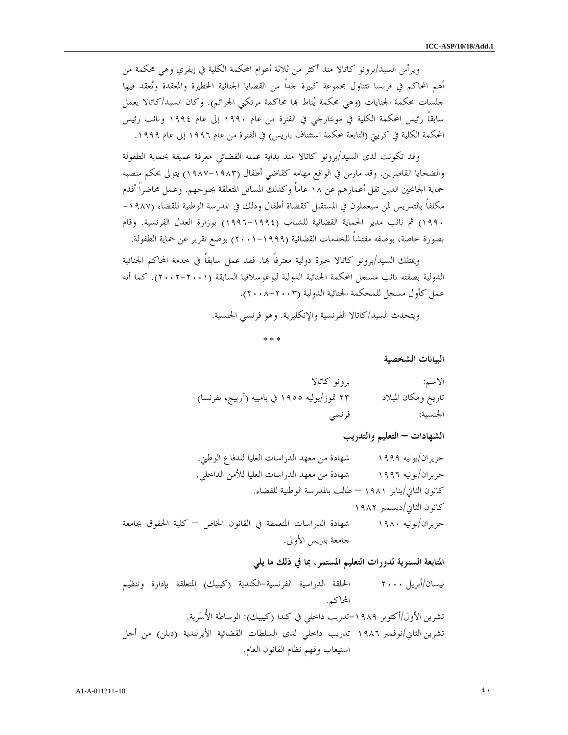ويرأس السيد/برونو كاتالا منذ أكثر من ثلاثة أعوام المحكمة الكلية في إيفري وهي محكمة من أهم المحاكم في فرنسا تتناول مجموعة كبيرة جداً من القضايا الجنائية الخطيرة والمعقدة وتعقد فيها جلسات محكمة الجنايات (وهي محكمة يُناط ها محاكمة مرتكبي الجرائم). وكان السيد/كاتالا يعمل سابقاً رئيس المحكمة الكلية في مونتارجي في الفترة من عام ١٩٩٠ إلى عام ١٩٩٤ ونائب رئيس المحكمة الكلية في كريتي (التابعة لمحكمة استئناف باريس) في الفترة من عام ١٩٩٦ إلى عام ١٩٩٩ .

 وقد تكونت لدى السيد/برونو كاتالا منذ بداية عمله القضائي معرفة عميقة بحماية الطفولة والضحايا القاصرين. وقد مارس في الواقع مهامه كقاضي أطفال (١٩٨٧-١٩٨٣) يتولى بحكم منصبه حماية الجانحين الذين تقل أعمارهم عن ١٨ عاماً وكذلك المسائل المتعلقة بجنوحهم. وعمل محاضراً أقدم مكلفاً بالتدريس لمن سيعملون في المستقبل كقضاة أطفال وذلك في المدرسة الوطنية للقضاء (-١٩٨٧ ١٩٩٠) ثم نائب مدير الحماية القضائية للشباب (١٩٩٦-١٩٩٤) بوزارة العدل الفرنسية. وقام بصورة خاصة، بوصفه مفتشاً للخدمات القضائية (٢٠٠١-١٩٩٩) بوضع تقرير عن حماية الطفولة .

ويمتلك السيد/برونو كاتالا خبرة دولية معترفاً بما. فقد عمل سابقاً في خدمة المحاكم الجنائية الدولية بصفته نائب مسجل المحكمة الجنائية الدولية ليوغوسلافيا السابقة (٢٠٠٢-٢٠٠١). كما أنه عمل كأول مسجل للمحكمة الجنائية الدولية (٢٠٠٨-٢٠٠٣ ).

ويتحدث السيد/كاتالا الفرنسية والإنكليزية. وهو فرنسي الجنسية .

\* \* \*

البيانات الشخصية

| الاسم:              | برونو كاتالا                                 |
|---------------------|----------------------------------------------|
| تاريخ ومكان الميلاد | ۲۳ تموز/یولیه ۱۹۰۵ في بامییه (آرییج، بفرنسا) |
| الجنسية:            | فرنسي                                        |

الشهادات – التعليم والتدريب

حزيران/يونيه ١٩٩٩ شهادة من معهد الدراسات العليا للدفاع الوطني . حزيران/يونيه ١٩٩٦ شهادة من معهد الدراسات العليا للأمن الداخلي . كانون الثاني/يناير ١٩٨١ – طالب بالمدرسة الوطنية للقضاء . كانون الثاني/ديسمبر ١٩٨٢ حزيران/يونيه ١٩٨٠ شهادة الدراسات المتعمقة في القانون الخاص – كلية الحقوق بجامعة جامعة باريس الأولى .

المتابعة السنوية لدورات التعليم المستمر، بما في ذلك ما يلي

نيسان/أبريل ٢٠٠٠ الحلقة الدراسية الفرنسية-الكندية (كيبيك) المتعلقة بإدارة وتنظيم المحاكم . تشرين الأول/أكتوبر -١٩٨٩تدريب داخلي في كندا (كيبيك): الوساطة الأُسرية . تشرين الثاني/نوفمبر ١٩٨٦ تدريب داخلي لدى السلطات القضائية الأيرلندية (دبلن) من أجل استيعاب وقهم نظام القانون العام .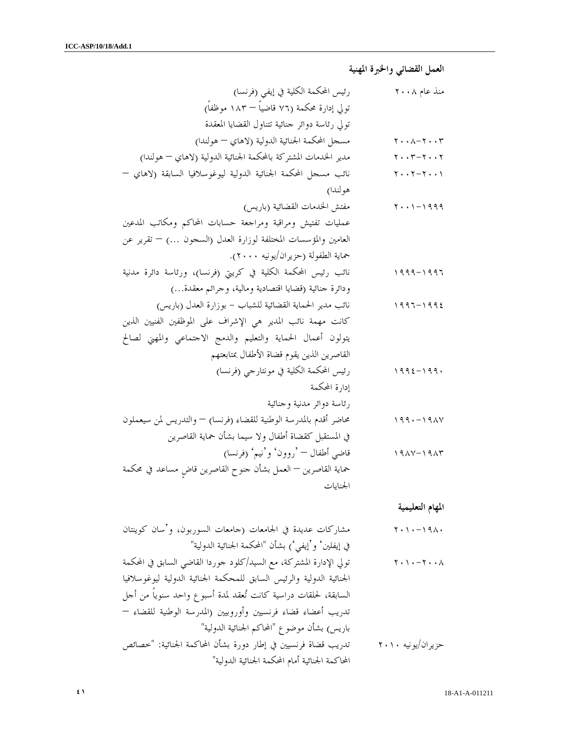العمل القضائي والخبرة المهنية

| رئيس المحكمة الكلية في إيفي (فرنسا)                                  | منذ عام ۲۰۰۸                                                                       |
|----------------------------------------------------------------------|------------------------------------------------------------------------------------|
| تولي إدارة محكمة (٧٦ قاضياً — ١٨٣ موظفاً)                            |                                                                                    |
| تولي رئاسة دوائر حنائية تتناول القضايا المعقدة                       |                                                                                    |
| مسجل المحكمة الجنائية الدولية (لاهاي – هولندا)                       | $\mathbf{Y} \cdot \cdot \mathbf{A} - \mathbf{Y} \cdot \cdot \mathbf{Y}$            |
| مدير الخدمات المشتركة بالمحكمة الجنائية الدولية (لاهاي – هولندا)     | $\mathbf{y} \cdot \mathbf{y} - \mathbf{y} \cdot \mathbf{y}$                        |
| نائب مسحل المحكمة الجنائية الدولية ليوغوسلافيا السابقة (لاهاي –      | $\gamma$ $\gamma$ - $\gamma$                                                       |
| هولندا)                                                              |                                                                                    |
| مفتش الخدمات القضائية (باريس)                                        | $\mathbf{Y} \cdot \cdot \mathbf{1} - \mathbf{1} \cdot \mathbf{9} \cdot \mathbf{9}$ |
| عمليات تفتيش ومراقبة ومراجعة حسابات المحاكم ومكاتب المدعين           |                                                                                    |
| العامين والمؤسسات المختلفة لوزارة العدل (السجون …) – تقرير عن        |                                                                                    |
| حماية الطفولة (حزيران/يونيه ٢٠٠٠).                                   |                                                                                    |
| نائب رئيس المحكمة الكلية في كريتي (فرنسا)، ورئاسة دائرة مدنية        | ۱۹۹۹ – ۱۹۹۶                                                                        |
| ودائرة حنائية (قضايا اقتصادية ومالية، وحرائم معقدة…)                 |                                                                                    |
| نائب مدير الحماية القضائية للشباب – بوزارة العدل (باريس)             | ١٩٩٦ – ١٩٩٤                                                                        |
| كانت مهمة نائب المدير هي الإشراف على الموظفين الفنيين الذين          |                                                                                    |
| يتولون أعمال الحماية والتعليم والدمج الاحتماعي والمهني لصالح         |                                                                                    |
| القاصرين الذين يقوم قضاة الأطفال بمتابعتهم                           |                                                                                    |
| رئيس المحكمة الكلية في مونتارجي (فرنسا)                              | ۱۹۹٤ – ۱۹۹۰                                                                        |
| إدارة المحكمة                                                        |                                                                                    |
| رئاسة دوائر مدنية وجنائية                                            |                                                                                    |
| محاضر أقدم بالمدرسة الوطنية للقضاء (فرنسا) — والتدريس لمن سيعملون    | ۱۹۹۰ – ۱۹۸۷                                                                        |
| في المستقبل كقضاة أطفال ولا سيما بشأن حماية القاصرين                 |                                                                                    |
| قاضي أطفال — 'روون' و'نيم' (فرنسا)                                   | $19AY-19AY$                                                                        |
| حماية القاصرين — العمل بشأن حنوح القاصرين قاضٍ مساعد في محكمة        |                                                                                    |
| الجنايات                                                             |                                                                                    |
|                                                                      | المهام التعليمية                                                                   |
| مشاركات عديدة في الجامعات (حامعات السوربون، و'سان كوينتان            | $Y \cdot 1 \cdot - 191 \cdot$                                                      |
| في إيفلين' و'إيفي') بشأن "المحكمة الجنائية الدولية"                  |                                                                                    |
| تولي الإدارة المشتركة، مع السيد/كلود حوردا القاضى السابق في المحكمة  | $\wedge \cdot \cdot \wedge \cdot \cdot \wedge$                                     |
| الجنائية الدولية والرئيس السابق للمحكمة الجنائية الدولية ليوغوسلافيا |                                                                                    |
| السابقة، لحلقات دراسية كانت تُعقد لمدة أسبوع واحد سنوياً من أحل      |                                                                                    |
| تدريب أعضاء قضاء فرنسيين وأوروبيين (المدرسة الوطنية للقضاء —         |                                                                                    |
| باريس) بشأن موضوع "المحاكم الجنائية الدولية"                         |                                                                                    |
|                                                                      |                                                                                    |
| تدريب قضاة فرنسيين في إطار دورة بشأن المحاكمة الجنائية: "خصائص       | حز پر ان/يو نيه ۲۰۱۰                                                               |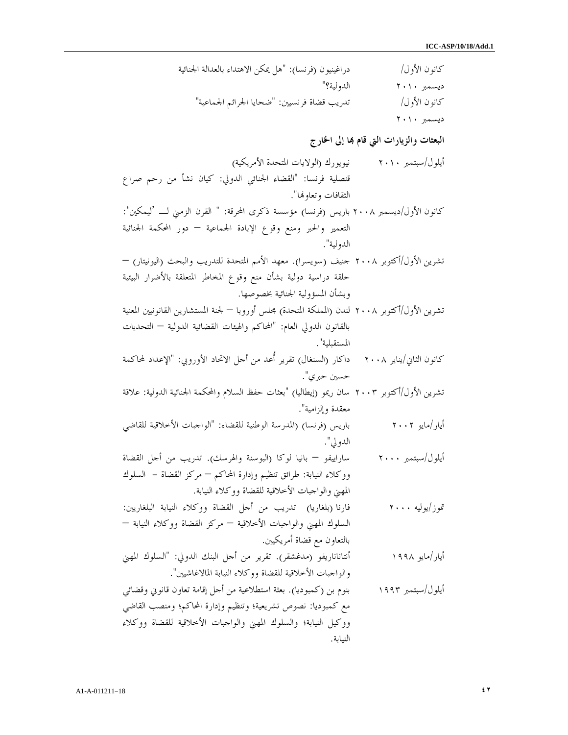كانون الأول/ دراغينيون (فرنسا): "هل يمكن الاهتداء بالعدالة الجنائية ديسمبر ٢٠١٠ الدولية؟ " كانون الأول/ تدريب قضاة فرنسيين: "ضحايا الجرائم الجماعية " ديسمبر ٢٠١٠

البعثات والزيارات التي قام بما إلى الخارج

| نيويورك (الولايات المتحدة الأمريكية)                                                            | أيلول/سبتمبر ٢٠١٠       |
|-------------------------------------------------------------------------------------------------|-------------------------|
| قنصلية فرنسا: "القضاء الجنائي الدولي: كيان نشأ من رحم صراع                                      |                         |
| الثقافات وتعاولها".                                                                             |                         |
| كانون الأول/ديسمبر ٢٠٠٨ باريس (فرنسا) مؤسسة ذكرى المحرقة: " القرن الزمني لـــ 'ليمكين':         |                         |
| التعمير والحبر ومنع وقوع الإبادة الجماعية — دور المحكمة الجنائية                                |                         |
| الدولية".                                                                                       |                         |
| تشرين الأول/أكتوبر ٢٠٠٨ حنيف (سويسرا). معهد الأمم المتحدة للتدريب والبحث (اليونيتار) —          |                         |
| حلقة دراسية دولية بشأن منع وقوع المخاطر المتعلقة بالأضرار البيئية                               |                         |
| وبشأن المسؤولية الجنائية بخصوصها.                                                               |                         |
| تشرين الأول/أكتوبر ٢٠٠٨ لندن (المملكة المتحدة) مجلس أوروبا — لجنة المستشارين القانونيين المعنية |                         |
| بالقانون الدولي العام: "المحاكم والهيئات القضائية الدولية — التحديات                            |                         |
| المستقبلية".                                                                                    |                         |
| داكار (السنغال) تقرير أعد من أحل الاتحاد الأوروبي: "الإعداد لمحاكمة                             | كانون الثاني/يناير ٢٠٠٨ |
| حسين حبري".                                                                                     |                         |
| تشرين الأول/أكتوبر ٢٠٠٣ سان ريمو (إيطاليا) "بعثات حفظ السلام والمحكمة الجنائية الدولية: علاقة   |                         |
| معقدة وإلزامية".                                                                                |                         |
| باريس (فرنسا) (المدرسة الوطنية للقضاء: "الواجبات الأخلاقية للقاضي                               | أيار/مايو ٢٠٠٢          |
| الدولي".                                                                                        |                         |
| ساراييفو — بانيا لوكا (البوسنة والهرسك). تدريب من أحل القضاة                                    | أيلول/سبتمبر ٢٠٠٠       |
| ووكلاء النيابة: طرائق تنظيم وإدارة المحاكم — مركز القضاة – السلوك                               |                         |
| المهني والواحبات الأخلاقية للقضاة ووكلاء النيابة.                                               |                         |
| فارنا (بلغاريا)   تدريب  من أحل  القضاة  ووكلاء  النيابة  البلغاريين:                           | تموز/يوليه ۲۰۰۰         |
| السلوك المهني والواحبات الأخلاقية — مركز القضاة ووكلاء النيابة —                                |                         |
| بالتعاون مع قضاة أمريكيين.                                                                      |                         |
| أنتاناناريفو (مدغشقر). تقرير من أحل البنك الدولي: "السلوك المهني                                | أيار/مايو ۱۹۹۸          |
| والواحبات الأخلاقية للقضاة ووكلاء النيابة المالاغاشيين".                                        |                         |
| بنوم بن (كمبوديا). بعثة استطلاعية من أحل إقامة تعاون قانوني وقضائي                              | أيلول/سبتمبر ١٩٩٣       |
| مع كمبوديا: نصوص تشريعية؛ وتنظيم وإدارة المحاكم؛ ومنصب القاضي                                   |                         |
| ووكيل النيابة؛ والسلوك المهني والواجبات الأخلاقية للقضاة ووكلاء                                 |                         |

النيابة .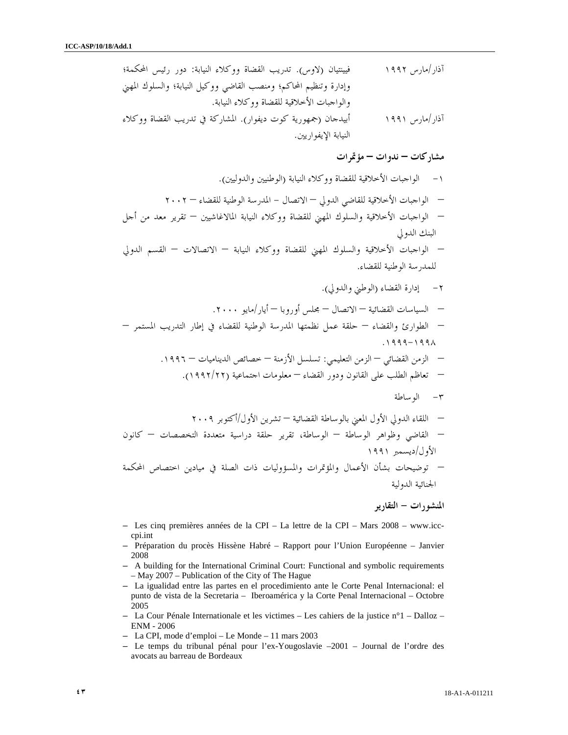آذار/مارس ١٩٩٢ فيينتيان (لاوس . ) تدريب القضاة ووكلاء النيابة: دور رئيس المحكمة؛ وإدارة وتنظيم المحاكم؛ ومنصب القاضي ووكيل النيابة؛ والسلوك المهني والواجبات الأخلاقية للقضاة ووكلاء النيابة . آذار/مارس ١٩٩١ أبيدجان (جمهورية كوت ديفوار . ) المشاركة في تدريب القضاة ووكلاء النيابة الإيفواريين .

مشاركات – ندوات – مؤتمرات

١- الواجبات الأخلاقية للقضاة ووكلاء النيابة (الوطنيين والدوليين .) – الواجبات الأخلاقية للقاضي الدولي – الاتصال - المدرسة الوطنية للقضاء – ٢٠٠٢ – الواجبات الأخلاقية والسلوك المهني للقضاة ووكلاء النيابة المالاغاشيين – تقرير معد من أجل البنك الدولي – الواجبات الأخلاقية والسلوك المهني للقضاة ووكلاء النيابة – الاتصالات – القسم الدولي للمدرسة الوطنية للقضاء. ٢- إدارة القضاء (الوطني والدولي .) – السياسات القضائية – الاتصال – مجلس أوروبا – أيار/مايو .٢٠٠٠ – الطوارئ والقضاء – حلقة عمل نظمتها المدرسة الوطنية للقضاء في إطار التدريب المستمر – .١٩٩٩-١٩٩٨ – الزمن القضائي – الزمن التعليمي: تسلسل الأزمنة – خصائص الديناميات – .١٩٩٦ – تعاظم الطلب على القانون ودور القضاء – معلومات اجتماعية ( ٢٢/ ١٩٩٢ .) ٣- الوساطة – اللقاء الدولي الأول المعني بالوساطة القضائية – تشرين الأول/أكتوبر ٢٠٠٩ – القاضي وظواهر الوساطة – الوساطة، تقرير حلقة دراسية متعددة التخصصات – كانون الأول/ديسمبر ١٩٩١ – توضيحات بشأن الأعمال والمؤتمرات والمسؤوليات ذات الصلة في ميادين اختصاص المحكمة الجنائية الدولية

المنشورات - التقارير

- Les cinq premières années de la CPI La lettre de la CPI Mars 2008 www.icccpi.int
- Préparation du procès Hissène Habré Rapport pour l'Union Européenne Janvier 2008
- A building for the International Criminal Court: Functional and symbolic requirements – May 2007 – Publication of the City of The Hague
- La igualidad entre las partes en el procedimiento ante le Corte Penal Internacional: el punto de vista de la Secretaria – Iberoamérica y la Corte Penal Internacional – Octobre 2005
- La Cour Pénale Internationale et les victimes Les cahiers de la justice n°1 Dalloz ENM - 2006
- La CPI, mode d'emploi Le Monde 11 mars 2003
- Le temps du tribunal pénal pour l'ex-Yougoslavie –2001 Journal de l'ordre des avocats au barreau de Bordeaux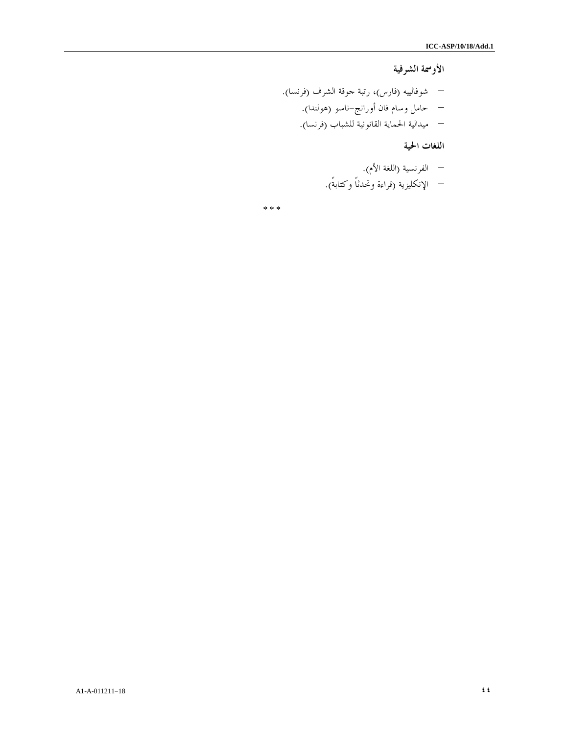الأوسمة الشرفية

– شوفالييه (فارس)، رتبة جوقة الشرف ف( رنسا .) – حامل وسام فان أورانج-ناسو (هولندا .) – ميدالية الحماية القانونية للشباب (فرنسا .)

اللغات الحية

– الفرنسية (اللغة الأم .) – الإنكليزية (قراءة وتحدثاً وكتابةً).

\* \* \*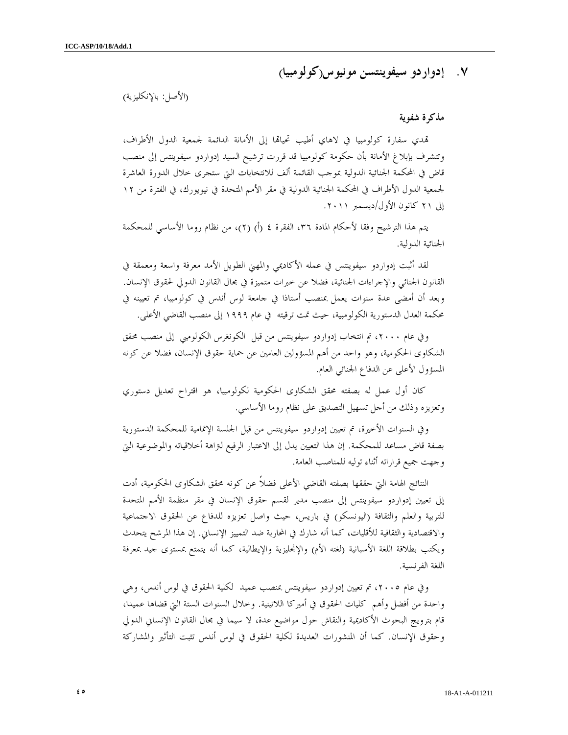## ٧. إدواردو سيفوينتسن مونيوس(كولومبيا )

( الأصل: بالإنكليزية )

#### مذكرة شفوية

تمدي سفارة كولومبيا في لاهاي أطيب تحياتما إلى الأمانة الدائمة لجمعية الدول الأطراف، وتتشرف بإبلاغ الأمانة بأن حكومة كولومبيا قد قررت ترشيح السيد إدواردو سيفوينتس إلى منصب قاض في المحكمة الجنائية الدولية بموجب القائمة ألف للانتخابات التي ستجرى خلال الدورة العاشرة لجمعية الدول الأطراف في المحكمة الجنائية الدولية في مقر الأمم المتحدة في نيويورك، في الفترة من ١٢ إلى ٢١ كانون الأول/ديسمبر ٢٠١١ .

يتم هذا الترشيح وفقا لأحكام المادة ٣٦، الفقرة ٤ (أ) (٢)، من نظام روما الأساسي للمحكمة الجنائية الدولية .

لقد أثبت إدواردو سيفوينتس في عمله الأكاديمي والمهني الطويل الأمد معرفة واسعة ومعمقة في القانون الجنائي والإجراءات الجنائية، فضلا عن خبرات متميزة في مجال القانون الدولي لحقوق الإنسان. وبعد أن أمضى عدة سنوات يعمل بمنصب أستاذا في جامعة لوس أندس في كولومبيا، تم تعيينه في محكمة العدل الدستورية الكولومبية، حيث تمت ترقيته في عام ١٩٩٩ إلى منصب القاضي الأعلى .

وفي عام ،٢٠٠٠ تم انتخاب إدواردو سيفوينتس من قبل الكونغرس الكولومبي إلى منصب محقق الشكاوى الحكومية، وهو واحد من أهم المسؤولين العامين عن حماية حقوق الإنسان، فضلا عن كونه المسؤول الأعلى عن الدفاع الجنائي العام .

 كان أول عمل له بصفته محقق الشكاوى الحكومية لكولومبيا، هو اقتراح تعديل دستوري وتعزيزه وذلك من أجل تسهيل التصديق على نظام روما الأساسي .

وفي السنوات الأخيرة، تم تعيين إدواردو سيفوينتس من قبل الجلسة الإتمامية للمحكمة الدستورية بصفة قاض مساعد للمحكمة. إن هذا التعيين يدل إلى الاعتبار الرفيع لتراهة أخلاقياته والموضوعية التي وجهت جميع قراراته أثناء توليه للمناصب العامة .

النتائج الهامة التي حققها بصفته القاضي الأعلى فضلاً عن كونه محقق الشكاوى الحكومية، أدت إلى تعيين إدواردو سيفوينتس إلى منصب مدير لقسم حقوق الإنسان في مقر منظمة الأمم المتحدة للتربية والعلم والثقافة (اليونسكو) في باريس، حيث واصل تعزيزه للدفاع عن الحقوق الاجتماعية والاقتصادية والثقافية للأقليات، كما أنه شارك في المحاربة ضد التمييز الإنساني. إن هذا المرشح يتحدث ويكتب بطلاقة اللغة الأسبانية (لغته الأم) والإنجليزية والإيطالية، كما أنه يتمتع بمستوى جيد بمعرفة اللغة الفرنسية .

وفي عام ،٢٠٠٥ تم تعيين إدواردو سيفوينتس بمنصب عميد لكلية الحقوق في لوس أندس، وهي واحدة من أفضل وأهم كليات الحقوق في أميركا اللاتينية. وخلال السنوات الستة التي قضاها عميدا، قام بترويج البحوث الأكاديمية والنقاش حول مواضيع عدة، لا سيما في مجال القانون الإنساني الدولي وحقوق الإنسان. كما أن المنشورات العديدة لكلية الحقوق في لوس أندس تثبت التأثير والمشاركة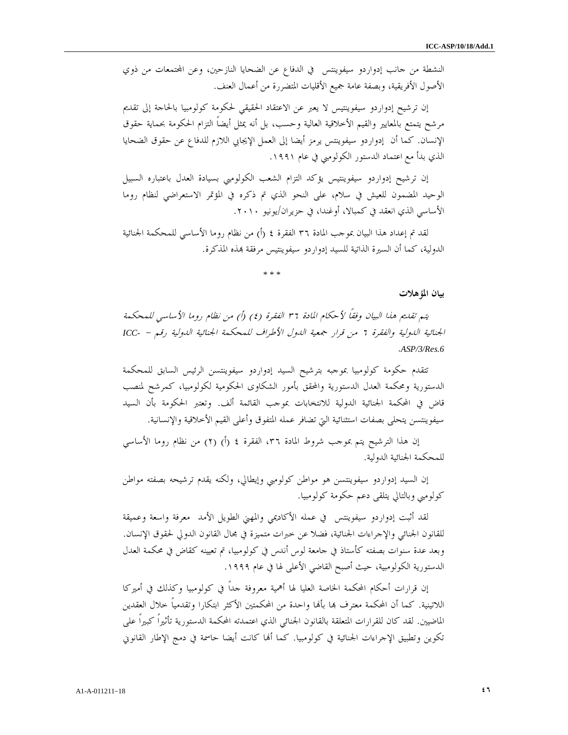النشطة من جانب إدواردو سيفوينتس في الدفاع عن الضحايا النازحين، وعن اتمعات من ذوي الأصول الأفريقية، وبصفة عامة جميع الأقليات المتضررة من أعمال العنف .

إن ترشيح إدواردو سيفوينتيس لا يعبر عن الاعتقاد الحقيقي لحكومة كولومبيا بالحاجة إلى تقديم مرشح يتمتع بالمعايير والقيم الأخلاقية العالية وحسب، بل أنه يمثل أيضاً التزام الحكومة بحماية حقوق الإنسان. كما أن إدواردو سيفوينتس يرمز أيضا إلى العمل الإيجابي اللازم للدفاع عن حقوق الضحايا الذي بدأ مع اعتماد الدستور الكولومبي في عام ١٩٩١ .

إن ترشيح إدواردو سيفوينتيس يؤكد التزام الشعب الكولومبي بسيادة العدل باعتباره السبيل الوحيد المضمون للعيش في سلام، على النحو الذي تم ذكره في المؤتمر الاستعراضي لنظام روما الأساسي الذي انعقد في كمبالا، أوغندا، في حزيران/يونيو ٢٠١٠ .

لقد تم إعداد هذا البيان بموجب المادة ٣٦ الفقرة ٤ (أ) من نظام روما الأساسي للمحكمة الجنائية الدولية، كما أن السيرة الذاتية للسيد إدواردو سيفوينتيس مرفقة بمذه المذكرة.

\* \* \*

#### بيان المؤهلات

يتم تقديم هذا البيان وفقاً لأحكام المادة ٣٦ الفقرة ٤( ) أ) ( من نظام روما الأساسي للمحكمة الجنائية الدولية والفقرة ٦ من قرار جمعية الدول الأطراف للمحكمة الجنائية الدولية رقم - *-ICC* . *ASP/3/Res.6*

تتقدم حكومة كولومبيا بموجبه بترشيح السيد إدواردو سيفوينتسن الرئيس السابق للمحكمة الدستورية ومحكمة العدل الدستورية والمحقق بأمور الشكاوى الحكومية لكولومبيا، كمرشح لمنصب قاض في المحكمة الجنائية الدولية للانتخابات بموجب القائمة ألف. وتعتبر الحكومة بأن السيد سيفوينتسن يتحلى بصفات استثنائية التي تضافر عمله المتفوق وأعلى القيم الأخلاقية والإنسانية .

إن هذا الترشيح يتم بموجب شروط المادة ٣٦، الفقرة ٤ (أ) (٢) من نظام روما الأساسي للمحكمة الجنائية الدولية .

إن السيد إدواردو سيفوينتسن هو مواطن كولومبي وإيطالي، ولكنه يقدم ترشيحه بصفته مواطن كولومبي وبالتالي يتلقى دعم حكومة كولومبيا .

لقد أثبت إدواردو سيفوينتس في عمله الأكاديمي والمهني الطويل الأمد معرفة واسعة وعميقة للقانون الجنائي والإجراءات الجنائية، فضلا عن خبرات متميزة في مجال القانون الدولي لحقوق الإنسان. وبعد عدة سنوات بصفته كأستاذ في جامعة لوس أندس في كولومبيا، تم تعيينه كقاض في محكمة العدل الدستورية الكولومبية، حيث أصبح القاضي الأعلى لها في عام ١٩٩٩ .

إن قرارات أحكام المحكمة الخاصة العليا لها أهمية معروفة جداً في كولومبيا وكذلك في أميركا اللاتينية. كما أن المحكمة معترف هما بألها واحدة من المحكمتين الأكثر ابتكارا وتقدمياً خلال العقدين الماضيين. لقد كان للقرارات المتعلقة بالقانون الجنائي الذي اعتمدته المحكمة الدستورية تأثيراً كبيراً على تكوين وتطبيق الإجراءات الجنائية في كولومبيا. كما ألها كانت أيضا حاسمة في دمج الإطار القانوني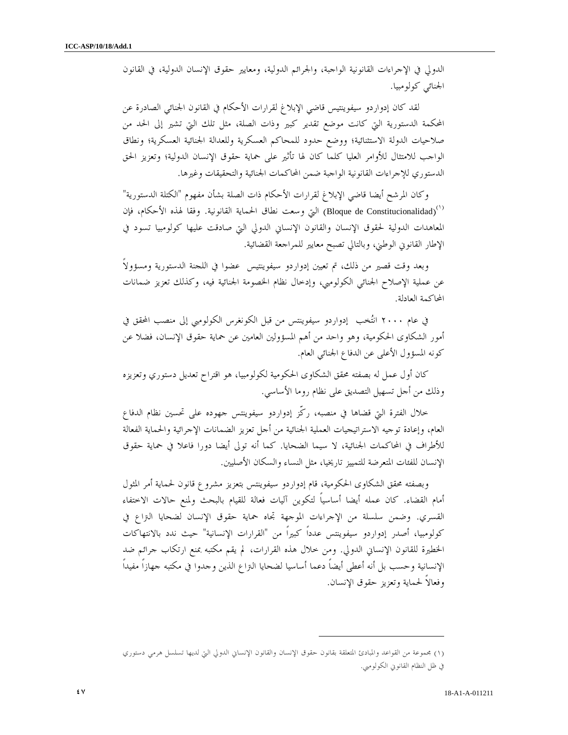الدولي في الإجراءات القانونية الواجبة، والجرائم الدولية، ومعايير حقوق الإنسان الدولية، في القانون الجنائي كولومبيا .

 لقد كان إدواردو سيفوينتيس قاضي الإبلاغ لقرارات الأحكام في القانون الجنائي الصادرة عن المحكمة الدستورية التي كانت موضع تقدير كبير وذات الصلة، مثل تلك التي تشير إلى الحد من صلاحيات الدولة الاستثنائية؛ ووضع حدود للمحاكم العسكرية وللعدالة الجنائية العسكرية؛ ونطاق الواجب للامتثال للأوامر العليا كلما كان لها تأثير على حماية حقوق الإنسان الدولية؛ وتعزيز الحق الدستوري للإجراءات القانونية الواجبة ضمن المحاكمات الجنائية والتحقيقات وغيرها .

وكان المرشح أيضا قاضي الإبلاغ لقرارات الأحكام ذات الصلة بشأن مفهوم "الكتلة الدستورية" ا) (Bloque de Constitucionalidad) التي وسعت نطاق الحماية القانونية. وفقا لهذه الأحكام، فإن المعاهدات الدولية لحقوق الإنسان والقانون الإنساني الدولي التي صادقت عليها كولومبيا تسود في الإطار القانوني الوطني، وبالتالي تصبح معايير للمراجعة القضائية .

وبعد وقت قصير من ذلك، تم تعيين إدواردو سيفوينتيس عضوا في اللجنة الدستورية ومسؤولاً عن عملية الإصلاح الجنائي الكولومبي، وإدخال نظام الخصومة الجنائية فيه، وكذلك تعزيز ضمانات المحاكمة العادلة.

في عام ٢٠٠٠ انتخب إدواردو سيفوينتس من قبل الكونغرس الكولومبي إلى منصب المحقق في أمور الشكاوى الحكومية، وهو واحد من أهم المسؤولين العامين عن حماية حقوق الإنسان، فضلا عن كونه المسؤول الأعلى عن الدفاع الجنائي العام .

كان أول عمل له بصفته محقق الشكاوى الحكومية لكولومبيا، هو اقتراح تعديل دستوري وتعزيزه وذلك من أجل تسهيل التصديق على نظام روما الأساسي .

خلال الفترة التي قضاها في منصبه، ركّز إدواردو سيفوينتس جهوده على تحسين نظام الدفاع العام، وإعادة توجيه الاستراتيجيات العملية الجنائية من أجل تعزيز الضمانات الإجرائية والحماية الفعالة للأطراف في المحاكمات الجنائية، لا سيما الضحايا. كما أنه تولى أيضا دورا فاعلا في حماية حقوق الإنسان للفئات المتعرضة للتمييز تاريخيا، مثل النساء والسكان الأصليين .

وبصفته محقق الشكاوى الحكومية، قام إدواردو سيفوينتس بتعزيز مشروع قانون لحماية أمر المثول أمام القضاء. كان عمله أيضا أساسياً لتكوين آليات فعالة للقيام بالبحث ولمنع حالات الاختفاء القسري. وضمن سلسلة من الإجراءات الموجهة تجاه حماية حقوق الإنسان لضحايا التراع في كولومبيا، أصدر إدواردو سيفوينتس عدداً كبيراً من "القرارات الإنسانية" حيث ندد بالانتهاكات الخطيرة للقانون الإنساني الدولي. ومن خلال هذه القرارات، لم يقم مكتبه بمنع ارتكاب جرائم ضد الإنسانية وحسب بل أنه أعطى أيضاً دعما أساسيا لضحايا التراع الذين وجدوا في مكتبه جهازاً مفيداً وفعالاً لحماية وتعزيز حقوق الإنسان .

 $\overline{a}$ 

١( ) مجموعة من القواعد والمبادئ المتعلقة بقانون حقوق الإنسان والقانون الإنساني الدولي التي لديها تسلسل هرمي دستوري في ظل النظام القانوني الكولومبي.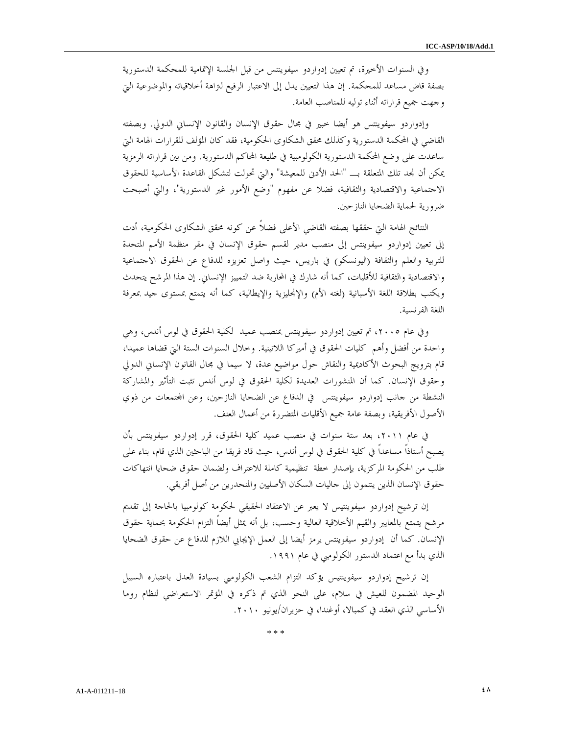وفي السنوات الأخيرة، تم تعيين إدواردو سيفوينتس من قبل الجلسة الإتمامية للمحكمة الدستورية بصفة قاض مساعد للمحكمة. إن هذا التعيين يدل إلى الاعتبار الرفيع لتراهة أخلاقياته والموضوعية التي وجهت جميع قراراته أثناء توليه للمناصب العامة .

وإدواردو سيفوينتس هو أيضا خبير في مجال حقوق الإنسان والقانون الإنساني الدولي. وبصفته القاضي في المحكمة الدستورية وكذلك محقق الشكاوى الحكومية، فقد كان المؤلف للقرارات الهامة التي ساعدت على وضع المحكمة الدستورية الكولومبية في طليعة المحاكم الدستورية. ومن بين قراراته الرمزية يمكن أن نجد تلك المتعلقة بـ "الحد الأدنى للمعيشة" والتي تحولت لتشكل القاعدة الأساسية للحقوق الاجتماعية والاقتصادية والثقافية، فضلا عن مفهوم "وضع الأمور غير الدستورية"، والتي أصبحت ضرورية لحماية الضحايا النازحين .

النتائج الهامة التي حققها بصفته القاضي الأعلى فضلاً عن كونه محقق الشكاوى الحكومية، أدت إلى تعيين إدواردو سيفوينتس إلى منصب مدير لقسم حقوق الإنسان في مقر منظمة الأمم المتحدة للتربية والعلم والثقافة (اليونسكو) في باريس، حيث واصل تعزيزه للدفاع عن الحقوق الاجتماعية والاقتصادية والثقافية للأقليات، كما أنه شارك في المحاربة ضد التمييز الإنساني. إن هذا المرشح يتحدث ويكتب بطلاقة اللغة الأسبانية (لغته الأم) والإنجليزية والإيطالية، كما أنه يتمتع بمستوى جيد بمعرفة اللغة الفرنسية .

وفي عام ،٢٠٠٥ تم تعيين إدواردو سيفوينتس بمنصب عميد لكلية الحقوق في لوس أندس، وهي واحدة من أفضل وأهم كليات الحقوق في أميركا اللاتينية. وخلال السنوات الستة التي قضاها عميدا، قام بترويج البحوث الأكاديمية والنقاش حول مواضيع عدة، لا سيما في مجال القانون الإنساني الدولي وحقوق الإنسان. كما أن المنشورات العديدة لكلية الحقوق في لوس أندس تثبت التأثير والمشاركة النشطة من جانب إدواردو سيفوينتس في الدفاع عن الضحايا النازحين، وعن اتمعات من ذوي الأصول الأفريقية، وبصفة عامة جميع الأقليات المتضررة من أعمال العنف .

في عام ،٢٠١١ بعد ستة سنوات في منصب عميد كلية الحقوق، قرر إدواردو سيفوينتس بأن يصبح أستاذاً مساعداً في كلية الحقوق في لوس أندس، حيث قاد فريقا من الباحثين الذي قام، بناء على طلب من الحكومة المركزية، بإصدار خطة تنظيمية كاملة للاعتراف ولضمان حقوق ضحايا انتهاكات حقوق الإنسان الذين ينتمون إلى جاليات السكان الأصليين والمنحدرين من أصل أفريقي .

إن ترشيح إدواردو سيفوينتيس لا يعبر عن الاعتقاد الحقيقي لحكومة كولومبيا بالحاجة إلى تقديم مرشح يتمتع بالمعايير والقيم الأخلاقية العالية وحسب، بل أنه يمثل أيضاً التزام الحكومة بحماية حقوق الإنسان. كما أن إدواردو سيفوينتس يرمز أيضا إلى العمل الإيجابي اللازم للدفاع عن حقوق الضحايا الذي بدأ مع اعتماد الدستور الكولومبي في عام ١٩٩١ .

إن ترشيح إدواردو سيفوينتيس يؤكد التزام الشعب الكولومبي بسيادة العدل باعتباره السبيل الوحيد المضمون للعيش في سلام، على النحو الذي تم ذكره في المؤتمر الاستعراضي لنظام روما الأساسي الذي انعقد في كمبالا، أوغندا، في حزيران/يونيو ٢٠١٠ .

\* \* \*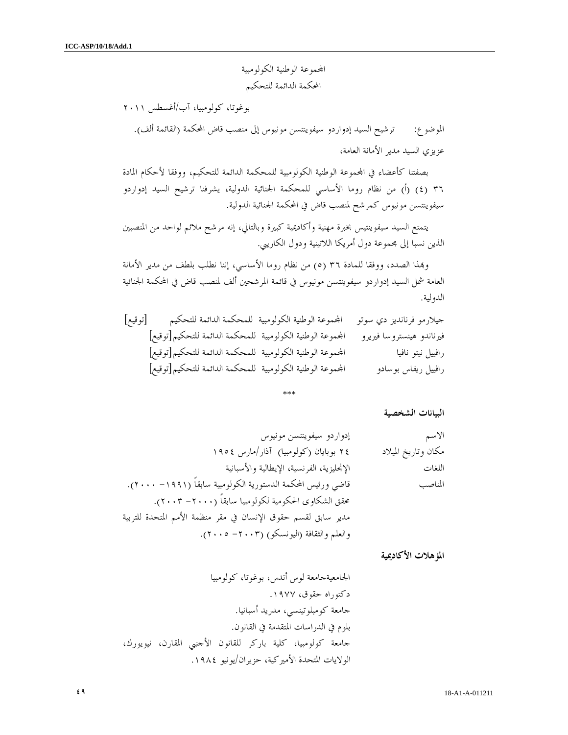اموعة الوطنية الكولومبية المحكمة الدائمة للتحكيم

بوغوتا، كولومبيا، آب/أغسطس ٢٠١١

الموضوع: ترشيح السيد إدواردو سيفوينتسن مونيوس إلى منصب قاض المحكمة (القائمة ألف). عزيزي السيد مدير الأمانة العامة،

بصفتنا كأعضاء في المحموعة الوطنية الكولومبية للمحكمة الدائمة للتحكيم، ووفقا لأحكام المادة ٣٦ (٤) (أ) من نظام روما الأساسي للمحكمة الجنائية الدولية، يشرفنا ترشيح السيد إدواردو سيفوينتسن مونيوس كمرشح لمنصب قاض في المحكمة الجنائية الدولية .

يتمتع السيد سيفوينتيس بخبرة مهنية وأكاديمية كبيرة وبالتالي، إنه مرشح ملائم لواحد من المنصبين الذين نسبا إلى مجموعة دول أمريكا اللاتينية ودول الكاريبي .

وذا الصدد، ووفقا للمادة ٣٦ ٥ ( ) من نظام روما الأساسي، إننا نطلب بلطف من مدير الأمانة العامة شمل السيد إدواردو سيفوينتسن مونيوس في قائمة المرشحين ألف لمنصب قاض في المحكمة الجنائية الدولية .

| [توقيع]<br>المحموعة الوطنية الكولومبية للمحكمة الدائمة للتحكيم | جيلارمو فرنانديز دي سوتو  |
|----------------------------------------------------------------|---------------------------|
| المحموعة الوطنية الكولومبية للمحكمة الدائمة للتحكيم[توقيع]     | فيرناندو هينستروسا فيريرو |
| المحموعة الوطنية الكولومبية للمحكمة الدائمة للتحكيم[توقيع]     | رافييل نيتو نافيا         |
| المحموعة الوطنية الكولومبية للمحكمة الدائمة للتحكيم [توقيع]    | رافييل ريفاس بوسادو       |

\*\*\*

البيانات الشخصية

| الاسم               | إدواردو سيفوينتسن مونيوس                                       |
|---------------------|----------------------------------------------------------------|
| مكان وتاريخ الميلاد | ۲٤ بوبایان (کولومبیا) آذار/مارس ١٩٥٤                           |
| اللغات              | الإنحليزية، الفرنسية، الإيطالية والأسبانية                     |
| المناصب             | قاضي ورئيس المحكمة الدستورية الكولومبية سابقاً (١٩٩١– ٢٠٠٠).   |
|                     | محقق الشكاوى الحكومية لكولومبيا سابقاً (٢٠٠٠– ٢٠٠٣).           |
|                     | مدير سابق لقسم حقوق الإنسان في مقر منظمة الأمم المتحدة للتربية |
|                     | والعلم والثقافة (اليونسكو) (٢٠٠٣ - ٢٠٠٥).                      |

المؤهلات الأكاديمية

الجامعيةجامعة لوس أندس، بوغوتا، كولومبيا دكتوراه حقوق، ١٩٧٧ . جامعة كومبلوتينسي، مدريد أسبانيا . بلوم في الدراسات المتقدمة في القانون . جامعة كولومبيا، كلية باركر للقانون الأجنبي المقارن، نيويورك، الولايات المتحدة الأميركية، حزيران/يونيو ١٩٨٤ .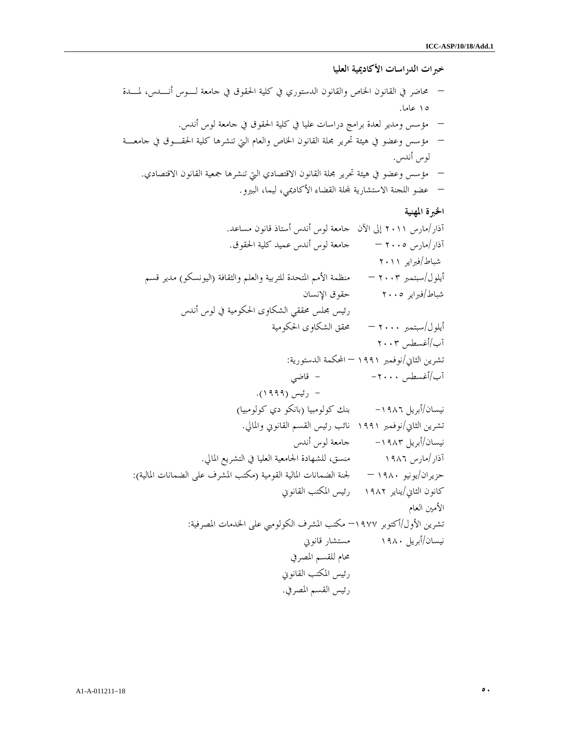خبرات الدراسات الأكاديمية العليا

– محاضر في القانون الخاص والقانون الدستوري في كلية الحقوق في جامعة لـوس أنـدس، لمـدة ١٥ عاما . – مؤسس ومدير لعدة برامج دراسات عليا في كلية الحقوق في جامعة لوس أندس . – مؤسس وعضو في هيئة تحرير مجلة القانون الخاص والعام التي تنشرها كلية الحقـوق في جامعـة لوس أندس . – مؤسس وعضو في هيئة تحرير مجلة القانون الاقتصادي التي تنشرها جمعية القانون الاقتصادي . – عضو اللجنة الاستشارية لة القضاء الأكاديمي، ليما، البيرو.

# الخبرة المهنية

آذار/مارس ٢٠١١ إلى الآن جامعة لوس أندس أستاذ قانون مساعد . آذار/مارس ٢٠٠٥ – جامعة لوس أندس عميد كلية الحقوق . شباط/فبراير ٢٠١١ أيلول/سبتمبر ٢٠٠٣ – منظمة الأمم المتحدة للتربية والعلم والثقافة (اليونسكو) مدير قسم شباط/فبراير ٢٠٠٥ حقوق الإنسان رئيس مجلس محققي الشكاوى الحكومية في لوس أندس أيلول/سبتمبر ٢٠٠٠ – محقق الشكاوى الحكومية /آب أغسطس ٢٠٠٣ تشرين الثاني/نوفمبر ١٩٩١ – المحكمة الدستورية : /آب أغسطس -٢٠٠٠ - قاضي - رئيس (١٩٩٩ ). نيسان/أبريل -١٩٨٦ بنك كولومبيا (بانكو دي كولومبيا ) تشرين الثاني/نوفمبر ١٩٩١ نائب رئيس القسم القانوني والمالي . نيسان/أبريل -١٩٨٣ جامعة لوس أندس آذار/مارس ١٩٨٦ منسق، للشهادة الجامعية العليا في التشريع المالي . حزيران/يونيو ١٩٨٠ – لجنة الضمانات المالية القومية (مكتب المشرف على الضمانات المالية ): كانون الثاني/يناير ١٩٨٢ رئيس المكتب القانوني الأمين العام تشرين الأول/أكتوبر ١٩٧٧ – مكتب المشرف الكولومبي على الخدمات المصرفية : نيسان/أبريل ١٩٨٠ مستشار قانوني محام للقسم المصرفي رئيس المكتب القانوني رئيس القسم المصرفي .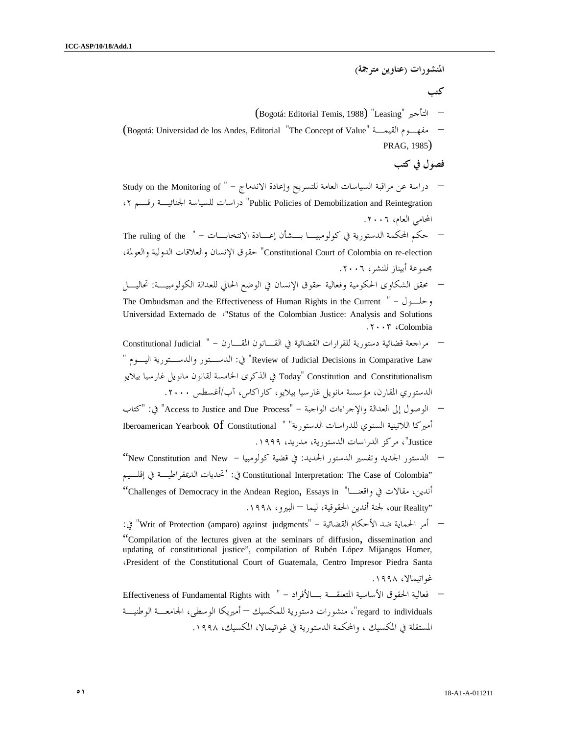- المنشورات (عناوين مترجمة ) كتب (Bogotá: Editorial Temis, 1988) "Leasing" التأجير– (Bogotá: Universidad de los Andes, Editorial "The Concept of Value" القيمـة مفهـوم– PRAG, 1985) فصول في كتب – دراسة عن مراقبة السياسات العامة للتسريح وإعادة الاندماج – " Study on the Monitoring of ،٢ رقـم الجنائيـة للسياسة دراسات" Public Policies of Demobilization and Reintegration المحامي العام، .٢٠٠٦ – حكم المحكمة الدستورية في كولومبيـا بـشأن إعـادة الانتخابـات - " the of ruling The ،والعولمة الدولية والعلاقات الإنسان حقوق" Constitutional Court of Colombia on re-election مجموعة أبيناز للنشر، .٢٠٠٦ – محقق الشكاوى الحكومية وفعالية حقوق الإنسان في الوضع الحالي للعدالة الكولومبيـة : تحاليـل The Ombudsman and the Effectiveness of Human Rights in the Current  $" - \bigcup_{n=1}^{\infty} P_n$ Universidad Externado de «"Status of the Colombian Justice: Analysis and Solutions .٢٠٠٣ ،Colombia – مراجعة قضائية دستورية للقرارات القضائية في القـانون المقـارن - " Judicial Constitutional " في: الدســـتور والدســتورية اليـــوم " Review of Judicial Decisions in Comparative Law Constitutionalism and Constitution" Today في الذكرى الخامسة لقانون مانويل غارسيا بيلايو الدستوري المقارن، مؤسسة مانويل غارسيا بيلايو، كاراكاس، آب/أغسطس .٢٠٠٠ – الوصول إلى العدالة والإجراءات الواجبة "- Process Due and Justice to Access في" : "كتاب أميركا اللاتينية السنوي للدراسات الدستورية" " Constitutional of Yearbook Iberoamerican Justice"، مركز الدراسات الدستورية، مدريد، .١٩٩٩ – الدستور الجديد وتفسير الدستور الجديد: في قضية كولومبيا - New and Constitution New" إقلـيم في الديمقراطيـة تحديات : "في Constitutional Interpretation: The Case of Colombia" "Challenges of Democracy in the Andean Region, Essays in " واقعنـا في مقالات ،أندين "Reality our، لجنة أندين الحقوقية، ليما – البيرو، .١٩٩٨ – أمر الحماية ضد الأحكام القضائية "- judgments against) amparo (Protection of Writ في" : "Compilation of the lectures given at the seminars of diffusion, dissemination and updating of constitutional justice", compilation of Rubén López Mijangos Homer, ،President of the Constitutional Court of Guatemala, Centro Impresor Piedra Santa غواتيمالا، .١٩٩٨
	- فعالية الحقوق الأساسية المتعلقـة بـالأفراد " with Rights Fundamental of Effectiveness regard to individuals"، منشورات دستورية للمكسيك — أميريكا الوسطى، الجامعـــة الوطنيـــة المستقلة في المكسيك ، والمحكمة الدستورية في غواتيمالا، المكسيك، .١٩٩٨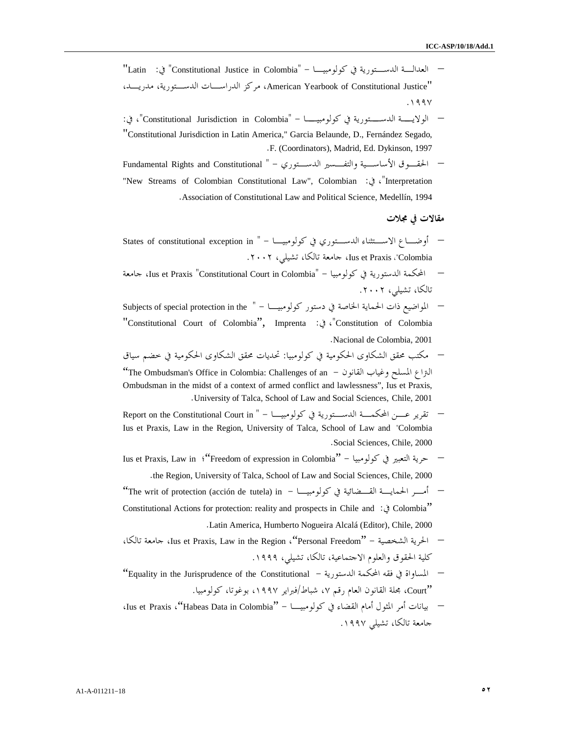- العدالـة الدسـتورية في كولومبيـا "- Colombia in Justice Constitutional في" : Latin" ،مدريـد ،الدسـتورية الدراسـات مركز ،American Yearbook of Constitutional Justice" .١٩٩٧
- الولايــة الدســتورية في كولومبيــا "Colombia in Jurisdiction Constitutional"، في: "Constitutional Jurisdiction in Latin America," Garcia Belaunde, D., Fernández Segado, .F. (Coordinators), Madrid, Ed. Dykinson, 1997
- الحقـوق الأساسـية والتفـسير الدسـتوري "- Constitutional and Rights Fundamental "New Streams of Colombian Constitutional Law", Colombian :في ،"Interpretation .Association of Constitutional Law and Political Science, Medellín, 1994

#### مقالات في مجلات

- أوضــــاع الاســــتثناء الدســـتوري في كولومبيــــا " States of constitutional exception in ـــ .٢٠٠٢ ،تشيلي ،تالكا جامعة ،Ius et Praxis " ، Colombia
- جامعة ،Ius et Praxis "Constitutional Court in Colombia -" كولومبيا في الدستورية المحكمة– تالكا، تشيلي، .٢٠٠٢
- المواضيع ذات الحماية الخاصة في دستور كولومبيـــا " Subjects of special protection in the "Constitutional Court of Colombia", Imprenta :في ،"Constitution of Colombia .Nacional de Colombia, 2001
- مكتب محقق الشكاوى الحكومية في كولومبيا : تحديات محقق الشكاوى الحكومية في خضم س ياق "The Ombudsman's Office in Colombia: Challenges of an - القانون وغياب المسلح التراع Ombudsman in the midst of a context of armed conflict and lawlessness", Ius et Praxis, .University of Talca, School of Law and Social Sciences, Chile, 2001
- تقرير عـــن المحكمـــة الدســـتورية في كولومبيــــا " Report on the Constitutional Court in Ius et Praxis, Law in the Region, University of Talca, School of Law and "Colombia .Social Sciences, Chile, 2000
- Ius et Praxis, Law in ؛"Freedom of expression in Colombia" كولومبيا في التعبير حرية– .the Region, University of Talca, School of Law and Social Sciences, Chile, 2000
- "The writ of protection (acción de tutela) in كولومبيـا في القـضائية الحمايـة أمـر– Constitutional Actions for protection: reality and prospects in Chile and :في Colombia" .Latin America, Humberto Nogueira Alcalá (Editor), Chile, 2000
- ،تالكا جامعة ،Ius et Praxis, Law in the Region ،"Personal Freedom" الشخصية الحرية– كلية الحقوق والعلوم الاجتماعية، تالكا، تشيلي، .١٩٩٩
- "Equality in the Jurisprudence of the Constitutional الدستورية المحكمة فقه في المساواة– "Court، مجلة القانون العام رقم ،٧ شباط/فبراير ،١٩٩٧ بوغوتا، كولومبيا.
- بيانات أمر المثول أمام القضاء في كولومبيـا "Colombia in Data Habeas"، Praxis et Ius، جامعة تالكا، تشيلي .١٩٩٧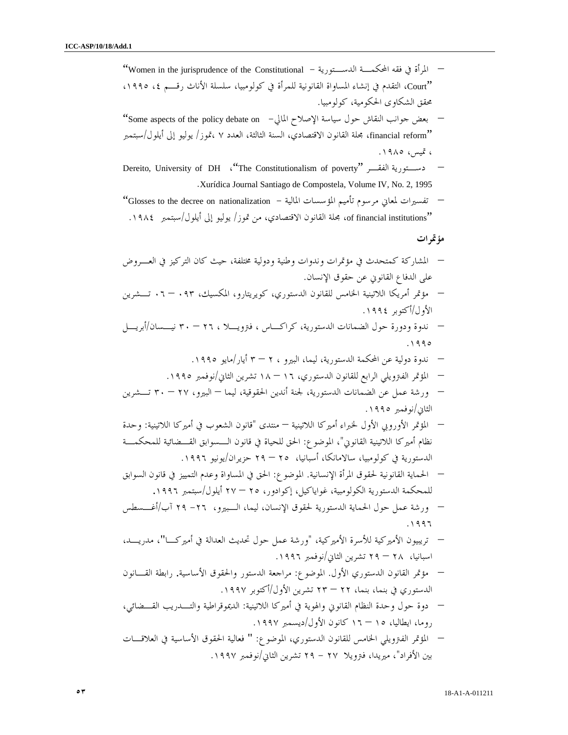"Women in the jurisprudence of the Constitutional - الدسـتورية المحكمـة فقه في المرأة– "Court، التقدم في إنشاء المساواة القانونية للمرأة في كولومبيا، سلسلة الأناث رقـم ،٤ ،١٩٩٥ محقق الشكاوى الحكومية، كولومبيا. – بعض جوانب النقاش حول سياسة الإصلاح المالي - on debate policy the of aspects Some" "reform financial، مجلة القانون الاقتصادي، السنة الثالثة، العدد ٧ ،تموز/ يوليو إلى أيلول/سبتمبر ، تميس، .١٩٨٥ Dereito, University of DH ،"The Constitutionalism of poverty" الفقـر دسـتورية– .Xurídica Journal Santiago de Compostela, Volume IV, No. 2, 1995 – تفسيرات لمعاني مرسوم تأميم المؤسسات المالية - nationalization on decree the to Glosses" "institutions financial of، مجلة القانون الاقتصادي، من تموز/ يوليو إلى أيلول/سبتمبر .١٩٨٤ مؤتمرات – المشاركة كمتحدث في مؤتمرات و ندوات وطنية ودولية مختلفة ، حيث كان التركيز في العـروض على الدفاع القانوني عن حقوق الإنسان. – مؤتمر أمريكا اللاتينية الخامس للقانون الدستوري، كويريتارو، المكسيك، ٠٩٣ – ٠٦ تـشرين الأول/أكتوبر .١٩٩٤ – ندوة ودورة حول الضمانات الدستورية، كراكـاس ، فترويـلا ، – ٢٦ ٣٠ نيـسان /أبريـل .١٩٩٥ – ندوة دولية عن المحكمة الدستورية، ليما، البيرو ، ٣ – ٢ أيار/ مايو .١٩٩٥ – المؤتمر الفترويلي الرابع للقانون الدستوري، – ١٦ ١٨ تشرين الثاني/نوفمبر .١٩٩٥ – ورشة عمل عن الضمانات الدستورية، لجنة أندين الحقوقية، ليما – البيرو، – ٢٧ ٣٠ تـشرين الثاني/نوفمبر .١٩٩٥ – المؤتمر الأوروبي الأول لخبراء أميركا اللاتينية – منتدى "قانون الشعوب في أميركا اللاتينية : وحدة نظام أميركا اللاتينية القانوني "، الموضوع : الحق للحياة في قانون الـسوابق القـضائية للمحكمـة الدستورية في كولومبيا، سالامانكا، أسبانيا، – ٢٥ ٢٩ حزيران/يونيو .١٩٩٦ – الحماية القانونية لحقوق المرأة الإنسانية. الموضوع: الحق في المساواة وعدم التمييز في قانون السوابق للمحكمة الدستورية الكولومبية، غواياكيل، إكوادور، – ٢٥ ٢٧ أيلول/سبتمبر ١٩٩٦ . – ورشة عمل حول الحماية الدستورية لحقوق الإنسان، ليما، الـبيرو، ٢٦- ٢٩ /آب أغـسطس .١٩٩٦ – تريبيون الأ ميركية للأسرة الأميركية، "ورشة عمل حول تحديث العدالة في أميركـا "، مدريـد، اسبانيا، – ٢٨ ٢٩ تشرين الثاني/نوفمبر .١٩٩٦ – مؤتمر القانون الدستوري الأول . الموضوع: مراجعة الدستور والحقوق الأساسية . رابطة القـانون الدستوري في بنما، بنما، – ٢٢ ٢٣ تشرين الأول/أكتوبر .١٩٩٧ – دوة حول وحدة النظام القانوني والهوية في أميركا اللاتينية : الديموقراطية والتـدريب القـضائي، روما، ايطاليا، – ١٥ ١٦ كانون الأول/ديسمبر .١٩٩٧ – المؤتمر الفترويلي الخامس للقانون الدستوري، الموضوع : " فعالية الحقوق الأساسية في العلاقـات بين الأفراد"، ميريدا، فترويلا - ٢٧ ٢٩ تشرين الثاني/نوفمبر .١٩٩٧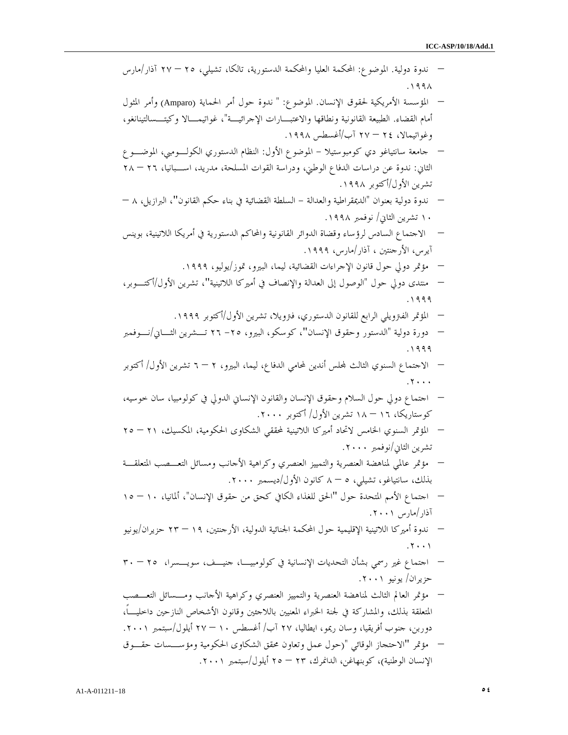– ندوة دولية . الموضوع: المحكمة العليا والمحكمة الدستورية، تالكا، تشيلي، – ٢٥ ٢٧ آذار /مارس .١٩٩٨ – المؤسسة الأمريكية لحقوق الإنسان . الموضوع: " ندوة حول أمر الحماية (Amparo و) أمر المثول أمام القضاء . الطبيعة القانونية ونطاقها والاعتبـارات الإجرائيـة "، غواتيمـالا وكيتـسالتينانغو، وغواتيمالا، – ٢٤ ٢٧ آب/أغسطس .١٩٩٨ – جامعة سانتياغو دي كومبوستيلا - الم وضوع الأول : النظام الدستوري الكولـومبي، الموضـوع الثاني: ندوة عن دراسات الدفاع الوطني، ودراسة القوات المسلحة، مدريد، اسـبانيا، – ٢٦ ٢٨ تشرين الأول/أكتوبر .١٩٩٨ – ندوة دولية بعنوان "الديمقراطية والعدالة - السلطة القضائية في بناء حكم القانون"، البرازيل، – ٨ ١٠ تشرين الثاني/ نوفمبر .١٩٩٨ – الاجتماع السادس لرؤساء وقضاة الدوائر القانونية والمحاكم الدستورية في أمريكا اللاتينية، بوينس آيرس، الأرجنتين ، آذار/مارس، .١٩٩٩ – مؤتمر دولي حول قانون الإجراءات القضائية، ليما، البيرو، تموز/يوليو، .١٩٩٩ – منتدى دولي حول "الوصول إلى العدالة والإنصاف في أميركا اللاتينية "، تشرين الأول /أكتـوبر، .١٩٩٩ – المؤتمر الفترويلي الرابع للقانون الدستوري، فترويلا، تشرين الأول/أكتوبر .١٩٩٩ – دورة د ولية "الدستور وحقوق الإنسان "، كوسكو، البيرو، ٢٥- ٢٦ تـشرين الثـاني /نـوفمبر .١٩٩٩ – الاجتماع السنوي الثالث لس أندين لمحامي الدفاع، ليما، البيرو، ٦ – ٢ تشرين الأول / أكتوبر .٢٠٠٠ – اجتماع دولي حول السلام وحقوق الإنسان والقانون الإنساني الدولي في كولومبيا، سان خوسيه، كوستاريكا، – ١٦ ١٨ تشرين الأول/ أكتوبر .٢٠٠٠ – المؤتمر السنوي الخامس لاتحاد أميركا اللاتينية لمحققي الشكاوى الحكومية، المكسيك، – ٢١ ٢٥ تشرين الثاني/نوفمبر .٢٠٠٠ – مؤتمر عالمي لمناهضة العنصرية والتمييز العنصري وكراهية الأجانب ومسائل التعـصب المتعلقـة بذلك، سانتياغو، تشيلي، ٨ – ٥ كانون الأول/ديسمبر .٢٠٠٠ – اجتماع الأمم المتحدة حول "الحق للغذاء الكافي كحق من حقوق الإنسان "، ألمانيا، – ١٠ ١٥ آذار/مارس .٢٠٠١ – ندوة أميركا اللاتينية الإقليمية حول المحكمة الجنائية الدولية، الأرجنتين، – ١٩ ٢٣ حزيران /يونيو .٢٠٠١ – اجتماع غير رسمي بشأن التحديات الإنسانية في كولومبيـا، جنيـف، سويـسرا، – ٢٥ ٣٠ حزيران/ يونيو .٢٠٠١ – مؤتمر العالم الثالث لمناهضة العنصرية والتمييز العنصري وكراهية الأجانب ومـسائل التعـصب المتعلقة بذلك، والمشاركة في لجنة الخبراء المعنيين باللاجئين وقانون الأشخاص النازح ين داخليـاً، دوربن، جنوب أفريقيا، وسان ريمو، ايطاليا، ٢٧ آب/ أغسطس – ١٠ ٢٧ أيلول/سبتمبر .٢٠٠١ – مؤتمر "الاحتجاز الوقائي (" حول عمل وتعاون محقق الشكاوى الحكومية ومؤسـسات حقـوق الإنسان الوطنية ك، ) وبنهاغن، الدانمرك، – ٢٣ ٢٥ أيلول/سبتمبر .٢٠٠١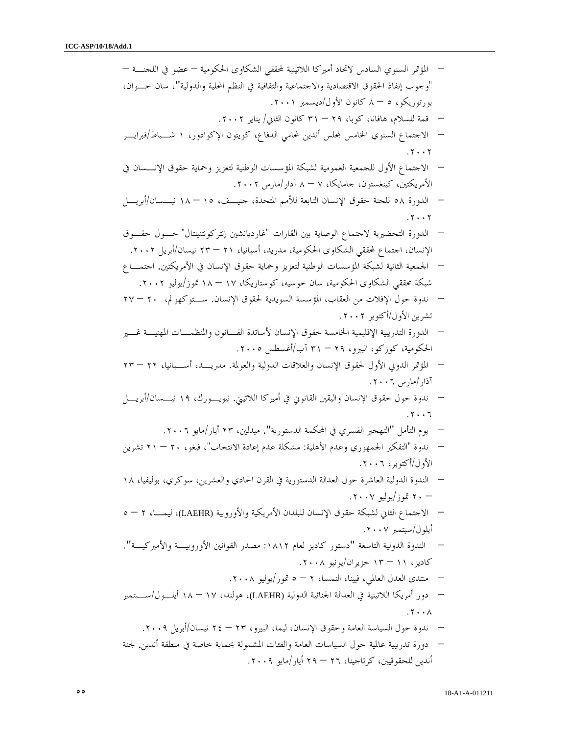– المؤتمر السنوي السادس لاتحاد أميركا اللاتينية لمحققي الشكاوى الحكومية – عضو في اللجنـة – "وجوب إنفاذ الحقوق الاقتصادية والاجتماعية والثقافية في النظم المحلية والدولية "، سان خـوان، بورتوريكو، ٨ – ٥ كانون الأول/ديسمبر .٢٠٠١ – قمة للسلام، هافانا، كوبا، – ٢٩ ٣١ كانون الثاني/ يناير .٢٠٠٢ – الاجتماع السنوي الخامس لس أندين لمحامي الدفاع، كويتون الإكوادور، ١ شـباط /فبرايـر .٢٠٠٢ – الاجتماع الأول للجمعية العمومية لشبكة المؤسسات الوطنية لتعزيز وحماية حقوق الإنـسان في الأمريكتين، كينغستون، جامايكا، ٨ – ٧ آذار/مارس .٢٠٠٢ – الدورة ٥٨ للجنة حقوق الإ نسان التابعة للأمم المتحدة، جنيـف، – ١٥ ١٨ نيـسان /أبريـل .٢٠٠٢ – الدورة التحضيرية لاجتماع الوصاية بين القارات "غارديانشين إنتركونتنينتال " حـول حقـوق الإنسان، اجتماع لمحققي الشكاوى الحكومية، مدريد ، أسبانيا، – ٢١ ٢٣ نيسان/أبريل .٢٠٠٢ – الجمعية الثانية لشبكة المؤسس ات الوطنية لتعزيز وحماية حقوق الإنسان في الأمريكتين . اجتمـاع شبكة محققي الشكاوى الحكومية، سان خوسيه، كوستاريكا، – ١٧ ١٨ تموز/يوليو .٢٠٠٢ – ندوة حول الإفلات من العقاب، المؤسسة السويدية لحقوق الإنسان . سـتوكهولم، – ٢٠ ٢٧ تشرين الأول/أكتوبر .٢٠٠٢ – الدورة التدريب ية الإقليمية الخامسة لحقوق الإنسان لأساتذة القـانون والمنظمـات المهنيـة غـير الحكومية، كوزكو، البيرو، – ٢٩ ٣١ آب/أغسطس .٢٠٠٥ – المؤتمر الدولي الأول لحقوق الإنسان والعلاقات الدولية والعولمة . مدريـد، أسـبانيا، – ٢٢ ٢٣ آذار/مارس .٢٠٠٦ – ندوة حول حقوق الإنسان واليقين القانوني في أميركا اللاتيني . نيويـورك، ١٩ نيـسان /أبريـل .٢٠٠٦ – يوم التأمل "التهجير القسري في المحكمة الدستورية". ميدلين، ٢٣ أيار/مايو .٢٠٠٦ – ندوة يرفكتال " الجمهوري وعدم الأهلي : ة مشكلة عدم إعادة الا نتخاب ، " فيغو، – ٢٠ ٢١ تشرين الأول/أكتوبر، .٢٠٠٦ – الندوة الدولية العاشرة حول العدالة الدستورية في القرن الحادي والعشرين، سوكري، بوليفيا، ١٨ – ٢٠ تموز/يوليو .٢٠٠٧ – الاجتماع الثاني لشبكة حقوق الإنسان للبلدان الأمريكية والأوروبي ة (LAEHR(، ليمـا، ٥ – ٢ أيلول/سبتمبر .٢٠٠٧ – الندوة الدولية التاسعة "دستور كاديز لعام :١٨١٢ مصدر القوانين الأوروبيـة والأميركيـة ". كاديز، – ١١ ١٣ حزيران/يونيو .٢٠٠٨ – منتدى العدل العالمي، فيينا، النمسا، ٥ – ٢ تموز/يوليو .٢٠٠٨ – دور أمريكا اللاتينية في العدالة الجنائية الدولية (LAEHR(، هولندا، – ١٧ ١٨ أيلـول /سـبتمبر .٢٠٠٨ – ندوة حول السياسة العامة وحقوق الإنسان، ليما، البيرو، – ٢٣ ٢٤ نيسان/أبريل .٢٠٠٩ – دورة تدريبية عالمية حول السياسات العامة والفئات المشمولة بحماية خاصة في منطقة أندين . لجنة

أندين للحقوقيين، كرتاجينا، – ٢٦ ٢٩ أيار/مايو .٢٠٠٩

٥٥ 18-A1-A-011211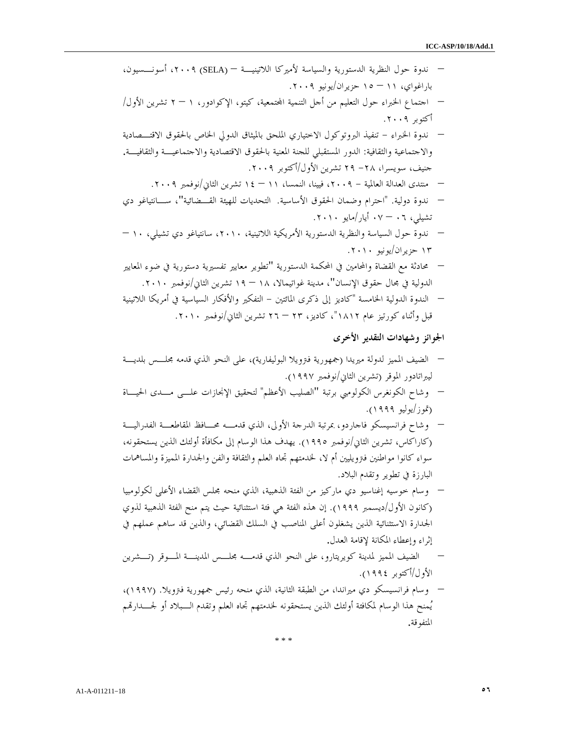– ندوة حول النظرية الدستورية والسياسة لأميركا اللاتينيـة – (SELA (،٢٠٠٩ أسونـسيون، باراغواي، – ١١ ١٥ حزيران/يونيو .٢٠٠٩ – اجتماع الخبراء حول التعليم من أجل التنمية اتمعية، كيتو، الإكوادور، ٢ – ١ تشرين الأول / أكتوبر .٢٠٠٩ – ندوة الخبراء - تنفيذ البروتوكول الاختياري الملحق بالميثاق الدولي الخاص بالحقوق الاقتـصادية والاجتماعية و الثقافية: الدور المستقبلي للجنة المعنية بالحقوق الاقتصادية والاجتماعيـة والثقافيـة . جنيف، سويسرا، ٢٨- ٢٩ تشرين الأول/أكتوبر .٢٠٠٩ – منتدى العدالة العالمية - ،٢٠٠٩ فيينا، النمسا، – ١١ ١٤ تشرين الثاني/نوفمبر .٢٠٠٩ – ندوة دولية . "احترام وضمان الحقوق الأساسية ال. تحديات للهيئة القـضائية "، سـانتياغو دي تشيلي، – ٠٦ ٠٧ أيار/مايو .٢٠١٠ – ندوة حول السياسة والنظرية الدستورية الأمريكية اللاتينية، ،٢٠١٠ سانتياغو دي تشيلي، – ١٠ ١٣ حزيران/يونيو .٢٠١٠ – محادثة مع القضاة والمحامين في المحكمة الدستورية "تطوير معايير تفسيرية دستورية في ضوء المعايير الدولية في مجال حقوق الإنسان"، مدينة غواتيمالا، – ١٨ ١٩ تشرين الثاني/نوفمبر .٢٠١٠ – الندوة الدولية الخامسة ادك" يز إلى ذكرى المائتين - يرفكت ال والأفكار السياسية في أمريكا اللاتينية قبل وأثناء كورتيز عام ١٨١٢"، كاديز، – ٢٣ ٢٦ تشرين الثاني/نوف مبر .٢٠١٠ الجوائز وشهادات التقدير الأخرى – الضيف المميز لدولة ميريدا جم ( هورية فترويلا البوليفاري )ة ، على النحو الذي قدمه مجلـس بلديـة ايبرل تادور الموقر (تشرين الثاني/نوفمبر ١٩٩٧). – وشاح الكونغرس الكولومبي برتبة "الصليب الأعظم" لتحقيق الإنجازات علـى مـدى الحيـاة تم( /وز يوليو ١٩٩٩).

- وشاح فرانسيسكو فاجارد و، بمرتبة الدرجة الأولى، الذي قدمـه محـافظ المقاطعـة الفدراليـة (كاراكاس، تشرين الثاني /نوفمبر ١٩٩٥). يهدف هذا الوسام إلى مكافأة أولئك الذين يستحقونه، سواء كانوا مواطنين فترويليين أم لا، لخدمتهم تجاه العلم والثقافة والفن والجدارة المميزة والمساهمات البارزة في تطوير وتقدم البلاد.
- وسام خوسيه إغناسيو دي ماركيز من الفئة الذهبية، الذي منحه مجلس القضاء الأعلى لكولومبيا (كانون الأول /ديسمبر ١٩٩٩). إن هذه الفئة هي فئة استثنائية حيث يتم منح الفئة الذهبية لذوي الجدارة الاستثنائية الذين يشغلون أعلى المناصب في السلك القضائي، والذين قد ساهم عملهم في إثراء وإعطاء المكانة لإقامة العدل .
- الضيف المميز لمدينة كويريتارو، على النحو الذي قدمـه مجلـس المدينـة المـوقر (تـشرين الأول/أكتوبر ١٩٩٤).
- وسام فرانسيسكو دي ميراندا، من الطبقة الثانية، الذي منحه رئيس جمهورية فترويلا. (١٩٩٧)، يُمنح هذا الوسام لمكافئة أولئك الذين يستحقونه لخدمتهم تجاه العلم وتقدم الــبلاد أو لجـــدارتمم المتفوقة .

\* \* \*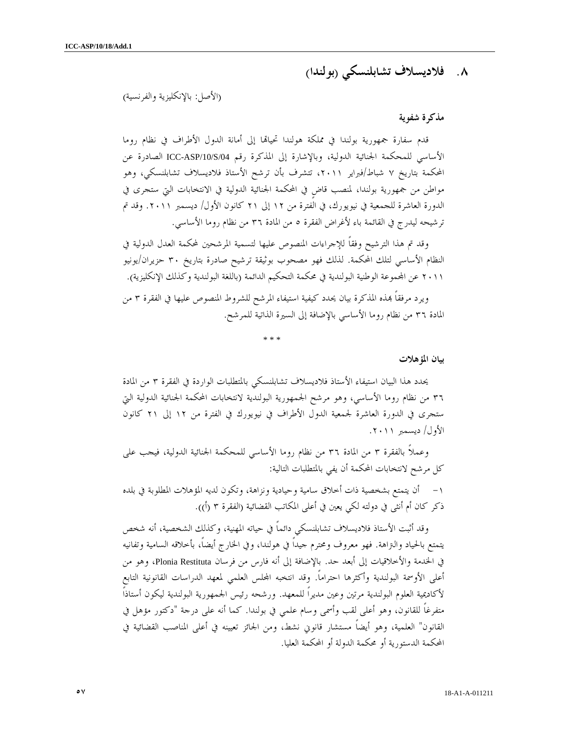# ٨. فلاديسلاف تشابلنسكي ب( ولندا )

(الأصل: بالإنكليزية والفرنسية)

#### مذكرة شفوية

قدم سفارة جمهورية بولندا في مملكة هولندا تحيالها إلى أمانة الدول الأطراف في نظام روما الأساسي للمحكمة الجنائية الدولية، وبالإشارة إلى المذكرة رقم /04S/10/ASP-ICC الصادرة عن المحكمة بتاريخ ٧ شباط/فبراير ٢٠١١ ، تتشرف بأن ترشح الأستاذ فلاديسلاف تشابلنسكي، وهو مواطن من جمهورية بولندا، لمنصب قاضٍ في المحكمة الجنائية الدولية في الانتخابات التي ستجرى في الدورة العاشرة للجمعية في نيويورك، في الفترة من ١٢ إلى ٢١ كانون الأول/ ديسمبر ٢٠١١. وقد تم ترشيحه ليدرج في القائمة باء لأغراض الفقرة ٥ من المادة ٣٦ من نظام روما الأساسي.

وقد تم هذا الترشيح وفقاً للإجراءات المنصوص عليها لتسمية المرشحين لمحكمة العدل الدولية في النظام الأساسي لتلك المحكمة. لذلك فهو مصحوب بوثيقة ترشيح صادرة بتاريخ ٣٠ حزيران/يونيو ٢٠١١ عن المحموعة الوطنية البولندية في محكمة التحكيم الدائمة (باللغة البولندية وكذلك الإنكليزية).

ويرد مرفقاً بمذه المذكرة بيان يحدد كيفية استيفاء المرشح للشروط المنصوص عليها في الفقرة ٣ من المادة من ٣٦ نظام روما الأساسي بالإضافة إلى السيرة الذاتية للمرشح.

\* \* \*

بيان المؤهلات

يحدد هذا البيان استيفاء الأستاذ فلاديسلاف تشابلنسكي بالمتطلبات الواردة في الفقرة ٣ من المادة ٣٦ من نظام روما الأساسي، وهو مرشح الجمهورية البولندية لانتخابات المحكمة الجنائية الدولية التي ستجرى في الدورة العاشرة لجمعية الدول الأطراف في نيويورك في الفترة من ١٢ إلى ٢١ كانون الأول/ ديسمبر ٢٠١١ .

وعملاً بالفقرة ٣ من المادة ٣٦ من نظام روما الأساسي للمحكمة الجنائية الدولية، فيجب على كل مرشح لانتخابات المحكمة أن يفي بالمتطلبات التالية :

١- أن يتمتع بشخصية ذات أخلاق سامية وحيادية ونزاهة، وتكون لديه المؤهلات المطلوبة في بلده ذكر كان أم أنثى في دولته لكي يعين في أعلى المكاتب القضائية (الفقرة ٣ (أ)).

وقد أثبت الأستاذ فلاديسلاف تشابلنسكي دائماً في حياته المهنية، وكذلك الشخصية، أنه شخص يتمتع بالحياد والتراهة. فهو معروف ومحترم جيداً في هولندا، وفي الخارج أيضاً، بأخلاقه السامية وتفانيه في الخدمة والأخلاقيات إلى أبعد حد. بالإضافة إلى أنه فارس من فرسان Restituta Plonia، وهو من أعلى الأوسمة البولندية وأكثرها احتراماً. وقد انتخبه الس العلمي لمعهد الدراسات القانونية التابع لأكاديمية العلوم البولندية مرتين وعين مديراً للمعهد. ورشحه رئيس الجمهورية البولندية ليكون أستاذاً متفرغاً للقانون، وهو أعلى لقب وأسمى وسام علمي في بولندا. كما أنه على درجة "دكتور مؤهل في القانون" العلمية، وهو أيضاً مستشار قانوني نشط، ومن الجائز تعيينه في أعلى المناصب القضائية في المحكمة الدستورية أو محكمة الدولة أو المحكمة العليا .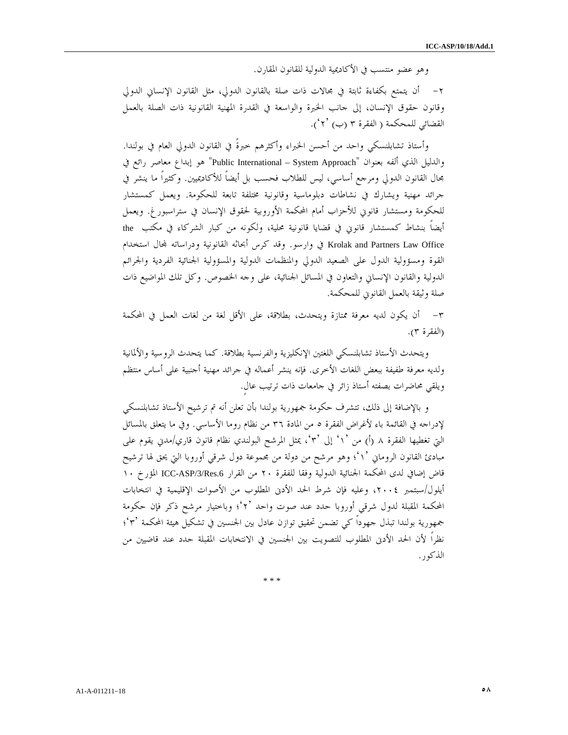وهو عضو منتسب في الأكاديمية الدولية للقانون المقارن .

٢- أن يتمتع بكفاءة ثابتة في مجالات ذات صلة بالقانون الدولي، مثل القانون الإنساني الدولي وقانون حقوق الإنسان، إلى جانب الخبرة والواسعة في القدرة المهنية القانونية ذات الصلة بالعمل القضائي للمحكمة ( الفقرة ٣ (ب) ٢ ْ٢).

وأستاذ تشابلنسكي واحد من أحسن الخبراء وأكثرهم خبرةً في القانون الدولي العام في بولندا. والدليل الذي ألفه بعنوان "Public International – System Approach" هو إبداع معاصر رائع في مجال القانون الدولي ومرجع أساسي، ليس للطلاب فحسب بل أيضاً للأكاديميين. وكثيراً ما ينشر في جرائد مهنية ويشارك في نشاطات دبلوماسية وقانونية مختلفة تابعة للحكومة. ويعمل كمستشار للحكومة ومستشار قانوني للأحزاب أمام المحكمة الأوروبية لحقوق الإنسان في ستراسبورغ. ويعمل أيضاً بنشاط كمستشار قانوني في قضايا قانونية محلية، ولكونه من كبار الشركاء في مكتب the Krolak and Partners Law Office في وارسو. وقد كرس أبحاثه القانونية ودراساته لمحال استخدام القوة ومسؤولية الدول على الصعيد الدولي والمنظمات الدولية والمسؤولية الجنائية الفردية والجرائم الدولية والقانون الإنساني والتعاون في المسائل الجنائية، على وجه الخصوص. وكل تلك المواضيع ذات صلة وثيقة بالعمل القانوني للمحكمة .

٣- أن يكون لديه معرفة ممتازة ويتحدث، بطلاقة، على الأقل لغة من لغات العمل في المحكمة (الفقرة ٣ ).

ويتحدث الأستاذ تشابلنسكي اللغتين الإنكليزية والفرنسية بطلاقة. كما يتحدث الروسية والألمانية ولديه معرفة طفيفة ببعض اللغات الأخرى. فإنه ينشر أعماله في جرائد مهنية أجنبية على أساس منتظم ويلقي محاضرات بصفته أستاذ زائر في جامعات ذات ترتيب عالٍ .

و بالإضافة إلى ذلك، تتشرف حكومة جمهورية بولندا بأن تعلن أنه تم ترشيح الأستاذ تشابلنسكي لإدراجه في القائمة باء لأغراض الفقرة ٥ من المادة ٣٦ من نظام روما الأساسي. وفي ما يتعلق بالمسائل التي تغطيها الفقرة ٨ (أ) من `١' إلى `٣'، يمثل المرشح البولندي نظام قانون قاري/مدني يقوم على مبادئ القانون الروماني '١' ؛ وهو مرشح من دولة من مجموعة دول شرقي أوروبا التي يحق لها ترشيح قاض إضافي لدى المحكمة الجنائية الدولية وفقا للفقرة ٢٠ من القرار ICC-ASP/3/Res.6 المؤرخ ١٠ أيلول/سبتمبر ،٢٠٠٤ وعليه فإن شرط الحد الأدنى المطلوب من الأصوات الإقليمية في انتخابات المحكمة المقبلة لدول شرقي أوروبا حدد عند صوت واحد '٢' ؛ وباختيار مرشح ذكر فإن حكومة جمهورية بولندا تبذل جهوداً كي تضمن تحقيق توازن عادل بين الجنسين في تشكيل هيئة المحكمة ؛'٣' نظراً لأن الحد الأدنى المطلوب للتصويت بين الجنسين في الانتخابات المقبلة حدد عند قاضيين من الذكور .

\* \* \*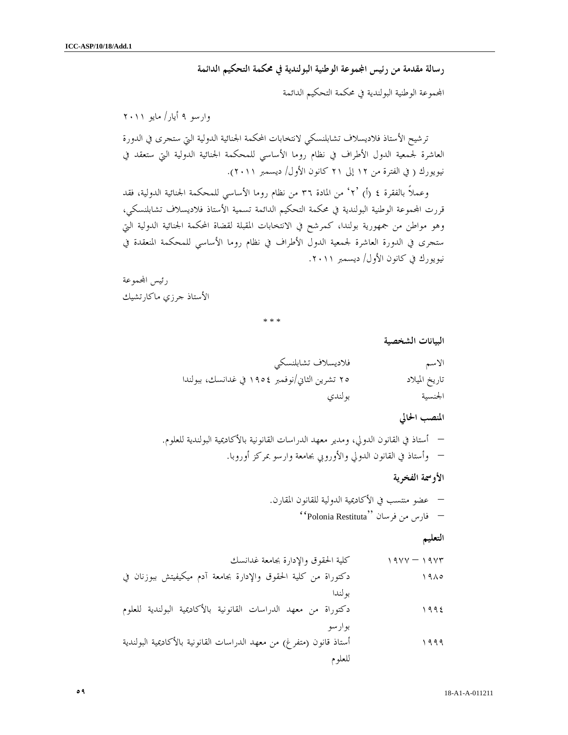رسالة مقدمة من رئيس المجوعة الوطنية البولندية في محكمة التحكيم الدائمة

اموعة الوطنية البولندية في محكمة التحكيم الدائمة

وارسو ٩ أيار/ مايو ٢٠١١

ترشيح الأستاذ فلاديسلاف تشابلنسكي لانتخابات المحكمة الجنائية الدولية التي ستجرى في الدورة العاشرة لجمعية الدول الأطراف في نظام روما الأساسي للمحكمة الجنائية الدولية التي ستعقد في نيويورك ( في الفترة من ١٢ إلى ٢١ كانون الأول/ ديسمبر ٢٠١١).

وعملاً بالفقرة ٤ (أ) ٢° من المادة ٣٦ من نظام روما الأساسي للمحكمة الجنائية الدولية، فقد قررت اموعة الوطنية البولندية في محكمة التحكيم الدائمة تسمية الأستاذ فلاديسلاف تشابلنسكي، وهو مواطن من جمهورية بولندا، كمرشح في الانتخابات المقبلة لقضاة المحكمة الجنائية الدولية التي ستجرى في الدورة العاشرة لجمعية الدول الأطراف في نظام روما الأساسي للمحكمة المنعقدة في نيويورك في كانون الأول/ ديسمبر ٢٠١١ .

رئيس المحموعة الأستاذ جرزي ماكارتشيك

\* \* \*

البيانات الشخصية

| فلاديسلاف تشابلنسكي                            | الاسم         |
|------------------------------------------------|---------------|
| ٢٥ تشرين الثاني/نوفمبر ١٩٥٤ في غدانسك، ببولندا | تاريخ الميلاد |
| بولندي                                         | الجنسية       |

#### المنصب الحالي

– أستاذ في القانون الدولي، ومدير معهد الدراسات القانونية بالأكاديمية البولندية للعلوم . – وأستاذ في القانون الدولي والأوروبي بجامعة وارسو بمركز أوروبا .

الأوسمة الفخرية

– عضو منتسب في الأكاديمية الدولية للقانون المقارن . – فارس من فرسان ''Restituta Polonia ''

التعليم

١٩٧٣ – ١٩٧٧ كلية الحقوق والإدارة بجامعة غدانسك ١٩٨٥ دكتوراة من كلية الحقوق والإدارة بجامعة آدم ميكيفيتش ببوزنان في بولندا ١٩٩٤ دكتوراة من معهد الدراسات القانونية بالأكاديمية البولندية للعلوم بوارسو ١٩٩٩ أستاذ قانون (متفرغ) من معهد الدراسات القانونية بالأكاديمية البولندية للعلوم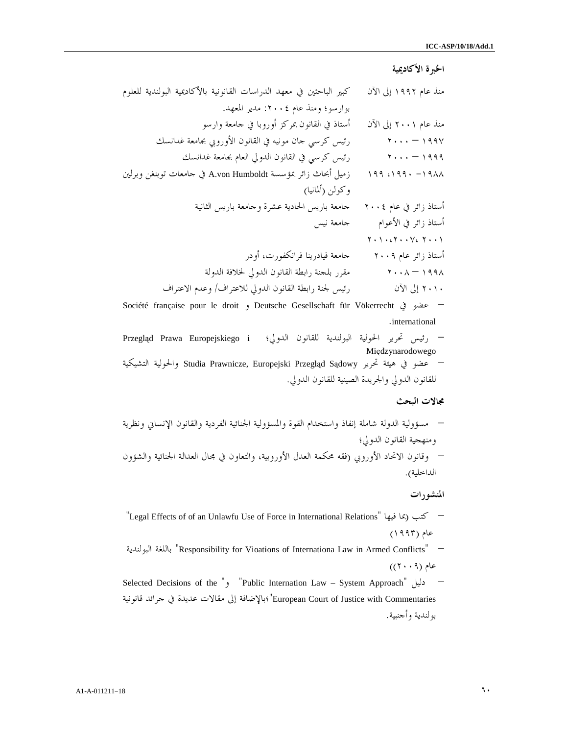#### الخبرة الأكاديمية

| منذ عام ۱۹۹۲ إلى الآن                                                                                                                                                | كبير الباحثين في معهد الدراسات القانونية بالأكاديمية البولندية للعلوم |
|----------------------------------------------------------------------------------------------------------------------------------------------------------------------|-----------------------------------------------------------------------|
|                                                                                                                                                                      | بوارسو؛ ومنذ عام ٢٠٠٤: مدير المعهد.                                   |
| منذ عام ۲۰۰۱ إلى الآن                                                                                                                                                | أستاذ في القانون بمركز أوروبا في حامعة وارسو                          |
| $\mathbf{y} \cdot \cdot \cdot - \mathbf{y} \cdot \mathbf{y}$                                                                                                         | رئيس كرسي حان مونيه في القانون الأوروبي بجامعة غدانسك                 |
| $\mathbf{y} \cdot \cdot \cdot$ $-$ 1999                                                                                                                              | رئيس كرسي في القانون الدولي العام بجامعة غدانسك                       |
| $199$ $0199$ $-191$                                                                                                                                                  | زميل أبحاث زائر بمؤسسة A.von Humboldt في حامعات توبنغن وبرلين         |
|                                                                                                                                                                      | وكولن (ألمانيا)                                                       |
| أستاذ زائر في عام ٢٠٠٤                                                                                                                                               | جامعة باريس الحادية عشرة وحامعة باريس الثانية                         |
| أستاذ زائر في الأعوام                                                                                                                                                | جامعة نيس                                                             |
| $\Upsilon \star \Upsilon \star \varepsilon \Upsilon \star \varepsilon \Upsilon \varepsilon \to \Upsilon \varepsilon \varepsilon \Upsilon \star \varepsilon \Upsilon$ |                                                                       |
| أستاذ زائر عام ۲۰۰۹                                                                                                                                                  | جامعة فيادرينا فرانكفورت، أودر                                        |
| $\gamma \cdot \lambda = \gamma$ 998                                                                                                                                  | مقرر بلحنة رابطة القانون الدولي لخلافة الدولة                         |
| ٢٠١٠ إلى الآن                                                                                                                                                        | رئيس لجنة رابطة القانون الدولي للاعتراف/ وعدم الاعتراف                |
|                                                                                                                                                                      |                                                                       |

Société française pour le droit و Deutsche Gesellschaft für Vökerrecht في عضو– . international

– رئيس تحرير الحولية البولندية للقانون الدولي ؛ i Europejskiego Prawa Przegląd Międzynarodowego – عضو في هيئة تحرير Sądowy Przegląd Europejski ,Prawnicze Studia والحولية التشيكية للقانون الدولي والجريدة الصينية للقانون الدولي .

#### مجالات البحث

– مسؤولية الدولة شاملة إنفاذ واستخدام القوة والمسؤولية الجنائية الفردية والقانون الإنساني ونظرية ومنهجية القانون الدولي؛ – وقانون الاتحاد الأوروبي (فقه محكمة العدل الأوروبية، والتعاون في مجال العدالة الجنائية والشؤون الداخلية .)

#### المنشورات

"Legal Effects of of an Unlawfu Use of Force in International Relations" فيها بما (كتب– عام (١٩٩٣)

البولندية باللغة" Responsibility for Vioations of Internationa Law in Armed Conflicts" – عام (٢٠٠٩))

Selected Decisions of the ", "Public Internation Law – System Approach" دليل – Commentaries with Justice of Court European"؛بالإضافة إلى مقالات عديدة في جرائد قانونية بولندية وأجنبية .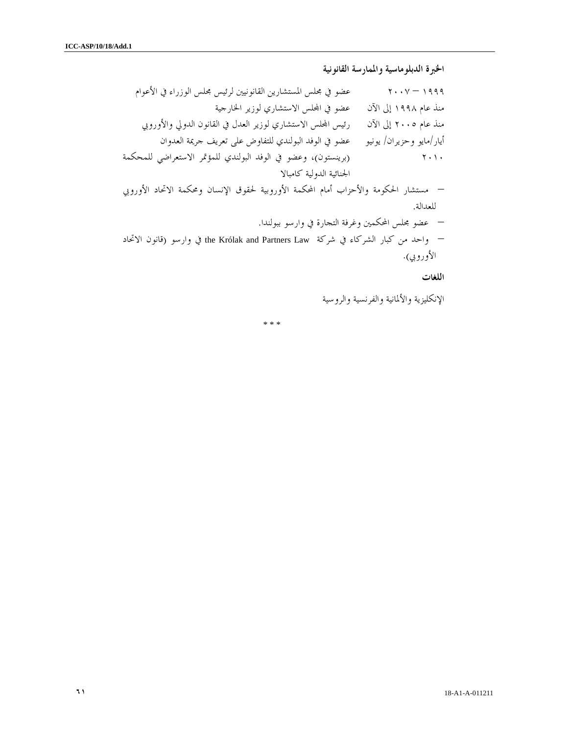الخبرة الدبلوماسية والممارسة القانونية

١٩٩٩ – ٢٠٠٧ عضو في مجلس المستشارين القانونيين لرئيس مجلس الوزراء في الأعوام منذ عام ١٩٩٨ إلى الآن عضو في الس الاستشاري لوزير الخارجية منذ عام ٢٠٠٥ إلى الآن رئيس الس الاستشاري لوزير العدل في القانون الدولي والأوروبي أيار/مايو وحزيران/ يونيو عضو في الوفد البولندي للتفاوض على تعريف جريمة العدوان ٢٠١٠ (برينستون)، وعضو في الوفد البولندي للمؤتمر الاستعراضي للمحكمة الجنائية الدولية كامبالا – مستشار الحكومة والأحزاب أمام المحكمة الأوروبية لحقوق الإنسان ومحكمة الاتحاد الأوروبي للعدالة . – عضو مجلس المحكمين وغرفة التجارة في وارسو ببولندا . – واحد من كبار الشركاء في شركة Law Partners and Królak the في وارسو (قانون الاتحاد الأوروبي .)

اللغات

الإنكليزية والألمانية والفرنسية والروسية

\* \* \*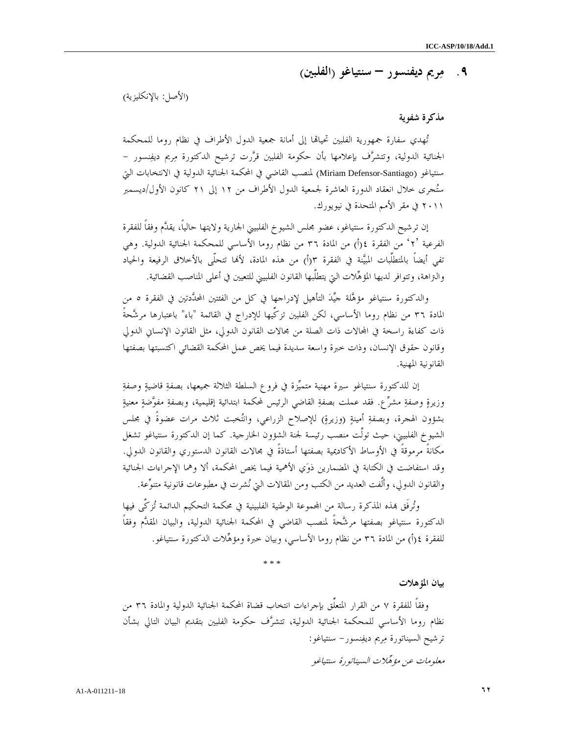# ٩. مريم ديفنسور – سنتياغو ( الفلبين )

(الأصل: بالإنكليزية )

#### مذكرة شفوية

تُهدي سفارة جمهورية الفلبين تحيالها إلى أمانة جمعية الدول الأطراف في نظام روما للمحكمة الجنائية الدولية، وتتشرف بإعلامها بأن حكومة الفلبين قررت ترشيح الدكتورة مريم ديفنسور - سنتياغو (Miriam Defensor-Santiago) لمنصب القاضي في المحكمة الجنائية الدولية في الانتخابات التي ستجرى خلال انعقاد الدورة العاشرة لجمعية الدول الأطراف من ١٢ إلى ٢١ كانون الأول/ديسمبر ٢٠١١ في مقر الأمم المتحدة في نيويورك .

إن ترشيح الدكتورة سنتياغو، عضو مجلس الشيوخ الفلبيني الجارية ولايتها حالياً، يقدم وفقاً للفقرة الفرعية ٢°، من الفقرة ٤(أ) من المادة ٣٦ من نظام روما الأساسي للمحكمة الجنائية الدولية. وهي تفي أيضاً بالمتطلَّبات المبيَّنة في الفقرة ٣(أ) من هذه المادة، لأها تتحلّى بالأخلاق الرفيعة والحياد والتراهة، وتتوافر لديها المؤهلات التي يتطلَّبها القانون الفلبيني للتعيين في أعلى المناصب القضائية .

والدكتورة سنتياغو مؤهلة جيد التأهيل لإدراجها في كل من الفئتين المحددتين في الفقرة ٥ من المادة ٣٦ من نظام روما الأساسي، لكن الفلبين تزكِّيها للإدراج في القائمة "باء" باعتبارها مرشَّحةً ذات كفاءة راسخة في المجالات ذات الصلة من مجالات القانون الدولي، مثل القانون الإنساني الدولي وقانون حقوق الإنسان، وذات خبرة واسعة سديدة فيما يخص عمل المحكمة القضائي اكتسبتها بصفتها القانونية المهنية .

 إن للدكتورة سنتياغو سيرة مهنية متميزة في فروع السلطة الثلاثة جميعها، بصفة قاضية وصفة وزيرة وصفة مشرع. فقد عملت بصفة القاضي الرئيس لمحكمة ابتدائية إقليمية، وبصفة مفوضة معنية بشؤون الهجرة، وبصفةِ أمينةٍ (وزيرةٍ) للإصلاح الزراعي، وانتُخبت ثلاث مرات عضوةً في مجلس الشيوخ الفلبيني، حيث تولَّت منصب رئيسة لجنة الشؤون الخارجية. كما إن الدكتورة سنتياغو تشغل مكانةً مرموقةً في الأوساط الأكاديمية بصفتها أستاذةً في مجالات القانون الدستوري والقانون الدولي. وقد استفاضت في الكتابة في المضمارين ذوي الأهمية فيما يخص المحكمة، ألا وهما الإجراءات الجنائية والقانون الدولي، وألَّفت العديد من الكتب ومن المقالات التي نشرت في مطبوعات قانونية متنوعة .

وتُرفَق هِذه المذكرة رسالة من المحموعة الوطنية الفلبينية في محكمة التحكيم الدائمة تُزكَّى فيها الدكتورة سنتياغو بصفتها مرشحةً لمنصب القاضي في المحكمة الجنائية الدولية، والبيان المقدم وفقاً للفقرة ٤(أ) من المادة ٣٦ من نظام روما الأساسي، وبيان خبرة ومؤهِّلات الدكتورة سنتياغو.

\* \* \*

بيان المؤهلات

وفقاً للفقرة ٧ من القرار المتعلِّق بإجراءات انتخاب قضاة المحكمة الجنائية الدولية والمادة ٣٦ من نظام روما الأساسي للمحكمة الجنائية الدولية، تتشرف حكومة الفلبين بتقديم البيان التالي بشأن ترشيح السيناتورة مريم ديفنسور- سنتياغو : معلومات عن مؤهلات السيناتورة سنتياغو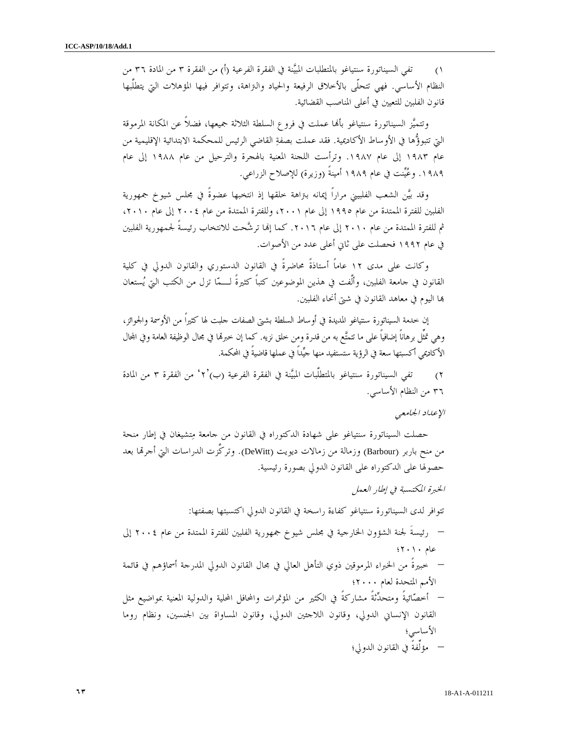١) تفي السيناتورة سنتياغو بالمتطلبات المبيَّنة في الفقرة الفرعية (أ) من الفقرة ٣ من المادة ٣٦ من النظام الأساسي. فهي تتحلّى بالأخلاق الرفيعة والحياد والتراهة، وتتوافر فيها المؤهلات التي يتطلَّبها قانون الفلبين للتعيين في أعلى المناصب القضائية.

وتتميَّز السيناتورة سنتياغو بألها عملت في فروع السلطة الثلاثة جميعها، فضلاً عن المكانة المرموقة التي تتبوؤها في الأوساط الأكاديمية. فقد عملت بصفة القاضي الرئيس للمحكمة الابتدائية الإقليمية من عام ١٩٨٣ إلى عام ١٩٨٧. وترأست اللجنة المعنية بالهجرة والترحيل من عام ١٩٨٨ إلى عام .١٩٨٩ وعينت في عام ١٩٨٩ أمينةً (وزيرة) للإصلاح الزراعي .

وقد بين الشعب الفلبيني مراراً إيمانه بتراهة خلقها إذ انتخبها عضوةً في مجلس شيوخ جمهورية الفلبين للفترة الممتدة من عام ١٩٩٥ إلى عام ،٢٠٠١ وللفترة الممتدة من عام ٢٠٠٤ إلى عام ،٢٠١٠ ثم للفترة الممتدة من عام ٢٠١٠ إلى عام .٢٠١٦ كما إا ترشحت للانتخاب رئيسةً لجمهورية الفلبين في عام ١٩٩٢ فحصلت على ثاني أعلى عدد من الأصوات .

وكانت على مدى ١٢ عاماً أستاذةً محاضرةً في القانون الدستوري والقانون الدولي في كلية القانون في جامعة الفلبين، وألَّفت في هذين الموضوعين كتباً كثيرةً لـما تزل من الكتب التي يستعان ا اليوم في معاهد القانون في شتى أنحاء الفلبين .

إن خدمة السيناتورة سنتياغو المديدة في أوساط السلطة بشتى الصفات جلبت لها كثيراً من الأوسمة والجوائز، وهي تمثِّل برهاناً إضافياً على ما تتمتَّع به من قدرة ومن خلق نزيه. كما إن خبرقما في مجال الوظيفة العامة وفي المحال الأكاديمي أكسبتها سعة في الرؤية ستستفيد منها جيداً في عملها قاضيةً في المحكمة .

)٢ تفي السيناتورة سنتياغو بالمتطلَّبات المبينة في الفقرة الفرعية ٢')ب( ' من الفقرة ٣ من المادة ٣٦ من النظام الأساسي.

#### الإعداد الجامعي

حصلت السيناتورة سنتياغو على شهادة الدكتوراه في القانون من جامعة متشيغان في إطار منحة من منح باربر (Barbour) وزمالة من زمالات ديويت (DeWitt). وتركَّزت الدراسات التي أجرتما بعد حصولها على الدكتوراه على القانون الدولي بصورة رئيسية .

الخبرة المكتسبة في إطار العمل تتوافر لدى السيناتورة سنتياغو كفاءة راسخة في القانون الدولي اكتسبتها بصفتها : – رئيسةَ لجنة الشؤون الخارجية في مجلس شيوخ جمهورية الفلبين للفترة الممتدة من عام ٢٠٠٤ إلى عام ٢٠١٠؛ – خبيرةً من الخبراء المرموقين ذوي التأهل العالي في مجال القانون الدولي المدرجة أسماؤهم في قائمة الأمم المتحدة لعام ٢٠٠٠؛ – أخصائيةً ومتحدثةً مشاركةً في الكثير من المؤتمرات والمحافل المحلية والدولية المعنية بمواضيع مثل القانون الإنساني الدولي، وقانون اللاجئين الدولي، وقانون المساواة بين الجنسين، ونظام روما الأساسي؛ – مؤلِّفةً في القانون الدولي؛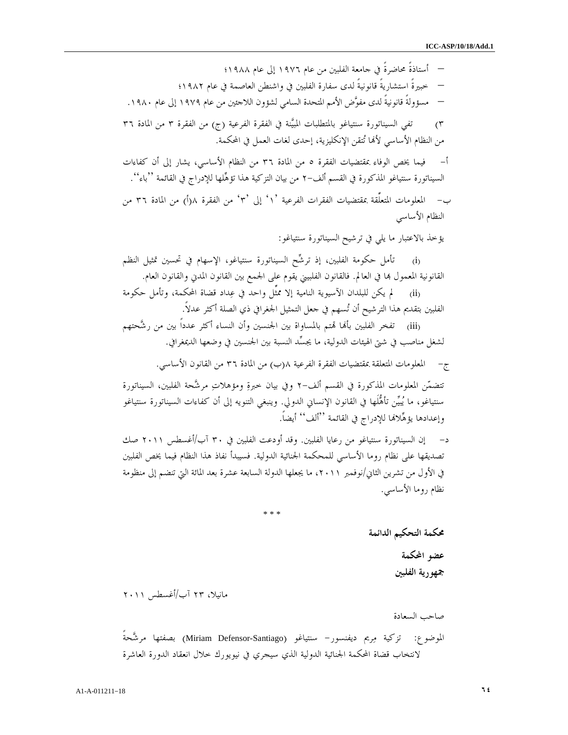– أستاذةً محاضرةً في جامعة الفلبين من عام ١٩٧٦ إلى عام ١٩٨٨؛ – خبيرةً استشاريةً قانونيةً لدى سفارة الفلبين في واشنطن العاصمة في عام ١٩٨٢؛ – مسؤولةً قانونيةً لدى مفوض الأمم المتحدة السامي لشؤون اللاجئين من عام ١٩٧٩ إلى عام .١٩٨٠ ٣) تفي السيناتورة سنتياغو بالمتطلبات المبيَّنة في الفقرة الفرعية (ج) من الفقرة ٣ من المادة ٣٦ من النظام الأساسي لألها تُتقن الإنكليزية، إحدى لغات العمل في المحكمة. - أ فيما يخص الوفاء بمقتضيات الفقرة ٥ من المادة ٣٦ من النظام الأساسي، يشار إلى أن كفاءات السيناتورة سنتياغو المذكورة في القسم ألف -٢ من بيان التزكية هذا تؤهلها للإدراج في القائمة .''باء'' - ب المعلومات المتعلِّقة بمقتضيات الفقرات الفرعية ١' ' إلى ٣' ' من الفقرة ) أ(٨ من المادة ٣٦ من النظام الأساسي

يؤخذ بالاعتبار ما يلي في ترشيح السيناتورة سنتياغو :

(i (تأمل حكومة الفلبين، إذ ترشح السيناتورة سنتياغو، الإسهام في تحسين تمثيل النظم القانونية المعمول ها في العالم. فالقانون الفلبيني يقوم على الجمع بين القانون المدني والقانون العام.

(ii (لم يكن للبلدان الآسيوية النامية إلا ممثِّل واحد في عداد قضاة المحكمة، وتأمل حكومة الفلبين بتقديم هذا الترشيح أن تسهم في جعل التمثيل الجغرافي ذي الصلة أكثر عدلاً.

(iii) تفخر الفلبين بألها تمتم بالمساواة بين الجنسين وأن النساء أكثر عدداً بين من رشَّحتهم لشغل مناصب في شتى الهيئات الدولية، ما يجسد النسبة بين الجنسين في وضعها الديمغرافي.

- ج المعلومات المتعلقة بمقتضيات الفقرة الفرعية ب(٨ ) من المادة ٣٦ من القانون الأساسي .

تتضمن المعلومات المذكورة في القسم ألف -٢ وفي بيان خبرة ومؤهلات مرشحة الفلبين، السيناتورة سنتياغو، ما يبين تأهلَها في القانون الإنساني الدولي. وينبغي التنويه إلى أن كفاءات السيناتورة سنتياغو وإعدادها يؤهِّلالها للإدراج في القائمة ''ألف'' أيضاً.

- د إن السيناتورة سنتياغو من رعايا الفلبين. وقد أودعت الفلبين في ٣٠ آب/أغسطس ٢٠١١ صك تصديقها على نظام روما الأساسي للمحكمة الجنائية الدولية. فسيبدأ نفاذ هذا النظام فيما يخص الفلبين في الأول من تشرين الثاني/نوفمبر ،٢٠١١ ما يجعلها الدولة السابعة عشرة بعد المائة التي تنضم إلى منظومة نظام روما الأساسي .

\* \* \*

محكمة التحكيم الدائمة عضو المحكمة جمهورية الفلبين

مانيلا، ٢٣ آب/أغسطس ٢٠١١

صاحب السعادة

الموضوع: تزكية مريم ديفنسور- سنتياغو (Santiago-Defensor Miriam (بصفتها مرشحةً لانتخاب قضاة المحكمة الجنائية الدولية الذي سيجري في نيويورك خلال انعقاد الدورة العاشرة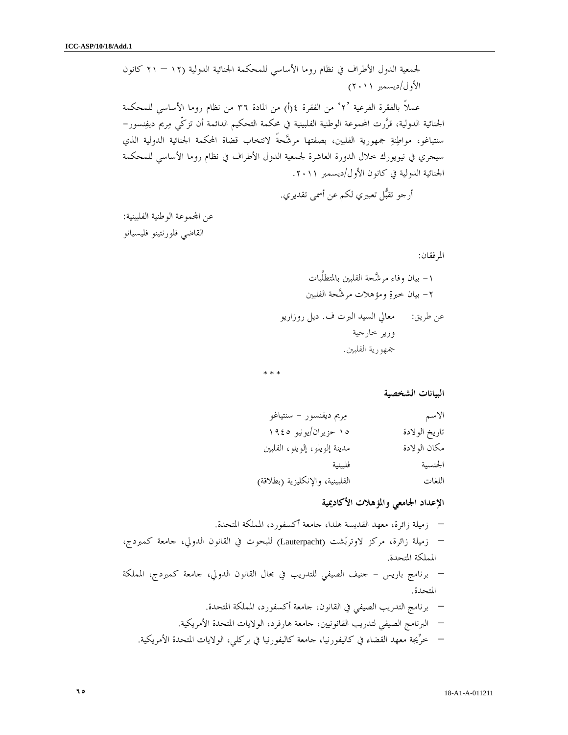لجمعية الدول الأطراف في نظام روما الأساسي للمحكمة الجنائية الدولية ( – ١٢ ٢١ كانون الأول/ديسمبر ٢٠١١ ) عملاً بالفقرة الفرعية ٢' ' من الفقرة ) أ(٤ من المادة ٣٦ من نظام روما الأساسي للمحكمة الجنائية الدولية، قررت اموعة الوطنية الفلبينية في محكمة التحكيم الدائمة أن تزكّي مريم ديفنسور - سنتياغو، مواطنة جمهورية الفلبين، بصفتها مرشحةً لانتخاب قضاة المحكمة الجنائية الدولية الذي سيجري في نيويورك خلال الدورة العاشرة لجمعية الدول الأطراف في نظام روما الأساسي للمحكمة الجنائية الدولية في كانون الأول/ديسمبر ٢٠١١ .

أرجو تقبل تعبيري لكم عن أسمى تقديري .

عن المحموعة الوطنية الفلبينية: القاضي فلورنتينو فليسيانو

المرفقان :

١- بيان وفاء مرشحة الفلبين بالمتطلَّبات ٢- بيان خبرة ومؤهلات مرشحة الفلبين عن طريق: معالي السيد البرت ف. ديل روزاريو وزير خارجية جمهورية الفلبين.

\* \* \*

البيانات الشخصية

| الاسم         | مِريم ديفنسور – سنتياغو         |
|---------------|---------------------------------|
| تاريخ الولادة | ١٥ حزيران/يونيو ١٩٤٥            |
| مكان الولادة  | مدينة إلويلو، إلويلو، الفلبين   |
| الجنسية       | فلبينية                         |
| اللغات        | الفلبينية، والإنكليزية (بطلاقة) |
|               |                                 |

# الإعداد الجامعي والمؤهلات الأكاديمية

– زميلة زائرة، معهد القديسة هلدا، جامعة أكسفورد، المملكة المتحدة . – زميلة زائرة، مركز لاوتربشت (Lauterpacht (للبحوث في القانون الدولي، جامعة كمبردج، المملكة المتحدة . – برنامج باريس - جنيف الصيفي للتدريب في مجال القانون الدولي، جامعة كمبردج، المملكة المتحدة . – برنامج التدريب الصيفي في القانون، جامعة أكسفورد، المملكة المتحدة . – البرنامج الصيفي لتدريب القانونيين، جامعة هارفرد، الولايات المتحدة الأمريكية . – خريجة معهد القضاء في كاليفورنيا، جامعة كاليفورنيا في بركلي، الولايات المتحدة الأمريكية .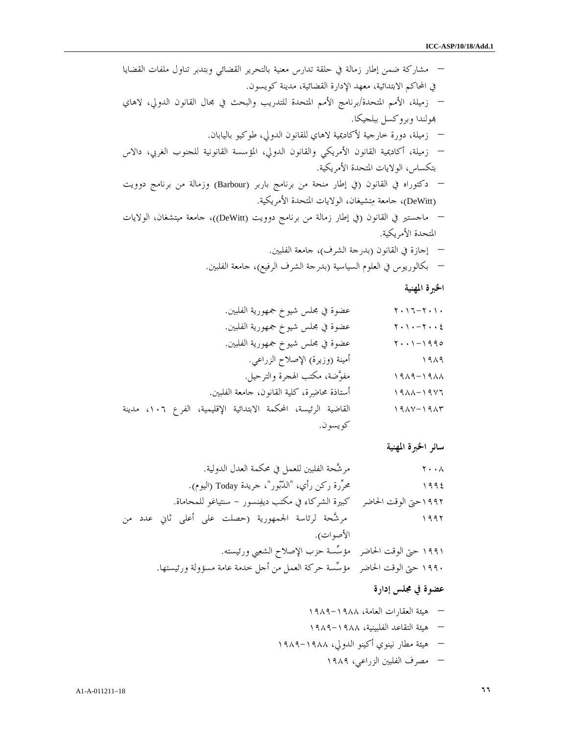– مشاركة ضمن إطار زمالة في حلقة تدارس معنية بالتحرير القضائي وبتدبر تناول ملفات القضايا في المحاكم الابتدائية، معهد الإدارة القضائية، مدينة كويسون . – زميلة، الأمم المتحدة/برنامج الأمم المتحدة للتدريب والبحث في مجال القانون الدولي، لاهاي ولندا وبروكسل ببلجيكا . – زميلة، دورة خارجية لأكاديمية لاهاي للقانون الدولي، طوكيو باليابان . – زميلة، أكاديمية القانون الأمريكي والقانون الدولي، المؤسسة القانونية للجنوب الغربي، دالاس بتكساس، الولايات المتحدة الأمريكية . – دكتوراه في القانون (في إطار منحة من برنامج باربر (Barbour (وزمالة من برنامج دوويت (DeWitt(، جامعة متشيغان، الولايات المتحدة الأمريكية . – ماجستير في القانون (في إطار زمالة من برنامج دوويت (DeWitt((، جامعة ميتشغان، الولايات المتحدة الأمريكية . – إجازة في القانون (بدرجة الشرف)، جامعة الفلبين . – بكالوريوس في العلوم السياسية (بدرجة الشرف الرفيع)، جامعة الفلبين . الخبرة المهنية ٢٠١٦-٢٠١٠ عضوة في مجلس شيوخ جمهورية الفلبين .

٢٠١٠-٢٠٠٤ عضوة في مجلس شيوخ جمهورية الفلبين . ٢٠٠١-١٩٩٥ عضوة في مجلس شيوخ جمهورية الفلبين . ١٩٨٩ أمينة (وزيرة) الإصلاح الزراعي . ١٩٨٩-١٩٨٨ مفوضة، مكتب الهجرة والترحيل . ١٩٨٨-١٩٧٦ أستاذة محاضرة، كلية القانون، جامعة الفلبين . ١٩٨٧-١٩٨٣ القاضية الرئيسة، المحكمة الابتدائية الإقليمية، الفرع ،١٠٦ مدينة كويسون .

سائر الخبرة المهنية

٢٠٠٨ مرشحة الفلبين للعمل في محكمة العدل الدولية . ١٩٩٤ محررة ركن رأي، "الدبور"، جريدة Today) اليوم ). ١٩٩٢حتى الوقت الحاضر كبيرة الشركاء في مكتب ديفنسور - سنتياغو للمحاماة . ١٩٩٢ مرشحة لرئاسة الجمهورية (حصلت على أعلى ثاني عدد من الأصوات ).

١٩٩١ حتى الوقت الحاضر مؤسسة حزب الإصلاح الشعبي ورئيسته . ١٩٩٠ حتى الوقت الحاضر مؤسسة حركة العمل من أجل خدمة عامة مسؤولة ورئيستها .

عضوة في مجلس إدارة

– هيئة العقارات العامة، ١٩٨٩-١٩٨٨ – هيئة التقاعد الفلبينية، ١٩٨٩-١٩٨٨ – هيئة مطار نينوي أكينو الدولي، ١٩٨٩-١٩٨٨ – مصرف الفلبين الزراعي، ١٩٨٩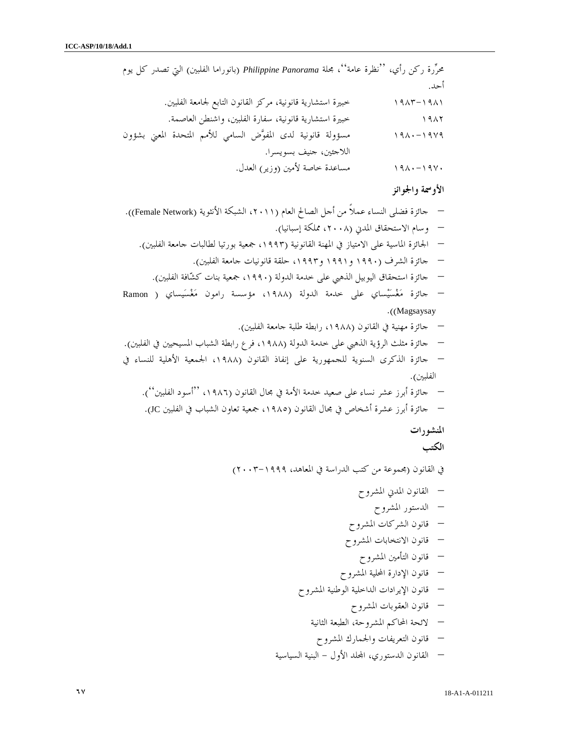محررة ركن رأي، ''نظرة عامة''، مجلة *Panorama Philippine*) بانوراما الفلبين) التي تصدر كل يوم أحد . ١٩٨١–١٩٨٣ خبيرة استشارية قانونية، مركز القانون التابع لجامعة الفلبين. ١٩٨٢ خبيرة استشارية قانونية، سفارة الفلبين، واشنطن العاصمة . ١٩٨٠-١٩٧٩ مسؤولة قانونية لدى المفوض السامي للأمم المتحدة المعني بشؤون اللاجئين، جنيف بسويسرا . ١٩٨٠-١٩٧٠ مساعدة خاصة لأمين (وزير) العدل . الأوسمة والجوائز

– جائزة فضلى النساء عملاً من أجل الصالح العام (،٢٠١١ الشبكة الأنثوية (Network Female .(( – وسام الاستحقاق المدني (،٢٠٠٨ مملكة إسبانيا .) – الجائزة الماسية على الامتياز في المهنة القانونية (،١٩٩٣ جمعية بورتيا لطالبات جامعة الفلبين .) – جائزة الشرف (١٩٩٠ و١٩٩١ و،١٩٩٣ حلقة قانونيات جامعة الفلبين .) – جائزة استحقاق اليوبيل الذهبي على خدمة الدولة (،١٩٩٠ جمعية بنات كشافة الفلبين .) – جائزة مغسيساي على خدمة الدولة (،١٩٨٨ مؤسسة رامون مغسيساي ( Ramon ((. Magsaysay – جائزة مهنية في القانون (،١٩٨٨ رابطة طلبة جامعة الفلبين .) – جائزة مثلث الرؤية الذهبي على خدمة الدولة (،١٩٨٨ فرع رابطة الشباب المسيحيين في الفلبين .) – جائزة الذكرى السنوية للجمهورية على إنفاذ القانون (،١٩٨٨ الجمعية الأهلية للنساء في الفلبين .) – جائزة أبرز عشر نساء على صعيد خدمة الأمة في مجال القانون (١٩٨٦ ''، أسود الفلبين .)'' – جائزة أبرز عشرة أشخاص في مجال القانون (،١٩٨٥ جمعية تعاون الشباب في الفلبين JC .( المنشورات الكتب في القانون (مجموعة من كتب الدراسة في المعاهد، ٢٠٠٣-١٩٩٩ ) – القانون المدني المشروح – الدستور المشروح – قانون الشركات المشروح – قانون الانتخابات المشروح – قانون التأمين المشروح – قانون الإدارة المحلية المشروح – قانون الإيرادات الداخلية الوطنية المشروح – قانون العقوبات المشروح – لائحة المحاكم المشروحة، الطبعة الثانية – قانون التعريفات والجمارك المشروح

– القانون الدستوري، الد الأول - البنية السياسية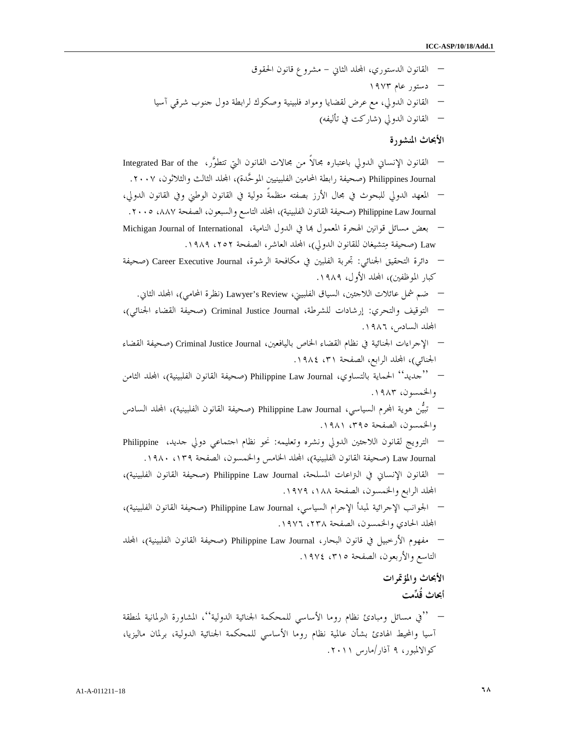– القانون الدستوري، الد الثاني - مشروع قانون الحقوق – دستور عام ١٩٧٣ – القانون الدولي، مع عرض لقضايا ومواد فلبينية وصكوك لرابطة دول جنوب شرقي آسيا – القانون الدولي (شاركت في تأليفه )

الأبحاث المنشورة

– القانون الإنساني الدولي باعتباره مجالاً من مجالات القانون التي تتطور، the of Bar Integrated Philippines Journal (صحيفة رابطة المحامين الفلبينيين الموحَّدة)، المحلد الثالث والثلاثون، ٢٠٠٧. – المعهد الدولي للبحوث في مجال الأرز بصفته منظمةً دولية في القانون الوطني وفي القانون الدولي، Philippine Law Journal (صحيفة القانون الفلبينية)، المحلد التاسع والسبعون، الصفحة ٨٨٧، ٢٠٠٥. – بعض مسائل قوانين الهجرة المعمول ا في الدول النامية، International of Journal Michigan Law) صحيفة متشيغان للقانون الدولي)، الد العاشر، الصفحة ،٢٥٢ ١٩٨٩ . – دائرة التحقيق الجنائي: تجربة الفلبين في مكافحة الرشوة، Journal Executive Career) صحيفة كبار الموظفين)، المجلد الأول، ١٩٨٩.

- ضم شمل عائلات اللاجئين، السياق الفلبيني، Review s'Lawyer) نظرة المحامي)، الد الثاني .
- التوقيف والتحري: إرشادات للشرطة، Journal Justice Criminal) صحيفة القضاء الجنائي ، ) الد السادس، ١٩٨٦ .
- الإجراءات الجنائية في نظام القضاء الخاص باليافعين، Journal Justice Criminal) صحيفة القضاء الجنائي)، المحلد الرابع، الصفحة ٣١، ١٩٨٤.
- ''جديد'' الحماية بالتساوي، Journal Law Philippine) صحيفة القانون الفلبينية)، الد الثامن والخمسون، ١٩٨٣ .
- تبين هوية ارم السياسي، Journal Law Philippine) صحيفة القانون الفلبينية)، الد السادس والخمسون، الصفحة ،٣٩٥ ١٩٨١ .
- الترويج لقانون اللاجئين الدولي ونشره وتعليمه: نحو نظام اجتماعي دولي جديد، Philippine Law Journal (صحيفة القانون الفلبينية)، المحلد الخامس والخمسون، الصفحة ١٣٩، ١٩٨٠.
- القانون الإنساني في التراعات المسلحة، Journal Law Philippine) صحيفة القانون الفلبينية ، ) الد الرابع والخمسون، الصفحة ،١٨٨ ١٩٧٩ .
- الجوانب الإجرائية لمبدأ الإجرام السياسي، Journal Law Philippine) صحيفة القانون الفلبينية ، ) الد الحادي والخمسون، الصفحة ،٢٣٨ ١٩٧٦ .
- مفهوم الأرخبيل في قانون البحار، Journal Law Philippine) صحيفة القانون الفلبينية)، الد التاسع والأربعون، الصفحة ٢١٥، ١٩٧٤.

الأبحاث والمؤتمرات أبحاث قُدمت

– ''في مسائل ومبادئ نظام روما الأساسي للمحكمة الجنائية الدولية''، المشاورة البرلمانية لمنطقة آسيا والمحيط الهادئ بشأن عالمية نظام روما الأساسي للمحكمة الجنائية الدولية، برلمان ماليزيا، كوالالمبور، ٩ آذار/مارس ٢٠١١ .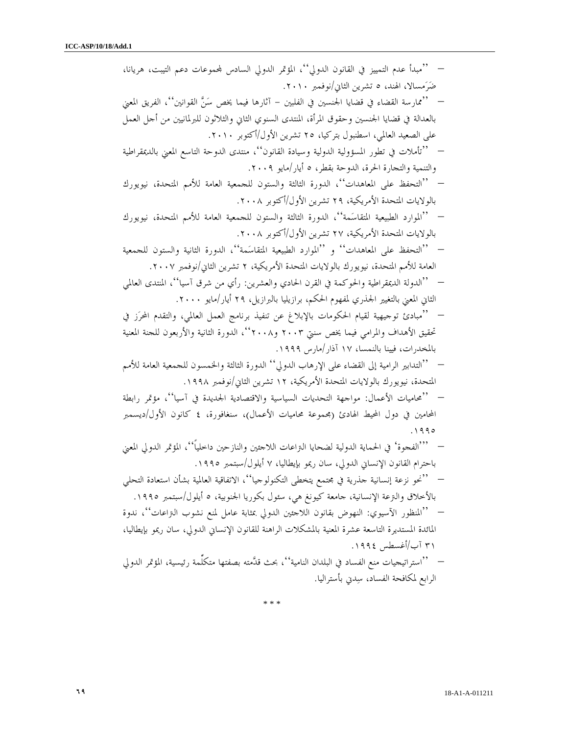| ''مبدأ عدم التمييز في القانون الدولي''، المؤتمر الدولي السادس لمجموعات دعم التيبت، هريانا،           |
|------------------------------------------------------------------------------------------------------|
| ضَرَمسالا، الهند، ٥ تشرين الثاني/نوفمبر ٢٠١٠.                                                        |
| ''ممارسة القضاء في قضايا الجنسين في الفلبين – آثارها فيما يخص سَنَّ القوانين''، الفريق المعني        |
| بالعدالة في قضايا الجنسين وحقوق المرأة، المنتدى السنوي الثاني والثلاثون للبرلمانيين من أحل العمل     |
| على الصعيد العالمي، اسطنبول بتركيا، ٢٥ تشرين الأول/أكتوبر ٢٠١٠.                                      |
| ''تأملات في تطور المسؤولية الدولية وسيادة القانون''، منتدى الدوحة التاسع المعني بالديمقراطية         |
| والتنمية والتجارة الحرة، الدوحة بقطر، ٥ أيار/مايو ٢٠٠٩.                                              |
| ''التحفظ على المعاهدات''، الدورة الثالثة والستون للجمعية العامة للأمم المتحدة، نيويورك               |
| بالولايات المتحدة الأمريكية، ٢٩ تشرين الأول/أكتوبر ٢٠٠٨.                                             |
| ''الموارد الطبيعية المتقاسَمة''، الدورة الثالثة والستون للجمعية العامة للأمم المتحدة، نيويورك        |
| بالولايات المتحدة الأمريكية، ٢٧ تشرين الأول/أكتوبر ٢٠٠٨.                                             |
| ''التحفظ على المعاهدات'' و ''الموارد الطبيعية المتقاسَمة''، الدورة الثانية والستون للحمعية           |
| العامة للأمم المتحدة، نيويورك بالولايات المتحدة الأمريكية، ٢ تشرين الثاني/نوفمبر ٢٠٠٧.               |
| ''الدولة الديمقراطية والحوكمة في القرن الحادي والعشرين: رأي من شرق آسيا''، المنتدى العالمي           |
| الثاني المعني بالتغيير الجحذري لمفهوم الحكم، برازيليا بالبرازيل، ٢٩ أيار/مايو ٢٠٠٠.                  |
| ''مبادئ توحيهية لقيام الحكومات بالإبلاغ عن تنفيذ برنامج العمل العالمي، والتقدم المحرَز في            |
| تحقيق الأهداف والمرامي فيما يخص سنتي ٢٠٠٣ و٢٠٠٨، الدورة الثانية والأربعون للجنة المعنية              |
| بالمخدرات، فيينا بالنمسا، ١٧ آذار/مارس ١٩٩٩.                                                         |
| ''التدابير الرامية إلى القضاء على الإرهاب الدولي'' الدورة الثالثة والخمسون للحمعية العامة للأمم      |
| المتحدة، نيويورك بالولايات المتحدة الأمريكية، ١٢ تشرين الثاني/نوفمبر ١٩٩٨.                           |
| ''محاميات الأعمال: مواحهة التحديات السياسية والاقتصادية الجديدة في آسيا''، مؤتمر رابطة               |
| المحامين في دول المحيط الهادئ (بحموعة محاميات الأعمال)، سنغافورة، ٤ كانون الأول/ديسمبر               |
| 990                                                                                                  |
| '''الفحوة' في الحماية الدولية لضحايا النزاعات اللاحئين والنازحين داخلياً''، المؤتمر الدولي المعني    |
| باحترام القانون الإنساني الدولي، سان ريمو بإيطاليا، ٧ أيلول/سبتمبر ١٩٩٥.                             |
| ''نحو نزعة إنسانية حذرية في مجتمع يتخطى التكنولوجيا''، الاتفاقية العالمية بشأن استعادة التحلي        |
| بالأخلاق والنزعة الإنسانية، حامعة كيونغ هي، سئول بكوريا الجنوبية، ٥ أيلول/سبتمبر ١٩٩٥.               |
| —   ''المنظور الآسيوي: النهوض بقانون اللاحئين الدولي بمثابة عامل لمنع نشوب التراعات''، ندوة          |
| المائدة المستديرة التاسعة عشرة المعنية بالمشكلات الراهنة للقانون الإنساني الدولي، سان ريمو بإيطاليا، |
| ۳۱ آب/أغسطس ۱۹۹٤.                                                                                    |
| —  ''استراتيجيات منع الفساد في البلدان النامية''، بحث قدَّمته بصفتها متكلَّمة رئيسية، المؤتمر الدولي |
| الرابع لمكافحة الفساد، سِدني بأستراليا.                                                              |
| * * *                                                                                                |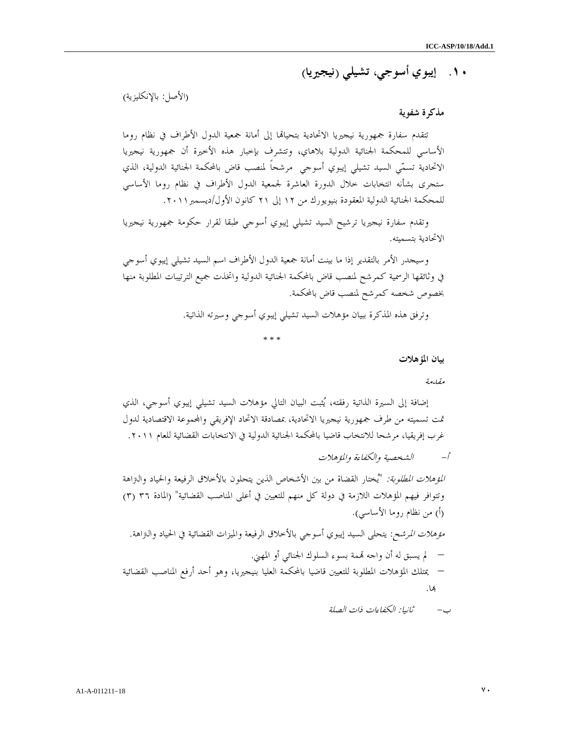١٠. إيبوي أسوجي، تشيلي (نيجيريا)

(الأصل: بالإنكليزية )

### مذكرة شفوية

تتقدم سفارة جمهورية نيجيريا الاتحادية بتحياقما إلى أمانة جمعية الدول الأطراف في نظام روما الأساسي للمحكمة الجنائية الدولية بلاهاي، وتتشرف بإخبار هذه الأخيرة أن جمهورية نيجيريا الاتحادية تسمي السيد تشيلي إيبوي أسوجي مرشحاً لمنصب قاض بالمحكمة الجنائية الدولية، الذي ستجرى بشأنه انتخابات خلال الدورة العاشرة لجمعية الدول الأطراف في نظام روما الأساسي للمحكمة الجنائية الدولية المعقودة بنيويورك من ١٢ إلى ٢١ كانون الأول/ديسمبر ٢٠١١.

وتقدم سفارة نيجيريا ترشيح السيد تشيلي إيبوي أسوجي طبقا لقرار حكومة جمهورية نيجيريا الاتحادية بتسميته.

وسيجدر الأمر بالتقدير إذا ما بينت أمانة جمعية الدول الأطراف اسم السيد تشيلي إيبوي أسوجي في وثائقها الرسمية كمرشح لمنصب قاض بالمحكمة الجنائية الدولية واتخذت جميع الترتيبات المطلوبة منها بخصوص شخصه كمرشح لمنصب قاض بالمحكمة.

وترفق هذه المذكرة ببيان مؤهلات السيد تشيلي إيبوي أسوجي وسيرته الذاتية .

\* \* \*

بيان المؤهلات

مقدمة

إضافة إلى السيرة الذاتية رفقته، يثبت البيان التالي مؤهلات السيد تشيلي إيبوي أسوجي، الذي تمت تسميته من طرف جمهورية نيجيريا الاتحادية، بمصادقة الاتحاد الإفريقي واموعة الاقتصادية لدول غرب إفريقيا، مرشحا للانتخاب قاضيا بالمحكمة الجنائية الدولية في الانتخابات القضائية للعام ٢٠١١ .

- أ الشخصية والكفاءة والمؤهلات

*المؤهلات المطلوبة:* "يُختار القضاة من بين الأشخاص الذين يتحلون بالأخلاق الرفيعة والحياد والتزاهة وتتوافر فيهم المؤهلات اللازمة في دولة كل منهم للتعيين في أعلى المناصب القضائية" (المادة ٣٦ ) ٣ ( ) أ( من نظام روما الأساسي ). مؤهلات المرشح: يتحلى السيد إيبوي أسوجي بالأخلاق الرفيعة والميزات القضائية في الحياد والتراهة . – لم يسبق له أن واجه مة بسوء السلوك الجنائي أو المهني . – يمتلك المؤهلات المطلوبة للتعيين قاضيا بالمحكمة العليا بنيجيريا، وهو أحد أرفع المناصب القضائية

بما.

- ب ثانيا: الكفاءات ذات الصلة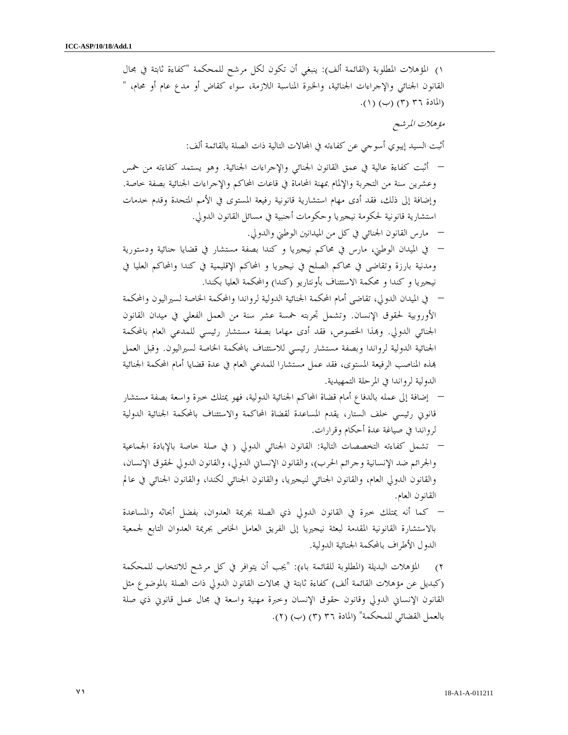)١ المؤهلات المطلوبة (القائمة ألف): ينبغي أن تكون لكل مرشح للمحكمة "كفاءة ثابتة في مجال القانون الجنائي والإجراءات الجنائية، والخبرة المناسبة اللازمة، سواء كقاض أو مدع عام أو محام، " (المادة ٣٦ (٣) (ب) (١). مؤهلات المرشح أثبت السيد إيبوي أسوجي عن كفاءته في المحالات التالية ذات الصلة بالقائمة ألف: – أثبت كفاءة عالية في عمق القانون الجنائي والإجراءات الجنائية. وهو يستمد كفاءته من خمس وعشرين سنة من التجربة والإلمام بمهنة المحاماة في قاعات المحاكم والإجراءات الجنائية بصفة خاصة. وإضافة إلى ذلك، فقد أدى مهام استشارية قانونية رفيعة المستوى في الأمم المتحدة وقدم خدمات استشارية قانونية لحكومة نيجيريا وحكومات أجنبية في مسائل القانون الدولي . – مارس القانون الجنائي في كل من الميدانين الوطني والدولي . – في الميدان الوطني، مارس في محاكم نيجيريا و كندا بصفة مستشار في قضايا جنائية ودستورية ومدنية بارزة وتقاضى في محاكم الصلح في نيجيريا و المحاكم الإقليمية في كندا والمحاكم العليا في نيجيريا و كندا و محكمة الاستئناف بأونتاريو (كندا) والمحكمة العليا بكندا . – في الميدان الدولي، تقاضى أمام المحكمة الجنائية الدولية لرواندا والمحكمة الخاصة لسيراليون والمحكمة الأوروبية لحقوق الإنسان. وتشمل تجربته خمسة عشر سنة من العمل الفعلي في ميدان القانون الجنائي الدولي. وبمذا الخصوص، فقد أدى مهاما بصفة مستشار رئيسي للمدعى العام بالمحكمة الجنائية الدولية لرواندا وبصفة مستشار رئيسي للاستئناف بالمحكمة الخاصة لسيراليون. وقبل العمل ذه المناصب الرفيعة المستوى، فقد عمل مستشارا للمدعي العام في عدة قضايا أمام المحكمة الجنائية الدولية لرواندا في المرحلة التمهيدية . – إضافة إلى عمله بالدفاع أمام قضاة المحاكم الجنائية الدولية، فهو يمتلك خبرة واسعة بصفة مستشار قانوني رئيسي خلف الستار، يقدم المساعدة لقضاة المحاكمة والاستئناف بالمحكمة الجنائية الدولية لرواندا في صياغة عدة أحكام وقرارات . – تشمل كفاءته التخصصات التالية: القانون الجنائي الدولي ( في صلة خاصة بالإبادة الجماعية والجرائم ضد الإنسانية وجرائم الحرب)، والقانون الإنساني الدولي، والقانون الدولي لحقوق الإنسان، والقانون الدولي العام، والقانون الجنائي لنيجيريا، والقانون الجنائي لكندا، والقانون الجنائي في عالم القانون العام . – كما أنه يمتلك خبرة في القانون الدولي ذي الصلة بجريمة العدوان، بفضل أبحاثه والمساعدة بالاستشارة القانونية المقدمة لبعثة نيجيريا إلى الفريق العامل الخاص بجريمة العدوان التابع لجمعية الدول الأطراف بالمحكمة الجنائية الدولية . )٢ المؤهلات البديلة (المطلوبة للقائمة باء): "يجب أن يتوافر في كل مرشح للانتخاب للمحكمة (كبديل عن مؤهلات القائمة ألف ) كفاءة ثابتة في مجالات القانون الدولي ذات الصلة بالموضوع مثل القانون الإنساني الدولي وقانون حقوق الإنسان وخبرة مهنية واسعة في مجال عمل قانوني ذي صلة بالعمل القضائي للمحكمة" (المادة ٣ (٣٦ ) (ب ٢) ( ).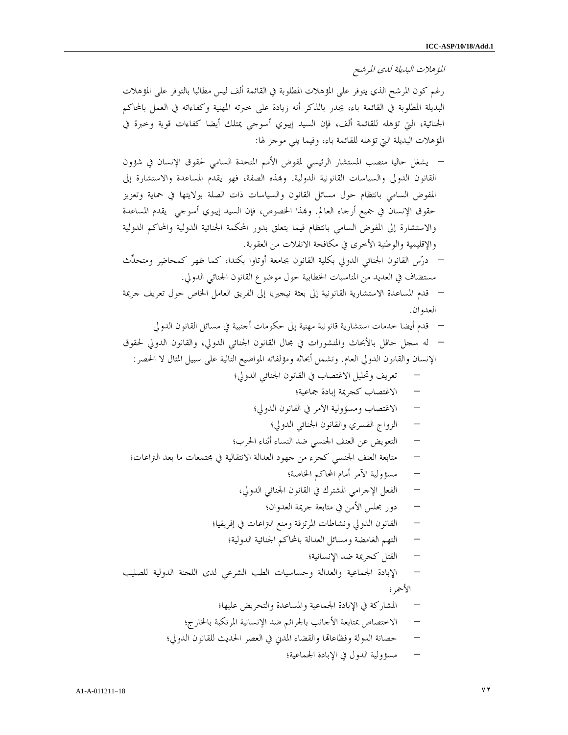المؤهلات البديلة لدى المرشح

رغم كون المرشح الذي يتوفر على المؤهلات المطلوبة في القائمة ألف ليس مطالبا بالتوفر على المؤهلات البديلة المطلوبة في القائمة باء، يجدر بالذكر أنه زيادة على خبرته المهنية وكفاءاته في العمل بالمحاكم الجنائية، التي تؤهله للقائمة ألف، فإن السيد إيبوي أسوجي يمتلك أيضا كفاءات قوية وخبرة في المؤهلات البديلة التي تؤهله للقائمة باء، وفيما يلي موجز لها :

– يشغل حاليا منصب المستشار الرئيسي لمفوض الأمم المتحدة السامي لحقوق الإنسان في شؤون القانون الدولي والسياسات القانونية الدولية. وذه الصفة، فهو يقدم المساعدة والاستشارة إلى المفوض السامي بانتظام حول مسائل القانون والسياسات ذات الصلة بولايتها في حماية وتعزيز حقوق الإنسان في جميع أرجاء العالم. وذا الخصوص، فإن السيد إيبوي أسوجي يقدم المساعدة والاستشارة إلى المفوض السامي بانتظام فيما يتعلق بدور المحكمة الجنائية الدولية والمحاكم الدولية والإقليمية والوطنية الأخرى في مكافحة الانفلات من العقوبة .

– درس القانون الجنائي الدولي بكلية القانون بجامعة أوتاوا بكندا، كما ظهر كمحاضر ومتحدث مستضاف في العديد من المناسبات الخطابية حول موضوع القانون الجنائي الدولي .

– قدم المساعدة الاستشارية القانونية إلى بعثة نيجيريا إلى الفريق العامل الخاص حول تعريف جريمة العدوان .

– قدم أيضا خدمات استشارية قانونية مهنية إلى حكومات أجنبية في مسائل القانون الدولي

– له سجل حافل بالأبحاث والمنشورات في مجال القانون الجنائي الدولي، والقانون الدولي لحقوق الإنسان والقانون الدولي العام. وتشمل أبحاثه ومؤلفاته المواضيع التالية على سبيل المثال لا الحصر :

– تعريف وتحليل الاغتصاب في القانون الجنائي الدولي؛

- الاغتصاب كجريمة إبادة جماعية؛
- الاغتصاب ومسؤولية الآمر في القانون الدولي؛
	- الزواج القسري والقانون الجنائي الدولي؛
- التعويض عن العنف الجنسي ضد النساء أثناء الحرب؛
- متابعة العنف الجنسي كجزء من جهود العدالة الانتقالية في مجتمعات ما بعد التراعات؛
	- مسؤولية الآمر أمام المحاكم الخاصة؛
	- الفعل الإجرامي المشترك في القانون الجنائي الدولي،
		- دور مجلس الأمن في متابعة جريمة العدوان؛
	- القانون الدولي ونشاطات المرتزقة ومنع التراعات في إفريقيا؛
		- التهم الغامضة ومسائل العدالة بالمحاكم الجنائية الدولية؛
			- القتل كجريمة ضد الإنسانية؛
- الإبادة الجماعية والعدالة وحساسيات الطب الشرعي لدى اللجنة الدولية للصليب الأحمر؛

– المشاركة في الإبادة الجماعية والمساعدة والتحريض عليها؛

- الاختصاص بمتابعة الأحانب بالجرائم ضد الإنسانية المرتكبة بالخارج؛
- حصانة الدولة وفظاعاقما والقضاء المدني في العصر الحديث للقانون الدولي؛
	- مسؤولية الدول في الإبادة الجماعية؛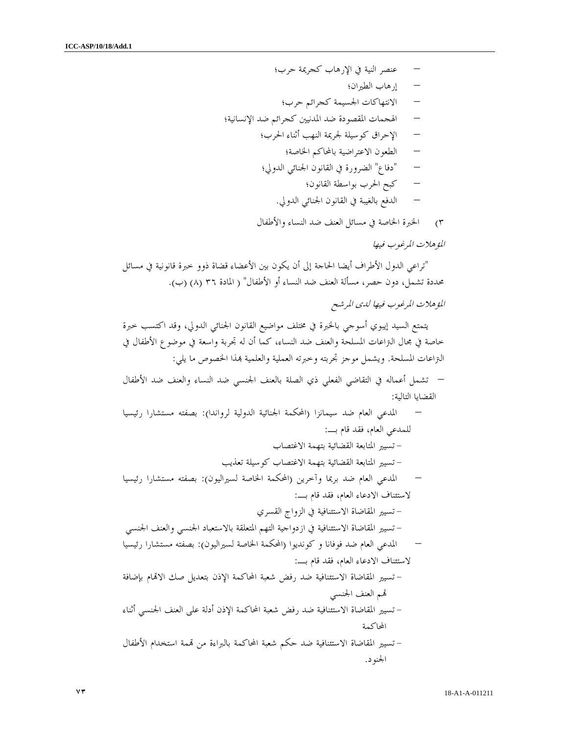– عنصر النية في الإرهاب كجريمة حرب؛ – إرهاب الطيران؛ – الانتهاكات الجسيمة كجرائم حرب؛ – الهجمات المقصودة ضد المدنيين كجرائم ضد الإنسانية؛ – الإحراق كوسيلة لجريمة النهب أثناء الحرب؛ – الطعون الاعتراضية بالمحاكم الخاصة؛ – "دفاع" الضرورة في القانون الجنائي الدولي؛ – كبح الحرب بواسطة القانون؛ – الدفع بالغيبة في القانون الجنائي الدولي . )٣ الخبرة الخاصة في مسائل العنف ضد النساء والأطفال المؤهلات المرغوب فيها "تراعي الدول الأطراف أيضا الحاجة إلى أن يكون بين الأعضاء قضاة ذوو خبرة قانونية في مسائل محددة تشمل، دون حصر، مسألة العنف ضد النساء أو الأطفال" ( المادة ٣٦ ٨ ( ) (ب ). المؤهلات المرغوب فيها لدى المرشح يتمتع السيد إيبوي أسوجي بالخبرة في مختلف مواضيع القانون الجنائي الدولي، وقد اكتسب خبرة خاصة في مجال التراعات المسلحة والعنف ضد النساء، كما أن له تجربة واسعة في موضوع الأطفال في

التراعات المسلحة. ويشمل موجز تجربته وخبرته العملية والعلمية ذا الخصوص ما يلي : – تشمل أعماله في التقاضي الفعلي ذي الصلة بالعنف الجنسي ضد النساء والعنف ضد الأطفال القضايا التالية : – المدعي العام ضد سيمانزا (المحكمة الجنائية الدولية لرواندا): بصفته مستشارا رئيسيا للمدعي العام، فقد قام بـ : - تسيير المتابعة القضائية بتهمة الاغتصاب - تسيير المتابعة القضائية بتهمة الاغتصاب كوسيلة تعذيب – المدعي العام ضد بريما وآخرين (المحكمة الخاصة لسيراليون): بصفته مستشارا رئيسيا لاستئناف الادعاء العام، فقد قام بـ : - تسيير المقاضاة الاستئنافية في الزواج القسري - تسيير المقاضاة الاستئنافية في ازدواجية التهم المتعلقة بالاستعباد الجنسي والعنف الجنسي – المدعي العام ضد فوفانا و كونديوا (المحكمة الخاصة لسيراليون): بصفته مستشارا رئيسيا لاستئناف الادعاء العام، فقد قام بـ : - تسيير المقاضاة الاستئنافية ضد رفض شعبة المحاكمة الإذن بتعديل صك الاام بإضافة م العنف الجنسي - تسيير المقاضاة الاستئنافية ضد رفض شعبة المحاكمة الإذن أدلة على العنف الجنسي أثناء المحاكمة - تسيير المقاضاة الاستئنافية ضد حكم شعبة المحاكمة بالبراءة من مة استخدام الأطفال الجنو .د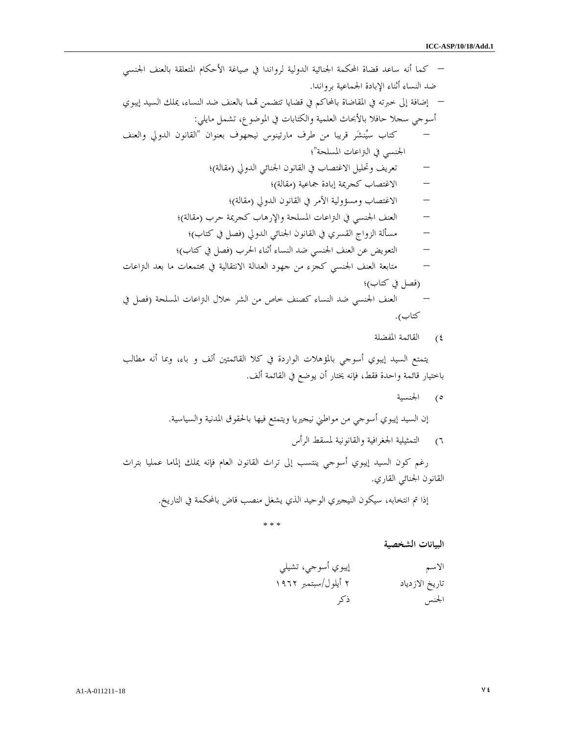– كما أنه ساعد قضاة المحكمة الجنائية الدولية لرواندا في صياغة الأحكام المتعلقة بالعنف الجنسي ضد النساء أثناء الإبادة الجماعية برواندا . – إضافة إلى خبرته في المقاضاة بالمحاكم في قضايا تتضمن ما بالعنف ضد النساء، يملك السيد إيبوي أسوجي سجلا حافلا بالأبحاث العلمية والكتابات في الموضوع، تشمل مايلي : – كتاب سينشر قريبا من طرف مارتينوس نيجهوف بعنوان "القانون الدولي والعنف الجنسي في التراعات المسلحة ؛" – تعريف وتحليل الاغتصاب في القانون الجنائي الدولي (مقالة ؛) – الاغتصاب كجريمة إبادة جماعية (مقالة ؛) – الاغتصاب ومسؤولية الآمر في القانون الدولي (مقالة ؛) – العنف الجنسي في التراعات المسلحة والإرهاب كجريمة حرب (مقالة ؛) – مسألة الزواج القسري في القانون الجنائي الدولي (فصل في كتاب ؛) – التعويض عن العنف الجنسي ضد النساء أثناء الحرب (فصل في كتاب ؛) – متابعة العنف الجنسي كجزء من جهود العدالة الانتقالية في مجتمعات ما بعد التراعات (فصل في كتاب ؛) – العنف الجنسي ضد النساء كصنف خاص من الشر خلال التراعات المسلحة (فصل في كتاب ).

)٤ القائمة المفضلة

يتمتع السيد إيبوي أسوجي بالمؤهلات الواردة في كلا القائمتين ألف و باء، وبما أنه مطالب باختيار قائمة واحدة فقط، فإنه يختار أن يوضع في القائمة ألف .

)٥ الجنسية

إن السيد إيبوي أسوجي من مواطني نيجيريا ويتمتع فيها بالحقوق المدنية والسياسية .

)٦ التمثيلية الجغرافية والقانونية لمسقط الرأس

رغم كون السيد إيبوي أسوجي ينتسب إلى تراث القانون العام فإنه يملك إلماما عمليا بتراث القانون الجنائي القاري .

إذا تم انتخابه، سيكون النيجيري الوحيد الذي يشغل منصب قاض بالمحكمة في التاريخ.

\* \* \*

البيانات الشخصية

الاسم إيبوي أسوجي، تشيلي تاريخ الازدياد ٢ أيلول/سبتمبر ١٩٦٢ الجنس ذكر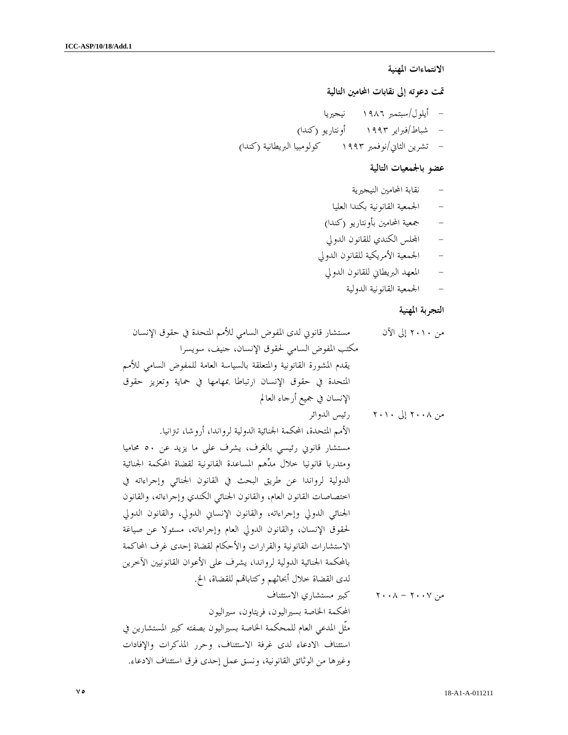## الانتماءات المهنية

تمت دعوته إلى نقابات المحامين التالي ة

- أيلول/سبتمبر ١٩٨٦ نيجيريا - شباط/فبراير ١٩٩٣ أونتاريو (كندا ) - تشرين الثاني/نوفمبر ١٩٩٣ كولومبيا البريطانية (كندا )

# عضو بالجمعيات التالية

- نقابة المحامين النيجيرية
- الجمعية القانونية بكندا العليا
- جمعية المحامين بأونتاريو (كندا )
- الس الكندي للقانون الدولي
- الجمعية الأمريكية للقانون الدولي
- المعهد البريطاني للقانون الدولي
	- الجمعية القانونية الدولية

## التجربة المهنية

من ٢٠١٠ إلى الآن مستشار قانوني لدى المفوض السامي للأمم المتحدة في حقوق الإنسان مكتب المفوض السامي لحقوق الإنسان، جنيف، سويسرا يقدم المشورة القانونية والمتعلقة بالسياسة العامة للمفوض السامي للأمم المتحدة في حقوق الإنسان ارتباطا بمهامها في حماية وتعزيز حقوق الإنسان في جميع أرجاء العالم من ٢٠٠٨ إلى ٢٠١٠ رئيس الدوائر الأمم المتحدة، المحكمة الجنائية الدولية لرواندا، أروشا، تترانيا . مستشار قانوني رئيسي بالغرف، يشرف على ما يزيد عن ٥٠ محاميا ومتدربا قانونيا خلال مدهم المساعدة القانونية لقضاة المحكمة الجنائية الدولية لرواندا عن طريق البحث في القانون الجنائي وإجراءاته في اختصاصات القانون العام، والقانون الجنائي الكندي وإجراءاته، والقانون الجنائي الدولي وإجراءاته، والقانون الإنساني الدولي، والقانون الدولي لحقوق الإنسان، والقانون الدولي العام وإجراءاته، مسئولا عن صياغة الاستشارات القانونية والقرارات والأحكام لقضاة إحدى غرف المحاكمة بالمحكمة الجنائية الدولية لرواندا، يشرف على الأعوان القانونيين الآخرين لدى القضاة خلال أبحاثهم وكتابام للقضاة، الخ . من ٢٠٠٧ - ٢٠٠٨ كبير مستشاري الاستئناف المحكمة الخاصة بسيراليون، فريتاون، سيراليون مثّل المدعي العام للمحكمة الخاصة بسيراليون بصفته كبير المستشارين في استئناف الادعاء لدى غرفة الاستئناف، وحرر المذكرات والإفادات وغيرها من الوثائق القانونية، ونسق عمل إحدى فرق استئناف الادعاء .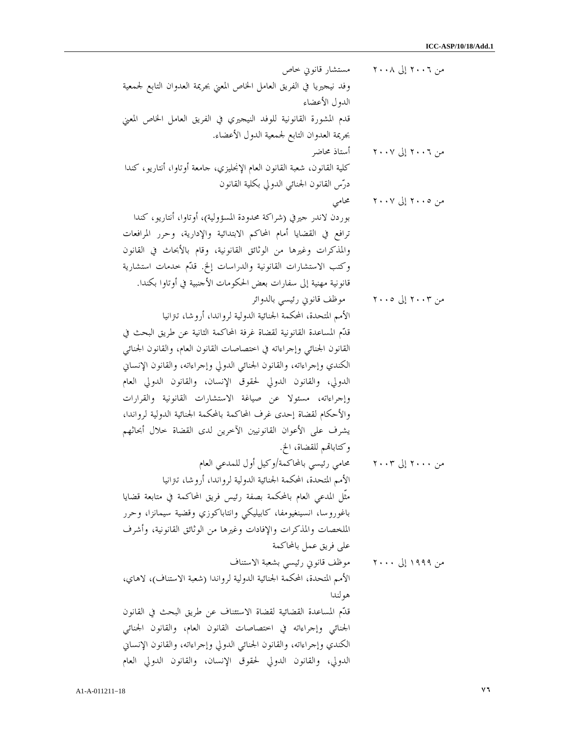| مستشار قانوبي حاص                                                       | من ٢٠٠٦ إلى ٢٠٠٨ |
|-------------------------------------------------------------------------|------------------|
| وفد نيجيريا في الفريق العامل الخاص المعني بجريمة العدوان التابع لجمعية  |                  |
| الدول الأعضاء                                                           |                  |
| قدم المشورة القانونية للوفد النيجيري في الفريق العامل الخاص المعنى      |                  |
| بحريمة العدوان التابع لجمعية الدول الأعضاء.                             |                  |
| أستاذ محاضر                                                             | من ٢٠٠٦ إلى ٢٠٠٧ |
| كلية القانون، شعبة القانون العام الإنجليزي، حامعة أوتاوا، أنتاريو، كندا |                  |
| درّس القانون الجنائبي الدولي بكلية القانون                              |                  |
| محامى                                                                   | من ٢٠٠٥ إلى ٢٠٠٧ |
| بوردن لاندر حيرفي (شراكة محدودة المسؤولية)، أوتاوا، أنتاريو، كندا       |                  |
| ترافع في القضايا أمام المحاكم الابتدائية والإدارية، وحرر المرافعات      |                  |
| والمذكرات وغيرها من الوثائق القانونية، وقام بالأبحاث في القانون         |                  |
| وكتب الاستشارات القانونية والدراسات إلخ. قلَّم خدمات استشارية           |                  |
| قانونية مهنية إلى سفارات بعض الحكومات الأحنبية في أوتاوا بكندا.         |                  |
| موظف قانويي رئيسيي بالدوائر                                             | من ۲۰۰۳ إلى ۲۰۰۵ |
| الأمم المتحدة، المحكمة الجنائية الدولية لرواندا، أروشا، تتزانيا         |                  |
| قدَّم المساعدة القانونية لقضاة غرفة المحاكمة الثانية عن طريق البحث في   |                  |
| القانون الجنائبي وإجراءاته في اختصاصات القانون العام، والقانون الجنائبي |                  |
| الكندي وإجراءاته، والقانون الجنائي الدولي وإجراءاته، والقانون الإنساني  |                  |
| الدولي، والقانون الدولي لحقوق الإنسان، والقانون الدولي العام            |                  |
| وإجراءاته، مسئولا عن صياغة الاستشارات القانونية والقرارات               |                  |
| والأحكام لقضاة إحدى غرف المحاكمة بالمحكمة الجنائية الدولية لرواندا،     |                  |
| يشرف على الأعوان القانونيين الآخرين لدى القضاة خلال أبحاثهم             |                  |
| وكتابالهم للقضاة، الخ.                                                  |                  |
| محامى رئيسي بالمحاكمة/وكيل أول للمدعي العام                             | من ۲۰۰۰ إلى ۲۰۰۳ |
| الأمم المتحدة، المحكمة الجنائية الدولية لرواندا، أروشا، تنزانيا         |                  |
| مثَّل المدعى العام بالمحكمة بصفة رئيس فريق المحاكمة في متابعة قضايا     |                  |
| باغوروسا، انسينغيومفا، كابيليكي وانتاباكوزي وقضية سيمانزا، وحرر         |                  |
| الملخصات والمذكرات والإفادات وغيرها من الوثائق القانونية، وأشرف         |                  |
| على فريق عمل بالمحاكمة                                                  |                  |
| موظف قانوني رئيسي بشعبة الاستناف                                        | من ۱۹۹۹ إلى ۲۰۰۰ |
| الأمم المتحدة، المحكمة الجنائية الدولية لرواندا (شعبة الاستناف)، لاهاي، |                  |
| هو لندا                                                                 |                  |
| قدَّم المساعدة القضائية لقضاة الاستئناف عن طريق البحث في القانون        |                  |
| الجنائبي وإجراءاته في اختصاصات القانون العام، والقانون الجنائبي         |                  |
| الكندي وإجراءاته، والقانون الجنائي الدولي وإجراءاته، والقانون الإنساني  |                  |
| الدولي، والقانون الدولي لحقوق الإنسان، والقانون الدولي العام            |                  |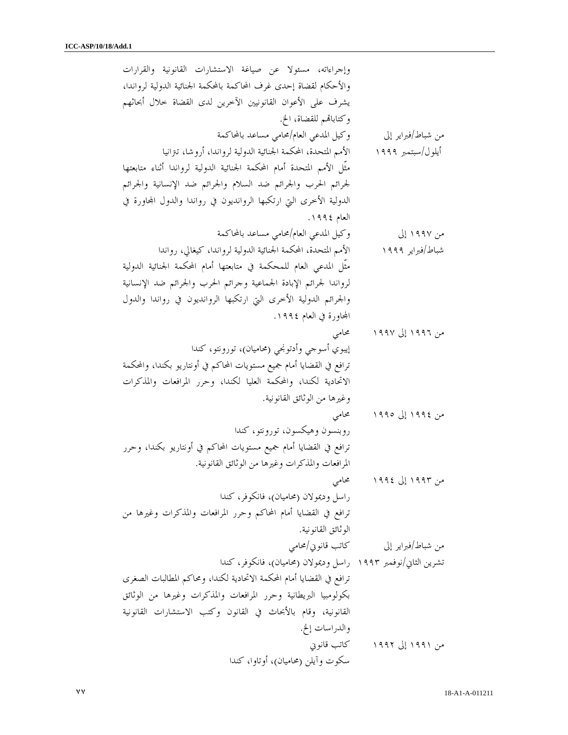وإجراءاته، مسئولا عن صياغة الاستشارات القانونية والقرارات والأحكام لقضاة إحدى غرف المحاكمة بالمحكمة الجنائية الدولية لرواندا، يشرف على الأعوان القانونيين الآخرين لدى القضاة خلال أبحاثهم وكتابالهم للقضاة، الخ. من شباط/فبراير إلى وكيل المدعي العام/محامي مساعد بالمحاكمة أيلول/سبتمبر ١٩٩٩ الأمم المتحدة، المحكمة الجنائية الدولية لرواندا، أروشا، تترانيا مثّل الأمم المتحدة أمام المحكمة الجنائية الدولية لرواندا أثناء متابعتها لجرائم الحرب والجرائم ضد السلام والجرائم ضد الإنسانية والجرائم الدولية الأخرى التي ارتكبها الروانديون في رواندا والدول المحاورة في العام ١٩٩٤ . من ١٩٩٧ إلى وكيل المدعي العام/محامي مساعد بالمحاكمة شباط/فبراير ١٩٩٩ الأمم المتحدة، المحكمة الجنائية الدولية لرواندا، كيغالي، رواندا مثّل المدعي العام للمحكمة في متابعتها أمام المحكمة الجنائية الدولية لرواندا لجرائم الإبادة الجماعية وجرائم الحرب والجرائم ضد الإنسانية والجرائم الدولية الأخرى التي ارتكبها الروانديون في رواندا والدول المحاورة في العام ١٩٩٤. من ١٩٩٦ إلى ١٩٩٧ محامي إيبوي أسوجي وأدتونجي (محاميان)، تورونتو، كندا ترافع في القضايا أمام جميع مستويات المحاكم في أونتاريو بكندا، والمحكمة الاتحادية لكندا، والمحكمة العليا لكندا، وحرر المرافعات والمذكرات وغيرها من الوثائق القانونية . من ١٩٩٤ إلى ١٩٩٥ محامي روبنسون وهيكسون، تورونتو، كندا ترافع في القضايا أمام جميع مستويات المحاكم في أونتاريو بكندا، وحرر المرافعات والمذكرات وغيرها من الوثائق القانونية . من ١٩٩٣ إلى ١٩٩٤ محامي راسل وديمولان (محاميان)، فانكوفر، كندا ترافع في القضايا أمام المحاكم وحرر المرافعات والمذكرات وغيرها من الوثائق القانونية . من شباط/فبراير إلى كاتب قانوني/محامي تشرين الثاني/نوفمبر ١٩٩٣ راسل وديمولان (محاميان)، فانكوفر، كندا ترافع في القضايا أمام المحكمة الاتحادية لكندا، ومحاكم المطالبات الصغرى بكولومبيا البريطانية وحرر المرافعات والمذكرات وغيرها من الوثائق القانونية، وقام بالأبحاث في القانون وكتب الاستشارات القانونية والدراسات إلخ . من ١٩٩١ إلى ١٩٩٢ كاتب قانوني سكوت وآيلن (محاميان)، أوتاوا، كندا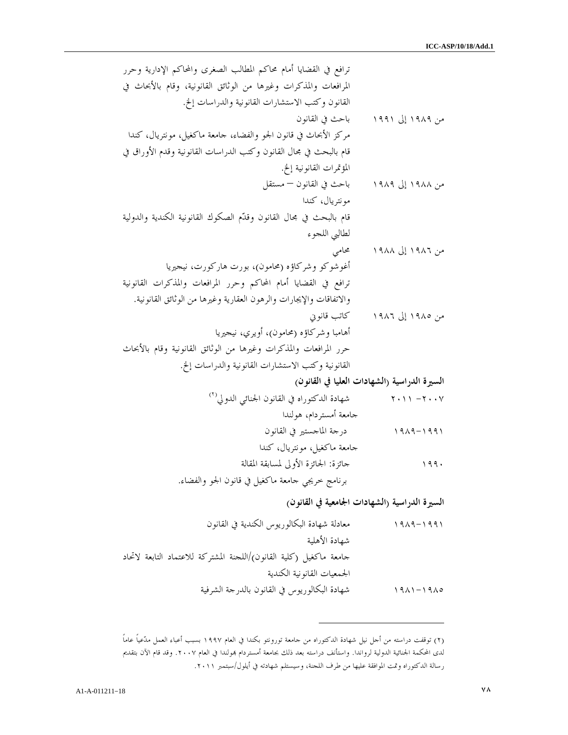ترافع في القضايا أمام محاكم المطالب الصغرى والمحاكم الإدارية وحرر المرافعات والمذكرات وغيرها من الوثائق القانونية، وقام بالأبحاث في القانون وكتب الاستشارات القانونية والدراسات إلخ . من ١٩٨٩ إلى ١٩٩١ باحث في القانون مركز الأبحاث في قانون الجو والفضاء، جامعة ماكغيل، مونتريال، كندا قام بالبحث في مجال القانون وكتب الدراسات القانونية وقدم الأوراق في المؤتمرات القانونية إلخ . من ١٩٨٨ إلى ١٩٨٩ باحث في القانون – مستقل مونتريال، كندا قام بالبحث في مجال القانون وقدم الصكوك القانونية الكندية والدولية لطالبي اللجوء من ١٩٨٦ إلى ١٩٨٨ محامي أغوشوكو وشركاؤه (محامون)، بورت هاركورت، نيجيريا ترافع في القضايا أمام المحاكم وحرر المرافعات والمذكرات القانونية والاتفاقات والإيجارات والرهون العقارية وغيرها من الوثائق القانونية . من ١٩٨٥ إلى ١٩٨٦ كاتب قانوني أهامبا وشركاؤه (محامون)، أويري، نيجيريا حرر المرافعات والمذكرات وغيرها من الوثائق القانونية وقام بالأبحاث القانونية وكتب الاستشارات القانونية والدراسات إلخ . السيرة الدراسية ا( لشهادات العليا في القانون ) )٢( ٢٠٠٧ - ٢٠١١ شهادة الدكتوراه في القانون الجنائي الدولي جامعة أمستردام، هولندا ١٩٨٩-١٩٩١ درجة الماجستير في القانون جامعة ماكغيل، مونتريال، كندا ١٩٩٠ جائزة : الجائزة الأولى لمسابقة المقالة

برنامج خريجي جامعة ماكغيل في قانون الجو والفضاء .

السيرة الدراسية (الشهادات الجامعية في القانون )

١٩٨٩-١٩٩١ معادلة شهادة البكالوريوس الكندية في القانون شهادة الأهلية جامعة ماكغيل (كلية القانون)/اللجنة المشتركة للاعتماد التابعة لاتحاد الجمعيات القانونية الكندية ١٩٨١-١٩٨٥ شهادة البكالوريوس في القانون بالدرجة الشرفية

 $\overline{a}$ 

٢( ) توقفت دراسته من أجل نيل شهادة الدكتوراه من جامعة تورونتو بكندا في العام ١٩٩٧ بسبب أعباء العمل مدعياً عاماً لدى المحكمة الجنائية الدولية لرواندا. واستأنف دراسته بعد ذلك بجامعة أمستردام بمولندا في العام ٢٠٠٧. وقد قام الآن بتقديم رسالة الدكتوراه وتمت الموافقة عليها من طرف اللجنة، وسيستلم شهادته في أيلول/سبتمبر .٢٠١١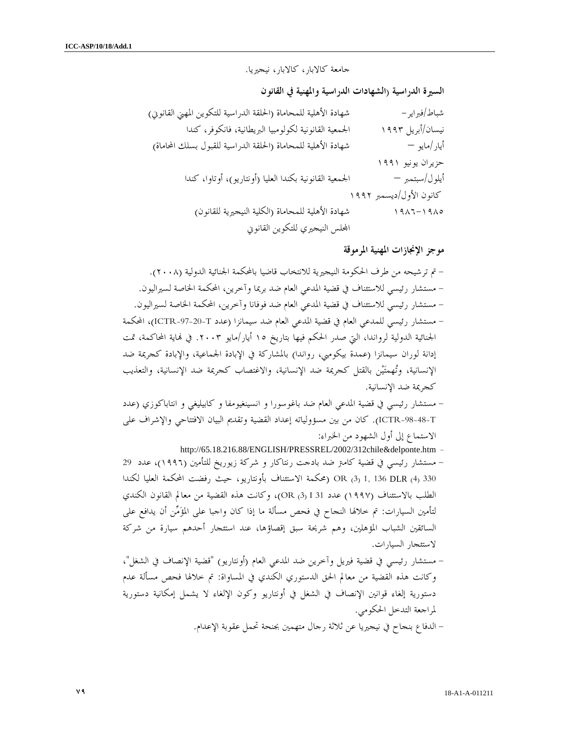جامعة كالابار، كالابار، نيجيريا.

السيرة الدراسية (الشهادات الدراسية والمهنية في القانون

| شهادة الأهلية للمحاماة (الحلقة الدراسية للتكوين المهنى القانويي) | شباط/فبراير –           |
|------------------------------------------------------------------|-------------------------|
| الجمعية القانونية لكولومبيا البريطانية، فانكوفر، كندا            | نیسان/أبریل ۱۹۹۳        |
| شهادة الأهلية للمحاماة (الحلقة الدراسية للقبول بسلك المحاماة)    | أيار/مايو —             |
|                                                                  | حزیران یونیو ۱۹۹۱       |
| الجمعية القانونية بكندا العليا (أونتاريو)، أوتاوا، كندا          | أيلول/سبتمبر —          |
|                                                                  | كانون الأول/ديسمبر ١٩٩٢ |
| شهادة الأهلية للمحاماة (الكلية النيجيرية للقانون)                | $901 - 1900$            |
| المحلس النيجيري للتكوين القانوني                                 |                         |

موجز الإنجازات المهنية المرموقة

- تم ترشيحه من طرف الحكومة النيجيرية للانتخاب قاضيا بالمحكمة الجنائية الدولية (٢٠٠٨ ). - مستشار رئيسي للاستئناف في قضية المدعي العام ضد بريما وآخرين، المحكمة الخاصة لسيراليون . - مستشار رئيسي للاستئناف في قضية المدعي العام ضد فوفانا وآخرين، المحكمة الخاصة لسيراليون . - مستشار رئيسي للمدعي العام في قضية المدعي العام ضد سيمانزا (عدد T-97-20-ICTR(، المحكمة الجنائية الدولية لرواندا، التي صدر الحكم فيها بتاريخ ١٥ أيار/مايو .٢٠٠٣ في اية المحاكمة، تمت إدانة لوران سيمانزا (عمدة بيكومبي، رواندا) بالمشاركة في الإبادة الجماعية، والإبادة كجريمة ضد الإنسانية، وتهمتين بالقتل كجريمة ضد الإنسانية، والاغتصاب كجريمة ضد الإنسانية، والتعذيب كجريمة ضد الإنسانية .

- مستشار رئيسي في قضية المدعي العام ضد باغوسورا و انسينغيومفا و كابيليغي و انتاباكوزي (عدد T-98-48-ICTR(. كان من بين مسؤولياته إعداد القضية وتقديم البيان الافتتاحي والإشراف على الاستماع إلى أول الشهود من الخبراء :
	- http://65.18.216.88/ENGLISH/PRESSREL/2002/312chile&delponte.htm -
- مستشار رئيسي في قضية كامتر ضد بادجت رنتاكار و شركة زيوريخ للتأمين (١٩٩٦)، عدد 29 330 (4) DLR 136 1,) 3 (OR) محكمة الاستئناف بأونتاريو، حيث رفضت المحكمة العليا لكندا الطلب بالاستئناف (١٩٩٧) عدد 31 I) 3 (OR(، وكانت هذه القضية من معالم القانون الكندي لتأمين السيارات: تم خلالها النجاح في فحص مسألة ما إذا كان واجبا على المؤمن أن يدافع على السائقين الشباب المؤهلين، وهم شريحة سبق إقصاؤها، عند استئجار أحدهم سيارة من شركة لاستئجار السيارات .
- مستشار رئيسي في قضية فيريل وآخرين ضد المدعي العام (أونتاريو) "قضية الإنصاف في الشغل ، " وكانت هذه القضية من معالم الحق الدستوري الكندي في المساواة: تم خلالها فحص مسألة عدم دستورية إلغاء قوانين الإنصاف في الشغل في أونتاريو وكون الإلغاء لا يشمل إمكانية دستورية لمراجعة التدخل الحكومي .

- الدفاع بنجاح في نيجيريا عن ثلاثة رجال متهمين بجنحة تحمل عقوبة الإعدام .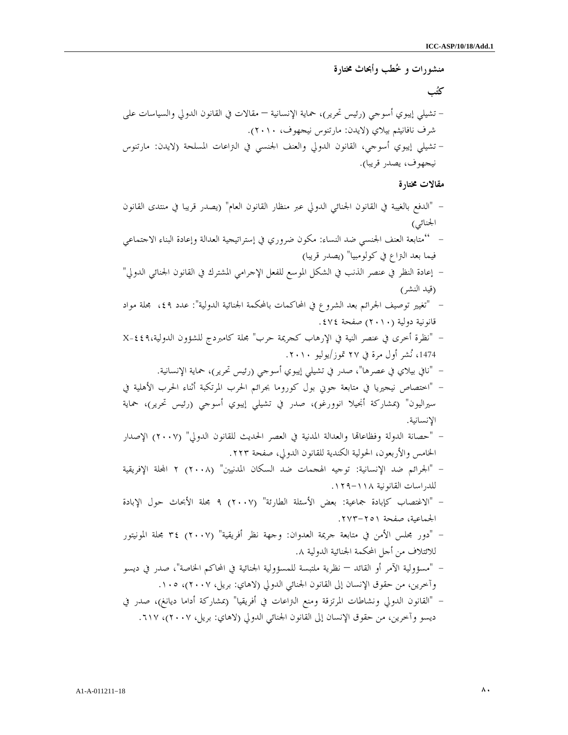منشورات و خطب وأبحاث مختارة كتب - تشيلي إيبوي أسوجي (رئيس تحرير)، حماية الإنسانية – مقالات في القانون الدولي والسياسات على شرف نافانيثم بيلاي (لايدن: مارتنوس نيجهوف، ٢٠١٠ ). - تشيلي إيبوي أسوجي، القانون الدولي والعنف الجنسي في التراعات المسلحة (لايدن: مارتنوس نيجهوف، يصدر قريبا ). مقالات مختارة - " الدفع بالغيبة في القانون الجنائي الدولي عبر منظار القانون العام" (يصدر قريبا في منتدى القانون الجنائي ) - " متابعة العنف الجنسي ضد النساء: مكون ضروري في إستراتيجية العدالة وإعادة البناء الاجتماعي فيما بعد التراع في كولومبيا" (يصدر ق )ريبا - إعادة النظر في عنصر الذنب في الشكل الموسع للفعل الإجرامي المشترك في القانون الجنائي الدولي" (قيد النشر ) - " تغيير توصيف الجرائم بعد الشروع في المحاكمات بالمحكمة الجنائية الدولية": عدد ،٤٩ مجلة مواد قانونية دولية (٢٠١٠) صفحة ٤٧٤ . - " نظرة أخرى في عنصر النية في الإرهاب كجريمة حرب" مجلة كامبردج للشؤون الدولية-٤٤٩،X ،1474 نشر أول مرة في ٢٧ تموز/يوليو ٢٠١٠ . - " نافي بيلاي في عصرها"، صدر في تشيلي إيبوي أسوجي (رئيس تحرير)، حماية الإنسانية . - " اختصاص نيجيريا في متابعة جوني بول كوروما بجرائم الحرب المرتكبة أثناء الحرب الأهلية في سيراليون" (بمشاركة أنجيلا انوورغو)، صدر في تشيلي إيبوي أسوجي (رئيس تحرير)، حماية الإنسانية . - " حصانة الدولة وفظاعاا والعدالة المدنية في العصر الحديث للقانون الدولي" (٢٠٠٧) الإصدار الخامس والأربعون، الحولية الكندية للقانون الدولي، صفحة ٢٢٣ . - " الجرائم ضد الإنسانية: توجيه الهجمات ضد السكان المدنيين" (٢٠٠٨ ٢) الة الإفريقية للدراسات القانونية ١٢٩-١١٨ . - " الاغتصاب كإبادة جماعية: بعض الأسئلة الطارئة" (٢٠٠٧ ٩) مجلة الأبحاث حول الإبادة الجماعية، صفحة ٢٧٣-٢٥١ . - " دور مجلس الأمن في متابعة جريمة العدوان: وجهة نظر أفريقية" (٢٠٠٧) ٣٤ مجلة المونيتور للائتلاف من أجل المحكمة الجنائية الدولية ٨. - " مسؤولية الآمر أو القائد – نظرية ملتبسة للمسؤولية الجنائية في المحاكم الخاصة"، صدر في ديسو وآخرين، من حقوق الإنسان إلى القانون الجنائي الدولي (لاهاي: بريل، ٢٠٠٧ ، ) ١٠٥ . - " القانون الدولي ونشاطات المرتزقة ومنع التراعات في أفريقيا" (بمشاركة أداما ديانغ)، صدر في ديسو وآخرين، من حقوق الإنسان إلى القانون الجنائي الدولي (لاهاي: بريل، ٢٠٠٧ ، ) ٦١٧ .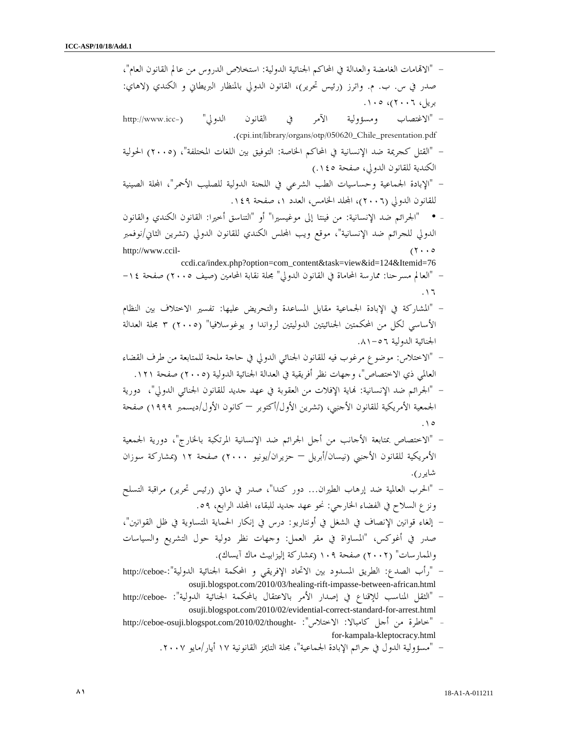– "الاتمامات الغامضة والعدالة في المحاكم الجنائية الدولية: استخلاص الدروس من عالم القانون العام"، صدر في س. ب . م. واترز (رئيس تحرير)، القانون الدولي بالمنظار البريطاني و الكندي (لاهاي: بريل، ٢٠٠٦ ، ) ١٠٥ . - " الاغتصاب ومسؤولية الآمر في القانون الدولي" (-icc.www://http .( cpi.int/library/organs/otp/050620\_Chile\_presentation.pdf - " القتل كجريمة ضد الإنسانية في المحاكم الخاصة: التوفيق بين اللغات المختلفة (، " ٢٠٠٥) الحولية الكندية للقانون الدولي، صفحة ١٤٥ .) - " الإبادة الجماعية وحساسيات الطب الشرعي في اللجنة الدولية للصليب الأحمر"، الة الصينية للقانون الدولي (٢٠٠٦)، المجلد الخامس، العدد ١، صفحة ١٤٩. - • "الجرائم ضد الإنسانية: من فينتا إلى موغيسيرا" "أو التناسق أخيرا: القانون الكندي والقانون الدولي للجرائم ضد الإنسانية"، موقع ويب الس الكندي للقانون الدولي (تشرين الثاني/نوفمبر http://www.ccil-  $(7 \cdot \cdot \circ$  ccdi.ca/index.php?option=com\_content&task=view&id=124&Itemid=76 - " العالم مسرحنا: ممارسة المحاماة في القانون الدولي" مجلة نقابة المحامين (صيف ٢٠٠٥) صفحة ١٤- ١٦. - " المشاركة في الإبادة الجماعية مقابل المساعدة والتحريض عليها: تفسير الاختلاف بين النظام الأساسي لكل من المحكمتين الجنائيتين الدوليتين لرواندا و يوغوسلافيا" (٢٠٠٥ ٣) مجلة العدالة الجنائية الدولية ٥٦- ٨١. - " الاختلاس: موضوع مرغوب فيه للقانون الجنائي الدولي في حاجة ملحة للمتابعة من طرف القضاء العالمي ذي الاختصاص"، وجهات نظر أفريقية في العدالة الجنائية الدولية (٢٠٠٥) صفحة ١٢١ . - " الجرائم ضد الإنسانية: اية الإفلات من العقوبة في عهد جديد للقانون الجنائي الدولي"، دورية الجمعية الأمريكية للقانون الأجنبي، (تشرين الأول/أكتوبر — كانون الأول/ديسمبر ١٩٩٩) صفحة ١٥. - " الاختصاص بمتابعة الأجانب من أجل الجرائم ضد الإنسانية المرتكبة بالخارج"، دورية الجمعية الأمريكية للقانون الأجنبي (نيسان/أبريل – حزيران/يونيو ٢٠٠٠) صفحة ١٢ (بمشاركة سوزان شايرر ). - " الحرب العالمية ضد إرهاب الطيران... دور كندا"، صدر في ماتي (رئيس تحرير) مراقبة التسلح ونزع السلاح في الفضاء الخارجي: نحو عهد جديد للبقاء، الد الرابع، ٥٩. – إلغاء قوانين الإنصاف في الشغل في أونتاريو: درس في إنكار الحماية المتساوية في ظل القوانين"، صدر في أغوكس، "المساواة في مقر العمل: وجهات نظر دولية حول التشريع والسياسات والممارسات" (٢٠٠٢) صفحة ١٠٩ (بمشاركة إليزابيث ماك آيساك ). - " رأب الصدع: الطريق المسدود بين الاتحاد الإفريقي و المحكمة الجنائية الدولية"-:ceboe://http osuji.blogspot.com/2010/03/healing-rift-impasse-between-african.html - " الثقل المناسب للإقناع في إصدار الأمر بالاعتقال بالمحكمة الجنائية الدولية": -ceboe://http osuji.blogspot.com/2010/02/evidential-correct-standard-for-arrest.html - "خاطرة من أحل كامبالا: الاختلاس": -http://ceboe-osuji.blogspot.com/2010/02/thought for-kampala-kleptocracy.html - " مسؤولية الدول في جرائم الإبادة الجماعية"، مجلة التايمز القانونية ١٧ أيار/مايو ٢٠٠٧ .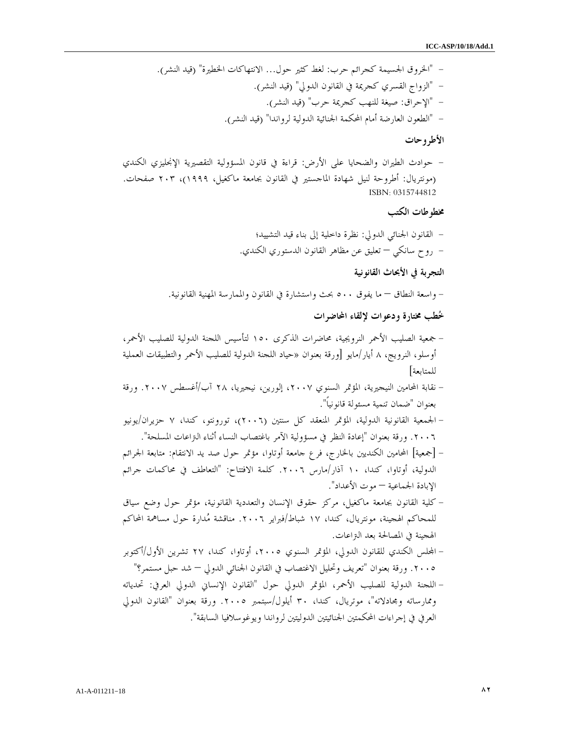- " الخروق الجسيمة كجرائم حرب: لغط كثير حول... الانتهاكات الخطيرة" (قيد النشر ). - " الزواج القسري كجريمة في القانون الدولي" (قيد النشر ). - " الإحراق: صيغة للنهب كجريمة حرب" (قيد النشر ). - " الطعون العارضة أمام المحكمة الجنائية الدولية لرواندا" (قيد النشر ).

#### الأطروحات

- حوادث الطيران والضحايا على الأرض: قراءة في قانون المسؤولية التقصيرية الإنجليزي الكندي (مونتريال: أطروحة لنيل شهادة الماجستير في القانون بجامعة ماكغيل، ١٩٩٩ ، ) ٢٠٣ صفحات. ISBN: 0315744812

## مخطوطات الكتب

- القانون الجنائي الدولي: نظرة داخلية إلى بناء قيد التشييد؛ - روح سانكي – تعليق عن مظاهر القانون الدستوري الكندي .

## التجربة في الأبحاث القانونية

- واسعة النطاق – ما يفوق ٥٠٠ بحث واستشارة في القانون والممارسة المهنية القانونية .

#### خطب مختارة ودعوات لإلقاء المحاضرات

- جمعية الصليب الأحمر النرويجية، محاضرات الذكرى ١٥٠ لتأسيس اللجنة الدولية للصليب الأحمر، أوسلو، النرويج، ٨ أيار/مايو [ورقة بعنوان «حياد اللجنة الدولية للصليب الأحمر والتطبيقات العملية للمتابعة ]
- نقابة المحامين النيجيرية، المؤتمر السنوي ،٢٠٠٧ إلورين، نيجيريا، ٢٨ آب/أغسطس .٢٠٠٧ ورقة بعنوان "ضمان تنمية مسئولة قانونياً ".
- الجمعية القانونية الدولية، المؤتمر المنعقد كل سنتين (٢٠٠٦)، تورونتو، كندا، ٧ حزيران/يونيو .٢٠٠٦ ورقة بعنوان "إعادة النظر في مسؤولية الآمر باغتصاب النساء أثناء التراعات المسلحة ".
- [جمعية] المحامين الكنديين بالخارج، فرع جامعة أوتاوا، مؤتمر حول صد يد الانتقام: متابعة الجرائم الدولية، أوتاوا، كندا، ١٠ آذار/مارس .٢٠٠٦ كلمة الافتتاح: "التعاطف في محاكمات جرائم الإبادة الجماعية – موت الأعداد ".
- كلية القانون بجامعة ماكغيل، مركز حقوق الإنسان والتعددية القانونية، مؤتمر حول وضع سياق للمحاكم الهجينة، مونتريال، كندا، ١٧ شباط/فبراير .٢٠٠٦ مناقشة مدارة حول مساهمة المحاكم الهجينة في المصالحة بعد التراعات .
- الس الكندي للقانون الدولي، المؤتمر السنوي ،٢٠٠٥ أوتاوا، كندا، ٢٧ تشرين الأول/أكتوبر .٢٠٠٥ ورقة بعنوان "تعريف وتحليل الاغتصاب في القانون الجنائي الدولي – شد حبل مستمر؟ "
- اللجنة الدولية للصليب الأحمر، المؤتمر الدولي حول "القانون الإنساني الدولي العرفي: تحدياته وممارساته ومجادلاته"، موتريال، كندا، ٣٠ أيلول/سبتمبر .٢٠٠٥ ورقة بعنوان "القانون الدولي العرفي في إجراءات المحكمتين الجنائيتين الدوليتين لرواندا ويوغوسلافيا السابقة ".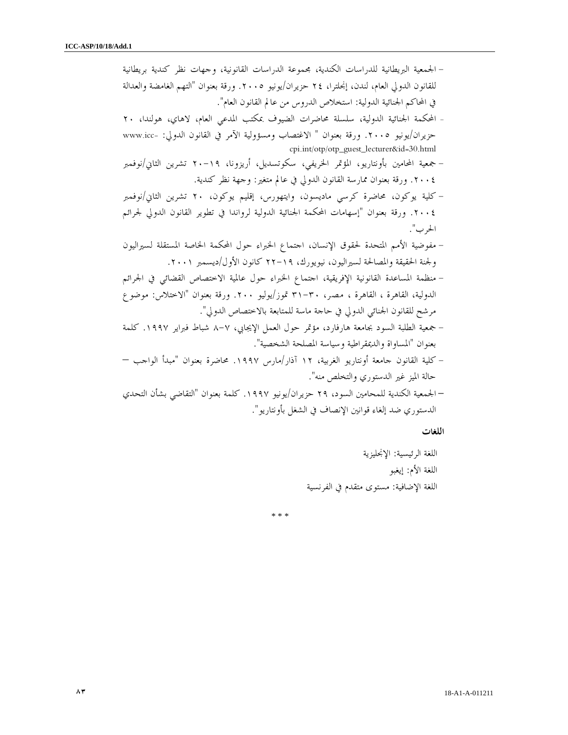| الجمعية البريطانية للدراسات الكندية، مجموعة الدراسات القانونية، وحهات نظر كندية بريطانية                                          |
|-----------------------------------------------------------------------------------------------------------------------------------|
| للقانون الدولي العام، لندن، إنجلترا، ٢٤ حزيران/يونيو ٢٠٠٥. ورقة بعنوان "التهم الغامضة والعدالة                                    |
| في المحاكم الجنائية الدولية: استخلاص الدروس من عالم القانون العام".                                                               |
| المحكمة الجنائية الدولية، سلسلة محاضرات الضيوف بمكتب المدعي العام، لاهاي، هولندا، ٢٠                                              |
| حزيران/يونيو ٢٠٠٥. ورقة بعنوان " الاغتصاب ومسؤولية الآمر في القانون الدولي: -www.icc<br>cpi.int/otp/otp_guest_lecturer&id=30.html |
| · جمعية المحامين بأونتاريو، المؤتمر الخريفي، سكوتسديل، أريزونا، ١٩–٢٠ تشرين الثاني/نوفمبر                                         |
| ٢٠٠٤. ورقة بعنوان ممارسة القانون الدولي في عالم متغير: وحهة نظر كندية.                                                            |
| – كلية يوكون، محاضرة كرسي ماديسون، وايتهورس، إقليم يوكون، ٢٠ تشرين الثاني/نوفمبر                                                  |
| ٢٠٠٤. ورقة بعنوان "إسهامات المحكمة الجنائية الدولية لرواندا في تطوير القانون الدولي لجرائم                                        |
| الحرب".                                                                                                                           |
| مفوضية الأمم المتحدة لحقوق الإنسان، احتماع الخبراء حول المحكمة الخاصة المستقلة لسيراليون                                          |
| ولجنة الحقيقة والمصالحة لسيراليون، نيويورك، ١٩–٢٢ كانون الأول/ديسمبر ٢٠٠١.                                                        |
| منظمة المساعدة القانونية الإفريقية، احتماع الخبراء حول عالمية الاختصاص القضائي في الجرائم                                         |
| الدولية، القاهرة ، القاهرة ، مصر، ٣٠-٣١ تموز/يوليو ٢٠٠. ورقة بعنوان "الاختلاس: موضوع                                              |
| مرشح للقانون الجنائي الدولي في حاحة ماسة للمتابعة بالاختصاص الدولي".                                                              |
| جمعية الطلبة السود بجامعة هارفارد، مؤتمر حول العمل الإيجابي، ٧–٨ شباط فبراير ١٩٩٧. كلمة                                           |
| بعنوان "المساواة والديمقراطية وسياسة المصلحة الشخصية".                                                                            |
| – كلية القانون جامعة أونتاريو الغربية، ١٢ آذار/مارس ١٩٩٧. محاضرة بعنوان "مبدأ الواجب —                                            |
| حالة الميز غير الدستوري والتخلص منه".                                                                                             |
| – الجمعية الكندية للمحامين السود، ٢٩ حزيران/يونيو ١٩٩٧. كلمة بعنوان "التقاضي بشأن التحدي                                          |
|                                                                                                                                   |

اللغات

اللغة الرئيسية: الإنجليزية اللغة الأم: إيغبو اللغة الإضافية: مستوى متقدم في الفرنسية

\* \* \*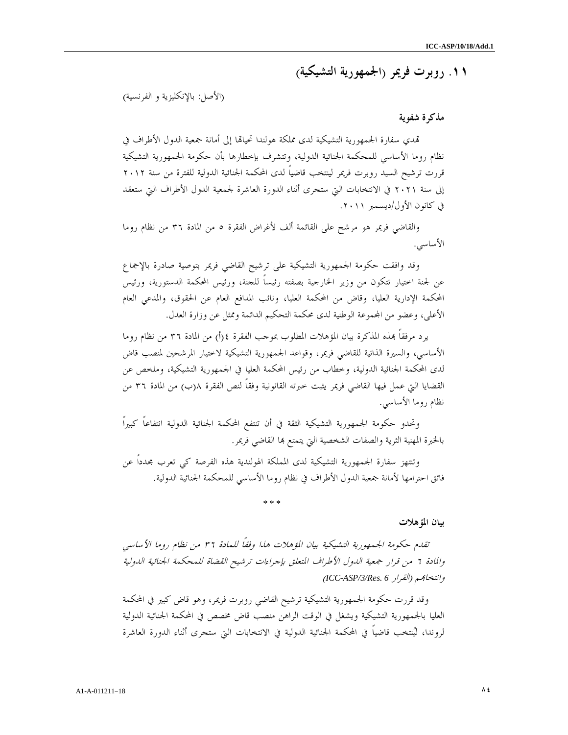١١. روبرت فريمر ( الجمهورية التشيكية )

(الأصل: بالإنكليزية و الفرنسية )

## مذكرة شفوية

تمدي سفارة الجمهورية التشيكية لدى مملكة هولندا تحياقما إلى أمانة جمعية الدول الأطراف في نظام روما الأساسي للمحكمة الجنائية الدولية، وتتشرف بإخطارها بأن حكومة الجمهورية التشيكية قررت ترشيح السيد روبرت فريمر لينتخب قاضياً لدى المحكمة الجنائية الدولية للفترة من سنة ٢٠١٢ إلى سنة ٢٠٢١ في الانتخابات التي ستجرى أثناء الدورة العاشرة لجمعية الدول الأطراف التي ستعقد في كانون الأول/ديسمبر ٢٠١١ .

 والقاضي فريمر هو مرشح على القائمة ألف لأغراض الفقرة ٥ من المادة ٣٦ من نظام روما الأساسي .

 وقد وافقت حكومة الجمهورية التشيكية على ترشيح القاضي فريمر بتوصية صادرة بالإجماع عن لجنة اختيار تتكون من وزير الخارجية بصفته رئيساً للجنة، ورئيس المحكمة الدستورية، ورئيس المحكمة الإدارية العليا، وقاض من المحكمة العليا، ونائب المدافع العام عن الحقوق، والمدعي العام الأعلى، وعضو من المحموعة الوطنية لدى محكمة التحكيم الدائمة وممثل عن وزارة العدل.

يرد مرفقاً بمذه المذكرة بيان المؤهلات المطلوب بموحب الفقرة ٤(أ) من المادة ٣٦ من نظام روما الأساسي، والسيرة الذاتية للقاضي فريمر، وقواعد الجمهورية التشيكية لاختيار المرشحين لمنصب قاض لدى المحكمة الجنائية الدولية، وخطاب من رئيس المحكمة العليا في الجمهورية التشيكية، وملخص عن القضايا التي عمل فيها القاضي فريمر يثبت خبرته القانونية وفقاً لنص الفقرة ب(٨ ) من المادة ٣٦ من نظام روما الأساسي .

 وتحدو حكومة الجمهورية التشيكية الثقة في أن تنتفع المحكمة الجنائية الدولية انتفاعاً كبيراً بالخبرة المهنية الثرية والصفات الشخصية التي يتمتع بما القاضي فريمر.

 وتنتهز سفارة الجمهورية التشيكية لدى المملكة الهولندية هذه الفرصة كي تعرب مجدداً عن فائق احترامها لأمانة جمعية الدول الأطراف في نظام روما الأساسي للمحكمة الجنائية الدولية .

\* \* \*

## بيان المؤهلات

تقدم حكومة الجمهورية التشيكية بيان المؤهلات هذا وفقاً للمادة ٣٦ من نظام روما الأساسي والمادة ٦ من قرار جمعية الدول الأطراف المتعلق بإجراءات ترشيح القضاة للمحكمة الجنائية الدولية ( *ICC-ASP/3/Res. 6* القرار (موانتخا

وقد قررت حكومة الجمهورية التشيكية ترشيح القاضي روبرت فريمر، وهو قاض كبير في المحكمة العليا بالجمهورية التشيكية ويشغل في الوقت الراهن منصب قاض مخصص في المحكمة الجنائية الدولية لروندا، لينتخب قاضياً في المحكمة الجنائية الدولية في الانتخابات التي ستجرى أثناء الدورة العاشرة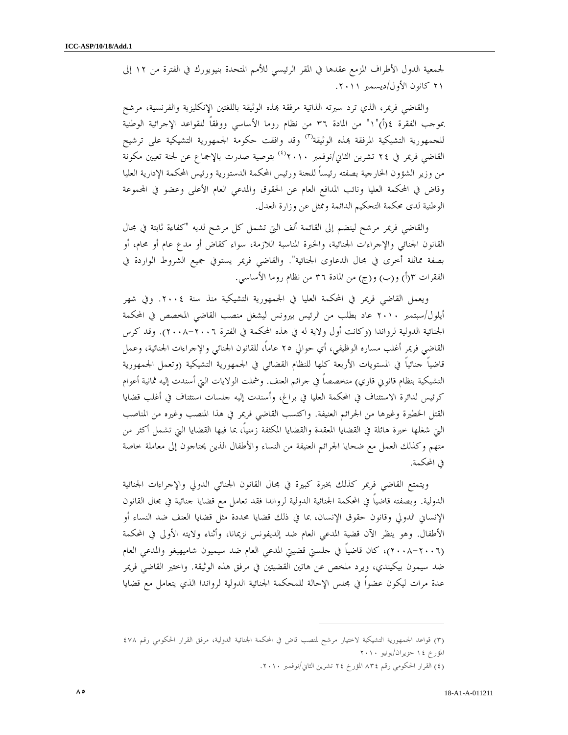لجمعية الدول الأطراف المزمع عقدها في المقر الرئيسي للأمم المتحدة بنيويورك في الفترة من ١٢ إلى ٢١ كانون الأول/ديسمبر ٢٠١١ .

والقاضي فريمر، الذي ترد سيرته الذاتية مرفقة بمذه الوثيقة باللغتين الإنكليزية والفرنسية، مرشح بموجب الفقرة ١٤(أ)"١" من المادة ٣٦ من نظام روما الأساسي ووفقاً للقواعد الإجرائية الوطنية للجمهورية التشيكية المرفقة بمذه الوثيقة<sup>(٣)</sup> وقد وافقت حكومة الجمهورية التشيكية على ترشيح القاضي فريمر في ٢٤ تشرين الثاني/نوفمبر ٢٠١٠°، بتوصية صدرت بالإجماع عن لجنة تعيين مكونة من وزير الشؤون الخارجية بصفته رئيساً للجنة ورئيس المحكمة الدستورية ورئيس المحكمة الإدارية العليا وقاض في المحكمة العليا ونائب المدافع العام عن الحقوق والمدعي العام الأعلى وعضو في اموعة الوطنية لدى محكمة التحكيم الدائمة وممثل عن وزارة العدل.

والقاضي فريمر مرشح لينضم إلى القائمة ألف التي تشمل كل مرشح لديه "كفاءة ثابتة في مجال القانون الجنائي والإجراءات الجنائية، والخبرة المناسبة اللازمة، سواء كقاض أو مدع عام أو محام، أو بصفة مماثلة أخرى في مجال الدعاوى الجنائية". والقاضي فريمر يستوفي جميع الشروط الواردة في الفقرات ٢(أ) و(ب) و(ج) من المادة ٣٦ من نظام روما الأساسي.

ويعمل القاضي فريمر في المحكمة العليا في الجمهورية التشيكية منذ سنة .٢٠٠٤ وفي شهر أيلول/سبتمبر ٢٠١٠ عاد بطلب من الرئيس بيرونس ليشغل منصب القاضي المخصص في المحكمة الجنائية الدولية لرواندا (وكانت أول ولاية له في هذه المحكمة في الفترة ٢٠٠٨-٢٠٠٦). وقد كرس القاضي فريمر أغلب مساره الوظيفي، أي حوالي ٢٥ عاماً، للقانون الجنائي والإجراءات الجنائية، وعمل قاضياً جنائياً في المستويات الأربعة كلها للنظام القضائي في الجمهورية التشيكية (وتعمل الجمهورية التشيكية بنظام قانوني قاري) متخصصاً في جرائم العنف. وشملت الولايات التي أسندت إليه ثمانية أعوام كرئيس لدائرة الاستئناف في المحكمة العليا في براغ، وأسندت إليه جلسات استئناف في أغلب قضايا القتل الخطيرة وغيرها من الجرائم العنيفة. واكتسب القاضي فريمر في هذا المنصب وغيره من المناصب التي شغلها خبرة هائلة في القضايا المعقدة والقضايا المكثفة زمنياً، بما فيها القضايا التي تشمل أكثر من متهم وكذلك العمل مع ضحايا الجرائم العنيفة من النساء والأطفال الذين يحتاجون إلى معاملة خاصة في المحكمة .

ويتمتع القاضي فريمر كذلك بخبرة كبيرة في مجال القانون الجنائي الدولي والإجراءات الجنائية الدولية. وبصفته قاضياً في المحكمة الجنائية الدولية لرواندا فقد تعامل مع قضايا جنائية في مجال القانون الإنساني الدولي وقانون حقوق الإنسان، بما في ذلك قضايا محددة مثل قضايا العنف ضد النساء أو الأطفال. وهو ينظر الآن قضية المدعي العام ضد إلديفونس نزيمانا، وأثناء ولايته الأولى في المحكمة (٢٠٠٨-٢٠٠٦)، كان قاضياً في جلستي قضيتي المدعي العام ضد سيميون شاميهيغو والمدعي العام ضد سيمون بيكيندي، ويرد ملخص عن هاتين القضيتين في مرفق هذه الوثيقة. واختير القاضي فريمر عدة مرات ليكون عضواً في مجلس الإحالة للمحكمة الجنائية الدولية لرواندا الذي يتعامل مع قضايا

 $\overline{a}$ 

٣( ) قواعد الجمهورية التشيكية لاختيار مرشح لمنصب قاض في المحكمة الجنائية الدولية، مرفق القرار الحكومي رقم ٤٧٨ المؤرخ ١٤ حزيران/يونيو ٢٠١٠

٤( ) القرار الحكومي رقم ٨٣٤ المؤرخ ٢٤ تشرين الثاني/نوفمبر .٢٠١٠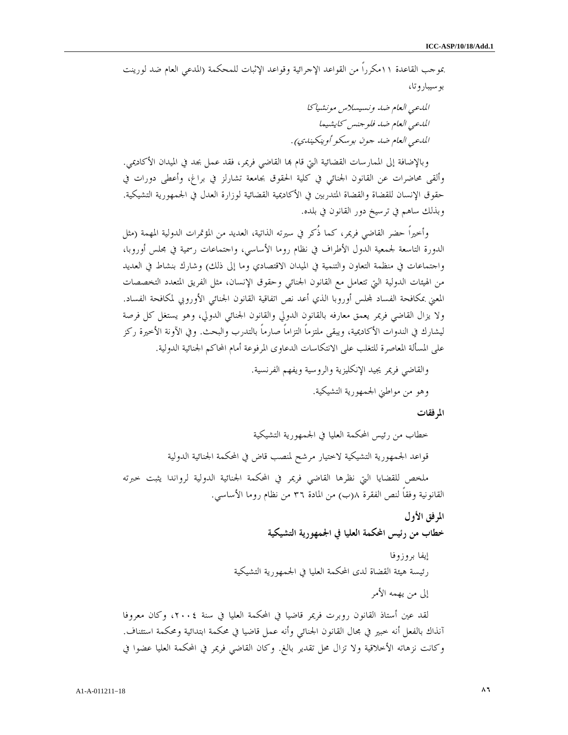بموجب القاعدة ١١مكرراً من القواعد الإجرائية وقواعد الإثبات للمحكمة (المدعي العام ضد لورينت بوسيباروتا،

المدعي العام ضد ونسيسلاس مونشياكا المدعي العام ضد فلوجنس كايشيما المدعي العام ضد جون بوسكو أوينكيندي) .

وبالإضافة إلى الممارسات القضائية التي قام بما القاضي فريمر، فقد عمل بجد في الميدان الأكاديمي. وألقى محاضرات عن القانون الجنائي في كلية الحقوق بجامعة تشارلز في براغ، وأعطى دورات في حقوق الإنسان للقضاة والقضاة المتدربين في الأكاديمية القضائية لوزارة العدل في الجمهورية التشيكية. وبذلك ساهم في ترسيخ دور القانون في بلده.

وأخيراً حضر القاضي فريمر، كما ذُكر في سيرته الذاتية، العديد من المؤتمرات الدولية المهمة (مثل الدورة التاسعة لجمعية الدول الأطراف في نظام روما الأساسي، واجتماعات رسمية في مجلس أوروبا، واجتماعات في منظمة التعاون والتنمية في الميدان الاقتصادي وما إلى ذلك) وشارك بنشاط في العديد من الهيئات الدولية التي تتعامل مع القانون الجنائي وحقوق الإنسان، مثل الفريق المتعدد التخصصات المعني بمكافحة الفساد لمحلس أوروبا الذي أعد نص اتفاقية القانون الجنائبي الأوروبي لمكافحة الفساد. ولا يزال القاضي فريمر يعمق معارفه بالقانون الدولي والقانون الجنائي الدولي، وهو يستغل كل فرصة ليشارك في الندوات الأكاديمية، ويبقى ملتزماً التزاماً صارماً بالتدرب والبحث. وفي الآونة الأخيرة ركز على المسألة المعاصرة للتغلب على الانتكاسات الدعاوى المرفوعة أمام المحاكم الجنائية الدولية .

> والقاضي فريمر يجيد الإنكليزية والروسية ويفهم الفرنسية . وهو من مواطني الجمهورية التشيكية .

> > المرفقات

خطاب من رئيس المحكمة العليا في الجمهورية التشيكية قواعد الجمهورية التشيكية لاختيار مرشح لمنصب قاض في المحكمة الجنائية الدولية ملخص للقضايا التي نظرها القاضي فريمر في المحكمة الجنائية الدولية لرواندا يثبت خبرته القانونية وفقاً لنص الفقرة ب(٨ ) من المادة ٣٦ من نظام روما الأساسي .

المرفق الأول

خطاب من رئيس المحكمة العليا في الجمهورية التشيكية

إيفا بروزوفا رئيسة هيئة القضاة لدى المحكمة العليا في الجمهورية التشيكية

إلى من يهمه الأمر

لقد عين أستاذ القانون روبرت فريمر قاضيا في المحكمة العليا في سنة ،٢٠٠٤ وكان معروفا آنذاك بالفعل أنه خبير في مجال القانون الجنائي وأنه عمل قاضيا في محكمة ابتدائية ومحكمة استئناف. وكانت نزهاته الأخلاقية ولا تزال محل تقدير بالغ. وكان القاضي فريمر في المحكمة العليا عضوا في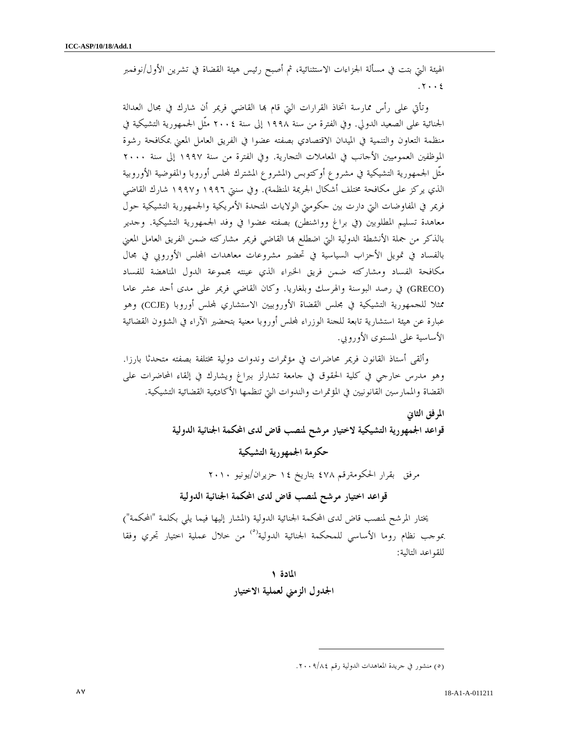الهيئة التي بتت في مسألة الجزاءات الاستثنائية، ثم أصبح رئيس هيئة القضاة في تشرين الأول/نوفمبر . ٢٠٠٤

وتأتي على رأس ممارسة اتخاذ القرارات التي قام بما القاضي فريمر أن شارك في مجال العدالة الجنائية على الصعيد الدولي. وفي الفترة من سنة ١٩٩٨ إلى سنة ٢٠٠٤ مثّل الجمهورية التشيكية في منظمة التعاون والتنمية في الميدان الاقتصادي بصفته عضوا في الفريق العامل المعني بمكافحة رشوة الموظفين العموميين الأجانب في المعاملات التجارية. وفي الفترة من سنة ١٩٩٧ إلى سنة ٢٠٠٠ مثّل الجمهورية التشيكية في مشروع أوكتوبس (المشروع المشترك لمحلس أوروبا والمفوضية الأوروبية الذي يركز على مكافحة مختلف أشكال الجريمة المنظمة). وفي سنتي ١٩٩٦ و١٩٩٧ شارك القاضي فريمر في المفاوضات التي دارت بين حكومتي الولايات المتحدة الأمريكية والجمهورية التشيكية حول معاهدة تسليم المطلوبين (في براغ وواشنطن) بصفته عضوا في وفد الجمهورية التشيكية. وجدير بالذكر من جملة الأنشطة الدولية التي اضطلع بما القاضي فريمر مشاركته ضمن الفريق العامل المعني بالفساد في تمويل الأحزاب السياسية في تحضير مشروعات معاهدات الس الأوروبي في مجال مكافحة الفساد ومشاركته ضمن فريق الخبراء الذي عينته مجموعة الدول المناهضة للفساد (GRECO (في رصد البوسنة والهرسك وبلغاريا. وكان القاضي فريمر على مدى أحد عشر عاما ممثلا للجمهورية التشيكية في مجلس القضاة الأوروبيين الاستشاري لمجلس أوروبا (CCJE) وهو عبارة عن هيئة استشارية تابعة للجنة الوزراء لمحلس أوروبا معنية بتحضير الآراء في الشؤون القضائية الأساسية على المستوى الأوروبي .

وألقى أستاذ القانون فريمر محاضرات في مؤتمرات وندوات دولية مختلفة بصفته متحدثا بارزا. وهو مدرس خارجي في كلية الحقوق في جامعة تشارلز ببراغ ويشارك في إلقاء المحاضرات على القضاة والممارسين القانونيين في المؤتمرات والندوات التي تنظمها الأكاديمية القضائية التشيكية .

#### المرفق الثاني

قواعد الجمهورية التشيكية لاختيار مرشح لمنصب قاض لدى المحكمة الجنائية الدولية

## حكومة الجمهورية التشيكية

مرفق بقرار الحكومةرقم ٤٧٨ بتاريخ ١٤ حزيران/يونيو ٢٠١٠

 $\overline{a}$ 

قواعد اختيار مرشح لمنصب قاض لدى المحكمة الجنائية الدولية

يختار المرشح لمنصب قاض لدى المحكمة الجنائية الدولية (المشار إليها فيما يلي بكلمة "المحكمة") موجب نظام روما الأساسي للمحكمة الجنائية الدولية<sup>(٥)</sup> من خلال عملية اختيار تجري وفقا للقواعد التالية :

## المادة ١ الجدول الزمني لعملية الاختيار

٥( ) منشور في جريدة المعاهدات الدولية رقم ٨٤/ ٢٠٠٩ .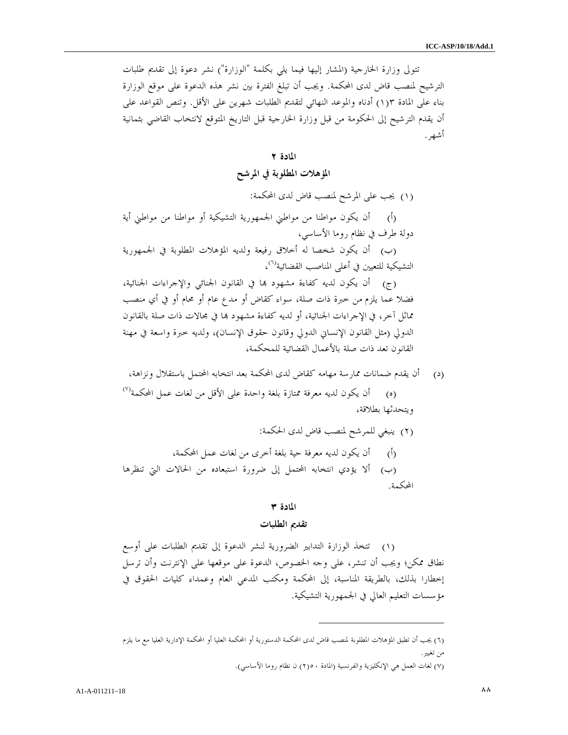تتولى وزارة الخارجية (المشار إليها فيما يلي بكلمة "الوزارة") نشر دعوة إلى تقديم طلبات الترشيح لمنصب قاض لدى المحكمة. ويجب أن تبلغ الفترة بين نشر هذه الدعوة على موقع الوزارة بناء على المادة ١(٣ ) أدناه والموعد النهائي لتقديم الطلبات شهرين على الأقل. وتنص القواعد على أن يقدم الترشيح إلى الحكومة من قبل وزارة الخارجية قبل التاريخ المتوقع لانتخاب القاضي بثمانية أشهر .

#### المادة ٢

## المؤهلات المطلوبة في المرشح

)١( يجب على المرشح لمنصب قاض لدى المحكمة:

)أ( أن يكون مواطنا من مواطني الجمهورية التشيكية أو مواطنا من مواطني أية دولة طرف في نظام روما الأساسي،

)ب( أن يكون شخصا له أخلاق رفيعة ولديه المؤهلات المطلوبة في الجمهورية التشيكية للتعيين في أعلى المناصب القضائية<sup>(٦)</sup>،

(ج) أن يكون لديه كفاءة مشهود بما في القانون الجنائي والإجراءات الجنائية، فضلا عما يلزم من خبرة ذات صلة، سواء كقاض أو مدع عام أو محام أو في أي منصب مماثل آخر، في الإجراءات الجنائية، أو لديه كفاءة مشهود بما في مجالات ذات صلة بالقانون الدولي (مثل القانون الإنساني الدولي وقانون حقوق الإنسان ، ) ولديه خبرة واسعة في مهنة القانون تعد ذات صلة بالأعمال القضائية للمحكمة ،

)د( أن يقدم ضمانات ممارسة مهامه كقاض لدى المحكمة بعد انتخابه المحتمل باستقلال ونزاهة،

(٥) أن يكون لديه معرفة ممتازة بلغة واحدة على الأقل من لغات عمل المحكمة'<sup>٧)</sup> ويتحدثها بطلاقة،

)٢( ينبغي للمرشح لمنصب قاض لدى الحكمة : )أ( أن يكون لديه معرفة حية بلغة أخرى من لغات عمل المحكمة، )ب( ألا يؤدي انتخابه المحتمل إلى ضرورة استبعاده من الحالات التي تنظرها المحكمة .

## المادة ٣

#### تقديم الطلبات

 )١( تتخذ الوزارة التدابير الضرورية لنشر الدعوة إلى تقديم الطلبات على أوسع نطاق ممكن؛ ويجب أن تنشر، على وجه الخصوص، الدعوة على موقعها على الإنترنت وأن ترسل إخطارا بذلك، بالطريقة المناسبة، إلى المحكمة ومكتب المدعي العام وعمداء كليات الحقوق في مؤسسات التعليم العالي في الجمهورية التشيكية .

 $\overline{a}$ 

<sup>(</sup>٦) يجب أن تطبق المؤهلات المطلوبة لمنصب قاض لدى المحكمة الدستورية أو المحكمة العليا أو المحكمة الإدارية العليا مع ما يلزم من تغيير .

٧( ) لغات العمل هي الإنكليزية والفرنسية (المادة ٢(٥٠ ) ن نظام روما الأساسي ).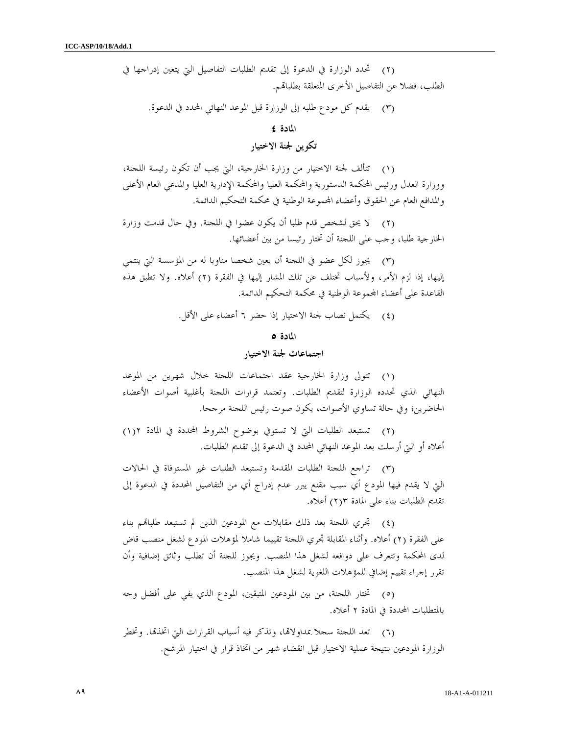)٢( تحدد الوزارة في الدعوة إلى تقديم الطلبات التفاصيل التي يتعين إدراجها في الطلب، فضلا عن التفاصيل الأخرى المتعلقة بطلبام .

)٣( يقدم كل مودع طلبه إلى الوزارة قبل الموعد النهائي المحدد في الدعوة .

المادة ٤

## تكوين لجنة الاختيار

 )١( تتألف لجنة الاختيار من وزارة الخارجية، التي يجب أن تكون رئيسة اللجنة، ووزارة العدل ورئيس المحكمة الدستورية والمحكمة العليا والمحكمة الإدارية العليا والمدعي العام الأعلى والمدافع العام عن الحقوق وأعضاء المحموعة الوطنية في محكمة التحكيم الدائمة.

 )٢( لا يحق لشخص قدم طلبا أن يكون عضوا في اللجنة. وفي حال قدمت وزارة الخارجية طلبا، وجب على اللجنة أن تختار رئيسا من بين أعضائها .

 )٣( يجوز لكل عضو في اللجنة أن يعين شخصا مناوبا له من المؤسسة التي ينتمي إليها، إذا لزم الأمر، ولأسباب تختلف عن تلك المشار إليها في الفقرة ٢( ) أعلاه. ولا تطبق هذه القاعدة على أعضاء المحموعة الوطنية في محكمة التحكيم الدائمة.

)٤( يكتمل نصاب لجنة الاختيار إذا حضر ٦ أعضاء على الأقل .

#### المادة ٥

## اجتماعات لجنة الاختيار

 )١( تتولى وزارة الخارجية عقد اجتماعات اللجنة خلال شهرين من الموعد النهائي الذي تحدده الوزارة لتقديم الطلبات. وتعتمد قرارات اللجنة بأغلبية أصوات الأعضاء الحاضرين؛ وفي حالة تساوي الأصوات، يكون صوت رئيس اللجنة مرجحا .

 )٢( تستبعد الطلبات التي لا تستوفي بوضوح الشروط المحددة في المادة ) ١(٢ أعلاه أو التي أرسلت بعد الموعد النهائي المحدد في الدعوة إلى تقديم الطلبات .

 )٣( تراجع اللجنة الطلبات المقدمة وتستبعد الطلبات غير المستوفاة في الحالات التي لا يقدم فيها المودع أي سبب مقنع يبرر عدم إدراج أي من التفاصيل المحددة في الدعوة إلى تقديم الطلبات بناء على المادة ) ٢(٣ أعلاه .

(٤) تجري اللجنة بعد ذلك مقابلات مع المودعين الذين لم تستبعد طلباقم بناء على الفقرة (٢) أعلاه. وأثناء المقابلة تجري اللجنة تقييما شاملا لمؤهلات المودع لشغل منصب قاض لدى المحكمة وتتعرف على دوافعه لشغل هذا المنصب. ويجوز للجنة أن تطلب وثائق إضافية وأن تقرر إجراء تقييم إضافي للمؤهلات اللغوية لشغل هذا المنصب .

 )٥( تختار اللجنة، من بين المودعين المتبقين، المودع الذي يفي على أفضل وجه بالمتطلبات المحددة في المادة ٢ أعلاه .

(٦) تعد اللجنة سجلا بمداولاتما، وتذكر فيه أسباب القرارات التي اتخذتما. وتخطر الوزارة المودعين بنتيجة عملية الاختيار قبل انقضاء شهر من اتخاذ قرار في اختيار المرشح .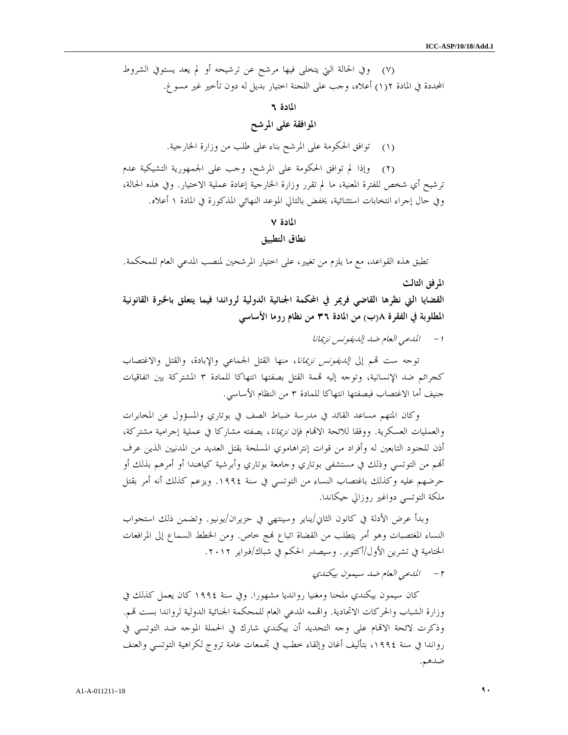)٧( وفي الحالة التي يتخلى فيها مرشح عن ترشيحه أو لم يعد يستوفي الشروط المحددة في المادة ١(٢) أعلاه، وحب على اللجنة اختيار بديل له دون تأخير غير مسوغ.

## المادة ٦

## الموافقة على المرشح

)١( توافق الحكومة على المرشح بناء على طلب من وزارة الخارجية .

 )٢( وإذا لم توافق الحكومة على المرشح، وجب على الجمهورية التشيكية عدم ترشيح أي شخص للفترة المعنية، ما لم تقرر وزارة الخارجية إعادة عملية الاختيار. وفي هذه الحالة، وفي حال إجراء انتخابات استثنائية، يخفض بالتالي الموعد النهائي المذكورة في المادة ١ أعلاه .

#### المادة ٧

### نطاق التطبيق

تطبق هذه القواعد، مع ما يلزم من تغيير، على اختيار المرشحين لمنصب المدعي العام للمحكمة .

#### المرفق الثالث

القضايا التي نظرها القاضي فريمر في المحكمة الجنائية الدولية لرواندا فيما يتعلق بالخبرة القانونية المطلوبة في الفقرة ب(٨ ) من المادة ٣٦ من نظام روما الأساسي

- ١ المدعي العام ضد إلديفونس نزيمانا

توجه ست قمم إلى *إلديفونس نزيمانا*، منها القتل الجماعي والإبادة، والقتل والاغتصاب كجرائم ضد الإنسانية، وتوجه إليه قممة القتل بصفتها انتهاكا للمادة ٣ المشتركة بين اتفاقيات جنيف أما الاغتصاب فبصفتها انتهاكا للمادة ٣ من النظام الأساسي .

 وكان المتهم مساعد القائد في مدرسة ضباط الصف في بوتاري والمسؤول عن المخابرات والعمليات العسكرية. ووفقا للائحة الاتمام فإن *نزيمانا*، بصفته مشاركا في عملية إجرامية مشتركة، أذن للجنود التابعين له وأفراد من قوات إنتراهاموي المسلحة بقتل العديد من المدنيين الذين عرف أم من التوتسي وذلك في مستشفى بوتاري وجامعة بوتاري وأبرشية كياهندا أو أمرهم بذلك أو حرضهم عليه وكذلك باغتصاب النساء من التوتسي في سنة .١٩٩٤ ويزعم كذلك أنه أمر بقتل ملكة التوتسي دواغير روزالي جيكاندا .

وبدأ عرض الأدلة في كانون الثاني/يناير وسينتهي في حزيران/يونيو. وتضمن ذلك استجواب النساء المغتصبات وهو أمر يتطلب من القضاة اتباع ج خاص. ومن الخطط السماع إلى المرافعات الختامية في تشرين الأول/أكتوبر. وسيصدر الحكم في شباك/فبراير ٢٠١٢ .

- ٢ المدعي العام ضد سيمون بيكندي

 كان سيمون بيكندي ملحنا ومغنيا روانديا مشهورا. وفي سنة ١٩٩٤ كان يعمل كذلك في وزارة الشباب والحركات الاتحادية. واقممه المدعي العام للمحكمة الجنائية الدولية لرواندا بست قمم. وذكرت لائحة الاقمام على وجه التحديد أن بيكندي شارك في الحملة الموجه ضد التوتسي في رواندا في سنة ،١٩٩٤ بتأليف أغان وإلقاء خطب في تجمعات عامة تروج لكراهية التوتسي والعنف ضدهم .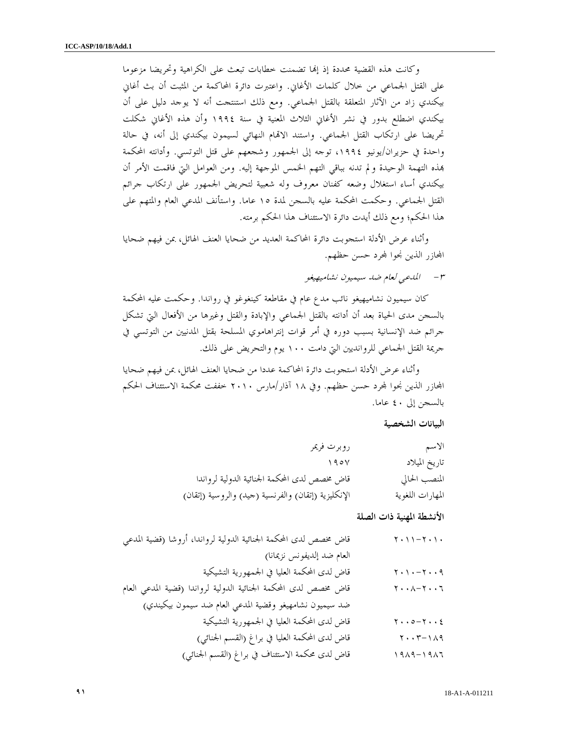وكانت هذه القضية محددة إذ إنما تضمنت خطابات تبعث على الكراهية وتحريضا مزعوما على القتل الجماعي من خلال كلمات الأغاني. واعتبرت دائرة المحاكمة من المثبت أن بث أغاني بيكندي زاد من الآثار المتعلقة بالقتل الجماعي. ومع ذلك استنتجت أنه لا يوجد دليل على أن بيكندي اضطلع بدور في نشر الأغاني الثلاث المعنية في سنة ١٩٩٤ وأن هذه الأغاني شكلت تحريضا على ارتكاب القتل الجماعي. واستند الاتمام النهائي لسيمون بيكندي إلى أنه، في حالة واحدة في حزيران/يونيو ،١٩٩٤ توجه إلى الجمهور وشجعهم على قتل التوتسي. وأدانته المحكمة ذه التهمة الوحيدة ولم تدنه بباقي التهم الخمس الموجهة إليه. ومن العوامل التي فاقمت الأمر أن بيكندي أساء استغلال وضعه كفنان معروف وله شعبية لتحريض الجمهور على ارتكاب جرائم القتل الجماعي. وحكمت المحكمة عليه بالسجن لمدة ١٥ عاما. واستأنف المدعي العام والمتهم على هذا الحكم؛ ومع ذلك أيدت دائرة الاستئناف هذا الحكم برمته .

وأثناء عرض الأدلة استجوبت دائرة المحاكمة العديد من ضحايا العنف الهائل، بمن فيهم ضحايا المحازر الذين نجوا لمحرد حسن حظهم.

- ٣ المدعي لعام ضد سيميون نشاميهيغو

كان سيميون نشاميهيغو نائب مدع عام في مقاطعة كينغوغو في رواندا. وحكمت عليه المحكمة بالسجن مدى الحياة بعد أن أدانته بالقتل الجماعي والإبادة والقتل وغيرها من الأفعال التي تشكل جرائم ضد الإنسانية بسبب دوره في أمر قوات إنتراهاموي المسلحة بقتل المدنيين من التوتسي في جريمة القتل الجماعي للروانديين التي دامت ١٠٠ يوم والتحريض على ذلك .

 وأثناء عرض الأدلة استجوبت دائرة المحاكمة عددا من ضحايا العنف الهائل، بمن فيهم ضحايا المجازر الذين نجوا لمحرد حسن حظهم. وفي ١٨ آذار/مارس ٢٠١٠ خففت محكمة الاستئناف الحكم بالسجن إلى ٤٠ عاما .

#### البيانات الشخصية

| الاسم            | روبرت فريمر                                         |
|------------------|-----------------------------------------------------|
| تاريخ الميلاد    | 190V                                                |
| المنصب الحالي    | قاض مخصص لدى المحكمة الجنائية الدولية لرواندا       |
| المهارات اللغوية | الإنكليزية (إتقان) والفرنسية (حيد) والروسية (إتقان) |

الأنشطة المهنية ذات الصلة

| قاض مخصص لدى المحكمة الجنائية الدولية لرواندا، أروشا (قضية المدعى | $\gamma$ , $\gamma$ , $\gamma$ , $\gamma$ , $\gamma$         |
|-------------------------------------------------------------------|--------------------------------------------------------------|
| العام ضد إلديفونس نزيمانا)                                        |                                                              |
| قاض لدى المحكمة العليا في الجمهورية التشيكية                      | $\gamma \cdot \gamma \cdot - \gamma \cdot \gamma$            |
| قاض مخصص لدى المحكمة الجنائية الدولية لرواندا (قضية المدعى العام  | $\mathbf{y} \cdot \mathbf{y} - \mathbf{y} \cdot \mathbf{y}$  |
| ضد سيميون نشامهيغو وقضية المدعى العام ضد سيمون بيكيندي)           |                                                              |
| قاض لدى المحكمة العليا في الجمهورية التشيكية                      | $\gamma \cdot \cdot \circ - \gamma \cdot \cdot \xi$          |
| قاض لدى المحكمة العليا في براغ (القسم الجنائبي)                   | $\mathbf{y} \cdot \mathbf{y} - \mathbf{y} \wedge \mathbf{y}$ |
| قاض لدى محكمة الاستئناف في براغ (القسم الجنائبي)                  |                                                              |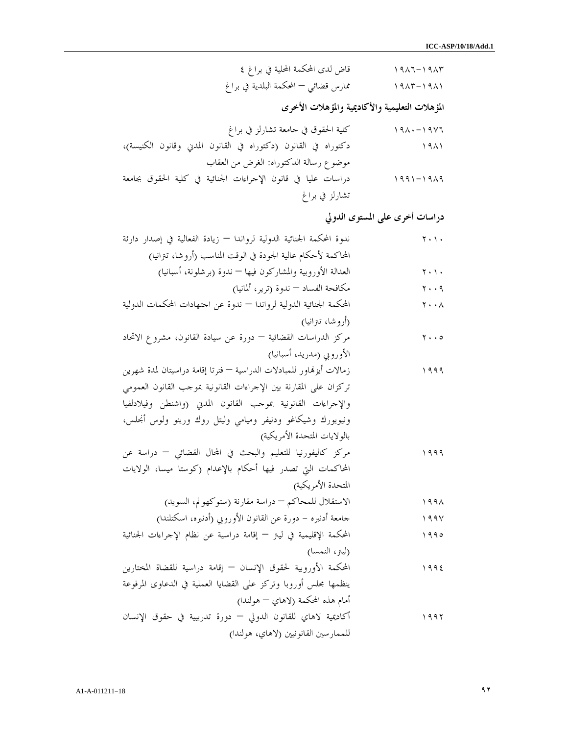| قاض لدى المحكمة المحلية في براغ ٤     | $1917 - 1917$ |
|---------------------------------------|---------------|
| ممارس قضائي — المحكمة البلدية في براغ | $1417 - 1911$ |

المؤهلات التعليمية والأكاديمية والمؤهلات الأخرى

| كلية الحقوق في حامعة تشارلز في براغ                            | $190 - 1907$  |
|----------------------------------------------------------------|---------------|
| دكتوراه في القانون (دكتوراه في القانون المدني وقانون الكنيسة)، | 1911          |
| موضوع رسالة الدكتوراه: الغرض من العقاب                         |               |
| دراسات عليا في قانون الإجراءات الجنائية في كلية الحقوق بجامعة  | $1991 - 1919$ |
| تشارلز في براغ                                                 |               |

دراسات أخرى على المستوى الدولي

| ندوة المحكمة الجنائية الدولية لرواندا — زيادة الفعالية في إصدار دارئة | $\mathbf{y} \cdot \mathbf{y}$ .     |
|-----------------------------------------------------------------------|-------------------------------------|
| المحاكمة لأحكام عالية الجودة في الوقت المناسب (أروشا، تنزانيا)        |                                     |
| العدالة الأوروبية والمشاركون فيها — ندوة (برشلونة، أسبانيا)           | $\mathbf{y} \cdot \mathbf{y}$ .     |
| مكافحة الفساد — ندوة (ترير، ألمانيا)                                  | ۲۰۰۹                                |
| المحكمة الجنائية الدولية لرواندا — ندوة عن احتهادات المحكمات الدولية  | $\mathbf{y} \cdot \mathbf{y}$       |
| (أروشا، تىزانيا)                                                      |                                     |
| مركز الدراسات القضائية — دورة عن سيادة القانون، مشروع الاتحاد         | $\mathbf{y} \cdot \cdot \mathbf{0}$ |
| الأوروبي (مدريد، أسبانيا)                                             |                                     |
| زمالات أيزنماور للمبادلات الدراسية — فترتا إقامة دراسيتان لمدة شهرين  | ۱۹۹۹                                |
| تركزان على المقارنة بين الإحراءات القانونية بموجب القانون العمومي     |                                     |
| والإحراءات القانونية بموحب القانون المدبى (واشنطن وفيلادلفيا          |                                     |
| ونيويورك وشيكاغو ودنيفر وميامي وليتل روك ورينو ولوس أنجلس،            |                                     |
| بالولايات المتحدة الأمريكية)                                          |                                     |
| مركز كاليفورنيا للتعليم والبحث في المحال القضائي – دراسة عن           | ۱۹۹۹                                |
| المحاكمات التى تصدر فيها أحكام بالإعدام (كوستا ميسا، الولايات         |                                     |
| المتحدة الأمريكية)                                                    |                                     |
| الاستقلال للمحاكم – دراسة مقارنة (ستوكهو لم، السويد)                  | ۱۹۹۸                                |
| جامعة أدنبره – دورة عن القانون الأوروبي (أدنبره، اسكتلندا)            | 199V                                |
| المحكمة الإقليمية في ليتر — إقامة دراسية عن نظام الإجراءات الجنائية   | ۱۹۹۰                                |
| (لينز، النمسا)                                                        |                                     |
| المحكمة الأوروبية لحقوق الإنسان — إقامة دراسية للقضاة المختارين       | 1992                                |
| ينظمها مجلس أوروبا وتركز على القضايا العملية في الدعاوى المرفوعة      |                                     |
| أمام هذه المحكمة (لاهاي — هولندا)                                     |                                     |
| أكاديمية لاهاي للقانون الدولي — دورة تدريبية في حقوق الإنسان          | ۱۹۹۲                                |
| للممارسين القانونيين (لاهاي، هولندا)                                  |                                     |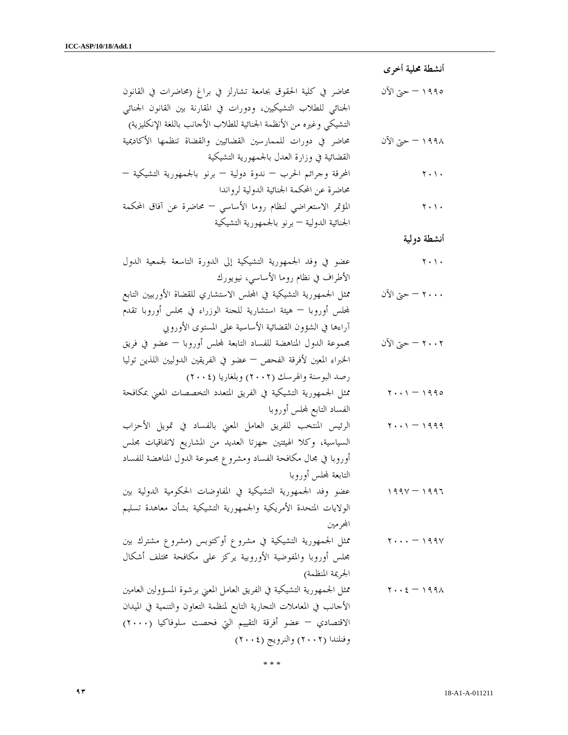أنشطة محلية أخرى

١٩٩٥ – حتى الآن محاضر في كلية الحقوق بجامعة تشارلز في براغ (محاضرات في القانون الجنائي للطلاب التشيكيين، ودورات في المقارنة بين القانون الجنائي التشيكي وغيره من الأنظمة الجنائية للطلاب الأجانب باللغة الإنكليزية ) ١٩٩٨ – حتى الآن محاضر في دورات للممارسين القضائيين والقضاة تنظمها الأكاديمية القضائية في وزارة العدل بالجمهورية التشيكية ٢٠١٠ المحرقة وجرائم الحرب – ندوة دولية – برنو بالجمهورية التشيكية – محاضرة عن المحكمة الجنائية الدولية لرواندا ٢٠١٠ المؤتمر الاستعراضي لنظام روما الأساسي – محاضرة عن آفاق المحكمة الجنائية الدولية – برنو بالجمهورية التشيكية أنشطة دولية ٢٠١٠ عضو في وفد الجمهورية التشيكية إلى الدورة التاسعة لجمعية الدول الأطراف في نظام روما الأساسي، نيويورك ٢٠٠٠ – حتى الآن ممثل الجمهورية التشيكية في الس الاستشاري للقضاة الأوربيين التابع لس أوروبا – هيئة استشارية للجنة الوزراء في مجلس أوروبا تقدم آراءها في الشؤون القضائية الأساسية على المستوى الأوروبي ٢٠٠٢ – حتى الآن مجموعة الدول المناهضة للفساد التابعة لس أوروبا – عضو في فريق الخبراء المعين لأفرقة الفحص – عضو في الفريقين الدوليين اللذين توليا رصد البوسنة والهرسك (٢٠٠٢) وبلغاريا (٢٠٠٤ ) ١٩٩٥ – ٢٠٠١ ممثل الجمهورية التشيكية في الفريق المتعدد التخصصات المعني بمكافحة الفساد التابع لس أوروبا ١٩٩٩ – ٢٠٠١ الرئيس المنتخب للفريق العامل المعني بالفساد في تمويل الأحزاب السياسية، وكلا الهيئتين جهزتا العديد من المشاريع لاتفاقيات مجلس أوروبا في مجال مكافحة الفساد ومشروع مجموعة الدول المناهضة للفساد التابعة لس أوروبا ١٩٩٦ – ١٩٩٧ عضو وفد الجمهورية التشيكية في المفاوضات الحكومية الدولية بين الولايات المتحدة الأمريكية والجمهورية التشيكية بشأن معاهدة تسليم ارمين ١٩٩٧ – ٢٠٠٠ ممثل الجمهورية التشيكية في مشروع أوكتوبس (مشروع مشترك بين مجلس أوروبا والمفوضية الأوروبية يركز على مكافحة مختلف أشكال الجريمة المنظمة ) ١٩٩٨ – ٢٠٠٤ ممثل الجمهورية التشيكية في الفريق العامل المعني برشوة المسؤولين العامين الأجانب في المعاملات التجارية التابع لمنظمة التعاون والتنمية في الميدان الاقتصادي – عضو أفرقة التقييم التي فحصت سلوفاكيا (٢٠٠٠) وفنلندا (٢٠٠٢) والنرويج (٢٠٠٤)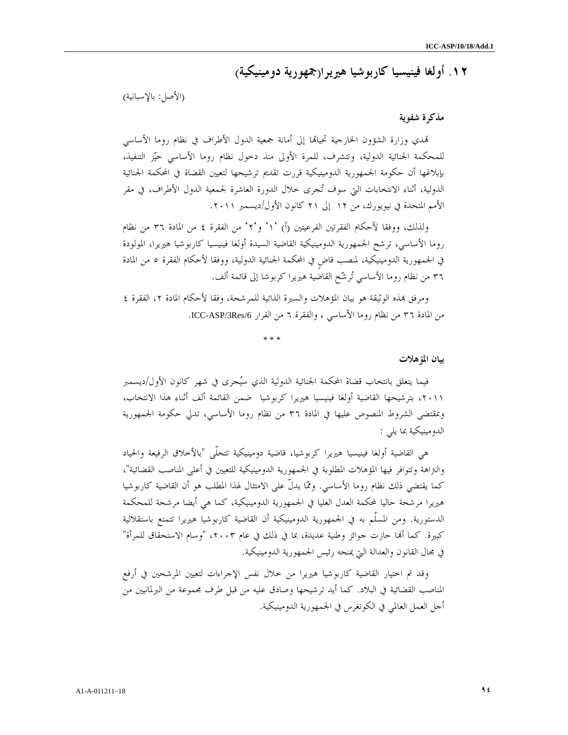# ١٢. أولغا فينيسيا كاربوشيا هيريرا(جمهورية دومينيكية)

(الأصل: بالإسبانية )

### مذكرة شفوية

تمدي وزارة الشؤون الخارجية تحيالها إلى أمانة جمعية الدول الأطراف في نظام روما الأساسي للمحكمة الجنائية الدولية، وتتشرف، للمرة الأولى منذ دخول نظام روما الأساسي حيز التنفيذ، بإبلاغها أن حكومة الجمهورية الدومينيكية قررت تقديم ترشيحها لتعيين القضاة في المحكمة الجنائية الدولية، أثناء الانتخابات التي سوف تجرى خلال الدورة العاشرة لجمعية الدول الأطراف، في مقر الأمم المتحدة في نيويورك، من ١٢ إلى ٢١ كانون الأول/ديسمبر .٢٠١١

ولذلك، ووفقا لأحكام الفقرتين الفرعيتين ١') أ( ٢'و' ' من الفقرة ٤ من المادة ٣٦ من نظام روما الأساسي، ترشح الجمهورية الدومينيكية القاضية السيدة أولغا فينيسيا كاربوشيا هيريرا، المولودة في الجمهورية الدومينيكية، لمنصب قاضٍ في المحكمة الجنائية الدولية، ووفقا لأحكام الفقرة ٥ من المادة ٣٦ من نظام روما الأساسي ترشح القاضية هيريرا كربوشا إلى قائمة ألف.

ومرفق بمذه الوثيقة هو بيان المؤهلات والسيرة الذاتية للمرشحة، وفقا لأحكام المادة ٢، الفقرة ٤ من المادة ٣٦ من نظام روما الأساسي ، والفقرة ٦ من القرار /6Res/3ASP-ICC .

\* \* \*

#### بيان المؤهلات

فيما يتعلق بانتخاب قضاة المحكمة الجنائية الدولية الذي سيجرى في شهر كانون الأول/ديسمبر ،٢٠١١ بترشيحها القاضية أولغا فينيسيا هيريرا كربوشيا ضمن القائمة ألف أثناء هذا الانتخاب، وبمقتضى الشروط المنصوص عليها في المادة ٣٦ من نظام روما الأساسي، تدلي حكومة الجمهورية الدومينيكية بما يلي :

هي القاضية أولغا فينيسيا هيريرا كربوشيا، قاضية دومينيكية تتحلّى "بالأخلاق الرفيعة والحياد والتراهة وتتوافر فيها المؤهلات المطلوبة في الجمهورية الدومينيكية للتعيين في أعلى المناصب القضائية"، كما يقتضي ذلك نظام روما الأساسي. ومما يدلّ على الامتثال لهذا المطلب هو أن القاضية كاربوشيا هيريرا مرشحة حاليا لمحكمة العدل العليا في الجمهورية الدومينيكية، كما هي أيضا مرشحة للمحكمة الدستورية. ومن المسلّم به في الجمهورية الدومينيكية أن القاضية كاربوشيا هيريرا تتمتع باستقلالية كبيرة. كما ألها حازت جوائز وطنية عديدة، بما في ذلك في عام ٢٠٠٣، "وسام الاستحقاق للمرأة" في مجال القانون والعدالة التي يمنحه رئيس الجمهورية الدومينيكية .

وقد تم اختيار القاضية كاربوشيا هيريرا من خلال نفس الإجراءات لتعيين المرشحين في أرفع المناصب القضائية في البلاد. كما أيد ترشيحها وصادق عليه من قبل طرف مجموعة من البرلمانيين من أجل العمل العالمي في الكونغرس في الجمهورية الدومينيكية .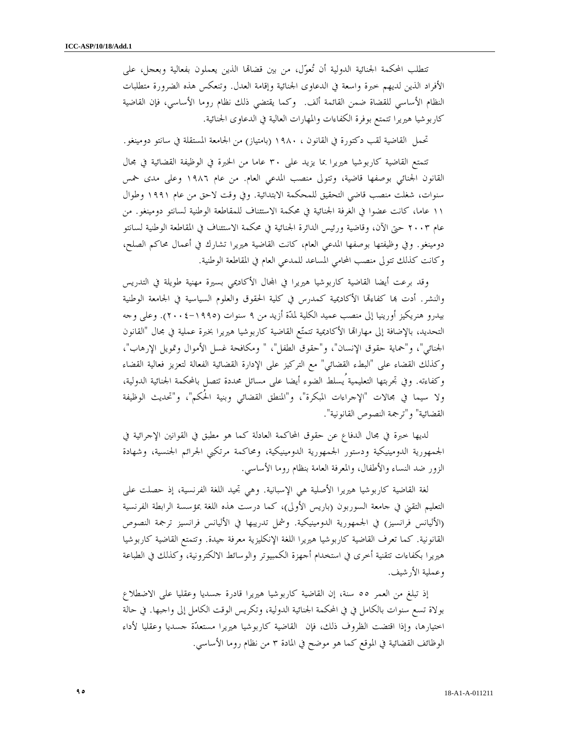تتطلب المحكمة الجنائية الدولية أن تُعوّل، من بين قضاقما الذين يعملون بفعالية وبعجل، على الأفراد الذين لديهم خبرة واسعة في الدعاوى الجنائية وإقامة العدل. وتنعكس هذه الضرورة متطلبات النظام الأساسي للقضاة ضمن القائمة ألف. وكما يقتضي ذلك نظام روما الأساسي، فإن القاضية كاربوشيا هيريرا تتمتع بوفرة الكفاءات والمهارات العالية في الدعاوى الجنائية .

تحمل القاضية لقب دكتورة في القانون ، ١٩٨٠ (بامتياز) من الجامعة المستقلة في سانتو دومينغو.

تتمتع القاضية كاربوشيا هيريرا بما يزيد على ٣٠ عاما من الخبرة في الوظيفة القضائية في مجال القانون الجنائي بوصفها قاضية، وتتولى منصب المدعي العام. من عام ١٩٨٦ وعلى مدى خمس سنوات، شغلت منصب قاضي التحقيق للمحكمة الابتدائية. وفي وقت لاحق من عام ١٩٩١ وطوال ١١ عاما، كانت عضوا في الغرفة الجنائية في محكمة الاستئناف للمقاطعة الوطنية لسانتو دومينغو. من عام ٢٠٠٣ حتى الآن، وقاضية ورئيس الدائرة الجنائية في محكمة الاستئناف في المقاطعة الوطنية لسانتو دومينغو. وفي وظيفتها بوصفها المدعي العام، كانت القاضية هيريرا تشارك في أعمال محاكم الصلح، وكانت كذلك تتولى منصب المحامي المساعد للمدعي العام في المقاطعة الوطنية .

وقد برعت أيضا القاضية كاربوشيا هيريرا في المحال الأكاديمي بسيرة مهنية طويلة في التدريس والنشر. أدت ها كفاءها الأكاديمية كمدرس في كلية الحقوق والعلوم السياسية في الجامعة الوطنية بيدرو هنريكيز أورينيا إلى منصب عميد الكلية لمدة أزيد من ٩ سنوات (٢٠٠٤-١٩٩٥). وعلى وجه التحديد، بالإضافة إلى مهاراتما الأكاديمية تتمتّع القاضية كاربوشيا هيريرا بخبرة عملية في مجال "القانون الجنائي"، و"حماية حقوق الإنسان"، و"حقوق الطفل"، " ومكافحة غسل الأموال وتمويل الإرهاب"، وكذلك القضاء على "البطء القضائي" مع التركيز على الإدارة القضائية الفعالة لتعزيز فعالية القضاء وكفاءته. وفي تجربتها التعليمية ُيسلط الضوء أيضا على مسائل محددة تتصل بالمحكمة الجنائية الدولية، ولا سيما في مجالات "الإجراءات المبكرة"، و"المنطق القضائي وبنية الحُكم"، و"تحديث الوظيفة القضائية "و" ترجمة النصوص القانونية ".

لديها خبرة في مجال الدفاع عن حقوق المحاكمة العادلة كما هو مطبق في القوانين الإجرائية في الجمهورية الدومينيكية ودستور الجمهورية الدومينيكية، ومحاكمة مرتكبي الجرائم الجنسية، وشهادة الزور ضد النساء والأطفال، والمعرفة العامة بنظام روما الأساسي .

لغة القاضية كاربوشيا هيريرا الأصلية هي الإسبانية. وهي تجيد اللغة الفرنسية، إذ حصلت على التعليم التقني في جامعة السوربون (باريس الأولى)، كما درست هذه اللغة بمؤسسة الرابطة الفرنسية (الأليانس فرانسيز) في الجمهورية الدومينيكية. وشمل تدريبها في الأليانس فرانسيز ترجمة النصوص القانونية. كما تعرف القاضية كاربوشيا هيريرا اللغة الإنكليزية معرفة جيدة. وتتمتع القاضية كاربوشيا هيريرا بكفاءات تتقنية أخرى في استخدام أجهزة الكمبيوتر والوسائط الالكترونية، وكذلك في الطباعة وعملية الأرشيف .

إذ تبلغ من العمر ٥٥ سنة، إن القاضية كاربوشيا هيريرا قادرة جسديا وعقليا على الاضطلاع بولاة تسع سنوات بالكامل في في المحكمة الجنائية الدولية، وتكريس الوقت الكامل إلى واجبها في. حالة اختيارها، وإذا اقتضت الظروف ذلك، فإن القاضية كاربوشيا هيريرا مستعدة جسديا وعقليا لأداء الوظائف القضائية في الموقع كما هو موضح في المادة ٣ من نظام روما الأساسي .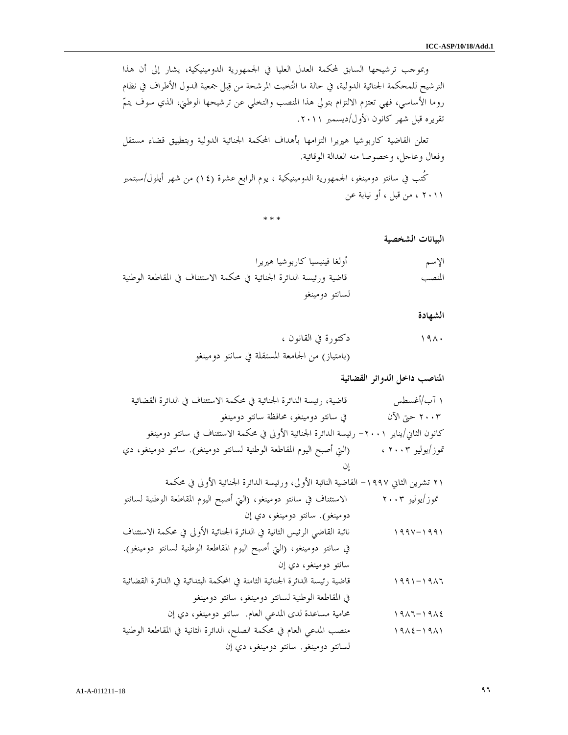وبموجب ترشيحها السابق لمحكمة العدل العليا في الجمهورية الدومينيكية، يشار إلى أن هذا الترشيح للمحكمة الجنائية الدولية، في حالة ما انتخبت المرشحة من قبل جمعية الدول الأطراف في نظام روما الأساسي، فهي تعتزم الالتزام بتولي هذا المنصب والتخلي عن ترشيحها الوطني، الذي سوف يتم تقريره قبل شهر كانون الأول/ديسمبر ٢٠١١ .

تعلن القاضية كاربوشيا هيريرا التزامها بأهداف المحكمة الجنائية الدولية وبتطبيق قضاء مستقل وفعال وعاجل، وخصوصا منه العدالة الوقائية .

كُتب في سانتو دومينغو، الجمهورية الدومينيكية ، يوم الرابع عشرة (١٤) من شهر أيلول/سبتمبر ٢٠١١ ، من قبل ، أو نيابة عن

\* \* \*

البيانات الشخصية

الإسم أولغا فينيسيا كاربوشيا هيريرا المنصب قاضية ورئيسة الدائرة الجنائية في محكمة الاستئناف في المقاطعة الوطنية لسانتو دومينغو

الشهادة

١٩٨٠ دكتورة في القانون ، (بامتياز) من الجامعة المستقلة في سانتو دومينغو

المناصب داخل الدوائر القضائية

١ آب/أغسطس قاضية، رئيسة الدائرة الجنائية في محكمة الاستئناف في الدائرة القضائية ٢٠٠٣ حتى الآن في سانتو دومينغو، محافظة سانتو دومينغو كانون الثاني/يناير -٢٠٠١ رئيسة الدائرة الجنائية الأولى في محكمة الاستئناف في سانتو دومينغو /تموز يوليو ٢٠٠٣ ، (التي أصبح اليوم المقاطعة الوطنية لسانتو دومينغو). سانتو دومينغو، دي إن

٢١ تشرين الثاني -١٩٩٧ القاضية النائبة الأولى، ورئيسة الدائرة الجنائية الأولى في محكمة

 تموز/يوليو ٢٠٠٣ الاستئناف في سانتو دومينغو، (التي أصبح اليوم المقاطعة الوطنية لسانتو دومينغو). سانتو دومينغو، دي إن ١٩٩٧-١٩٩١ نائبة القاضي الرئيس الثانية في الدائرة الجنائية الأولى في محكمة الاستئناف في سانتو دومينغو، (التي أصبح اليوم المقاطعة الوطنية لسانتو دومينغو). سانتو دومينغو، دي إن ١٩٩١-١٩٨٦ قاضية رئيسة الدائرة الجنائية الثامنة في المحكمة البتدائية في الدائرة القضائية في المقاطعة الوطنية لسانتو دومينغو، سانتو دومينغو ١٩٨٦-١٩٨٤ محامية مساعدة لدى المدعي العام. سانتو دومينغو، دي إن ١٩٨٤-١٩٨١ منصب المدعي العام في محكمة الصلح، الدائرة الثانية في المقاطعة الوطنية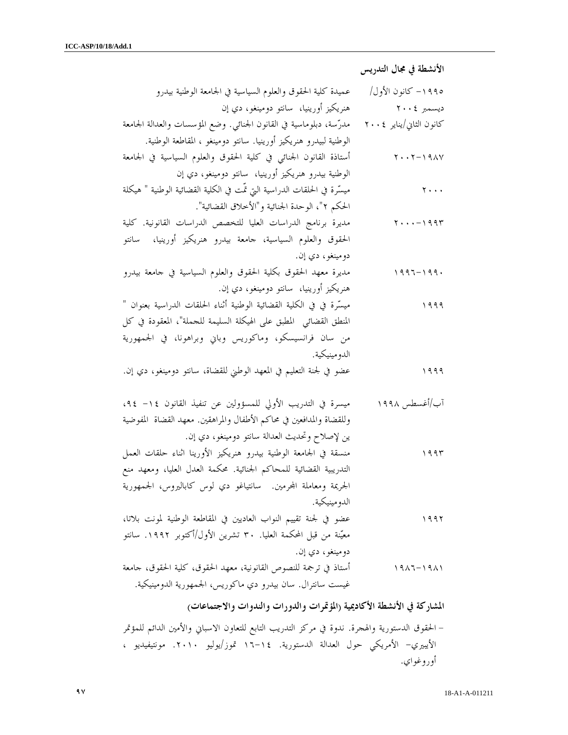الأنشطة في مجال التدريس

| عميدة كلية الحقوق والعلوم السياسية في الجامعة الوطنية بيدرو               | ١٩٩٥ – كانون الأول/            |
|---------------------------------------------------------------------------|--------------------------------|
| هنريكيز أورينيا،  سانتو دومينغو، دي إن                                    | ديسمبر ٢٠٠٤                    |
| مدرّسة، دبلوماسية في القانون الجنائي. وضع المؤسسات والعدالة الجامعة       | كانون الثاني/يناير ٢٠٠٤        |
| الوطنية لبيدرو هنريكيز أورينيا. سانتو دومينغو ، المقاطعة الوطنية.         |                                |
| أستاذة القانون الجنائبي في كلية الحقوق والعلوم السياسية في الجامعة        | $Y \cdot Y - Y 9AY$            |
| الوطنية بيدرو هنريكيز أورينيا،  سانتو دومينغو، دي إن                      |                                |
| ميسَّرة في الحلقات الدراسية التي تمَّت في الكلية القضائية الوطنية " هيكلة | $\mathbf{y} \cdot \cdot \cdot$ |
| الحكم ٢"، الوحدة الجنائية و"الأخلاق القضائية".                            |                                |
| مديرة برنامج الدراسات العليا للتخصص الدراسات القانونية. كلية              | $Y \cdot \cdot \cdot - 1994$   |
| الحقوق والعلوم السياسية، جامعة بيدرو هنريكيز أورينيا،<br>سانتو            |                                |
| دومينغو، دي إن.                                                           |                                |
| مديرة معهد الحقوق بكلية الحقوق والعلوم السياسية في حامعة بيدرو            | $1997 - 199.$                  |
| هنريكيز أورينيا،  سانتو دومينغو، دي إن.                                   |                                |
| ميسِّرة في في الكلية القضائية الوطنية أثناء الحلقات الدراسية بعنوان "     | ۱۹۹۹                           |
| المنطق القضائي  المطبق على الهيكلة السليمة للجملة"، المعقودة في كل        |                                |
| من سان فرانسيسكو، وماكوريس وباني وبراهونا، في الجمهورية                   |                                |
| الدو مينيكية.                                                             |                                |
| عضو في لجنة التعليم في المعهد الوطني للقضاة، سانتو دومينغو، دي إن.        | ۹۹۹ (                          |
|                                                                           |                                |
| ميسرة في التدريب الأولى للمسؤولين عن تنفيذ القانون ١٤– ٩٤،                | آب/أغسطس ۱۹۹۸                  |
| وللقضاة والمدافعين في محاكم الأطفال والمراهقين. معهد القضاة المفوضية      |                                |
| ين لإصلاح وتحديث العدالة سانتو دومينغو، دي إن.                            |                                |
| منسقة في الجامعة الوطنية بيدرو هنريكيز الأورينا اثناء حلقات العمل         | ۱۹۹۳                           |
| التدريبية القضائية للمحاكم الجنائية. محكمة العدل العليا، ومعهد منع        |                                |
| الجريمة ومعاملة المحرمين. سانتياغو دي لوس كاباليروس، الجمهورية            |                                |
| الدو مينيكية.                                                             |                                |
| عضو في لجنة تقييم النواب العاديين في المقاطعة الوطنية لمونت بلاتا،        | ۱۹۹۲                           |
| معيّنة من قبل المحكمة العليا. ٣٠ تشرين الأول/أكتوبر ١٩٩٢. سانتو           |                                |
| دومينغو ، دي إن.                                                          |                                |
| أستاذ في ترجمة للنصوص القانونية، معهد الحقوق، كلية الحقوق، جامعة          | $1917 - 1911$                  |
| غيست سانترال. سان بيدرو دي ماكوريس، الجمهورية الدومينيكية.                |                                |

المشاركة في الأنشطة الأكاديمية (المؤتمرات والدورات والندوات والاجتماعات )

- الحقوق الدستورية والهجرة. ندوة في مركز التدريب التابع للتعاون الاسباني والأمين الدائم للمؤتمر الأيبيري- الأمريكي حول العدالة الدستورية. ١٤- ١٦ تموز/يوليو .٢٠١٠ مونتيفيديو ، أوروغواي .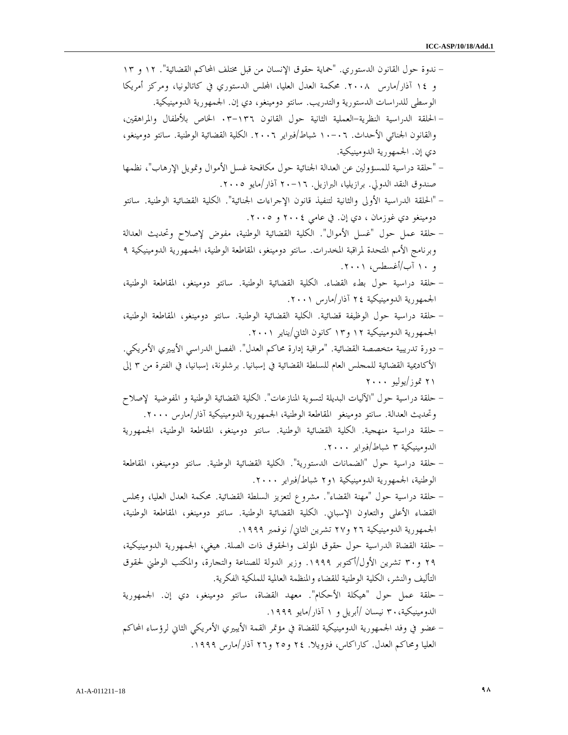| – ندوة حول القانون الدستوري. "حماية حقوق الإنسان من قبل مختلف المحاكم القضائية". ١٢ و ١٣            |
|-----------------------------------------------------------------------------------------------------|
| و ١٤ آذار/مارس ٢٠٠٨. محكمة العدل العليا، المحلس الدستوري في كاتالونيا، ومركز أمريكا                 |
| الوسطى للدراسات الدستورية والتدريب. سانتو دومينغو، دي إن. الجمهورية الدومينيكية.                    |
| – الحلقة الدراسية النظرية–العملية الثانية حول القانون ١٣٦–٠٣ الخاص بلأطفال والمراهقين،              |
| والقانون الجنائي الأحداث. ١٠–١٠ شباط/فبراير ٢٠٠٦. الكلية القضائية الوطنية. سانتو دومينغو،           |
| دي إن. الجمهورية الدومينيكية.                                                                       |
| – "حلقة دراسية للمسؤولين عن العدالة الجنائية حول مكافحة غسل الأموال وتمويل الإرهاب"، نظمها          |
| صندوق النقد الدولي. برازيليا، البرازيل. ١٦–٢٠ آذار/مايو ٢٠٠٥.                                       |
| – "الحلقة الدراسية الأولى والثانية لتنفيذ قانون الإحراءات الجنائية". الكلية القضائية الوطنية. سانتو |
| دومينغو دي غوزمان ، دي إن. في عامي ٢٠٠٤ و ٢٠٠٥.                                                     |
| – حلقة عمل حول "غسل الأموال". الكلية القضائية الوطنية، مفوض لإصلاح وتحديث العدالة                   |
| وبرنامج الأمم المتحدة لمراقبة المخدرات. سانتو دومينغو، المقاطعة الوطنية، الجمهورية الدومينيكية ٩    |
| و ۱۰ آب/أغسطس، ۲۰۰۱.                                                                                |
| – حلقة دراسية حول بطء القضاء. الكلية القضائية الوطنية. سانتو دومينغو، المقاطعة الوطنية،             |
| الجمهورية الدومينيكية ٢٤ آذار/مارس ٢٠٠١.                                                            |
| – حلقة دراسية حول الوظيفة قضائية. الكلية القضائية الوطنية. سانتو دومينغو، المقاطعة الوطنية،         |
| الجمهورية الدومينيكية ١٢ و١٣ كانون الثاني/يناير ٢٠٠١.                                               |
| – دورة تدريبية متخصصة القضائية. "مراقبة إدارة محاكم العدل". الفصل الدراسي الأيبيري الأمريكي.        |
| الأكاديمية القضائية للمحلس العام للسلطة القضائية في إسبانيا. برشلونة، إسبانيا، في الفترة من ٣ إلى   |
| ۲۱ تموز/یولیو ۲۰۰۰                                                                                  |
| – حلقة دراسية حول "الآليات البديلة لتسوية المنازعات". الكلية القضائية الوطنية و المفوضية  لإصلاح    |
| وتحديث العدالة. سانتو دومينغو  المقاطعة الوطنية، الجمهورية الدومينيكية آذار/مارس ٢٠٠٠.              |
| – حلقة دراسية منهجية. الكلية القضائية الوطنية. سانتو دومينغو، المقاطعة الوطنية، الجمهورية           |
| الدومينيكية ٣ شباط/فبراير ٢٠٠٠.                                                                     |
| – حلقة دراسية حول "الضمانات الدستورية". الكلية القضائية الوطنية. سانتو دومينغو، المقاطعة            |
| الوطنية، الجمهورية الدومينيكية ١و٢ شباط/فبراير ٢٠٠٠.                                                |
| – حلقة دراسية حول "مهنة القضاء". مشروع لتعزيز السلطة القضائية. محكمة العدل العليا، ومجلس            |
| القضاء الأعلى والتعاون الإسباني. الكلية القضائية الوطنية. سانتو دومينغو، المقاطعة الوطنية،          |
| الجمهورية الدومينيكية ٢٦ و٢٧ تشرين الثاني/ نوفمبر ١٩٩٩.                                             |
|                                                                                                     |
| – حلقة القضاة الدراسية حول حقوق المؤلف والحقوق ذات الصلة. هيغي، الجمهورية الدومينيكية،              |
| ٢٩ و٣٠ تشرين الأول/أكتوبر ١٩٩٩. وزير الدولة للصناعة والتجارة، والمكتب الوطني لحقوق                  |
| التأليف والنشر، الكلية الوطنية للقضاء والمنظمة العالمية للملكية الفكرية.                            |
| – حلقة عمل حول "هيكلة الأحكام". معهد القضاة، سانتو دومينغو، دي إن. الجمهورية                        |
| الدومينيكية، ٣٠ نيسان /أبريل و ١ آذار/مايو ١٩٩٩.                                                    |
| – عضو في وفد الجمهورية الدومينيكية للقضاة في مؤتمر القمة الأيبيري الأمريكي الثاني لرؤساء المحاكم    |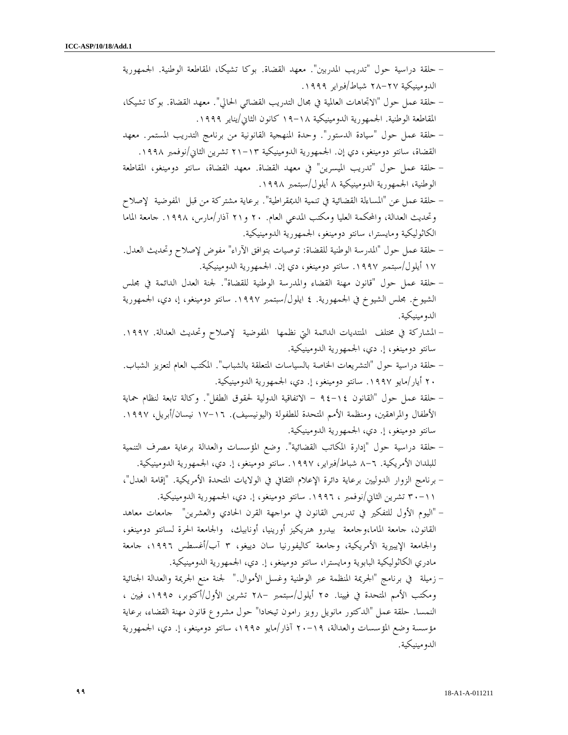| – حلقة دراسية حول "تدريب المدربين". معهد القضاة. بوكا تشيكا، المقاطعة الوطنية. الجمهورية             |
|------------------------------------------------------------------------------------------------------|
| الدومينيكية ٢٧–٢٨ شباط/فبراير ١٩٩٩.                                                                  |
| – حلقة عمل حول "الاتجاهات العالمية في مجال التدريب القضائي الحالي". معهد القضاة. بوكا تشيكا،         |
| المقاطعة الوطنية. الجمهورية الدومينيكية ١٨–١٩ كانون الثاني/يناير ١٩٩٩.                               |
| – حلقة عمل حول "سيادة الدستور". وحدة المنهجية القانونية من برنامج التدريب المستمر. معهد              |
| القضاة، سانتو دومينغو، دي إن. الجمهورية الدومينيكية ١٣–٢١ تشرين الثاني/نوفمبر ١٩٩٨.                  |
| – حلقة عمل حول "تدريب الميسرين" في معهد القضاة. معهد القضاة، سانتو دومينغو، المقاطعة                 |
| الوطنية، الجمهورية الدومينيكية ٨ أيلول/سبتمبر ١٩٩٨.                                                  |
| – حلقة عمل عن "المساءلة القضائية في تنمية الديمقراطية". برعاية مشتركة من قبل  المفوضية  لإصلاح       |
| وتحديث العدالة، والمحكمة العليا ومكتب المدعي العام. ٢٠ و٢١ آذار/مارس، ١٩٩٨. جامعة الماما             |
| الكاثوليكية ومايسترا، سانتو دومينغو، الجمهورية الدومينيكية.                                          |
| – حلقة عمل حول "المدرسة الوطنية للقضاة: توصيات بتوافق الآراء" مفوض لإصلاح وتحديث العدل.              |
| ١٧ أيلول/سبتمبر ١٩٩٧. سانتو دومينغو، دي إن. الجمهورية الدومينيكية.                                   |
| – حلقة عمل حول "قانون مهنة القضاء والمدرسة الوطنية للقضاة". لجنة العدل الدائمة في مجلس               |
| الشيوخ. مجلس الشيوخ في الجمهورية. ٤ ايلول/سبتمبر ١٩٩٧. سانتو دومينغو، إ، دي، الجمهورية               |
| الدومينيكية.                                                                                         |
| – المشاركة في مختلف  المنتديات الدائمة التي نظمها  المفوضية  لإصلاح وتحديث العدالة. ١٩٩٧.            |
| سانتو دومينغو، إ. دي، الجمهورية الدومينيكية.                                                         |
| – حلقة دراسية حول "التشريعات الحاصة بالسياسات المتعلقة بالشباب". المكتب العام لتعزيز الشباب.         |
| ٢٠ أيار/مايو ١٩٩٧. سانتو دومينغو، إ. دي، الجمهورية الدومينيكية.                                      |
| – حلقة عمل حول "القانون ١٤–٩٤ – الاتفاقية الدولية لحقوق الطفل". وكالة تابعة لنظام حماية              |
| الأطفال والمراهقين، ومنظمة الأمم المتحدة للطفولة (اليونيسيف). ١٦–١٧ نيسان/أبريل، ١٩٩٧.               |
| سانتو دومينغو، إ. دي، الجمهورية الدومينيكية.                                                         |
| – حلقة دراسية حول "إدارة المكاتب القضائية". وضع المؤسسات والعدالة برعاية مصرف التنمية                |
| للبلدان الأمريكية. ٦–٨ شباط/فبراير، ١٩٩٧. سانتو دومينغو، إ. دي، الجمهورية الدومينيكية.               |
| – برنامج الزوار الدوليين برعاية دائرة الإعلام الثقافي في الولايات المتحدة الأمريكية. "إقامة العدل"،  |
| ٢١–٣٠ تشرين الثاني/نوفمبر ، ١٩٩٦. سانتو دومينغو، إ. دي، الجمهورية الدومينيكية.                       |
| – "اليوم الأول للتفكير في تدريس القانون في مواجهة القرن الحادي والعشرين" حامعات معاهد                |
| القانون، جامعة الماما،وجامعة  بيدرو هنريكيز أورينيا، أونابيك،  والجامعة الحرة لسانتو دومينغو،        |
| والجامعة الإيبيرية الأمريكية، وجامعة كاليفورنيا سان دييغو، ٣ آب/أغسطس ١٩٩٦، جامعة                    |
|                                                                                                      |
| مادري الكاثوليكية البابوية ومايسترا، سانتو دومينغو، إ. دي، الجمهورية الدومينيكية.                    |
| – زميلة   في برنامج "الجريمة المنظمة عبر الوطنية وغسل الأموال."   لجنة منع الجريمة والعدالة الجنائية |
| ومكتب الأمم المتحدة في فيينا. ٢٥ أيلول/سبتمبر –٢٨ تشرين الأول/أكتوبر، ١٩٩٥، فيين ،                   |
| النمسا. حلقة عمل "الدكتور مانويل رويز رامون تيخادا" حول مشروع قانون مهنة القضاء، برعاية              |
| مؤسسة وضع المؤسسات والعدالة، ١٩-٢٠ آذار/مايو ١٩٩٥، سانتو دومينغو، إ. دي، الجمهورية                   |
| الدو مينيكية.                                                                                        |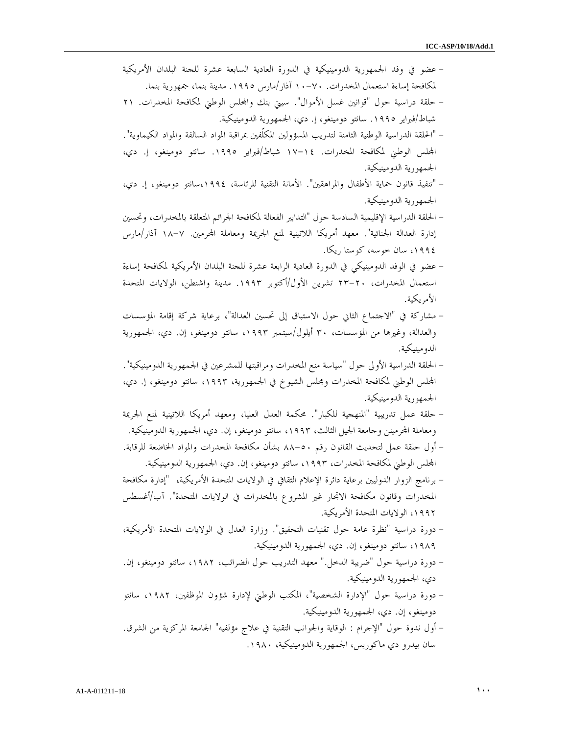- عضو في وفد الجمهورية الدومينيكية في الدورة العادية السابعة عشرة للجنة البلدان الأمريكية لمكافحة إساءة استعمال المخدرات. ٧٠- ١٠ آذار/مارس .١٩٩٥ مدينة بنما، جمهورية بنما . - حلقة دراسية حول "قوانين غسل الأموال". سيتي بنك والس الوطني لمكافحة المخدرات. ٢١ شباط/فبراير ١٩٩٥. سانتو دومينغو، إ. دي، الجمهورية الدومينيكية. - "الحلقة الدراسية الوطنية الثامنة لتدريب المسؤولين المكلّفين بمراقبة المواد السالفة والمواد الكيماوية". الس الوطني لمكافحة المخدرات. ١٤- ١٧ شباط/فبراير .١٩٩٥ سانتو دومينغو، إ. دي، الجمهورية الدومينيكية . - "تنفيذ قانون حماية الأطفال والمراهقين". الأمانة التقنية للرئاسة، ،١٩٩٤سانتو دومينغو، إ. دي، الجمهورية الدومينيكية . - الحلقة الدراسية الإقليمية السادسة حول "التدابير الفعالة لمكافحة الجرائم المتعلقة بالمخدرات، وتحسين إدارة العدالة الجنائية". معهد أمريكا اللاتينية لمنع الجريمة ومعاملة المحرمين. ٧-١٨ آذار/مارس ،١٩٩٤ سان خوسه، كوستا ريكا . - عضو في الوفد الدومينيكي في الدورة العادية الرابعة عشرة للجنة البلدان الأمريكية لمكافحة إساءة استعمال المخدرات، ٢٠- ٢٣ تشرين الأول/أكتوبر .١٩٩٣ مدينة واشنطن، الولايات المتحدة الأمريكية . - مشاركة في ا" لاجتماع الثاني حول الاستباق إلى تحسين العدالة"، برعاية شركة إقامة المؤسسات والعدالة، وغيرها من المؤسسات، ٣٠ أيلول/سبتمبر ،١٩٩٣ سانتو دومينغو، إن. دي، الجمهورية الدومينيكية . - الحلقة الدراسية الأولى حول "سياسة منع المخدرات ومراقبتها للمشرعين في الجمهورية الدومينيكية". الس الوطني لمكافحة المخدرات ومجلس الشيوخ في الجمهورية، ،١٩٩٣ سانتو دومينغو، إ. دي، الجمهورية الدومينيكية . - حلقة عمل تدريبية "المنهجية للكبار". محكمة العدل العليا، ومعهد أمريكا اللاتينية لمنع الجريمة ومعاملة المحرمينن وجامعة الجيل الثالث، ١٩٩٣، سانتو دومينغو، إن. دي، الجمهورية الدومينيكية. - أول حلقة عمل لتحديث القانون رقم ٥٠- ٨٨ بشأن مكافحة المخدرات والمواد الخاضعة للرقابة. الس الوطني لمكافحة المخدرات، ،١٩٩٣ سانتو دومينغو، إن. دي، الجمهورية الدومينيكية . - برنامج الزوار الدوليين برعاية دائرة الإعلام الثقافي في الولايات المتحدة الأمريكية، "إدارة مكافحة المخدرات وقانون مكافحة الاتجار غير المشروع بالمخدرات في الولايات المتحدة". /آب أغسطس ،١٩٩٢ الولايات المتحدة الأمريكية . - دورة دراسية "نظرة عامة حول تقنيات التحقيق". وزارة العدل في الولايات المتحدة الأمريكية، ،١٩٨٩ سانتو دومينغو، إن. دي، الجمهورية الدومينيكية . - دورة دراسية حول "ضريبة الدخل." معهد التدريب حول الضرائب، ،١٩٨٢ سانتو دومينغو، إن. دي، الجمهورية الدومينيكية .
- دورة دراسية حول "الإدارة الشخصية"، المكتب الوطني لإدارة شؤون الموظفين، ،١٩٨٢ سانتو دومينغو، إن. دي، الجمهورية الدومينيكية . - أول ندوة حول "الإجرام : الوقاية والجوانب التقنية في علاج مؤلفيه" الجامعة المركزية من الشرق.
	- سان بيدرو دي ماكوريس، الجمهورية الدومينيكية، ١٩٨٠ .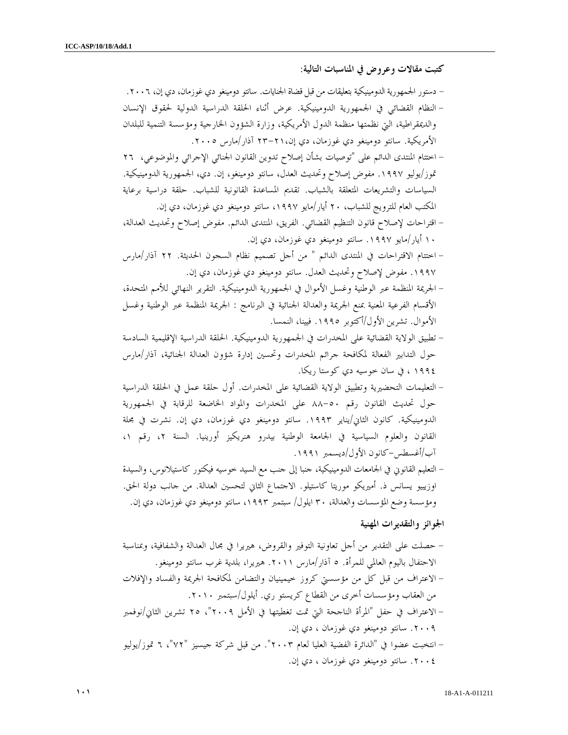كتبت مقالات وعروض في المناسبات التالية :

- دستور الجمهورية الدومينيكية بتعليقات من قبل قضاة الجنايات. سانتو دومينغو دي غوزمان، دي إن، ٢٠٠٦ . - النظام القضائي في الجمهورية الدومينيكية. عرض أثناء الحلقة الدراسية الدولية لحقوق الإنسان والديمقراطية، التي نظمتها منظمة الدول الأمريكية، وزارة الشؤون الخارجية ومؤسسة التنمية للبلدان الأمريكية. سانتو دومينغو دي غوزمان، دي إن، ٢١- ٢٣ آذار/مارس ٢٠٠٥ .
- اختتام المنتدى الدائم على "توصيات بشأن إصلاح تدوين القانون الجنائي الإجرائي والموضوعي، ٢٦ /تموز يوليو .١٩٩٧ مفوض إصلاح وتحديث العدل، سانتو دومينغو، إن. دي، الجمهورية الدومينيكية. السياسات والتشريعات المتعلقة بالشباب. تقديم المساعدة القانونية للشباب. حلقة دراسية برعاية المكتب العام للترويج للشباب، ٢٠ أيار/مايو ،١٩٩٧ سانتو دومينغو دي غوزمان، دي إن .
- اقتراحات لإصلاح قانون التنظيم القضائي. الفريق، المنتدى الدائم. مفوض إصلاح وتحديث العدالة، ١٠ أيار/مايو .١٩٩٧ سانتو دومينغو دي غوزمان، دي إن .
- اختتام الاقتراحات في المنتدى الدائم " من أجل تصميم نظام السجون الحديثة. ٢٢ آذار/مارس .١٩٩٧ مفوض لإصلاح وتحديث العدل. سانتو دومينغو دي غوزمان، دي إن .
- الجريمة المنظمة عبر الوطنية وغسل الأموال في الجمهورية الدومينيكية. التقرير النهائي للأمم المتحدة، الأقسام الفرعية المعنية بمنع الجريمة والعدالة الجنائية في البرنامج : الجريمة المنظمة عبر الوطنية وغسل الأموال. تشرين الأول/أكتوبر .١٩٩٥ فيينا، النمسا .
- تطبيق الولاية القضائية على المخدرات في الجمهورية الدومينيكية. الحلقة الدراسية الإقليمية السادسة حول التدابير الفعالة لمكافحة جرائم المخدرات وتحسين إدارة شؤون العدالة الجنائية، آذار/مارس ١٩٩٤ ، في سان خوسيه دي كوستا ريكا .
- التعليمات التحضيرية وتطبيق الولاية القضائية على المخدرات. أول حلقة عمل في الحلقة الدراسية حول تحديث القانون رقم ٥٠- ٨٨ على المخدرات والمواد الخاضعة للرقابة في الجمهورية الدومينيكية. كانون الثاني/يناير .١٩٩٣ سانتو دومينغو دي غوزمان، دي إن. نشرت في مجلة القانون والعلوم السياسية في الجامعة الوطنية بيدرو هنريكيز أورينيا. السنة ،٢ رقم ، ١ /آب أغسطس-كانون الأول/ديسمبر ١٩٩١ .
- التعليم القانوني في الجامعات الدومينيكية، جنبا إلى جنب مع السيد خوسيه فيكتور كاستيلانوس، والسيدة اوزيبيو يسانس ذ. أميريكو موريتا كاستيلو. الاجتماع الثاني لتحسين العدالة. من جانب دولة الحق. ومؤسسة وضع المؤسسات والعدالة، ٣٠ ايلول/ سبتمبر ١٩٩٣، سانتو دومينغو دي غوزمان، دي إن.

الجوائز والتقديرات المهنية

- حصلت على التقدير من أجل تعاونية التوفير والقروض، هيريرا في مجال العدالة والشفافية، وبمناسبة الاحتفال باليوم العالمي للمرأة .٥ آذار/مارس .٢٠١١ هيريرا، بلدية غرب سانتو دومينغو . - الاعتراف من قبل كل من مؤسستي كروز خيمينيان والتضامن لمكافحة الجريمة والفساد والإفلات من العقاب ومؤسسات أخرى من القطاع كريستو ري. أيلول/سبتمبر ٢٠١٠ . - الاعتراف في حفل "المرأة الناجحة التي تمت تغطيتها في الأمل ٢٠٠٩ ، " ٢٥ تشرين الثاني/نوفمبر .٢٠٠٩ سانتو دومينغو دي غوزمان ، دي إن . - انتخبت عضوا في "الدائرة الفضية العليا لعام ٢٠٠٣". من قبل شركة جيسيز " ،٦ "٧٢ تموز/يوليو .٢٠٠٤ سانتو دومينغو دي غوزمان ، دي إن .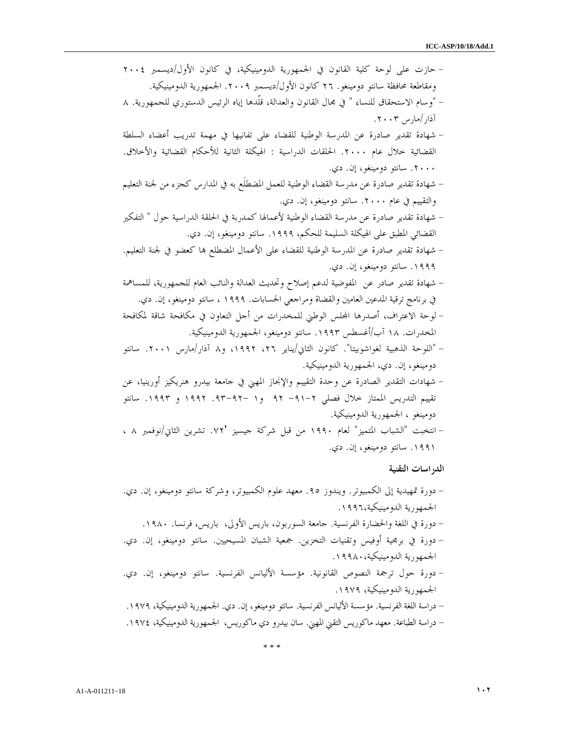- حازت على لوحة كلية القانون في الجمهورية الدومينيكية، في كانون الأول/ديسمبر ٢٠٠٤ ومقاطعة محافظة سانتو دومينغو. ٢٦ كانون الأول/ديسمبر .٢٠٠٩ الجمهورية الدومينيكية . - "وسام الاستحقاق للنساء " في مجال القانون والعدالة، قلّدها إياه الرئيس الدستوري للجمهورية .٨ آذار/مارس ٢٠٠٣ . - شهادة تقدير صادرة عن المدرسة الوطنية للقضاء على تفانيها في مهمة تدريب أعضاء السلطة القضائية خلال عام .٢٠٠٠ الحلقات الدراسية : الهيكلة الثانية للأحكام القضائية والأخلاق. .٢٠٠٠ سانتو دومينغو، إن. .دي - شهادة تقدير صادرة عن مدرسة القضاء الوطنية للعمل المضطلَع به في المدارس كجزء من لجنة التعليم والتقييم في عام .٢٠٠٠ سانتو دومينغو، إن. .دي - شهادة تقدير صادرة عن مدرسة القضاء الوطنية لأعمالها كمدربة في الحلقة الدراسية حول " التفكير القضائي المطبق على الهيكلة السليمة للحكم، .١٩٩٩ سانتو دومينغو، إن. .دي - شهادة تقدير صادرة عن المدرسة الوطنية للقضاء على الأعمال المضطلع ا كعضو في لجنة التعليم. .١٩٩٩ سانتو دومينغو، إن. .دي - شهادة تقدير صادر عن المفوضية لدعم إصلاح وتحديث العدالة والنائب العام للجمهورية، للمساهمة في برنامج ترقية المدعين العامين والقضاة ومراجعي الحسابات. ١٩٩٩ ، سانتو دومينغو، إن. .دي - لوحة الاعتراف، أصدرها الس الوطني للمخدرات من أجل التعاون في مكافحة شاقة لمكافحة المخدرات. ١٨ آب/أغسطس .١٩٩٣ سانتو دومينغو، الجمهورية الدومينيكية . - "اللوحة الذهبية لغواشوبيتا". كانون الثاني/يناير ،٢٦ ،١٩٩٢ و٨ آذار/مارس .٢٠٠١ سانتو دومينغو، إن. دي، الجمهورية الدومينيكية . - شهادات التقدير الصادرة عن وحدة التقييم والإنجاز المهني في جامعة بيدرو هنريكيز أورينيا، عن تقييم التدريس الممتاز خلال فصلي ٢- ٩١- ٩٢ و - ١ ٩٢- .٩٣ ١٩٩٢ و .١٩٩٣ سانتو دومينغو ، الجمهورية الدومينيكية . - انتخبت "الشباب المتميز" لعام ١٩٩٠ من قبل شركة جيسيز '.٧٢ تشرين الثاني/نوفمبر ٨ ، .١٩٩١ سانتو دومينغو، إن. .دي الدراسات التقنية - دورة تمهيدية إلى الكمبيوتر. ويندوز .٩٥ معهد علوم الكمبيوتر، وشركة سانتو دومينغو، إن. دي. الجمهورية الدومينيكية١٩٩٦، . - دورة في اللغة والحضارة الفرنسية. جامعة السوربون، باريس الأولى، باريس، فرنسا. ١٩٨٠ . - دورة في برمجية أوفيس وتقنيات التخزين. جمعية الشبان المسيحيين. سانتو دومينغو، إن. دي. الجمهورية الدومينيكية١٩٩٨٠، . - دورة حول ترجمة النصوص القانونية. مؤسسة الأليانس الفرنسية. سانتو دومينغو، إن. دي. الجمهورية الدومينيكية، ١٩٧٩ . - دراسة اللغة الفرنسية. مؤسسة الأليانس الفرنسية. سانتو دومينغو، إن. دي. الجمهورية الدومينيكية، ١٩٧٩ . - دراسة الطباعة. معهد ماكوريس التقني المهني. سان بيدرو دي ماكوريس، الجمهورية الدومينيكية، ١٩٧٤ .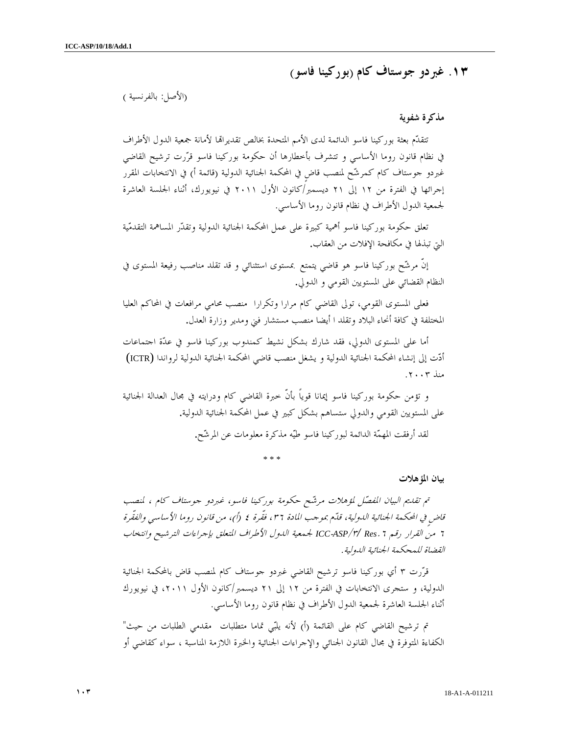# ١٣. غبردو جوستاف كام ( بوركينا فاسو )

## (الأصل: بالفرنسية )

#### مذكرة شفوية

تتقدّم بعثة بوركينا فاسو الدائمة لدى الأمم المتحدة بخالص تقديراتما لأمانة جمعية الدول الأطراف في نظام قانون روما الأساسي و تتشرف بأخطارها أن حكومة بوركينا فاسو قررت ترشيح القاضي غبردو جوستاف كام كمرشّح لمنصب قاضٍ في المحكمة الجنائية الدولية (قائمة أ) في الانتخابات المقرر إجرائها في الفترة من إلى ١٢ ٢١ ديسمبر/كانون الأول ٢٠١١ في نيويورك، أثناء الجلسة العاشرة لجمعية الدول الأطراف في نظام قانون روما الأساسي.

تعلق حكومة بوركينا فاسو أهمية كبيرة على عمل المحكمة الجنائية الدولية وتقدر المساهمة التقدمية التي تبذلها في مكافحة الإفلات من العقاب.

إنّ مرشّح بوركينا فاسو هو قاضي يتمتع بمستوى استثنائي و قد تقلد مناصب رفيعة المستوى في النظام القضائي على المستويين القومي و الدولي.

فعلى المستوى القومي، تولى القاضي كام مرارا وتكرارا منصب محامي مرافعات في المحاكم العليا المختلفة في كافة أنحاء البلاد وتقلد ا أيضا منصب مستشار فني ومدير وزارة العدل.

أما على المستوى الدولي، فقد شارك بشكل نشيط كمندوب بوركينا فاسو في عدّة اجتماعات أدت إلى إنشاء المحكمة الجنائية الدولية و يشغل منصب قاضي المحكمة الجنائية الدولية لرواندا (ICTR ( منذ ٢٠٠٣ .

 و تؤمن حكومة بوركينا فاسو إيمانا قوياً بأنّ خبرة القاضي كام ودرايته في مجال العدالة الجنائية على المستويين القومي والدولي ستساهم بشكل كبير في عمل المحكمة الجنائية الدولية. لقد أرفقت المهمة الدائمة لبوركينا فاسو طيه مذكرة معلومات عن المرشح.

\* \* \*

بيان المؤهلات

 تم تقديم البيان المفصل لمؤهلات مرشح حكومة بوركينا فاسو، غبردو جوستاف كام ، لمنصب قاضٍ في المحكمة الجنائية الدولية، قدّم بموجب المادة ٣٦، فقّرة ٤ (أ)، من قانون روما الأساسي والفقّرة من <sup>٦</sup> القرار رقم ٦. *Res /* ٣/ *ASP*-*ICC* لجمعية الدول الأطراف المتعلق بإجراءات الترشيح وانتخاب القضاة للمحكمة الجنائية الدولية .

قرّرت ٣ أي بوركينا فاسو ترشيح القاضي غبردو جوستاف كام لمنصب قاض بالمحكمة الجنائية الدولية، و ستجرى الانتخابات في الفترة من ١٢ إلى ٢١ ديسمبر/كانون الأول ٢٠١١، في نيويورك أثناء الجلسة العاشرة لجمعية الدول الأطراف في نظام قانون روما الأساسي .

تم ترشيح القاضي كام على القائمة (أ) لأنه يلبّي تماما متطلبات مقدمي الطلبات من حيث" الكفاءة المتوفرة في مجال القانون الجنائي والإجراءات الجنائية والخبرة اللازمة المناسبة ، سواء كقاضي أو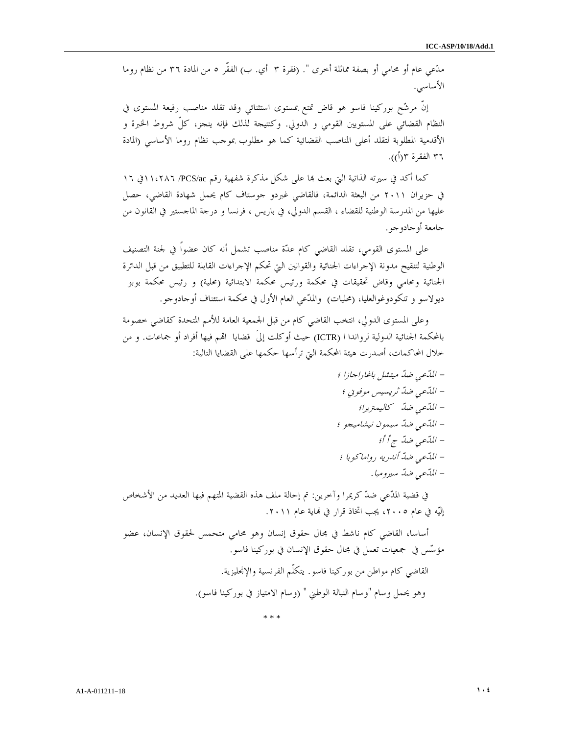مدّعي عام أو محامي أو بصفة مماثلة أخرى ". (فقرة ٣ أي. ب) الفقّر ٥ من المادة ٣٦ من نظام روما الأساسي .

 إنّ مرشح بوركينا فاسو هو قاض تمتع بمستوى استثنائي وقد تقلد مناصب رفيعة المستوى في النظام القضائي على المستويين القومي و الدولي. وكنتيجة لذلك فإنه ينجز، كلّ شروط الخبرة و الأقدمية المطلوبة لتقلد أعلى المناصب القضائية كما هو مطلوب بموجب نظام روما الأساسي (المادة ٣٦ الفقرة ٢(أ)).

كما أكد في سيرته الذاتية التي بعث بما على شكل مذكرة شفهية رقم PCS/ac/ ١١،٢٨٦ في ١٦ في حزيران ٢٠١١ من البعثة الدائمة، فالقاضي غبردو جوستاف كام يحمل شهادة القاضي، حصل عليها من المدرسة الوطنية للقضاء ، القسم الدولي، في باريس ، فرنسا و درجة الماجستير في القانون من جامعة أو جادو جو .

على المستوى القومي، تقلد القاضي كام عدة مناصب تشمل أنه كان عضواً في لجنة التصنيف الوطنية لتنقيح مدونة الإجراءات الجنائية والقوانين التي تحكم الإجراءات القابلة للتطبيق من قبل الدائرة الجنائية ومحامي وقاض تحقيقات في محكمة ورئيس محكمة الابتدائية (محلية) و رئيس محكمة بوبو ديولاسو و تنكودوغوالعليا، (محليات) والمدّعي العام الأول في محكمة استئناف أوجادوجو.

وعلى المستوى الدولي، انتخب القاضي كام من قبل الجمعية العامة للأمم المتحدة كقاضي خصومة بالمحكمة الجنائية الدولية لرواندا ( ICTR) حيث أوكلت إلىَ قضايا اقمم فيها أفراد أو جماعات. و من خلال المحاكمات، أصدرت هيئة المحكمة التي ترأسها حكمها على القضايا التالية :

 - المدعي ضد ميتشل باغاراجازا ؛ - المدعي ضد ثريسيس موفوني ؛ - المدعي ضد كاليمتريرا؛ - المدعي ضد سيمون نيشاميجو ؛ - المدعي أ؛ أ ج ضد - المدعي ضد أندريه رواماكوبا ؛ - المدعي ضد سيرومبا .

في قضية المدّعي ضدّ كريمرا وآخرين: تم إحالة ملف هذه القضية المتهم فيها العديد من الأشخاص إليّه في عام ٢٠٠٥، يجب اتخاذ قرار في نماية عام ٢٠١١.

أساسا، القاضي كام ناشط في مجال حقوق إنسان وهو محامي متحمس لحقوق الإنسان، عضو مؤسس في جمعيات تعمل في مجال حقوق الإنسان في بوركينا فاسو . القاضي كام مواطن من بوركينا فاسو. يتكلّم الفرنسية والإنجليزية . وهو يحمل وسام "وسام النبالة الوطني " (وسام الامتياز في بوركينا فاسو ).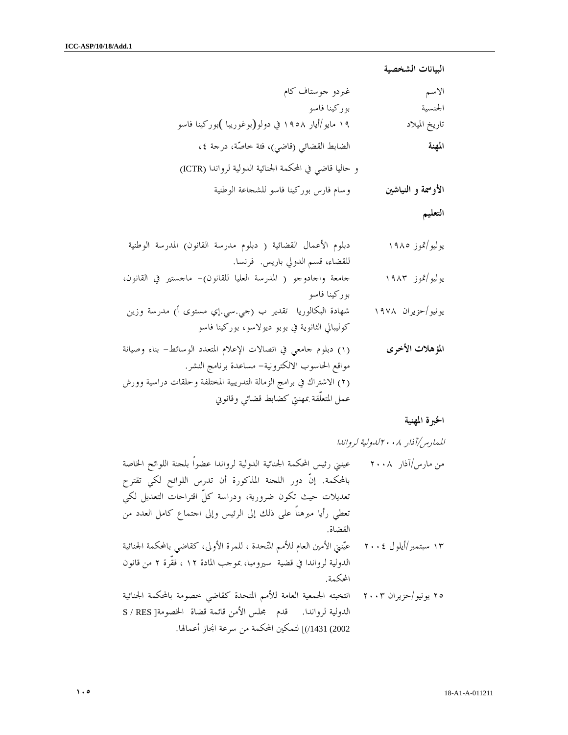البيانات الشخصية

| الاسم              | غبردو جوستاف كام                                        |
|--------------------|---------------------------------------------------------|
| الجنسية            | بوركينا فاسو                                            |
| تاريخ الميلاد      | ۱۹ مایو/أیار ۱۹۰۸ في دولو(بوغوریبا )بورکینا فاسو        |
| المهنة             | الضابط القضائي (قاضي)، فئة خاصَّة، درجة ٤،              |
|                    | و حاليا قاضي في المحكمة الجنائية الدولية لرواندا (ICTR) |
| الأوسمة و النياشين | وسام فارس بوركينا فاسو للشجاعة الوطنية                  |

التعليم

| دبلوم الأعمال القضائية ( دبلوم مدرسة القانون) المدرسة الوطنية       | يوليو/تموز ١٩٨٥   |
|---------------------------------------------------------------------|-------------------|
| للقضاء، قسم الدولي باريس. فرنسا.                                    |                   |
| حامعة واحادوجو ( المدرسة العليا للقانون)- ماحستير في القانون،       | يوليو/تموز ۱۹۸۳   |
| بوركينا فاسو                                                        |                   |
| شهادة البكالوريا  تقدير ب (جي.سي.إي مستوى أ) مدرسة وزين             | یونیو/حزیران ۱۹۷۸ |
| كوليبالي الثانوية في بوبو ديولاسو، بوركينا فاسو                     |                   |
| (١) دبلوم حامعي في اتصالات الإعلام المتعدد الوسائط- بناء وصيانة     | المؤهلات الأخرى   |
| مواقع الحاسوب الالكترونية– مساعدة برنامج النشر.                     |                   |
| (٢) الاشتراك في برامج الزمالة التدريبية المختلفة وحلقات دراسية وورش |                   |
| عمل المتعلَّقة بمهنتي كضابط قضائي وقانوني                           |                   |

الخبرة المهنية

الممارس/آذار ٢٠٠٨لدولية لرواندا

من مارس/آذار ٢٠٠٨ عينني رئيس المحكمة الجنائية الدولية لرواندا عضواً بلجنة اللوائح الخاصة بالمحكمة. إنّ دور اللجنة المذكورة أن تدرس اللوائح لكي تقترح تعديلات حيث تكون ضرورية، ودراسة كلّ اقتراحات التعديل لكي تعطي رأيا مبرهناً على ذلك إلى الرئيس وإلى اجتماع كامل العدد من القضاة. ١٣ سبتمبر/أيلول ٢٠٠٤ عينني الأمين العام للأمم المتحدة ، للمرة الأولى، كقاضي بالمحكمة الجنائية الدولية لرواندا في قضية سيرومبا، بموجب المادة ١٢ ، فقّرة ٢ من قانون المحكمة . ٢٥ يونيو/حزيران ٢٠٠٣ انتخبته الجمعية العامة للأمم المتحدة كقاضي خصومة بالمحكمة الجنائية الدولية لرواندا. قدم مجلس الأمن قائمة قضاة الخصومة[ RES / S 2002) /1431)] لتمكين المحكمة من سرعة انجاز أعمالها.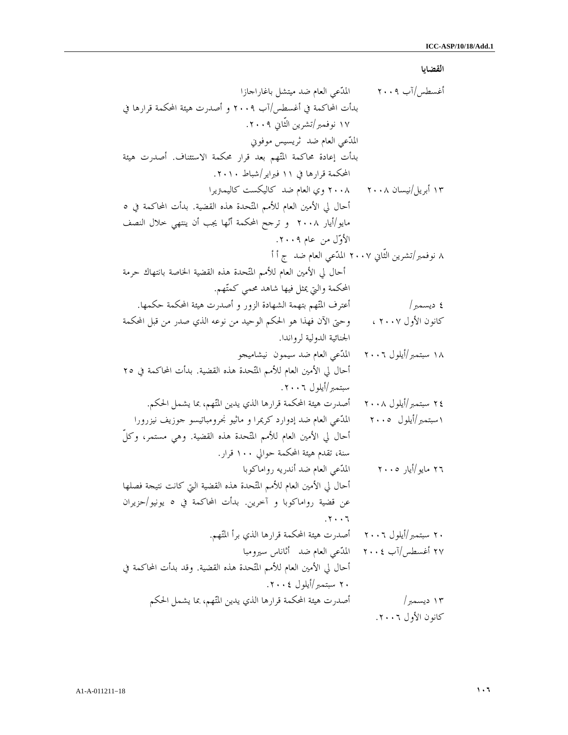القضايا

أغسطس/آب ٢٠٠٩ المدعي العام ضد ميتشل باغاراجازا بدأت المحاكمة في أغسطس/آب ٢٠٠٩ و أصدرت هيئة المحكمة قرارها في ١٧ نوفمبر/تشرين الثّاني ٢٠٠٩ . المدعي العام ضد ثريسيس موفوني بدأت إعادة محاكمة المتهم بعد قرار محكمة الاستئناف. أصدرت هيئة المحكمة قرارها في ١١ فبراير/شباط ٢٠١٠ . ١٣ أبريل/نيسان ٢٠٠٨ ٢٠٠٨ وي العام ضد كاليكست كاليمتريرا أحال لي الأمين العام للأمم المتحدة هذه القضية. بدأت المحاكمة في ٥ مايو/أيار ٢٠٠٨ و ترجح المحكمة أنها يجب أن ينتهي خلال النصف الأول من عام ٢٠٠٩ . ٨ نوفمبر/تشرين الثّاني ٢٠٠٧ الم دعي العام ضد ج أ أ أحال لي الأمين العام للأمم المتحدة هذه القضية الخاصة بانتهاك حرمة المحكمة والتي يمثل فيها شاهد محمي كمتهم. ٤ ديسمبر/ أعترف المتهم بتهمة الشهادة الزور و أصدرت هيئة المحكمة حكمها . كانون الأول ٢٠٠٧ ، وحتى الآن فهذا هو الحكم الوحيد من نوعه الذي صدر من قبل المحكمة الجنائية الدولية لرواندا . ١٨ سبتمبر/أيلول ٢٠٠٦ المدعي العام ضد سيمون نيشاميجو أحال لي الأمين العام للأمم المتحدة هذه القضية. بدأت المحاكمة في ٢٥ سبتمبر/أيلول ٢٠٠٦ . ٢٤ سبتمبر/أيلول ٢٠٠٨ أصدرت هيئة المحكمة قرارها الذي يدين المتهم، بما يشمل الحكم . ١سبتمبر/أيلول ٢٠٠٥ المدعي العام ضد إدوارد كريمرا و ماثيو نجرومباتيسو جوزيف نيزرورا أحال لي الأمين العام للأمم المتحدة هذه القضية. وهي مستمر، وكلّ سنة، تقدم هيئة المحكمة حوالي ١٠٠ قرار . ٢٦ مايو/أيار ٢٠٠٥ المدعي العام ضد أندريه رواماكوبا أحال لي الأمين العام للأمم المتحدة هذه القضية التي كانت نتيجة فصلها عن قضية رواماكوبا و آخرين. بدأت المحاكمة في ٥ يونيو/حزيران . ٢٠٠٦ ٢٠ سبتمبر/أيلول ٢٠٠٦ أصدرت هيئة المحكمة قرارها الذي برأ المتهم . ٢٧ أغسطس/آب ٢٠٠٤ المدعي العام ضد أثاناس سيرومبا أحال لي الأمين العام للأمم المتحدة هذه القضية. وقد بدأت المحاكمة في ٢٠ سبتمبر/أيلول ٢٠٠٤ . ١٣ ديسمبر/ أصدرت هيئة المحكمة قرارها الذي يدين المتهم، بما يشمل الحكم

كانون الأول ٢٠٠٦ .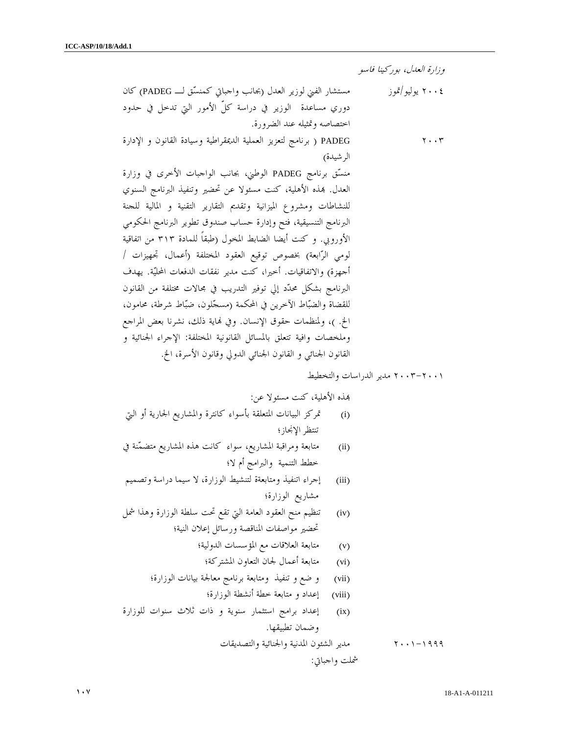وزارة العدل، بوركينا فاسو

٢٠٠٤ يوليو/تموز مستشار الفني لوزير العدل (بجانب واجباتي كمنسق لـ PADEG (كان دوري مساعدة الوزير في دراسة كلّ الأمور التي تدخل في حدود اختصاصه وتمثيله عند الضرورة . ٢٠٠٣ PADEG ) برنامج لتعزيز العملية الديمقراطية وسيادة القانون و الإدارة الرشيدة ) منسق برنامج PADEG الوطني، بجانب الواجبات الأخرى في وزارة العدل . ذه الأهلية، كنت مسئولا عن تحضير وتنفيذ البرنامج السنوي للنشاطات ومشروع الميزانية وتقديم التقارير التقنية و المالية للجنة البرنامج التنسيقية، فتح وإدارة حساب صندوق تطوير البرنامج الحكومي الأوروبي. و كنت أيضا الضابط المخول (طبقاً للمادة ٣١٣ من اتفاقية لومي الرابعة) بخصوص توقيع العقود المختلفة (أعمال، تجهيزات / أجهزة) والاتفاقيات. أخيرا، كنت مدير نفقات الدفعات المحلية. يهدف البرنامج بشكل محدد إلي توفير التدريب في مجالات مختلفة من القانون للقضاة والضباط الآخرين في المحكمة (مسجلون، ضباط شرطة، محامون، الخ. )، ولمنظمات حقوق الإنسان. وفي اية ذلك، نشرنا بعض المراجع وملخصات وافية تتعلق بالمسائل القانونية المختلفة: الإجراء الجنائية و القانون الجنائي و القانون الجنائي الدولي وقانون الأسرة، الخ .

٢٠٠٣-٢٠٠١ مدير الدراسات والتخطيط

ذه الأهلية، كنت مسئولا عن:

- (i (تمركز البيانات المتعلقة بأسواء كانترة والمشاريع الجارية أو التي تنتظر الإنجاز؛
- (ii (متابعة ومراقبة المشاريع، سواء كانت هذه المشاريع متضمنة في خطط التنمية والبرامج أم لا؛
- (iii (إجراء اتنفيذ ومتابعةة لتنشيط الوزارة، لا سيما دراسة وتصميم مشاريع الوزارة؛
- (iv (تنظيم منح العقود العامة التي تقع تحت سلطة الوزارة وهذا شمل تحضير مواصفات المناقصة ورسائل إعلان النية؛
	- (v (متابعة العلاقات مع المؤسسات الدولية؛
	- (vi (متابعة أعمال لجان التعاون المشتركة؛
	- (vii (و ضع و تنفيذ ومتابعة برنامج معالجة بيانات الوزارة؛
		- (viii (إعداد و متابعة خطة أنشطة الوزارة؛
- (ix (إعداد برامج استثمار سنوية و ذات ثلاث سنوات للوزارة وضمان تطبيقها .

٢٠٠١-١٩٩٩ مدير الشئون المدنية والجنائية والتصديقات

شملت واجباتي :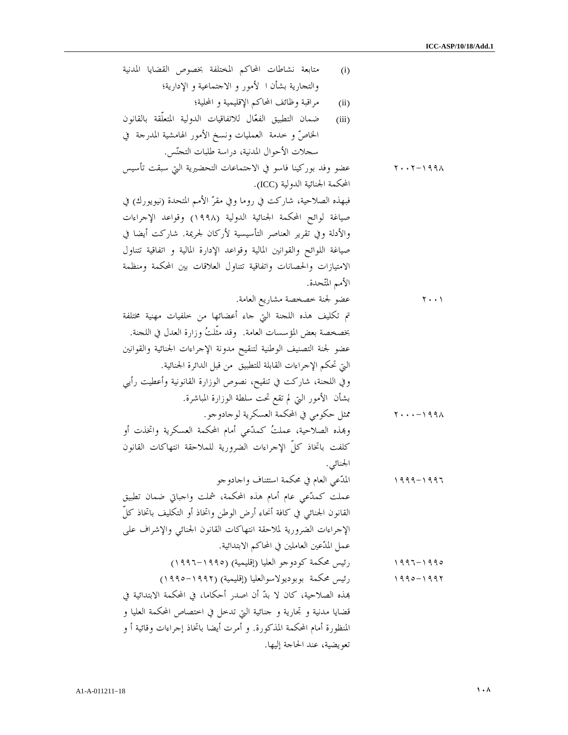| متابعة نشاطات المحاكم المختلفة بخصوص القضايا المدنية<br>(i)             |                                    |
|-------------------------------------------------------------------------|------------------------------------|
| والتجارية بشأن ا كأمور و الاحتماعية و الإدارية؛                         |                                    |
| مراقبة وظائف المحاكم الإقليمية و المحلية؛<br>(ii)                       |                                    |
| ضمان التطبيق الفعّال للاتفاقيات الدولية المتعلّقة بالقانون<br>(iii)     |                                    |
| الخاصُّ و خدمة  العمليات ونسخ الأمور الهامشية المدرجة  في               |                                    |
| سجلات الأحوال المدنية، دراسة طلبات التجنّس.                             |                                    |
| عضو وفد بوركينا فاسو في الاحتماعات التحضيرية التي سبقت تأسيس            | $Y \cdot Y - 1991$                 |
| المحكمة الجنائية الدولية (ICC).                                         |                                    |
| فبهذه الصلاحية، شاركت في روما وفي مقرّ الأمم المتحدة (نيويورك) في       |                                    |
| صياغة لوائح المحكمة الجنائية الدولية (١٩٩٨) وقواعد الإحراءات            |                                    |
| والأدلة وفي تقرير العناصر التأسيسية لأركان لجريمة. شاركت أيضا في        |                                    |
| صياغة اللوائح والقوانين المالية وقواعد الإدارة المالية و اتفاقية تتناول |                                    |
| الامتيازات والحصانات واتفاقية تتناول العلاقات بين المحكمة ومنظمة        |                                    |
| الأمم المتّحدة.                                                         |                                    |
| عضو لجنة خصخصة مشاريع العامة.                                           | ۲۰۰۱                               |
| تم تكليف هذه اللجنة التي جاء أعضائها من خلفيات مهنية مختلفة             |                                    |
| بخصخصة بعض المؤسسات العامة. ۖ وقد مثَّلتُ وزارة العدل في اللجنة.        |                                    |
| عضو لجنة التصنيف الوطنية لتنقيح مدونة الإحراءات الجنائية والقوانين      |                                    |
| التي تحكم الإحراءات القابلة للتطبيق ً من قبل الدائرة الجنائية.          |                                    |
| وفي اللجنة، شاركت في تنقيح، نصوص الوزارة القانونية وأعطيت رأيي          |                                    |
| بشأن  الأمور التي لم تقع تحت سلطة الوزارة المباشرة.                     |                                    |
| ممثل حكومي في المحكمة العسكرية لوحادوجو.                                | $Y \cdot \cdot \cdot - 199 \wedge$ |
| وهِذه الصلاحية، عملتُ كمدّعى أمام المحكمة العسكرية واتخذت أو            |                                    |
| كلفت باتخاذ كلّ الإحراءات الضرورية للملاحقة انتهاكات القانون            |                                    |
| الجنائبي.                                                               |                                    |
| المدّعى العام في محكمة استئناف واجادوجو                                 | ۱۹۹۹ – ۱۹۹۶                        |
| عملت كمدّعى عام أمام هذه المحكمة، شملت واجباتي ضمان تطبيق               |                                    |
| القانون الجنائبي في كافة أنحاء أرض الوطن واتخاذ أو التكليف باتخاذ كلَّ  |                                    |
| الإحراءات الضرورية لملاحقة انتهاكات القانون الجنائبي والإشراف على       |                                    |
| عمل المدّعين العاملين في المحاكم الابتدائية.                            |                                    |
| رئيس محكمة كودوجو العليا (إقليمية) (١٩٩٥–١٩٩٦)                          | ۱۹۹۶ - ۱۹۹۰                        |
| رئيس محكمة بوبوديولاسوالعليا (إقليمية) (١٩٩٢–١٩٩٥)                      | $1990 - 1997$                      |
| هذه الصلاحية، كان لا بدّ أن اصدر أحكاما، في المحكمة الابتدائية في       |                                    |
| قضايا مدنية و تحارية و حنائية التي تدخل في اختصاص المحكمة العليا و      |                                    |
| المنظورة أمام المحكمة المذكورة. و أمرت أيضا باتخاذ إجراءات وقائية أ و   |                                    |
| تعويضية، عند الحاحة إليها.                                              |                                    |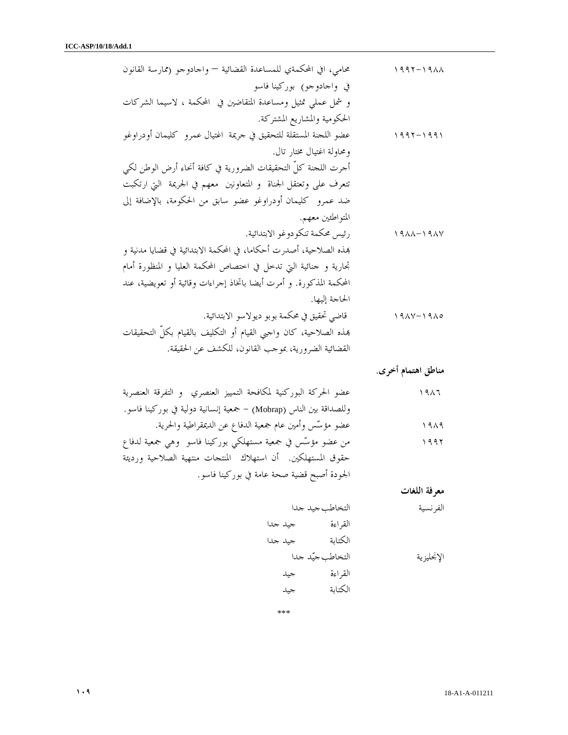| محامى، افي المحكمةي للمساعدة القضائية — واحادوحو (ممارسة القانون    | $1997 - 1911$                       |
|---------------------------------------------------------------------|-------------------------------------|
| في واجادوجو <sub>)</sub> بوركينا فاسو                               |                                     |
| و شمل عملي تمثيل ومساعدة المتقاضين في المحكمة ، لاسيما الشركات      |                                     |
| الحكومية والمشاريع المشتركة.                                        |                                     |
| عضو اللحنة المستقلة للتحقيق في حريمة  اغتيال عمرو  كليمان أودراوغو  | ۱۹۹۲ – ۱۹۹۱                         |
| ومحاولة اغتيال مختار تال.                                           |                                     |
| أحرت اللحنة كلَّ التحقيقات الضرورية في كافة أنحاء أرض الوطن لكي     |                                     |
| تتعرف على وتعتقل الجناة  و المتعاونين  معهم في الجريمة  التي ارتكبت |                                     |
| ضد عمرو كليمان أودراوغو عضو سابق من الحكومة، بالإضافة إلى           |                                     |
| المتواطئين معهم.                                                    |                                     |
| رئيس محكمة تنكودوغو الابتدائية.                                     | $19\lambda\lambda-19\lambda\lambda$ |
| همذه الصلاحية، أصدرت أحكاما، في المحكمة الابتدائية في قضايا مدنية و |                                     |
| تحارية و حنائية التي تدخل في اختصاص المحكمة العليا و المنظورة أمام  |                                     |
| المحكمة المذكورة. و أمرت أيضا باتخاذ إجراءات وقائية أو تعويضية، عند |                                     |
| الحاحة إليها.                                                       |                                     |
| قاضي تحقيق في محكمة بوبو ديولاسو الابتدائية.                        | $19AY-19A0$                         |
| همذه الصلاحية، كان واجبي القيام أو التكليف بالقيام بكلِّ التحقيقات  |                                     |
| القضائية الضرورية، بموحب القانون، للكشف عن الحقيقة.                 |                                     |
|                                                                     | مناطق اهتمام أخرى.                  |
|                                                                     |                                     |
| عضو الحركة البوركنية لمكافحة التمييز العنصري  و التفرقة العنصرية    | ۱۹۸٦                                |
| وللصداقة بين الناس (Mobrap) – جمعية إنسانية دولية في بوركينا فاسو.  |                                     |
| عضو مؤسَّس وأمين عام جمعية الدفاع عن الديمقراطية والحرية.           | ۱۹۸۹                                |
| من عضو مؤسّس في جمعية مستهلكي بوركينا فاسو  وهي جمعية لدفاع         | ۱۹۹۲                                |
| حقوق المستهلكين. أن استهلاك المنتجات منتهية الصلاحية ورديئة         |                                     |
| الجودة أصبح قضية صحة عامة في بوركينا فاسو.                          |                                     |
|                                                                     | معرفة اللغات                        |
| التخاطب جيد جدا                                                     | الفرنسية                            |
| القر اءة<br>جيد جدا                                                 |                                     |
| الكتابة<br>جيد جدا                                                  |                                     |
| التخاطب جيّد جدا                                                    | الإنحليزية                          |
| القر اءة<br>جيد                                                     |                                     |

\*\*\*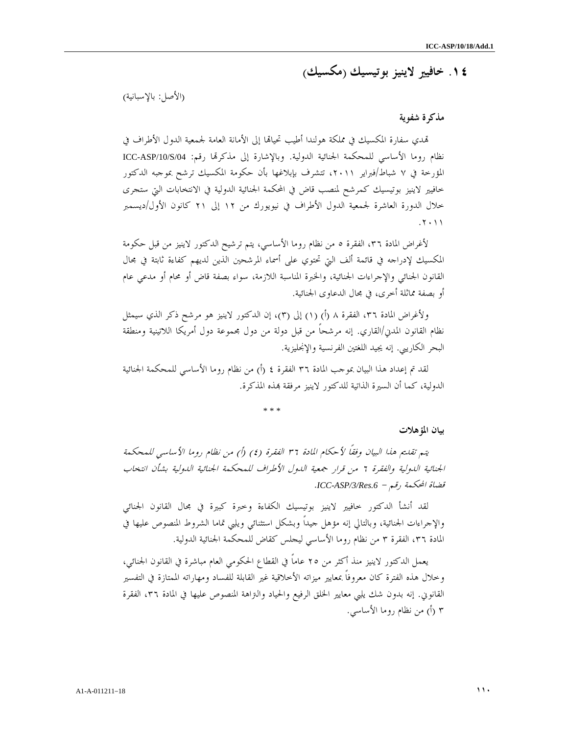# ١٤. خافيير لاينيز بوتيسيك ( مكسيك )

(الأصل ب: الإسبانية)

### مذكرة شفوية

قمدي سفارة المكسيك في مملكة هولندا أطيب تحيالها إلى الأمانة العامة لجمعية الدول الأطراف في نظام روما الأساسي للمحكمة الجنائية الدولية. وبالإشارة إلى مذكرها رقم: ICC-ASP/10/S/04 المؤرخة في ٧ شباط/فبراير ٢٠١١، تتشرف بإبلاغها بأن حكومة المكسيك ترشح بموجبه الدكتور خافيير لاينيز بوتيسيك كمرشح لمنصب قاض في المحكمة الجنائية الدولية في الانتخابات التي ستجرى خلال الدورة العاشرة لجمعية الدول الأطراف في نيويورك من ١٢ إلى ٢١ كانون الأول/ديسمبر . ٢٠١١

لأغراض المادة ،٣٦ الفقرة ٥ من نظام روما الأساسي، يتم ترشيح الدكتور لاينيز من قبل حكومة المكسيك لإدراجه في قائمة ألف التي تحتوي على أسماء المرشحين الذين لديهم كفاءة ثابتة في مجال القانون الجنائي والإجراءات الجنائية، والخبرة المناسبة اللازمة، سواء بصفة قاض أو محام أو مدعي عام أو بصفة مماثلة أخرى، في مجال الدعاوى الجنائية .

ولأغراض المادة ٣٦، الفقرة ٨ (أ) (١) إلى (٣)، إن الدكتور لاينيز هو مرشح ذكر الذي سيمثل نظام القانون المدني/القاري. إنه مرشحاً من قبل دولة من دول مجموعة دول أمريكا اللاتينية ومنطقة البحر الكاريبي. إنه يجيد اللغتين الفرنسية والإنجليزية .

لقد تم إعداد هذا البيان بموجب المادة ٣٦ الفقرة ٤ (أ) من نظام روما الأساسي للمحكمة الجنائية الدولية، كما أن السيرة الذاتية للدكتور لاينيز مرفقة بمذه المذكرة.

\* \* \*

بيان المؤهلات

يتم تقديم هذا البيان وفقاً لأحكام المادة ٣٦ الفقرة ٤( ) أ) ( من نظام روما الأساسي للمحكمة الجنائية الدولية والفقرة ٦ من قرار جمعية الدول الأطراف للمحكمة الجنائية الدولية بشأن انتخاب قضاة المحكمة رقم - *.6Res/3/ASP-ICC* .

لقد أنشأ الدكتور خافيير لاينيز بوتيسيك الكفاءة وخبرة كبيرة في مجال القانون الجنائي والإجراءات الجنائية، وبالتالي إنه مؤهل جيداً وبشكل استثنائي ويلبي تماما الشروط المنصوص عليها في المادة ،٣٦ الفقرة ٣ من نظام روما الأساسي ليجلس كقاض للمحكمة الجنائية الدولية .

يعمل الدكتور لاينيز منذ أكثر من ٢٥ عاماً في القطاع الحكومي العام مباشرة في القانون الجنائي، وخلال هذه الفترة كان معروفاً بمعايير ميزاته الأخلاقية غير القابلة للفساد ومهاراته الممتازة في التفسير القانوني. إنه بدون شك يلبي معايير الخلق الرفيع والحياد والتراهة المنصوص عليها في المادة ،٣٦ الفقرة ٣ (أ) من نظام روما الأساسي.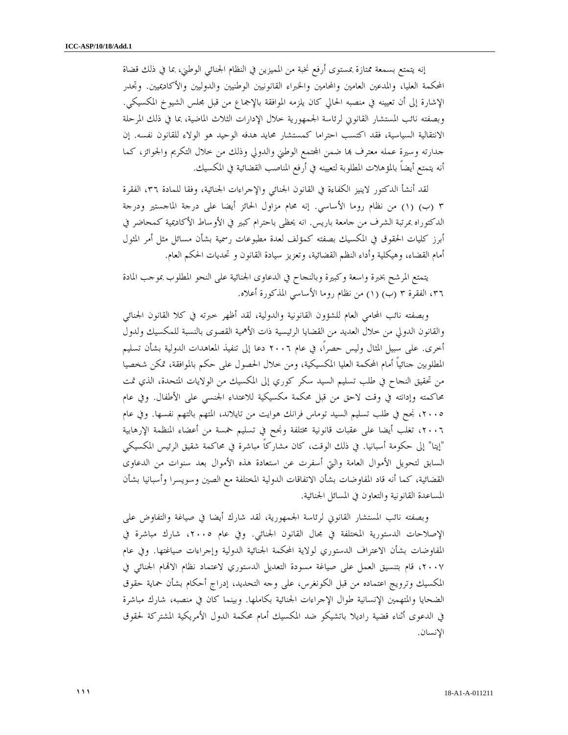إنه يتمتع بسمعة ممتازة بمستوى أرفع نخبة من المميزين في النظام الجنائي الوطني، بما في ذلك قضاة المحكمة العليا، والمدعين العامين والمحامين والخبراء القانونيين الوطنيين والدوليين والأكاديميين. وتجدر الإشارة إلى أن تعيينه في منصبه الحالي كان يلزمه الموافقة بالإجماع من قبل مجلس الشيوخ المكسيكي. وبصفته نائب المستشار القانوني لرئاسة الجمهورية خلال الإدارات الثلاث الماضية، بما في ذلك المرحلة الانتقالية السياسية، فقد اكتسب احتراما كمستشار محايد هدفه الوحيد هو الولاء للقانون نفسه. إن جدارته وسيرة عمله معترف بما ضمن المجتمع الوطني والدولي وذلك من خلال التكريم والجوائز، كما أنه يتمتع أيضاً بالمؤهلات المطلوبة لتعيينه في أرفع المناصب القضائية في المكسيك .

لقد أنشأ الدكتور لاينيز الكفاءة في القانون الجنائي والإجراءات الجنائية، وفقا للمادة ،٣٦ الفقرة ٣ (ب) (١) من نظام روما الأساسي. إنه محام مزاول الحائز أيضا على درجة الماجستير ودرجة الدكتوراه بمرتبة الشرف من جامعة باريس. انه يحظى باحترام كبير في الأوساط الأكاديمية كمحاضر في أبرز كليات الحقوق في المكسيك بصفته كمؤلف لعدة مطبوعات رسمية بشأن مسائل مثل أمر المثول أمام القضاء، وهيكلية وأداء النظم القضائية، وتعزيز سيادة القانون و تحديات الحكم العام .

يتمتع المرشح بخبرة واسعة وكبيرة وبالنجاح في الدعاوى الجنائية على النحو المطلوب بموجب المادة ،٣٦ الفقرة ٣ ب ( ١) ( ) من نظام روما الأساسي المذكورة أعلاه .

وبصفته نائب المحامي العام للشؤون القانونية والدولية، لقد أظهر خبرته في كلا القانون الجنائي والقانون الدولي من خلال العديد من القضايا الرئيسية ذات الأهمية القصوى بالنسبة للمكسيك ولدول أخرى. على سبيل المثال وليس حصراً، في عام ٢٠٠٦ دعا إلى تنفيذ المعاهدات الدولية بشأن تسليم المطلوبين جنائياً أمام المحكمة العليا المكسيكية، ومن خلال الحصول على حكم بالموافقة، تمكن شخصيا من تحقيق النجاح في طلب تسليم السيد سكر كوري إلى المكسيك من الولايات المتحدة، الذي تمت محاكمته وإدانته في وقت لاحق من قبل محكمة مكسيكية للاعتداء الجنسي على الأطفال. وفي عام ،٢٠٠٥ نجح في طلب تسليم السيد توماس فرانك هوايت من تايلاند، المتهم بالتهم نفسها. وفي عام ،٢٠٠٦ تغلب أيضا على عقبات قانونية مختلفة ونجح في تسليم خمسة من أعضاء المنظمة الإرهابية "إيتا" إلى حكومة أسبانيا. في ذلك الوقت، كان مشاركاً مباشرة في محاكمة شقيق الرئيس المكسيكي السابق لتحويل الأموال العامة والتي أسفرت عن استعادة هذه الأموال بعد سنوات من الدعاوى القضائية، كما أنه قاد المفاوضات بشأن الاتفاقات الدولية المختلفة مع الصين وسويسرا وأسبانيا بشأن المساعدة القانونية والتعاون في المسائل الجنائية .

وبصفته نائب المستشار القانوني لرئاسة الجمهورية، لقد شارك أيضا في صياغة والتفاوض على الإصلاحات الدستورية المختلفة في مجال القانون الجنائي. وفي عام ،٢٠٠٥ شارك مباشرة في المفاوضات بشأن الاعتراف الدستوري لولاية المحكمة الجنائية الدولية وإجراءات صياغتها. وفي عام ،٢٠٠٧ قام بتنسيق العمل على صياغة مسودة التعديل الدستوري لاعتماد نظام الاام الجنائي في المكسيك وترويج اعتماده من قبل الكونغرس، على وجه التحديد، إدراج أحكام بشأن حماية حقوق الضحايا والمتهمين الإنسانية طوال الإجراءات الجنائية بكاملها. وبينما كان في منصبه، شارك مباشرة في الدعوى أثناء قضية راديلا باتشيكو ضد المكسيك أمام محكمة الدول الأمريكية المشتركة لحقوق الإنسان .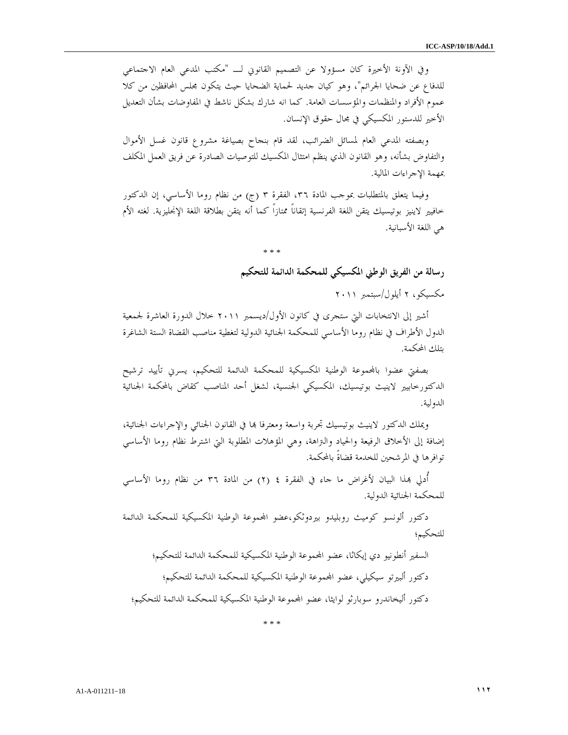وفي الآونة الأخيرة كان مسؤولا عن التصميم القانوني لـ "مكتب المدعي العام الاجتماعي للدفاع عن ضحايا الجرائم"، وهو كيان جديد لحماية الضحايا حيث يتكون مجلس المحافظين من كلا عموم الأفراد والمنظمات والمؤسسات العامة. كما انه شارك بشكل ناشط في المفاوضات بشأن التعديل الأخير للدستور المكسيكي في مجال حقوق الإنسان .

وبصفته المدعي العام لمسائل الضرائب، لقد قام بنجاح بصياغة مشروع قانون غسل الأموال والتفاوض بشأنه، وهو القانون الذي ينظم امتثال المكسيك للتوصيات الصادرة عن فريق العمل المكلف بمهمة الإجراءات المالية .

وفيما يتعلق بالمتطلبات بموجب المادة ٣٦، الفقرة ٣ (ج) من نظام روما الأساسي، إن الدكتور خافيير لاينيز بوتيسيك يتقن اللغة الفرنسية إتقاناً ممتازاً كما أنه يتقن بطلاقة اللغة الإنجليزية. لغته الأم هي اللغة الأسبانية .

\* \* \*

رسالة من الفريق الوطني المكسيكي للمحكمة الدائمة للتحكيم مكسيكو، ٢ أيلول/سبتمبر ٢٠١١

أشير إلى الانتخابات التي ستجرى في كانون الأول/ديسمبر ٢٠١١ خلال الدورة العاشرة لجمعية الدول الأطراف في نظام روما الأساسي للمحكمة الجنائية الدولية لتغطية مناصب القضاة الستة الشاغرة بتلك المحكمة .

بصفتي عضوا باموعة الوطنية المكسيكية للمحكمة الدائمة للتحكيم، يسرني تأييد ترشيح الدكتورخابيير لاينيث بوتيسيك، المكسيكي الجنسية، لشغل أحد المناصب كقاض بالمحكمة الجنائية الدولية .

ويملك الدكتور لاينيث بوتيسيك تجربة واسعة ومعترفا بما في القانون الجنائي والإجراءات الجنائية، إضافة إلى الأخلاق الرفيعة والحياد والتراهة، وهي المؤهلات المطلوبة التي اشترط نظام روما الأساسي توافرها في المرشحين للخدمة قضاةً بالمحكمة .

أُدلي بهذا البيان لأغراض ما جاء في الفقرة ٤ (٢) من المادة ٣٦ من نظام روما الأساسي للمحكمة الجنائية الدولية .

دكتور ألونسو كوميث روبليدو بيردوثكو،عضو اموعة الوطنية المكسيكية للمحكمة الدائمة للتحكيم ؛

السفير أنطونيو دي إيكاثا، عضو المحموعة الوطنية المكسيكية للمحكمة الدائمة للتحكيم؛ دكتور ألبيرتو سيكيلي، عضو المحموعة الوطنية المكسيكية للمحكمة الدائمة للتحكيم؛ دكتور أليخاندرو سوبارثو لوايثا، عضو المحموعة الوطنية المكسيكية للمحكمة الدائمة للتحكيم؛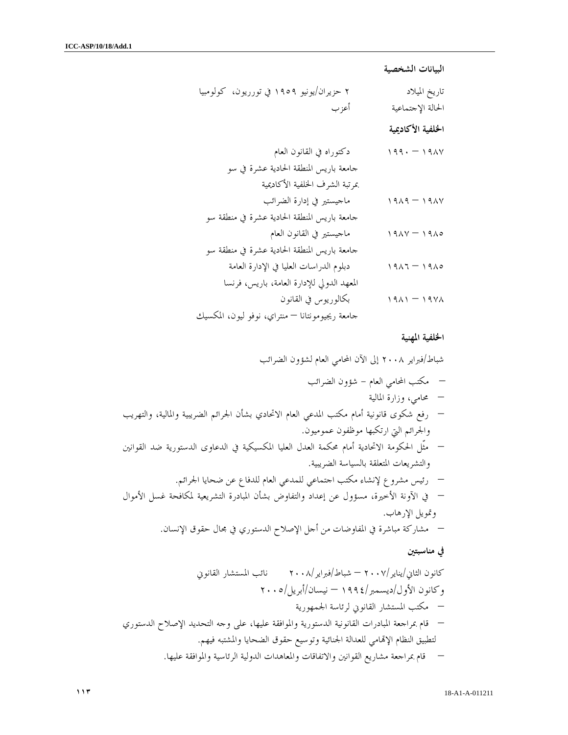البيانات الشخصية

| ۲ حزیران/یونیو ۱۹۰۹ في تورریون، کولومبیا        | تاريخ الميلاد               |
|-------------------------------------------------|-----------------------------|
| أعزب                                            | الحالة الإجتماعية           |
|                                                 | الخلفية الأكاديمية          |
| دكتوراه في القانون العام                        | $199. - 191$                |
| جامعة باريس المنطقة الحادية عشرة في سو          |                             |
| بمرتبة الشرف الخلفية الأكاديمية                 |                             |
| ماجيستير في إدارة الضرائب                       | $1919 - 1914$               |
| جامعة باريس المنطقة الحادية عشرة في منطقة سو    |                             |
| ماجيستير في القانون العام                       | $19\lambda v - 19\lambda o$ |
| جامعة باريس المنطقة الحادية عشرة في منطقة سو    |                             |
| دبلوم الدراسات العليا في الإدارة العامة         | $1911 - 1910$               |
| المعهد الدولي للإدارة العامة، باريس، فرنسا      |                             |
| بكالوريوس في القانون                            | $1911 - 1911$               |
| جامعة ريجيومونتانا — منتراي، نوفو ليون، المكسيك |                             |

### الخلفية المهنية

شباط/فبراير ٢٠٠٨ إلى الآن المحامي العام لشؤون الضرائب

 مكتب المحامي العام - شؤون الضرائب – محامي، وزارة المالية – رفع شكوى قانونية أمام مكتب المدعي العام الاتحادي بشأن الجرائم الضريبية والمالية، والتهريب والجرائم التي ارتكبها موظفون عموميون . – مثّل الحكومة الاتحادية أمام محكمة العدل العليا المكسيكية في الدعاوى الدستورية ضد القوانين والتشريعات المتعلقة بالسياسة الضريبية . – رئيس مشروع لإنشاء مكتب اجتماعي للمدعي العام للدفاع عن ضحايا الجرائم . – في الآونة الأخيرة، مسؤول عن إعداد والتفاوض بشأن المبادرة التشريعية لمكافحة غسل الأموال وتمويل الإرهاب . – مشاركة مباشرة في المفاوضات من أجل الإصلاح الدستوري في مجال حقوق الإنسان. في مناسبتين كانون الثاني/يناير٢٠٠٧/ – شباط/فبراير٢٠٠٨/ نائب المستشار القانوني وكانون الأول/ديسمبر١٩٩٤/ – نيسان/أبريل٢٠٠٥/ – مكتب المستشار القانوني لرئاسة الجمهورية – قام بمراجعة المبادرات القانونية الدستورية والموافقة عليها، على وجه التحديد الإصلاح الدستوري لتطبيق النظام الإامي للعدالة الجنائية وتوسيع حقوق الضحايا والمشتبه فيهم. – قام بمراجعة مشاريع القوانين والاتفاقات والمعاهدات الدولية الرئاسية والموافقة عليها.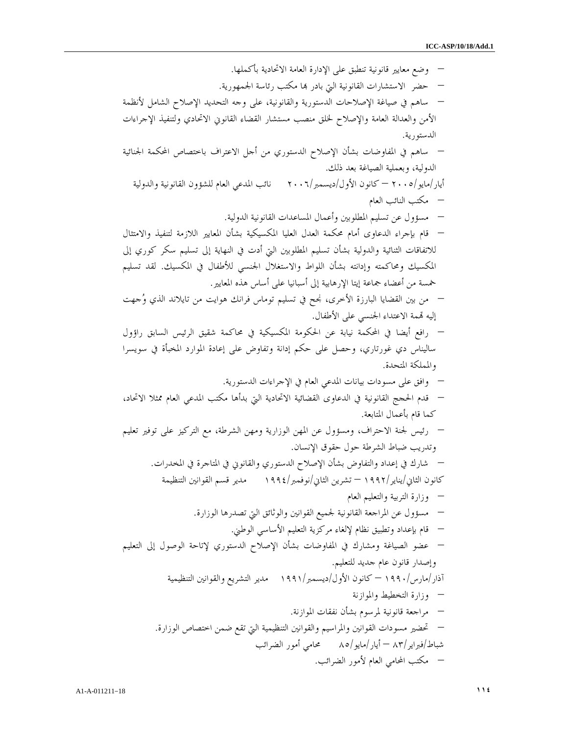– وضع معايير قانونية تنطبق على الإدار ة العامة الاتحادية بأكملها. – حضر الاستشارات القانونية التي بادر ا مكتب رئاسة الجمهورية. – ساهم في صياغة الإصلاحات الدستورية والقانونية، على وجه التحديد الإصلاح الشامل لأنظمة الأمن والعدالة العامة والإصلاح لخلق منصب مستشار القضاء القانوني الاتحادي ولتنفيذ الإجراءات الدستورية. – ساهم في المفاوضات بشأن الإصلاح الدستوري من أجل الاعتراف باختصاص المحكمة الجنائية الدولية، وبعملية الصياغة بعد ذلك. أيار/مايو٢٠٠٥/ – كانون الأول/ديسمبر٢٠٠٦/ نائب المدعي العام للشؤون القانونية والدولية – مكتب النائب العام – مسؤول عن تسليم ا لمطلوبين وأعمال المساعدات القانونية الدولية. – قام بإجراء الدعاوى أمام محكمة العدل العليا المكسيكية بشأن المعايير اللازمة لتنفيذ والامتثال للاتفاقات الثنائية والدولية بشأن تسليم المطلوبين التي أدت في النهاية إلى تسليم سكر كوري إلى المكسيك ومحاكمته وإدانته بش أن اللواط والاستغلال الجنسي للأطفال في المكسيك. لقد تسليم خمسة من أعضاء جماعة إيتا الإرهابية إلى أسبانيا على أساس هذه المعايير. – من بين القضايا البارزة الأخرى، في نجح تسليم توماس فرانك هوايت من تايلاند الذي وجهت إليه مة الاعتداء الجنسي على الأطفال. – رافع أيضا في المحكمة نيابة عن الحكومة المكسيكية في محاكمة شقيق الرئيس السابق راؤول ساليناس دي غورتاري، وحصل على حكم إدانة وتفاوض على إعادة الموارد المخبأة في سويسرا والمملكة المتحدة. – وافق على مسودات بيانات المدعي العام في الإجراءات الدستورية. – قدم الحجج القانوني في ة الدعاوى القضائية الاتحادية التي بدأها مكتب المدعي العام ممثلا الاتحاد، قام كما بأعمال المتابعة. – رئيس لجنة الاحتراف، ومسؤول عن المهن الوزارية ومهن الشرطة، مع التركيز على توفير تعليم وتدريب ضباط الشرطة حول حقوق الإنسان. – شارك في إعداد والتفاوض بشأن الإصلا ح الدستوري والقانوني في المتاجرة في المخدرات. كانون الثاني/يناير١٩٩٢/ – تشرين الثاني/نوفمبر١٩٩٤/ مدير قسم القوانين التنظيمة – وزارة التربية والتعليم العام – مسؤول عن المراجعة القانونية لجميع القوانين والوثائق التي تصدرها الوزارة. – قام بإعداد وتطبيق نظام ءلإلغا مركزية التعليم الأساسي الوطني. – عضو الصياغة ومشارك في المفاوضات بشأن الإصلاح الدستوري لإتاحة الوصول إلى التعليم وإصدار قانون عام جديد للتعليم. آذار/مارس١٩٩٠/ – كانون الأول/ديسمبر١٩٩١/ مدير التشريع والقوانين التنظيمية – وزارة التخطيط والموازنة – مراجعة قانون ية لمرسوم بشأن نفقات الموازنة. – تحضير مسودات القوانين والمراسيم والقوانين التنظيمية التي تقع ضمن اختصاص الوزارة. شباط/فبراير/ – ٨٣ أيار/مايو٨٥/ محامي أمور الضرائب – مكتب المحامي العام لأمور الضرائب .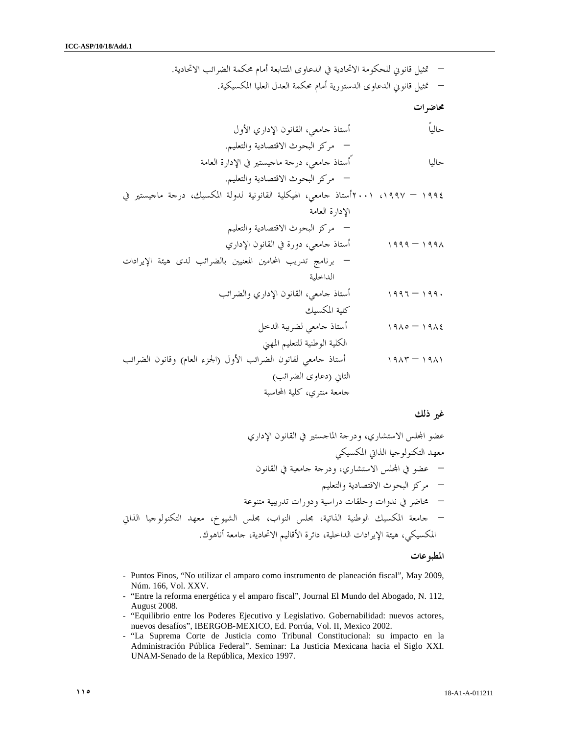– تمثيل قانوني للحكومة الاتحادية في الدعاوى المتتابعة أمام محكم ة الضرائب الاتحادية. – تمثيل قانوني الدعاوى الدستورية أمام محكمة العدل العليا المكسيكية . محاضرات حالياً أستاذ جامعي، القانون الإداري الأول – مركز البحوث الاقتصادية والتعليم . حاليا ً أستاذ جامعي، درجة ماجيستير في الإدارة العامة – مركز البحوث الاقتصادية والتعليم . ١٩٩٤ – ،١٩٩٧ ٢٠٠١أستاذ جامعي، الهيكلية القانونية لدولة المكسيك، درجة ماجيستير في الإدارة العامة – مركز البحوث الاقتصادية والتعليم ١٩٩٨ – ١٩٩٩ أستاذ جامعي، دورة في القانون الإداري – برنامج تدريب المحامين المعنيين بالضرائب لدى هيئة الإيرادات الداخلية ١٩٩٠ – ١٩٩٦ أستاذ جامعي، القانون الإداري والضرائب كلية المكسيك ١٩٨٤ – ١٩٨٥ أستاذ جامعي لضريبة الدخل الكلية الوطنية للتعليم المهني ١٩٨١ – ١٩٨٣ أستاذ جامعي لقانون الضرائب الأول (الجزء العام) وقانون الضرائب الثاني (دعاوى الضرائب ) جامعة منتري، كلية المحاسبة

غير ذلك

عضو الس الاستشاري، ودرجة الماجستير في القانون الإداري معهد التكنولوجيا الذاتي المكسيكي – عضو في الس الاستشاري، ودرجة جامعية في القانون – مركز البحوث الاقتصادية والتعليم – محاضر في ندوات وحلقات دراسية ودورات تدريبية متنوعة – جامعة المكسيك الوطنية الذاتية، مجلس النواب، مجلس الشيوخ، معهد التكنولوجيا الذاتي المكسيكي، هيئة الإيرادات الداخلية، دائرة الأقاليم الاتحادية، جامعة أناهوك .

المطبوعات

- Puntos Finos, "No utilizar el amparo como instrumento de planeación fiscal", May 2009, Núm. 166, Vol. XXV.
- "Entre la reforma energética y el amparo fiscal", Journal El Mundo del Abogado, N. 112, August 2008.
- "Equilibrio entre los Poderes Ejecutivo y Legislativo. Gobernabilidad: nuevos actores, nuevos desafíos", IBERGOB-MEXICO, Ed. Porrúa, Vol. II, Mexico 2002.
- "La Suprema Corte de Justicia como Tribunal Constitucional: su impacto en la Administración Pública Federal". Seminar: La Justicia Mexicana hacia el Siglo XXI. UNAM-Senado de la República, Mexico 1997.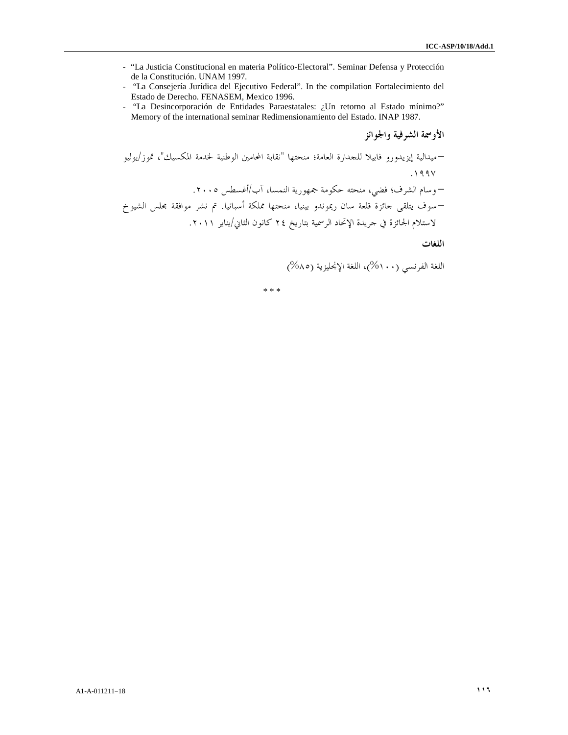- "La Justicia Constitucional en materia Político-Electoral". Seminar Defensa y Protección de la Constitución. UNAM 1997.
- "La Consejería Jurídica del Ejecutivo Federal". In the compilation Fortalecimiento del Estado de Derecho. FENASEM, Mexico 1996.
- "La Desincorporación de Entidades Paraestatales: ¿Un retorno al Estado mínimo?" Memory of the international seminar Redimensionamiento del Estado. INAP 1987.

الأوسمة الشرفية والجوائز

–ميدالية إيزيدورو فابيلا للجدارة العامة؛ منحتها "نقابة المحامين الوطنية لخدمة المكسيك ،" /تموز يوليو .١٩٩٧ – وسام الشرف؛ فضي، منحته حكومة جمهورية ال نمسا، /آب أغسطس .٢٠٠٥ –سوف يتلقى جائزة قلعة سان ريموندو بينيا، منحتها مملكة أسبانيا تم. نشر موافقة مجلس الشيوخ لاستلام الجائزة في جريدة الإتحاد الرسمية بتاريخ ٢٤ كانون الثاني/يناير .٢٠١١

اللغات

اللغة الفرنسي (%١٠٠) ، اللغة الإنجليزية (%٨٥)

\* \* \*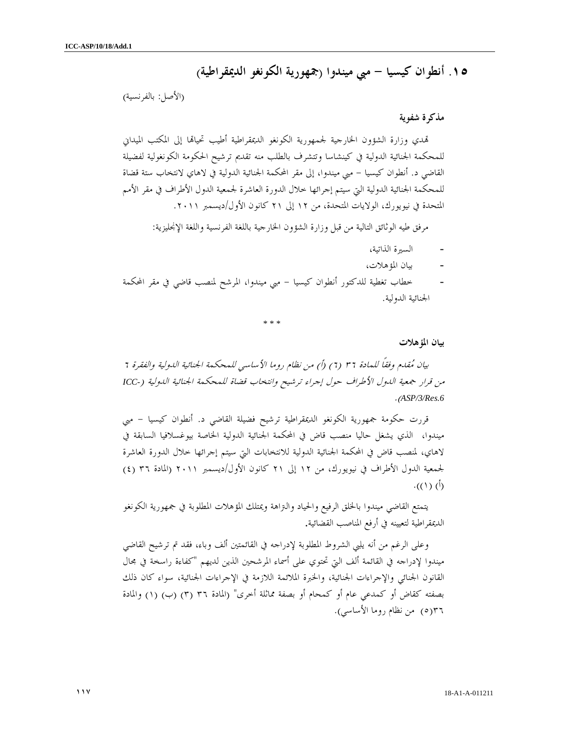### ١٥. أنطوان كيسيا - مبي ميندوا (جمهورية الكونغو الديمقراطية )

(الأصل: بالفرنسية)

### مذكرة شفوية

تمدي وزارة الشؤون الحارجية لجمهورية الكونغو الديمقراطية أطيب تحياقما إلى المكتب الميداني للمحكمة الجنائية الدولية في كينشاسا وتتشرف بالطلب منه تقديم ترشيح الحكومة الكونغولية لفضيلة القاضي د. أنطوان كيسيا - مبي ميندوا، إلى مقر المحكمة الجنائية الدولية في لاهاي لانتخاب ستة قضاة للمحكمة الجنائية الدولية التي سيتم إجرائها خلال الدورة العاشرة لجمعية الدول الأطراف في مقر الأمم المتحدة في نيويورك، الولايات المتحدة، من ١٢ إلى ٢١ كانون الأول/ديسمبر ٢٠١١ .

مرفق طيه الوثائق التالية من قبل وزارة الشؤون الخارجية باللغة الفرنسية واللغة الإنجليزية :

- السيرة الذاتية،
- بيان المؤهلات،
- خطاب تغطية للدكتور أنطوان كيسيا مبي ميندوا، المرشح لمنصب قاضي في مقر المحكمة الجنائية الدولية.

\* \* \*

بيان المؤهلات

بيان مقدم وفقاً للمادة ٣٦ ٦ ( ) أ) ( من نظام روما الأساسي للمحكمة الجنائية الدولية والفقرة ٦ من قرار جمعية الدول الأطراف حول إجراء ترشيح وانتخاب قضاة للمحكمة الجنائية الدولية (*-ICC* .( *ASP/3/Res.6*

قررت حكومة جمهورية الكونغو الديمقراطية ترشيح فضيلة القاضي د. أنطوان كيسيا – مبي ميندوا، الذي يشغل حاليا منصب قاض في المحكمة الجنائية الدولية الخاصة بيوغسلافيا السابقة في لاهاي، لمنصب قاض في المحكمة الجنائية الدولية للانتخابات التي سيتم إجرائها خلال الدورة العاشرة لجمعية الدول الأطراف في نيويورك، من ١٢ إلى ٢١ كانون الأول/ديسمبر ٢٠١١ (المادة ٣٦ ) ٤ (  $\cdot ((\wedge) (\dot{\wedge})$ 

يتمتع القاضي ميندوا بالخلق الرفيع والحياد والتراهة ويمتلك المؤهلات المطلوبة في جمهورية الكونغو الديمقراطية لتعيينه في أرفع المناصب القضائية.

وعلى الرغم من أنه يلبي الشروط المطلوبة لإدراجه في القائمتين ألف وباء، فقد تم ترشيح القاضي ميندوا لإدراجه في القائمة ألف التي تحتوي على أسماء المرشحين الذين لديهم "كفاءة راسخة في مجال القانون الجنائي والإجراءات الجنائية، والخبرة الملائمة اللازمة في الإجراءات الجنائية، سواء كان ذلك بصفته كقاض أو كمدعي عام أو كمحام أو بصفة مماثلة أخرى" (المادة ٣٦ ٣ ( ) (ب) (١) والمادة ٥(٣٦ ) من نظام روما الأساسي ).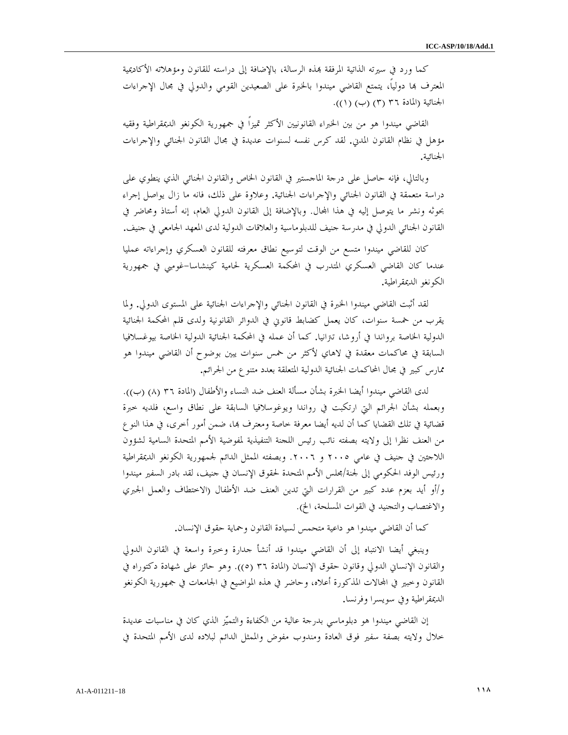كما ورد في سيرته الذاتية المرفقة بمذه الرسالة، بالإضافة إلى دراسته للقانون ومؤهلاته الأكاديمية المعترف ها دولياً، يتمتع القاضي ميندوا بالخبرة على الصعيدين القومي والدولي في مجال الإجراءات الجنائية (المادة ٣٦ ٣ ( ) (ب ١) ( )).

القاضي ميندوا هو من بين الخبراء القانونيين الأكثر تميزاً في جمهورية الكونغو الديمقراطية وفقيه مؤهل في نظام القانون المدني. لقد كرس نفسه لسنوات عديدة في مجال القانون الجنائي والإجراءات الجنائية .

وبالتالي، فإنه حاصل على درجة الماجستير في القانون الخاص والقانون الجنائي الذي ينطوي على دراسة متعمقة في القانون الجنائي والإجراءات الجنائية. وعلاوة على ذلك، فانه ما زال يواصل إجراء بحوثه ونشر ما يتوصل إليه في هذا المحال. وبالإضافة إلى القانون الدولي العام، إنه أستاذ ومحاضر في القانون الجنائي الدولي في مدرسة جنيف للدبلوماسية والعلاقات الدولية لدى المعهد الجامعي في جنيف .

كان للقاضي ميندوا متسع من الوقت لتوسيع نطاق معرفته للقانون العسكري وإجراءاته عمليا عندما كان القاضي العسكري المتدرب في المحكمة العسكرية لحامية كينشاسا-غومبي في جمهورية الكونغو الديمقراطية.

لقد أثبت القاضي ميندوا الخبرة في القانون الجنائي والإجراءات الجنائية على المستوى الدولي. ولما يقرب من خمسة سنوات، كان يعمل كضابط قانوني في الدوائر القانونية ولدى قلم المحكمة الجنائية الدولية الخاصة برواندا في أروشا، تترانيا. كما أن عمله في المحكمة الجنائية الدولية الخاصة بيوغسلافيا السابقة في محاكمات معقدة في لاهاي لأكثر من خمس سنوات يبين بوضوح أن القاضي ميندوا هو ممارس كبير في مجال المحاكمات الجنائية الدولية المتعلقة بعدد متنوع من الجرائم .

لدى القاضي ميندوا أيضا الخبرة بشأن مسألة العنف ضد النساء والأطفال (المادة ٣٦ ٨ ( ) (ب)). وبعمله بشأن الجرائم التي ارتكبت في رواندا ويوغوسلافيا السابقة على نطاق واسع، فلديه خبرة قضائية في تلك القضايا كما أن لديه أيضا معرفة خاصة ومعترف بما، ضمن أمور أخرى، في هذا النو ع من العنف نظرا إلى ولايته بصفته نائب رئيس اللجنة التنفيذية لمفوضية الأمم المتحدة السامية لشؤون اللاجئين في جنيف في عامي ٢٠٠٥ و .٢٠٠٦ وبصفته الممثل الدائم لجمهورية الكونغو الديمقراطية ورئيس الوفد الحكومي إلى لجنة/مجلس الأمم المتحدة لحقوق الإنسان في جنيف، لقد بادر السفير ميندوا /و أو أيد بعزم عدد كبير من القرارات التي تدين العنف ضد الأطفال (الاختطاف والعمل الجبري والاغتصاب والتجنيد في القوات المسلحة، الخ ).

كما أن القاضي ميندوا هو داعية متحمس لسيادة القانون وحماية حقوق الإنسان.

وينبغي أيضا الانتباه إلى أن القاضي ميندوا قد أنشأ جدارة وخبرة واسعة في القانون الدولي والقانون الإنساني الدولي وقانون حقوق الإنسان (المادة ٣٦ ٥ ( )). وهو حائز على شهادة دكتوراه في القانون وخبير في المحالات المذكورة أعلاه، وحاضر في هذه المواضيع في الجامعات في جمهورية الكونغو الديمقراطية وفي سويسرا وفرنسا .

إن القاضي ميندوا هو دبلوماسي بدرجة عالية من الكفاءة والتميز الذي كان في مناسبات عديدة خلال ولايته بصفة سفير فوق العادة ومندوب مفوض والممثل الدائم لبلاده لدى الأمم المتحدة في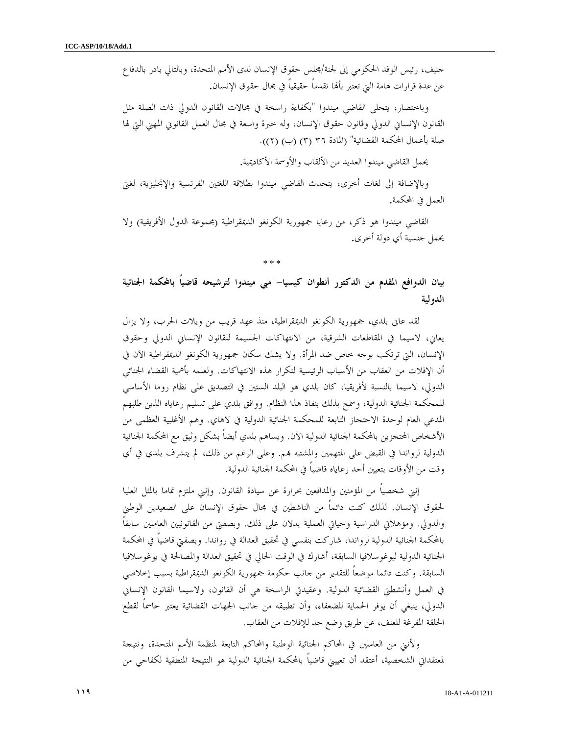جنيف، رئيس الوفد الحكومي إلى لجنة/مجلس حقوق الإنسان لدى الأمم المتحدة، وبالتالي بادر بالدفاع عن عدة قرارات هامة التي تعتبر بألها تقدماً حقيقياً في مجال حقوق الإنسان.

وباختصار، يتحلى القاضي ميندوا "بكفاءة راسخة في مجالات القانون الدولي ذات الصلة مثل القانون الإنساني الدولي وقانون حقوق الإنسان، وله خبرة واسعة في مجال العمل القانوني المهني التي لها صلة بأعمال المحكمة القضائية" (المادة ٣٦ (٣) (ب) (٢)).

يحمل القاضي ميندوا العديد من الألقاب والأوسمة الأكاديمية .

وبالإضافة إلى لغات أخرى، يتحدث القاضي ميندوا بطلاقة اللغتين الفرنسية والإنجليزية، لغتي العمل في المحكمة.

القاضي ميندوا هو ذكر، من رعايا جمهورية الكونغو الديمقراطية (مجموعة الدول الأفريقية) ولا يحمل جنسية أي دولة أخرى.

\* \* \*

بيان الدوافع المقدم من الدكتور أنطوان كيسيا- مبي ميندوا لترشيحه قاضياً بالمحكمة الجنائية الدولية

 لقد عانى بلدي، جمهورية الكونغو الديمقراطية، منذ عهد قريب من ويلات الحرب، ولا يزال يعاني، لاسيما في المقاطعات الشرقية، من الانتهاكات الجسيمة للقانون الإنساني الدولي وحقوق الإنسان، التي ترتكب بوجه خاص ضد المرأة. ولا يشك سكان جمهورية الكونغو الديمقراطية الآن في أن الإفلات من العقاب من الأسباب الرئيسية لتكرار هذه الانتهاكات. ولعلمه بأهمية القضاء الجنائي الدولي، لاسيما بالنسبة لأفريقيا، كان بلدي هو البلد الستين في التصديق على نظام روما الأساسي للمحكمة الجنائية الدولية، وسمح بذلك بنفاذ هذا النظام. ووافق بلدي على تسليم رعاياه الذين طلبهم المدعي العام لوحدة الاحتجاز التابعة للمحكمة الجنائية الدولية في لاهاي. وهم الأغلبية العظمى من الأشخاص المحتجزين بالمحكمة الجنائية الدولية الآن. ويساهم بلدي أيضاً بشكل وثيق مع المحكمة الجنائية الدولية لرواندا في القبض على المتهمين والمشتبه بمم. وعلى الرغم من ذلك، لم يتشرف بلدي في أي وقت من الأوقات بتعيين أحد رعاياه قاضياً في المحكمة الجنائية الدولية .

 إنني شخصياً من المؤمنين والمدافعين بحرارة عن سيادة القانون. وإنني ملتزم تماما بالمثل العليا لحقوق الإنسان. لذلك كنت دائماً من الناشطين في مجال حقوق الإنسان على الصعيدين الوطني والدولي. ومؤهلاتي الدراسية وحياتي العملية يدلان على ذلك. وبصفتي من القانونيين العاملين سابقاً بالمحكمة الجنائية الدولية لرواندا، شاركت بنفسي في تحقيق العدالة في رواندا. وبصفتي قاضياً في المحكمة الجنائية الدولية ليوغوسلافيا السابقة، أشارك في الوقت الحالي في تحقيق العدالة والمصالحة في يوغوسلافيا السابقة. وكنت دائما موضعاً للتقدير من جانب حكومة جمهورية الكونغو الديمقراطية بسبب إخلاصي في العمل وأنشطتي القضائية الدولية. وعقيدتي الراسخة هي أن القانون، ولاسيما القانون الإنساني الدولي، ينبغي أن يوفر الحماية للضعفاء، وأن تطبيقه من جانب الجهات القضائية يعتبر حاسماً لقطع الحلقة المفرغة للعنف، عن طريق وضع حد للإفلات من العقاب .

 ولأنني من العاملين في المحاكم الجنائية الوطنية والمحاكم التابعة لمنظمة الأمم المتحدة، ونتيجة لمعتقداتي الشخصية، أعتقد أن تعييني قاضياً بالمحكمة الجنائية الدولية هو النتيجة المنطقية لكفاحي من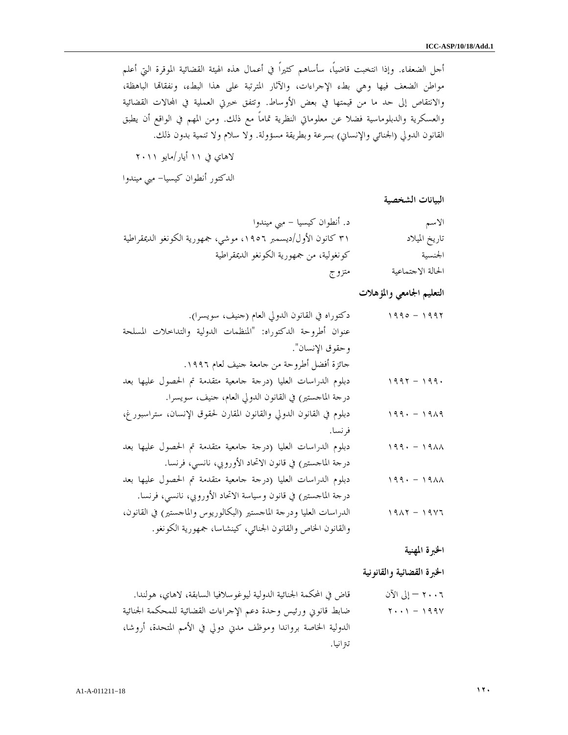أجل الضعفاء. وإذا انتخبت قاضياً، سأساهم كثيراً في أعمال هذه الهيئة القضائية الموقرة التي أعلم مواطن الضعف فيها وهي بطء الإجراءات، والآثار المترتبة على هذا البطء، ونفقاتما الباهظة، والانتقاص إلى حد ما من قيمتها في بعض الأوساط. وتتفق خبرتي العملية في االات القضائية والعسكرية والدبلوماسية فضلا عن معلوماتي النظرية تماماً مع ذلك. ومن المهم في الواقع أن يطبق القانون الدولي (الجنائي والإنساني) بسرعة وبطريقة مسؤولة. ولا سلام ولا تنمية بدون ذلك .

لاهاي في ١١ أيار/مايو ٢٠١١

الدكتور أنطوان كيسيا- مبي ميندوا

البيانات الشخصية

| الاسم             | د. أنطوان كيسيا – مبي ميندوا                                  |
|-------------------|---------------------------------------------------------------|
| تاريخ الميلاد     | ٣١ كانون الأول/ديسمبر ١٩٥٦، موشى، جمهورية الكونغو الديمقراطية |
| الجنسية           | كونغولية، من جمهورية الكونغو الديمقراطية                      |
| الحالة الاجتماعية | متزوج                                                         |

التعليم الجامعي والمؤهلات

| $1990 - 1997$            | دكتوراه في القانون الدولي العام (حنيف، سويسرا).                      |
|--------------------------|----------------------------------------------------------------------|
|                          | عنوان أطروحة الدكتوراه: "المنظمات الدولية والتداخلات المسلحة         |
|                          | وحقوق الإنسان".                                                      |
|                          | حائزة أفضل أطروحة من حامعة حنيف لعام ١٩٩٦.                           |
| $1997 - 199.$            | دبلوم الدراسات العليا (درجة جامعية متقدمة تم الحصول عليها بعد        |
|                          | درجة الماجستير) في القانون الدولي العام، جنيف، سويسرا.               |
| $199 - 1919$             | دبلوم في القانون الدولي والقانون المقارن لحقوق الإنسان، ستراسبور غ،  |
|                          | فرنسا.                                                               |
| $199 - 1911$             |                                                                      |
|                          | دبلوم الدراسات العليا (درجة جامعية متقدمة تم الحصول عليها بعد        |
|                          | درجة الماجستير) في قانون الاتحاد الأوروبي، نانسي، فرنسا.             |
| $199 - 19\lambda\lambda$ | دبلوم الدراسات العليا (درجة جامعية متقدمة تم الحصول عليها بعد        |
|                          | درجة الماجستير) في قانون وسياسة الاتحاد الأوروبي، نانسي، فرنسا.      |
| $1917 - 1917$            | الدراسات العليا ودرحة الماحستير (البكالوريوس والماحستير) في القانون، |
|                          | والقانون الخاص والقانون الجنائي، كينشاسا، جمهورية الكونغو.           |

الخبرة المهنية

الخبرة القضائية والقانونية

٢٠٠٦ – إلى الآن قاض في المحكمة الجنائية الدولية ليوغوسلافيا السابقة، لاهاي، هولندا . ١٩٩٧ - ٢٠٠١ ضابط قانوني ورئيس وحدة دعم الإجراءات القضائية للمحكمة الجنائية الدولية الخاصة برواندا وموظف مدني دولي في الأمم المتحدة، أروشا، تترانيا .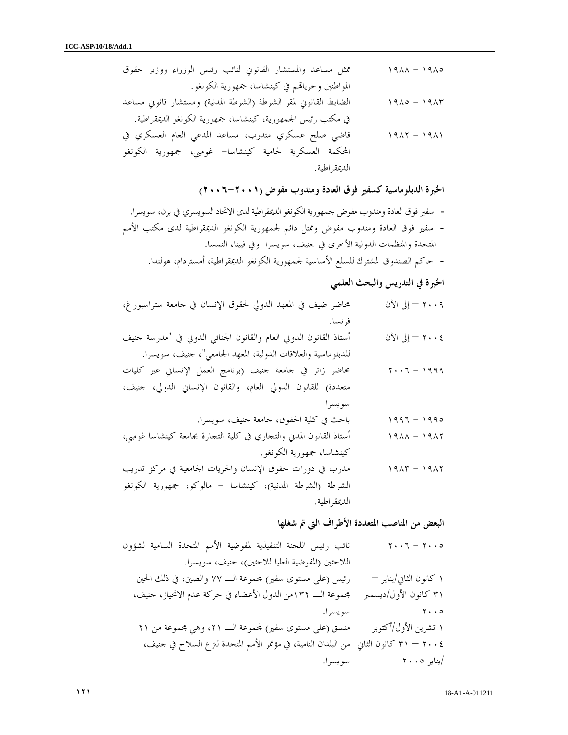١٩٨٥ - ١٩٨٨ ممثل مساعد والمستشار القانوني لنائب رئيس الوزراء ووزير حقوق المواطنين وحريام في كينشاسا، جمهورية الكونغو . ١٩٨٣ - ١٩٨٥ الضابط القانوني لمقر الشرطة (الشرطة المدنية) ومستشار قانوني مساعد في مكتب رئيس الجمهورية، كينشاسا، جمهورية الكونغو الديمقراطية . ١٩٨١ - ١٩٨٢ قاضي صلح عسكري متدرب، مساعد المدعي العام العسكري في المحكمة العسكرية لحامية كينشاسا- غومبي، جمهورية الكونغو الديمقراطية .

الخبرة الدبلوماسية كسفير فوق العادة ومندوب مفوض (٢٠٠٦-٢٠٠١ )

- سفير فوق العادة ومندوب مفوض لجمهورية الكونغو الديمقراطية لدى الاتحاد السويسري في برن، سويسرا . - سفير فوق العادة ومندوب مفوض وممثل دائم لجمهورية الكونغو الديمقراطية لدى مكتب الأمم المتحدة والمنظمات الدولية الأخرى في جنيف، سويسرا وفي فيينا، النمسا .

- حاكم الصندوق المشترك للسلع الأساسية لجمهورية الكونغو الديمقراطية، أمستردام، هولندا.

# الخبرة في التدريس والبحث العلمي

٢٠٠٩ – إلى الآن محاضر ضيف في المعهد الدولي لحقوق الإنسان في جامعة ستراسبورغ، فرنسا . ٢٠٠٤ – إلى الآن أستاذ القانون الدولي العام والقانون الجنائي الدولي في "مدرسة جنيف للدبلوماسية والعلاقات الدولية، المعهد الجامعي"، جنيف، سويسرا . ١٩٩٩ - ٢٠٠٦ محاضر زائر في جامعة جنيف (برنامج العمل الإنساني عبر كليات متعددة) للقانون الدولي العام، والقانون الإنساني الدولي، جنيف، سويسرا ١٩٩٥ - ١٩٩٦ باحث في كلية الحقوق، جامعة جنيف، سويسرا . ١٩٨٢ - ١٩٨٨ أستاذ القانون المدني والتجاري في كلية التجارة بجامعة كينشاسا غومبي، كينشاسا، جمهورية الكونغو . ١٩٨٢ - ١٩٨٣ مدرب في دورات حقوق الإنسان والحريات الجامعية في مركز تدريب الشرطة (الشرطة المدنية)، كينشاسا - مالوكو، جمهورية الكونغو الديمقراطية .

البعض من المناصب المتعددة الأطراف التي تم شغلها

٢٠٠٥ - ٢٠٠٦ نائب رئيس اللجنة التنفيذية لمفوضية الأمم المتحدة السامية لشؤون اللاجئين (المفوضية العليا للاجئين)، جنيف، سويسرا . ١ كانون الثاني/يناير – رئيس (على مستوى سفير) موعة الـ ٧٧ والصين، في ذلك الحين ٣١ كانون الأول/ديسمبر مجموعة الـ ١٣٢من الدول الأعضاء في حركة عدم الانحياز، جنيف، ٢٠٠٥ سويسرا . ١ تشرين الأول/أكتوبر منسق (على مستوى سفير) موعة الـ ،٢١ وهي مجموعة من ٢١ ٢٠٠٤ – ٣١ كانون الثاني من البلدان النامية، في مؤتمر الأمم المتحدة لترع السلاح في جنيف، /يناير ٢٠٠٥ سويسرا .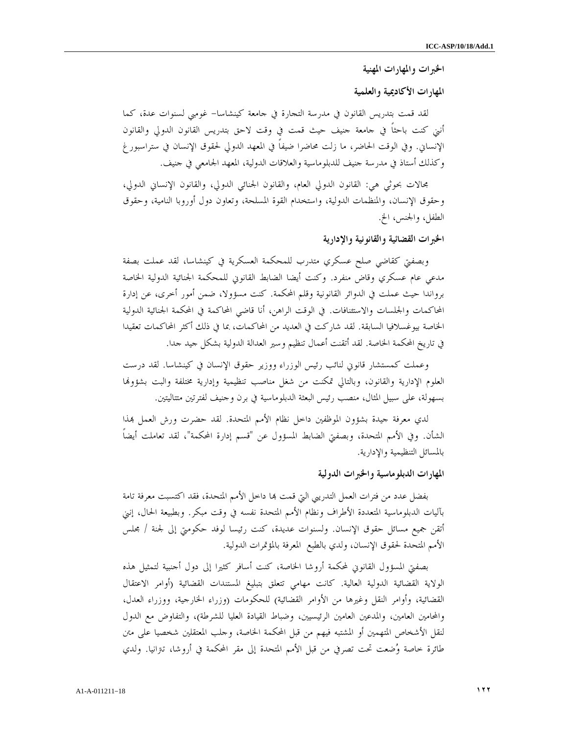الخبرات والمهارات المهنية

المهارات الأكاديمية والعلمية

لقد قمت بتدريس القانون في مدرسة التجارة في جامعة كينشاسا- غومبي لسنوات عدة، كما أنني كنت باحثاً في جامعة جنيف حيث قمت في وقت لاحق بتدريس القانون الدولي والقانون الإنساني. وفي الوقت الحاضر، ما زلت محاضرا ضيفاً في المعهد الدولي لحقوق الإنسان في ستراسبورغ وكذلك أستاذ في مدرسة جنيف للدبلوماسية والعلاقات الدولية، المعهد الجامعي في جنيف .

مجالات بحوثي هي: القانون الدولي العام، والقانون الجنائي الدولي، والقانون الإنساني الدولي، وحقوق الإنسان، والمنظمات الدولية، واستخدام القوة المسلحة، وتعاون دول أوروبا النامية، وحقوق الطفل، والجنس، الخ .

الخبرات القضائية والقانونية والإدارية

وبصفتي كقاضي صلح عسكري متدرب للمحكمة العسكرية في كينشاسا، لقد عملت بصفة مدعي عام عسكري وقاض منفرد. وكنت أيضا الضابط القانوني للمحكمة الجنائية الدولية الخاصة برواندا حيث عملت في الدوائر القانونية وقلم المحكمة. كنت مسؤولا، ضمن أمور أخرى، عن إدارة المحاكمات والجلسات والاستئنافات. في الوقت الراهن، أنا قاضي المحاكمة في المحكمة الجنائية الدولية الخاصة بيوغسلافيا السابقة. لقد شاركت في العديد من المحاكمات، بما في ذلك أكثر المحاكمات تعقيدا في تاريخ المحكمة الخاصة. لقد أتقنت أعمال تنظيم وسير العدالة الدولية بشكل جيد جدا .

وعملت كمستشار قانوني لنائب رئيس الوزراء ووزير حقوق الإنسان في كينشاسا. لقد درست العلوم الإدارية والقانون، وبالتالي تمكنت من شغل مناصب تنظيمية وإدارية مختلفة والبت بشؤوا بسهولة، على سبيل المثال، منصب رئيس البعثة الدبلوماسية في برن وجنيف لفترتين متتاليتين .

لدي معرفة جيدة بشؤون الموظفين داخل نظام الأمم المتحدة. لقد حضرت ورش العمل بمذا الشأن. وفي الأمم المتحدة، وبصفتي الضابط المسؤول عن "قسم إدارة المحكمة"، لقد تعاملت أيضاً بالمسائل التنظيمية والإدارية .

المهارات الدبلوماسية والخبرات الدولية

بفضل عدد من فترات العمل التدريبي التي قمت بما داخل الأمم المتحدة، فقد اكتسبت معرفة تامة بآليات الدبلوماسية المتعددة الأطراف ونظام الأمم المتحدة نفسه في وقت مبكر. وبطبيعة الحال، إنني أتقن جميع مسائل حقوق الإنسان. ولسنوات عديدة، كنت رئيسا لوفد حكومتي إلى لجنة / مجلس الأمم المتحدة لحقوق الإنسان، ولدي بالطبع المعرفة بالمؤتمرات الدولية .

بصفتي المسؤول القانوني لمحكمة أروشا الخاصة، كنت أسافر كثيرا إلى دول أجنبية لتمثيل هذه الولاية القضائية الدولية العالية. كانت مهامي تتعلق بتبليغ المستندات القضائية (أوامر الاعتقال القضائية، وأوامر النقل وغيرها من الأوامر القضائية) للحكومات (وزراء الخارجية، ووزراء العدل، والمحامين العامين، والمدعين العامين الرئيسيين، وضباط القيادة العليا للشرطة)، والتفاوض مع الدول لنقل الأشخاص المتهمين أو المشتبه فيهم من قبل المحكمة الخاصة، وجلب المعتقلين شخصيا على متن طائرة خاصة وضعت تحت تصرفي من قبل الأمم المتحدة إلى مقر المحكمة في أروشا، تترانيا. ولدي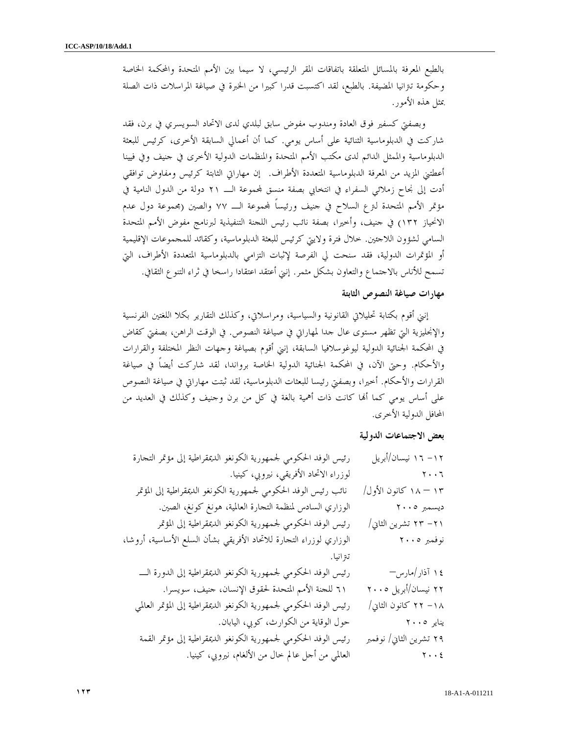بالطبع المعرفة بالمسائل المتعلقة باتفاقات المقر الرئيسي، لا سيما بين الأمم المتحدة والمحكمة الخاصة وحكومة تترانيا المضيفة. بالطبع، لقد اكتسبت قدرا كبيرا من الخبرة في صياغة المراسلات ذات الصلة بمثل هذه الأمور .

 وبصفتي كسفير فوق العادة ومندوب مفوض سابق لبلدي لدى الاتحاد السويسري في برن، فقد شاركت في الدبلوماسية الثنائية على أساس يومي. كما أن أعمالي السابقة الأخرى، كرئيس للبعثة الدبلوماسية والممثل الدائم لدى مكتب الأمم المتحدة والمنظمات الدولية الأخرى في جنيف وفي فيينا أعطتني المزيد من المعرفة الدبلوماسية المتعددة الأطراف. إن مهاراتي الثابتة كرئيس ومفاوض توافقي أدت إلى نجاح زملائي السفراء في انتخابي بصفة منسق لمحموعة الــــ ٢١ دولة من الدول النامية في مؤتمر الأمم المتحدة لترع السلاح في جنيف ورئيساً موعة الـ ٧٧ والصين (مجموعة دول عدم الانحياز ١٣٢) في جنيف، وأخيرا، بصفة نائب رئيس اللجنة التنفيذية لبرنامج مفوض الأمم المتحدة السامي لشؤون اللاجئين. خلال فترة ولايتي كرئيس للبعثة الدبلوماسية، وكقائد للمجموعات الإقليمية أو المؤتمرات الدولية، فقد سنحت لي الفرصة لإثبات التزامي بالدبلوماسية المتعددة الأطراف، التي تسمح للأناس بالاجتماع والتعاون بشكل مثمر. إنني أعتقد اعتقادا راسخا في ثراء التنوع الثقافي .

### مهارات صياغة النصوص الثابتة

إنني أقوم بكتابة تحليلاتي القانونية والسياسية، ومراسلاتي، وكذلك التقارير بكلا اللغتين الفرنسية والإنجليزية التي تظهر مستوى عال جدا لمهاراتي في صياغة النصوص. في الوقت الراهن، بصفتي كقاض في المحكمة الجنائية الدولية ليوغوسلافيا السابقة، إنني أقوم بصياغة وجهات النظر المختلفة والقرارات والأحكام. وحتى الآن، في المحكمة الجنائية الدولية الخاصة برواندا، لقد شاركت أيضاً في صياغة القرارات والأحكام. أخيرا، وبصفتي رئيسا للبعثات الدبلوماسية، لقد ثبتت مهاراتي في صياغة النصوص على أساس يومي كما أنما كانت ذات أهمية بالغة في كل من برن وحنيف وكذلك في العديد من المحافل الدولية الأخرى .

### بعض الاجتماعات الدولية

| رئيس الوفد الحكومي لجمهورية الكونغو الديمقراطية إلى مؤتمر التجارة   |
|---------------------------------------------------------------------|
| لوزراء الاتحاد الأفريقي، نيروبي، كينيا.                             |
| نائب رئيس الوفد الحكومي لجمهورية الكونغو الديمقراطية إلى المؤتمر    |
| الوزاري السادس لمنظمة التجارة العالمية، هونغ كونغ، الصين.           |
| رئيس الوفد الحكومي لجمهورية الكونغو الديمقراطية إلى المؤتمر         |
| الوزاري لوزراء التحارة للاتحاد الأفريقي بشأن السلع الأساسية، أروشا، |
| تىزانيا.                                                            |
| رئيس الوفد الحكومي لجمهورية الكونغو الديمقراطية إلى الدورة الــــ   |
| ٦١ للجنة الأمم المتحدة لحقوق الإنسان، حنيف، سويسرا.                 |
| رئيس الوفد الحكومي لجمهورية الكونغو الديمقراطية إلى المؤتمر العالمي |
| حول الوقاية من الكوارث، كوبي، اليابان.                              |
| رئيس الوفد الحكومي لجمهورية الكونغو الديمقراطية إلى مؤتمر القمة     |
| العالمي من أحل عالم خال من الألغام، نيروبي، كينيا.                  |
|                                                                     |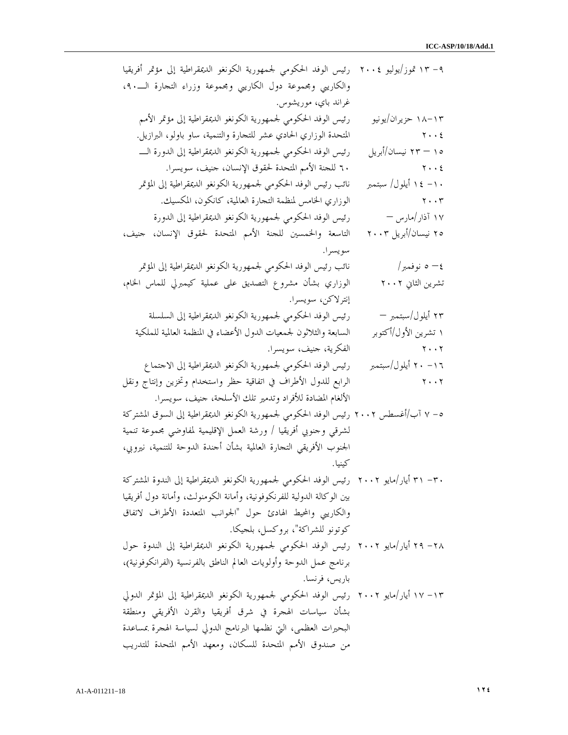| ٩– ١٣ تموز/يوليو ٢٠٠٤   رئيس الوفد الحكومي لجمهورية الكونغو الديمقراطية إلى مؤتمر أفريقيا   |                                     |
|---------------------------------------------------------------------------------------------|-------------------------------------|
| والكاريبي ومجموعة دول الكاريبي ومجموعة وزراء التجارة الــــ.٩،                              |                                     |
| غراند باي، موريشوس.                                                                         |                                     |
| رئيس الوفد الحكومي لجمهورية الكونغو الديمقراطية إلى مؤتمر الأمم                             | ۱۸–۱۸ حزیران/یونیو                  |
| المتحدة الوزاري الحادي عشر للتحارة والتنمية، ساو باولو، البرازيل.                           | $\mathbf{Y} \cdot \cdot \mathbf{E}$ |
| رئيس الوفد الحكومي لجمهورية الكونغو الديمقراطية إلى الدورة الــــ                           | ۱۰ — ۲۳ نیسان/أبریل                 |
| ٦٠ للجنة الأمم المتحدة لحقوق الإنسان، جنيف، سويسرا.                                         | $\mathbf{Y} \cdot \cdot \mathbf{E}$ |
| نائب رئيس الوفد الحكومي لجمهورية الكونغو الديمقراطية إلى المؤتمر                            | ۱۰ – ۱٤ أيلول/ سبتمبر               |
| الوزاري الخامس لمنظمة التجارة العالمية، كانكون، المكسيك.                                    | $\mathbf{y} \cdot \mathbf{y}$       |
| رئيس الوفد الحكومي لجمهورية الكونغو الديمقراطية إلى الدورة                                  | ۱۷ آذار/مارس —                      |
| التاسعة والخمسين للجنة الأمم المتحدة لحقوق الإنسان، حنيف،                                   | ۲۰ نیسان/أبریل ۲۰۰۳                 |
| سويسرا.                                                                                     |                                     |
| نائب رئيس الوفد الحكومي لجمهورية الكونغو الديمقراطية إلى المؤتمر                            | ٤– ٥ نوفمبر/                        |
| الوزاري بشأن مشروع التصديق على عملية كيمبرلي للماس الخام،                                   | تشرين الثاني ٢٠٠٢                   |
| إنترلاكن، سويسرا.                                                                           |                                     |
| رئيس الوفد الحكومي لجمهورية الكونغو الديمقراطية إلى السلسلة                                 | ۲۳ أيلول/سبتمبر —                   |
| السابعة والثلاثون لجمعيات الدول الأعضاء في المنظمة العالمية للملكية                         | ۱ تشرین الأول/أکتوبر                |
| الفكرية، حنيف، سويسرا.                                                                      | $\mathbf{Y} \cdot \cdot \mathbf{Y}$ |
| رئيس الوفد الحكومي لجمهورية الكونغو الديمقراطية إلى الاحتماع                                | ۰ ۱٦ أيلول/سبتمبر                   |
| الرابع للدول الأطراف في اتفاقية حظر واستخدام وتخزين وإنتاج ونقل                             | $\mathbf{Y} \cdot \cdot \mathbf{Y}$ |
| الألغام المضادة للأفراد وتدمير تلك الأسلحة، حنيف، سويسرا.                                   |                                     |
| ٥– ٧ آب/أغسطس ٢٠٠٢ رئيس الوفد الحكومي لجمهورية الكونغو الديمقراطية إلى السوق المشتركة       |                                     |
| لشرقي وحنوبي أفريقيا / ورشة العمل الإقليمية لمفاوضي بحموعة تنمية                            |                                     |
| الجنوب الأفريقي التحارة العالمية بشأن أحندة الدوحة للتنمية، نيروبي،                         |                                     |
|                                                                                             |                                     |
| ٣٠ – ٣١ أيار/مايو ٢٠٠٢  رئيس الوفد الحكومي لجمهورية الكونغو الديمقراطية إلى الندوة المشتركة |                                     |
| بين الوكالة الدولية للفرنكوفونية، وأمانة الكومنولث، وأمانة دول أفريقيا                      |                                     |
| والكاريبي والمحيط الهادئ حول "الجوانب المتعددة الأطراف لاتفاق                               |                                     |
| كوتونو للشراكة"، بروكسل، بلجيكا.                                                            |                                     |
| ٢٨ – ٢٩ أيار/مايو ٢٠٠٢  رئيس الوفد الحكومي لجمهورية الكونغو الديمقراطية إلى الندوة حول      |                                     |
| برنامج عمل الدوحة وأولويات العالم الناطق بالفرنسية (الفرانكوفونية)،                         |                                     |
| باريس، فرنسا.                                                                               |                                     |
| ١٣ – ١٧ أيار/مايو ٢٠٠٢  رئيس الوفد الحكومي لجمهورية الكونغو الديمقراطية إلى المؤتمر الدولي  |                                     |
| بشأن سياسات الهجرة في شرق أفريقيا والقرن الأفريقي ومنطقة                                    |                                     |
| البحيرات العظمى، التي نظمها البرنامج الدولي لسياسة الهجرة بمساعدة                           |                                     |
| من صندوق الأمم المتحدة للسكان، ومعهد الأمم المتحدة للتدريب                                  |                                     |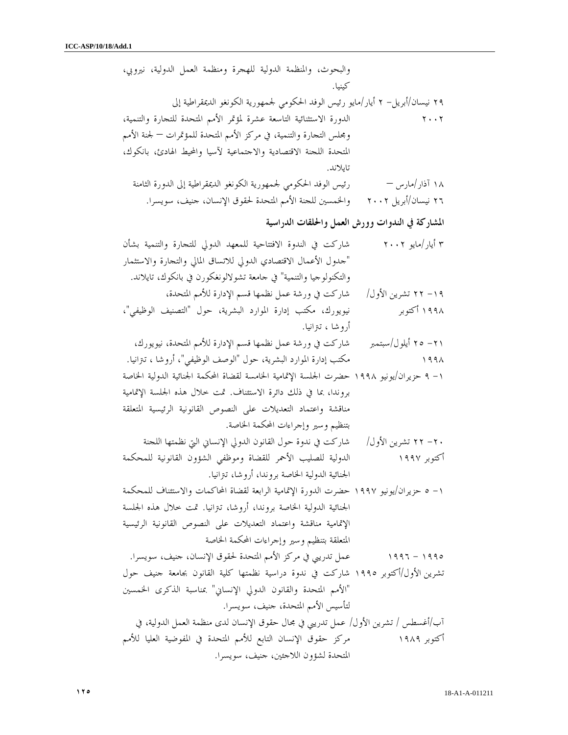والبحوث، والمنظمة الدولية للهجرة ومنظمة العمل الدولية، نيروبي، كينيا . ٢٩ نيسان/أبريل ٢ - أيار/ مايو رئيس الوفد الحكومي لجمهورية الكونغو الديمقراطية إلى ٢٠٠٢ الدورة الاستثنائية التاسعة عشرة لمؤتمر الأمم المتحدة للتجارة والتنمية، ومجلس التجارة والتنمية، في مركز الأمم المتحدة للمؤتمرات – لجنة الأمم المتحدة اللجنة الاقتصادية والاجتماعية لآسيا والمحيط الهادئ، بانكوك، تايلاند . ١٨ آذار/مارس – رئيس الوفد الحكومي لجمهورية الكونغو الديمقراطية إلى الدورة الثامنة ٢٦ نيسان/أبريل ٢٠٠٢ والخمسين للجنة الأمم المتحدة لحقوق الإنسان، جنيف، سويسرا . المشاركة في الندوات وورش العمل والحلقات الدراسية ٣ أيار/مايو ٢٠٠٢ شاركت في الندوة الافتتاحية للمعهد الدولي للتجارة والتنمية بشأن "جدول الأعمال الاقتصادي الدولي للاتساق المالي والتجارة والاستثمار والتكنولوجيا والتنمية" في جامعة تشولالونغكورن في بانكوك، تايلاند . ١٩- ٢٢ تشرين الأول/ شاركت في ورشة عمل نظمها قسم الإدارة للأمم المتحدة، ١٩٩٨ أكتوبر نيويورك، مكتب إدارة الموارد البشرية، حول "التصنيف الوظيفي ، " أروشا ، تترانيا . ٢١- ٢٥ أيلول/سبتمبر شاركت في ورشة عمل نظمها قسم الإدارة للأمم المتحدة، نيويورك، ١٩٩٨ مكتب إدارة الموارد البشرية، حول "الوصف الوظيفي"، أروشا ، تترانيا . ٩ ١- حزيران/يونيو ١٩٩٨ حضرت الجلسة الإتمامية الخامسة لقضاة المحكمة الجنائية الدولية الخاصة بروندا، بما في ذلك دائرة الاستئناف. تمت خلال هذه الجلسة الإتمامية مناقشة واعتماد التعديلات على النصوص القانونية الرئيسية المتعلقة بتنظيم وسير وإجراءات المحكمة الخاصة . ٢٠- ٢٢ تشرين الأول/ شاركت في ندوة حول القانون الدولي الإنساني التي نظمتها اللجنة أكتوبر ١٩٩٧ الدولية للصليب الأحمر للقضاة وموظفي الشؤون القانونية للمحكمة الجنائية الدولية الخاصة بروندا، أروشا، تترانيا . ٥ ١- حزيران/يونيو ١٩٩٧ حضرت الدورة الإتمامية الرابعة لقضاة المحاكمات والاستئناف للمحكمة الجنائية الدولية الخاصة بروندا، أروشا، تترانيا. تمت خلال هذه الجلسة الإتمامية مناقشة واعتماد التعديلات على النصوص القانونية الرئيسية المتعلقة بتنظيم وسير وإجراءات المحكمة الخاصة ١٩٩٥ - ١٩٩٦ عمل تدريبي في مركز الأمم المتحدة لحقوق الإنسان، جنيف، سويسرا . تشرين الأول/أكتوبر ١٩٩٥ شاركت في ندوة دراسية نظمتها كلية القانون بجامعة جنيف حول "الأمم المتحدة والقانون الدولي الإنساني" بمناسبة الذكرى الخمسين لتأسيس الأمم المتحدة، جنيف، سويسرا . /آب أغسطس / تشرين الأول / عمل تدريبي في مجال حقوق الإنسان لدى منظمة العمل الدولية، في أكتوبر ١٩٨٩ مركز حقوق الإنسان التابع للأمم المتحدة في المفوضية العليا للأمم المتحدة لشؤون اللاجئين، جنيف، سويسرا .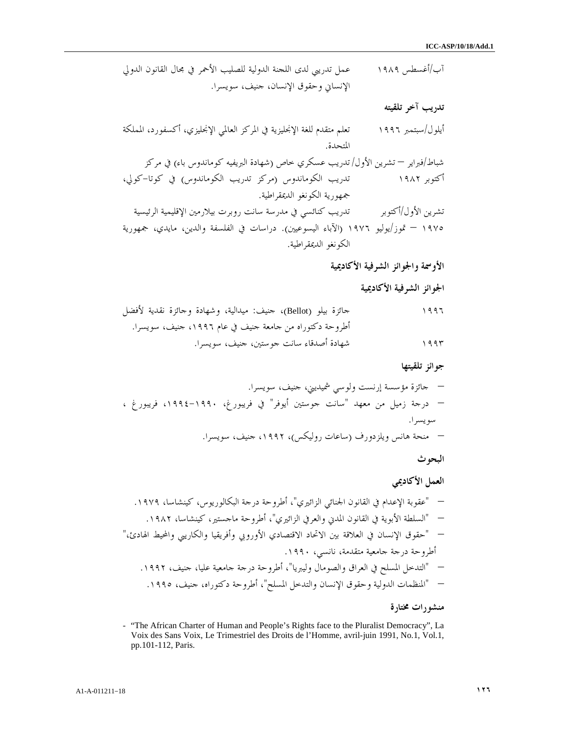/آب أغسطس ١٩٨٩ عمل تدريبي لدى اللجنة الدولية للصليب الأحمر في مجال القانون الدولي الإنساني وحقوق الإنسان، جنيف، سويسرا .

تدريب آخر تلقيته

أيلول/سبتمبر ١٩٩٦ تعلم متقدم للغة الإنجليزية في المركز العالمي الإنجليزي، أكسفورد، المملكة المتحدة . شباط/فبراير – تشرين الأول /تدريب عسكري خاص (شهادة البريفيه كوماندوس باء) في مركز أكتوبر ١٩٨٢ تدريب الكوماندوس (مركز تدريب الكوماندوس) في كوتا-كولي، جمهورية الكونغو الديمقراطية . تشرين الأول/أكتوبر تدريب كنائسي في مدرسة سانت روبرت بيلارمين الإقليمية الرئيسية ١٩٧٥ – تموز/يوليو ١٩٧٦ (الآباء اليسوعيين). دراسات في الفلسفة والدين، مايدي، جمهورية الكونغو الديمقراطية .

الأوسمة والجوائز الشرفية الأكاديمية

الجوائز الشرفية الأكاديمية

١٩٩٦ جائزة بيلو (Bellot(، جنيف: ميدالية، وشهادة وجائزة نقدية لأفضل أطروحة دكتوراه من جامعة جنيف في عام ،١٩٩٦ جنيف، سويسرا . ١٩٩٣ شهادة أصدقاء سانت جوستين، جنيف، سويسرا .

جوائز تلقيتها

– جائزة مؤسسة إرنست ولوسي شميديني، جنيف، سويسرا. – درجة زميل من معهد "سانت جوستين أيوفر" في فريبورغ، ،١٩٩٤-١٩٩٠ فريبورغ ، سويسرا. – منحة هانس ويلزدورف (ساعات روليكس ، ) ،١٩٩٢ جنيف، سويسرا.

البحوث

العمل الأكاديمي

– "عقوبة الإعدام في القانون الجنائي الزائيري ، " أطروحة درجة البكالوريوس، كينشاسا، ١٩٧٩ . – "السلطة الأبوية في القانون المدني والعرفي الزائيري"، أطروحة ماجستير، كينشاسا، .١٩٨٢ – "حقوق الإنسان في العلاقة بين الاتحاد الاقتصادي الأوروبي وأفريقيا والكاريبي والمحيط الهادئ، " أطروحة درجة جامعية متقدمة، نانسي، .١٩٩٠ – "التدخل المسلح في العراق والصومال وليبريا ،" أطروحة درجة جامعية عليا، جنيف، .١٩٩٢ – "المنظمات الدولية وحقوق الإنسان والتدخل المسلح"، أطروحة دكتوراه، جنيف، .١٩٩٥ منشورات مختارة

- "The African Charter of Human and People's Rights face to the Pluralist Democracy", La Voix des Sans Voix, Le Trimestriel des Droits de l'Homme, avril-juin 1991, No.1, Vol.1, pp.101-112, Paris.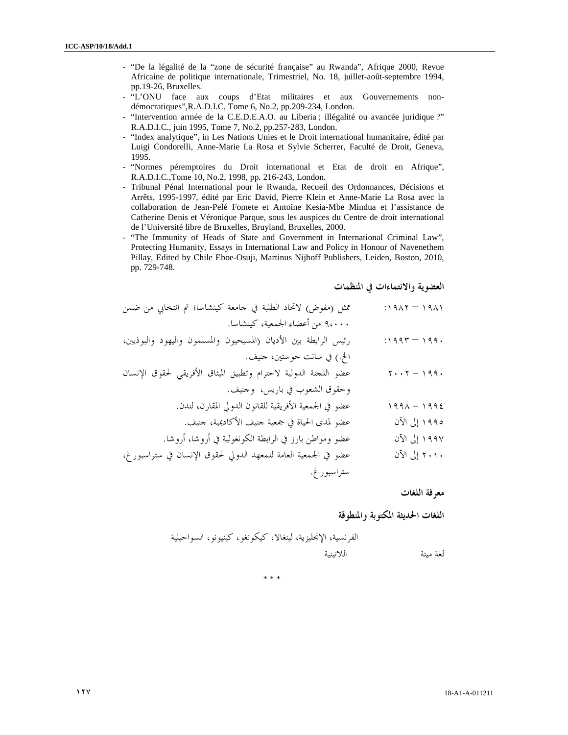- "De la légalité de la "zone de sécurité française" au Rwanda", Afrique 2000, Revue Africaine de politique internationale, Trimestriel, No. 18, juillet-août-septembre 1994, pp.19-26, Bruxelles.
- "L'ONU face aux coups d'Etat militaires et aux Gouvernements nondémocratiques",R.A.D.I.C, Tome 6, No.2, pp.209-234, London.
- "Intervention armée de la C.E.D.E.A.O. au Liberia ; illégalité ou avancée juridique ?" R.A.D.I.C., juin 1995, Tome 7, No.2, pp.257-283, London.
- "Index analytique", in Les Nations Unies et le Droit international humanitaire, édité par Luigi Condorelli, Anne-Marie La Rosa et Sylvie Scherrer, Faculté de Droit, Geneva, 1995.
- "Normes péremptoires du Droit international et Etat de droit en Afrique", R.A.D.I.C.,Tome 10, No.2, 1998, pp. 216-243, London.
- Tribunal Pénal International pour le Rwanda, Recueil des Ordonnances, Décisions et Arrêts, 1995-1997, édité par Eric David, Pierre Klein et Anne-Marie La Rosa avec la collaboration de Jean-Pelé Fomete et Antoine Kesia-Mbe Mindua et l'assistance de Catherine Denis et Véronique Parque, sous les auspices du Centre de droit international de l'Université libre de Bruxelles, Bruyland, Bruxelles, 2000.
- "The Immunity of Heads of State and Government in International Criminal Law", Protecting Humanity, Essays in International Law and Policy in Honour of Navenethem Pillay, Edited by Chile Eboe-Osuji, Martinus Nijhoff Publishers, Leiden, Boston, 2010, pp. 729-748.

العضوية والانتماءات في المنظمات

| ممثل (مفوض) لاتحاد الطلبة في جامعة كينشاسا؛ تم انتخابي من ضمن    | $(1191 - 191)$                                                    |
|------------------------------------------------------------------|-------------------------------------------------------------------|
| ٩،٠٠٠ من أعضاء الجمعية، كينشاسا.                                 |                                                                   |
| رئيس الرابطة بين الأديان (المسيحيون والمسلمون واليهود والبوذيين، | $:1997 - 199.$                                                    |
| الخ.) في سانت حوستين، حنيف.                                      |                                                                   |
| عضو اللحنة الدولية لاحترام وتطبيق الميثاق الأفريقي لحقوق الإنسان | $\mathbf{Y} \cdot \cdot \mathbf{Y} - \mathbf{Y} \cdot \mathbf{Y}$ |
| وحقوق الشعوب في باريس، وحنيف.                                    |                                                                   |
| عضو في الجمعية الأفريقية للقانون الدولي المقارن، لندن.           | $199 \wedge -1992$                                                |
| عضو لمدى الحياة في جمعية حنيف الأكاديمية، حنيف.                  | ١٩٩٥ إلى الآن                                                     |
| عضو ومواطن بارز في الرابطة الكونغولية في أروشا، أروشا.           | ١٩٩٧ إلى الآن                                                     |
| عضو في الجمعية العامة للمعهد الدولي لحقوق الإنسان في ستراسبور غ، | ٢٠١٠ إلى الآن                                                     |
| ستراسبورغ.                                                       |                                                                   |
|                                                                  |                                                                   |

معرفة اللغات

لغة مبتة

اللغات الحديثة المكتوبة والمنطوقة

الفرنسية، الإنجليزية، لينغالا، كيكونغو، كينيونو، السواحيلية

\* \* \*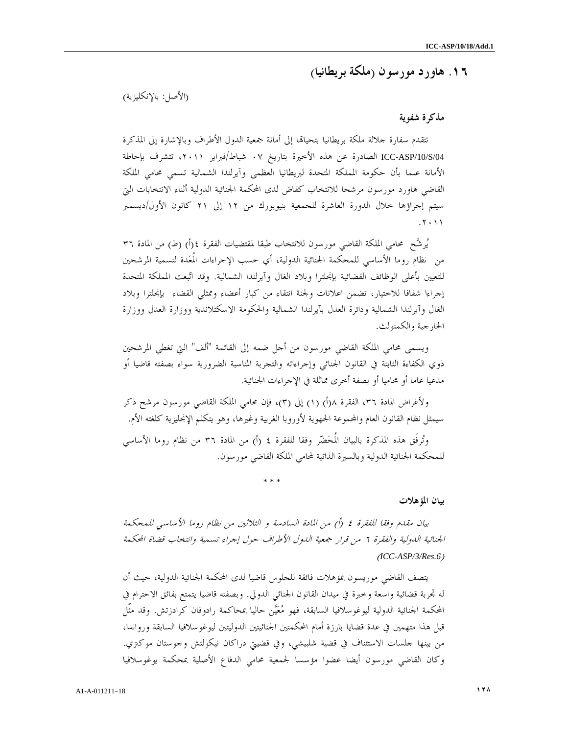# ١٦. هاورد مورسون ( ملكة بريطانيا )

(الأصل: بالإنكليزية )

### مذكرة شفوية

تتقدم سفارة حلالة ملكة بريطانيا بتحياقما إلى أمانة جمعية الدول الأطراف وبالإشارة إلى المذكرة /04S/10/ASP-ICC الصادرة عن هذه الأخيرة بتاريخ ٠٧ شباط/فبراير ،٢٠١١ تتشرف بإحاطة الأمانة علما بأن حكومة المملكة المتحدة لبريطانيا العظمى وآيرلندا الشمالية تسمي محامي الملكة القاضي هاورد مورسون مرشحا للانتخاب كقاض لدى المحكمة الجنائية الدولية أثناء الانتخابات التي سيتم إجراؤها خلال الدورة العاشرة للجمعية بنيويورك من ١٢ إلى ٢١ كانون الأول/ديسمبر . ٢٠١١

يُرشَّح محامي الملكة القاضي مورسون للانتخاب طبقا لمقتضيات الفقرة ٤(أ) (ط) من المادة ٣٦ من نظام روما الأساسي للمحكمة الجنائية الدولية، أي حسب الإجراءات المُعدة لتسمية المرشحين للتعيين بأعلى الوظائف القضائية بإنجلترا وبلاد الغال وآيرلندا الشمالية. وقد اتبعت المملكة المتحدة إجراءا شفافا للاختيار، تضمن اعلانات ولجنة انتقاء من كبار أعضاء وممثلي القضاء بإنجلترا وبلاد الغال وآيرلندا الشمالية ودائرة العدل بآيرلندا الشمالية والحكومة الاسكتلاندية ووزارة العدل ووزارة الخارجية والكمنولث .

ويسمى محامي الملكة القاضي مورسون من أجل ضمه إلى القائمة "ألف" التي تغطي المرشحين ذوي الكفاءة الثابتة في القانون الجنائي وإجراءاته والتجربة المناسبة الضرورية سواء بصفته قاضيا أو مدعيا عاما أو محاميا أو بصفة أخرى مماثلة في الإجراءات الجنائية .

ولأغراض المادة ٣٦، الفقرة ١(أ) (١) إلى (٣)، فإن محامي الملكة القاضي مورسون مرشح ذكر سيمثل نظام القانون العام واموعة الجهوية لأوروبا الغربية وغيرها، وهو يتكلم الإنجليزية كلغته الأم .

وتُرفَق هذه المذكرة بالبيان المُحَضّر وفقا للفقرة ٤ (أ) من المادة ٣٦ من نظام روما الأساسي للمحكمة الجنائية الدولية وبالسيرة الذاتية لمحامي الملكة القاضي مورسون .

\* \* \*

#### بيان المؤهلات

بيان مقدم وفقا للفقرة ٤ (أ) من المادة السادسة و الثلاثين من نظام روما الأساسي للمحكمة الجنائية الدولية والفقرة ٦ من قرار جمعية الدول الأطراف حول إجراء تسمية وانتخاب قضاة المحكمة ( *ICC-ASP/3/Res.6*)

يتصف القاضي موريسون بمؤهلات فائقة للجلوس قاضيا لدى المحكمة الجنائية الدولية، حيث أن له تجربة قضائية واسعة وخبرة في ميدان القانون الجنائي الدولي. وبصفته قاضيا يتمتع بفائق الاحترام في المحكمة الجنائية الدولية ليوغوسلافيا السابقة، فهو معين حاليا بمحاكمة رادوفان كرادزتش. وقد مثّل قبل هذا متهمين في عدة قضايا بارزة أمام المحكمتين الجنائيتين الدوليتين ليوغوسلافيا السابقة ورواندا، من بينها جلسات الاستئناف في قضية شلبيشي، وفي قضيتي دراكان نيكولتش وجوستان موكتري. وكان القاضي مورسون أيضا عضوا مؤسسا لجمعية محامي الدفاع الأصلية بمحكمة يوغوسلافيا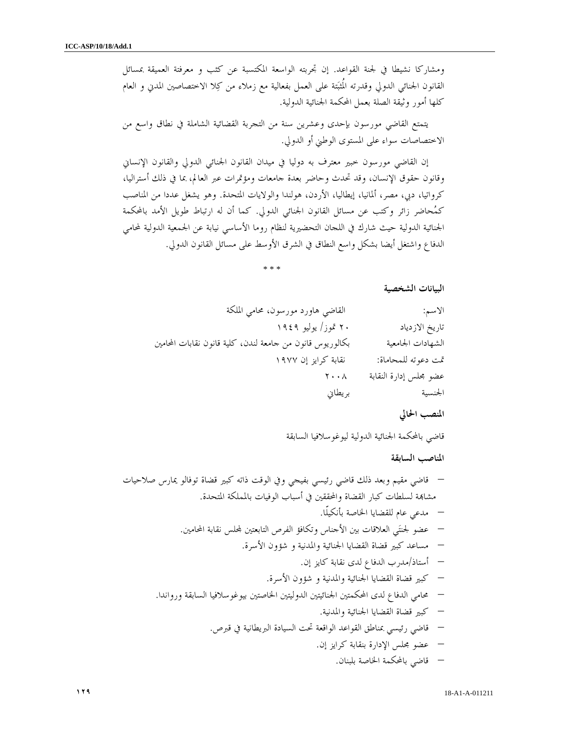ومشاركا نشيطا في لجنة القواعد. إن تجربته الواسعة المكتسبة عن كثب و معرفتة العميقة بمسائل القانون الجنائي الدولي وقدرته المُثبتة على العمل بفعالية مع زملاء من كلا الاختصاصين المدني و العام كلها أمور وثيقة الصلة بعمل المحكمة الجنائية الدولية .

يتمتع القاضي مورسون بإحدى وعشرين سنة من التجربة القضائية الشاملة في نطاق واسع من الاختصاصات سواء على المستوى الوطني أو الدولي .

إن القاضي مورسون خبير معترف به دوليا في ميدان القانون الجنائي الدولي والقانون الإنساني وقانون حقوق الإنسان، وقد تحدث وحاضر بعدة جامعات ومؤتمرات عبر العالم، بما في ذلك أستراليا، كرواتيا، دبي، مصر، ألمانيا، إيطاليا، الأردن، هولندا والولايات المتحدة. وهو يشغل عددا من المناصب كمحاضر زائر وكتب عن مسائل القانون الجنائي الدولي. كما أن له ارتباط طويل الأمد بالمحكمة الجنائية الدولية حيث شارك في اللجان التحضيرية لنظام روما الأساسي نيابة عن الجمعية الدولية لمحامي الدفاع واشتغل أيضا بشكل واسع النطاق في الشرق الأوسط على مسائل القانون الدولي .

\* \* \*

البيانات الشخصية

| الاسم:                 | القاضي هاورد مورسون، محامي الملكة                         |
|------------------------|-----------------------------------------------------------|
| تاريخ الازدياد         | ۲۰ تموز/ یولیو ۱۹٤۹                                       |
| الشهادات الجامعية      | بكالوريوس قانون من حامعة لندن، كلية قانون نقابات المحامين |
| تمت دعوته للمحاماة:    | نقابة كرايز إن ١٩٧٧                                       |
| عضو مجلس إدارة النقابة | $\mathbf{y} \cdot \mathbf{y}$                             |
| الجنسية                | بريطاني                                                   |

المنصب الحالي

قاضي بالمحكمة الجنائية الدولية ليوغوسلافيا السابقة

المناصب السابقة

- قاضي مقيم وبعد ذلك قاضي رئيسي بفيجي وفي الوقت ذاته كبير قضاة توفالو يمارس صلاحيات مشاة لسلطات كبار القضاة والمحققين في أسباب الوفيات بالمملكة المتحدة.
	- مدعي عام للقضايا الخاصة بأنكيلّا.
	- عضو لجنتي العلاقات بين الأجناس وتكافؤ الفرص التابعتين لس نقابة المحامين.
		- مساعد كبير قضاة القضايا الجنائية والمدنية و شؤون الأسرة.
			- أستاذ/مدرب الدفاع لدى نقابة كايز إن.
			- كبير قضاة القضايا الجنائية والمدنية و شؤون الأسرة.
	- محامي الدفاع لدى المحكمتين الجنائيتين الدوليتين الخاصتين بيوغوسلافيا السابقة ورواندا.
		- كبير قضاة القضايا الجنائية والمدنية.
		- قاضي رئيسي بمناطق القواعد الواقعة تحت السيادة البريطانية في قبرص.
			- عضو مجلس الإدارة بنقابة كرايز إن.
				- قاضي بالمحكمة الخاصة بلبنان.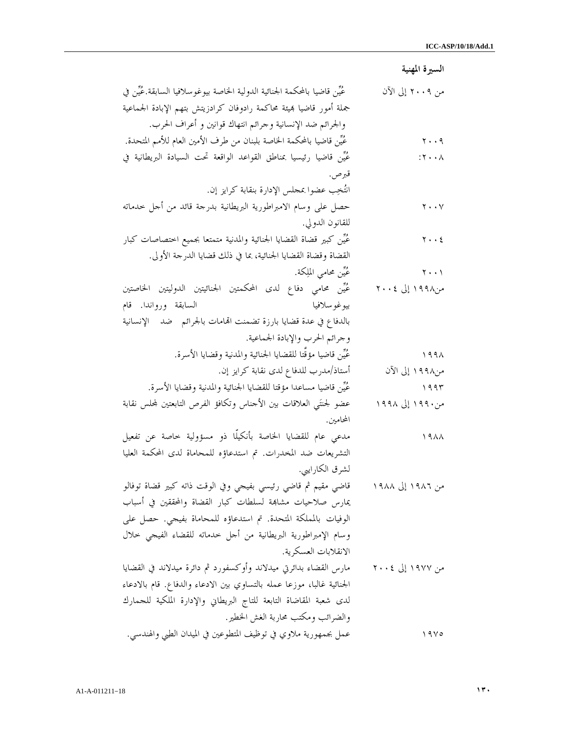السيرة المهنية من ٢٠٠٩ إلى الآن عين قاضيا بالمحكمة الجنائية الدولية الخاصة بيوغوسلافيا السابقة.عين في جملة أمور قاضيا يئة محاكمة رادوفان كرادزيتش بتهم الإبادة الجماعية والجرائم ضد الإنسانية وجرائم انتهاك قوانين و أعراف الحرب. ٢٠٠٩ عين قاضيا بالمحكمة الخاصة بلبنان من طرف الأمين العام للأمم المتحدة. ٢٠٠٨: غُيِّن قاضيا رئيسيا بمناطق القواعد الواقعة تحت السيادة البريطانية في قبرص. انتخب عضوا بمجلس الإدارة بنقابة كرايز إن. ٢٠٠٧ حصل على وسام الامبراطورية البريطانية بدرجة قائد من أجل خدماته للقانون الدولي. ٢٠٠٤ حسَّن كبير قضاة القضايا الجنائية والمدنية متمتعا بجميع اختصاصات كبار القضاة وقضاة القضايا الجنائية، بما في ذلك قضايا الدرجة الأولى. ٢٠٠١ عين محامي الملكة. من١٩٩٨ إلى ٢٠٠٤ عين محامي دفاع لدى المحكمتين الجنائيتين الدوليتين الخاصتين بيوغوسلافيا السابقة ورواندا. قام بالدفاع في عدة قضايا بارزة تضمنت الهامات بالجرائم ضد الإنسانية وجرائم الحرب والإبادة الجماعية. ١٩٩٨ حسَّن قاضيا مؤقَّتا للقضايا الجنائية والمدنية وقضايا الأسرة. من١٩٩٨ إلى الآن أستاذ/مدرب للدفاع لدى نقابة كرايز إن. ١٩٩٣ هين التين قاضيا مساعدا مؤقتا للقضايا الجنائية والمدنية وقضايا الأسرة. من١٩٩٠ إلى ١٩٩٨ عضو لجنتَبي العلاقات بين الأجناس وتكافؤ الفرص التابعتين لمحلس نقابة المحامين. ١٩٨٨ مدعي عام للقضايا الخاصة بأنكيلّا ذو مسؤولية خاصة عن تفعيل التشريعات ضد المخدرات. تم استدعاؤه للمحاماة لدى المحكمة العليا لشرق الكارايبي. من ١٩٨٦ إلى ١٩٨٨ قاضي مقيم ثم قاضي رئيسي بفيجي وفي الوقت ذاته كبير قضاة توفالو يمارس صلاحيات مشاة لسلطات كبار القضاة والمحققين في أسباب الوفيات بالمملكة المتحدة. تم استدعاؤه للمحاماة بفيجي. حصل على وسام الإمبراطورية البريطانية من أجل خدماته للقضاء الفيجي خلال الانقلابات العسكرية. من ١٩٧٧ إلى ٢٠٠٤ مارس القضاء بدائرتي ميدلاند وأوكسفورد ثم دائرة ميدلاند في القضايا الجنائية غالبا، موزعا عمله بالتساوي بين الادعاء والدفاع. قام بالادعاء لدى شعبة المقاضاة التابعة للتاج البريطاني والإدارة الملكية للجمارك والضرائب ومكتب محاربة الغش الخطير. ١٩٧٥ عمل بجمهورية ملاوي في توظيف المتطوعين في الميدان الطبي والهندسي.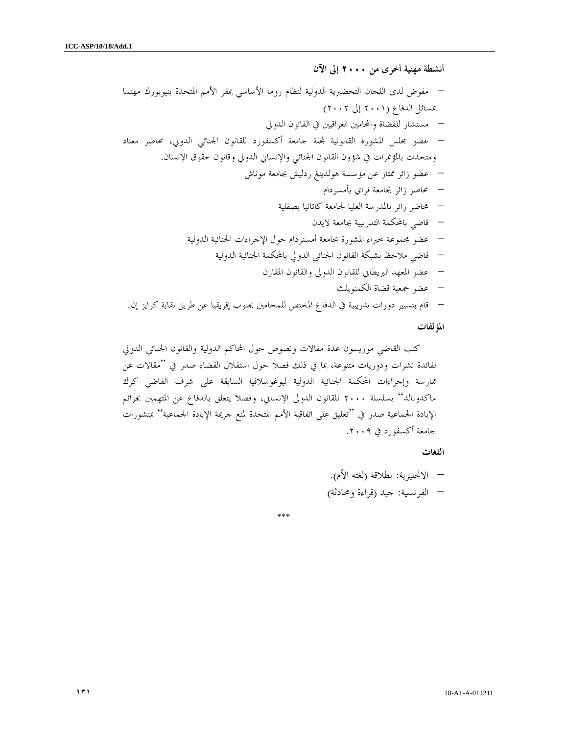أنشطة مهنية أخرى من ٢٠٠٠ إلى الآن – مفوض لدى اللجان التحضيرية الدولية لنظام روما الأساسي بمقر الأمم المتحدة بنيويورك مهتما بمسائل الدفاع (٢٠٠١ إلى ٢٠٠٢) – مستشار للقضاة والمحامين العراقيين في القانون الدولي – عضو مجلس المشورة القانونية لة جامعة أكسفورد للقانون الجنائي الدولي، محاضر معتاد ومتحدث بالمؤتمرات في شؤون القانون الجنائي والإنساني الدولي وقانون حقوق الإنسان. – عضو زائر ممتاز عن مؤسسة هولدينغ ردليش بجامعة موناش – محاضر زائر بجامعة فراي بأمسردام – محاضر زائر بالمدرسة العليا لجامعة كاتانيا بصقلية – قاضي بالمحكمة التدريبية بجامعة لايدن – عضو مجموعة خبراء المشورة بجامعة أمستردام حول الإجراءات الجنائية الدولية – قاضي ملاحظ بشبكة القانون الجنائي الدولي بالمحكمة الجنائية الدولية – عضو المعهد البريطاني للقانون الدولي والقانون المقارن – عضو جمعية قضاة الكمنويلث – قام بتسيير دورات تدريبية في الدفاع المختص للمحامين بجنوب إفريقيا عن طريق نقابة كرايز إن.

### المؤلفات

كتب القاضي موريسون عدة مقالات ونصوص حول المحاكم الدولية والقانون الجنائي الدولي لفائدة نشرات ودوريات متنوعة، بما في ذلك فصلا حول استقلال القضاء صدر في "مقالات عن ممارسة وإجراءات المحكمة الجنائية الدولية ليوغوسلافيا السابقة على شرف القاضي كرك ماكدونالد" بسلسلة ٢٠٠٠ للقانون الدولي الإنساني، وفصلا يتعلق بالدفاع عن المتهمين بجرائم الإبادة الجماعية صدر في "تعليق على اتفاقية الأمم المتحدة لمنع جريمة الإبادة الجماعية" بمنشورات جامعة أكسفورد في .٢٠٠٩

#### اللغات

– الانجليزية: بطلاقة (لغته الأم). – الفرنسية: جيد (قراءة ومحادثة)

\*\*\*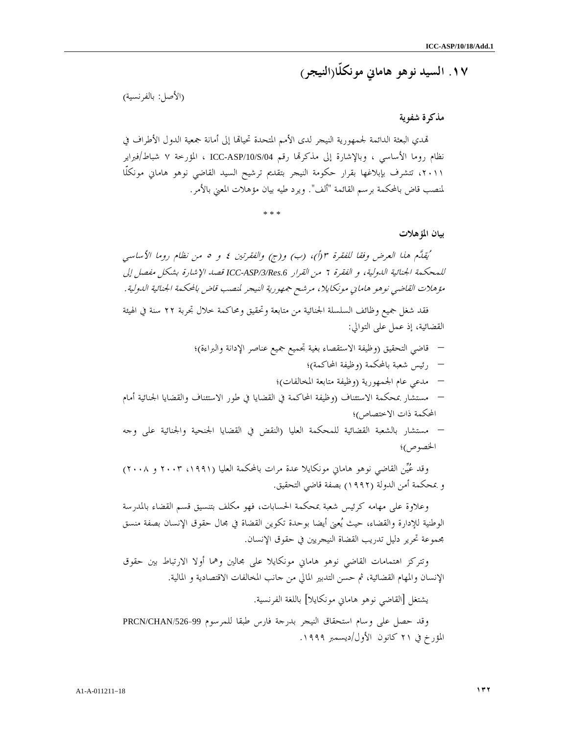١٧. السيد نوهو هاماني مونكلّا(النيجر )

(الأصل: بالفرنسية)

### مذكرة شفوي ة

تمدي البعثة الدائمة لجمهورية النيجر لدى الأمم المتحدة تحيالها إلى أمانة جمعية الدول الأطراف في نظام روما الأساسي ، وبالإشارة إلى مذكرتما رقم ICC-ASP/10/S/04 ، المؤرخة ٧ شباط/فبراير ،٢٠١١ تتشرف بإبلاغها بقرار حكومة النيجر بتقديم ترشيح السيد القاضي نوهو هاماني مونكلّا لمنصب قاض بالمحكمة برسم القائمة "ألف ". ويرد طيه بيان مؤهلات المعني بالأمر .

\* \* \*

بيان المؤهلات

يُقِلَّم هذا العرض وفقا للفقرة ٣(أ)، (ب) و(ج) والفقرتين ٤ و ٥ من نظام روما الأساسي للمحكمة الجنائية الدولية، و الفقرة ٦ من القرار *.6Res/3/ASP-ICC* قصد الإشارة بشكل مفصل إلى مؤهلات القاضي نوهو هاماني مونكايلا، مرشح جمهورية النيجر لمنصب قاض بالمحكمة الجنائية الدولية .

فقد شغل جميع وظائف السلسلة الجنائية من متابعة وتحقيق ومحاكمة خلال تجربة ٢٢ سنة في الهيئة القضائية، إذ عمل على التوالي:

- قاضي التحقيق (وظيفة الاستقصاء بغية تجميع جميع عناصر الإدانة والبراءة ؛)
	- رئيس شعبة بالمحكمة (وظيفة المحاكمة ؛)
	- مدعي عام الجمهورية (وظيفة متابعة المخالفات ؛)
- مستشار بمحكمة الاستئناف (وظيفة المحاكمة في القضايا في طور الاستئناف والقضايا الجنائية أمام المحكمة ذات الاختصاص ؛)

– مستشار بالشعبة القضائية للمحكمة العليا (النقض في القضايا الجنحية والجنائية على وجه الخصوص ؛)

وقد عُيِّن القاضي نوهو هاماني مونكايلا عدة مرات بالمحكمة العليا (١٩٩١، ٢٠٠٣ و ٢٠٠٨) و بمحكمة أمن الدولة (١٩٩٢) بصفة قاضي التحقيق .

وعلاوة على مهامه كرئيس شعبة بمحكمة الحسابات، فهو مكلف بتنسيق قسم القضاء بالمدرسة الوطنية للإدارة والقضاء، حيث يعنى أيضا بوحدة تكوين القضاة في مجال حقوق الإنسان بصفة منسق مجموعة تحرير دليل تدريب القضاة النيجريين في حقوق الإنسان .

وتتركز اهتمامات القاضي نوهو هاماني مونكايلا على مجالين وهما أولا الارتباط بين حقوق الإنسان والمهام القضائية، ثم حسن التدبير المالي من جانب المخالفات الاقتصادية و المالية .

يشتغل [القاضي نوهو هاماني مونكايلا] باللغة الفرنسية .

وقد حصل على وسام استحقاق النيجر بدرجة فارس طبقا للمرسوم /526-99CHAN/PRCN المؤرخ في ٢١ كانون الأول/ديسمبر ١٩٩٩.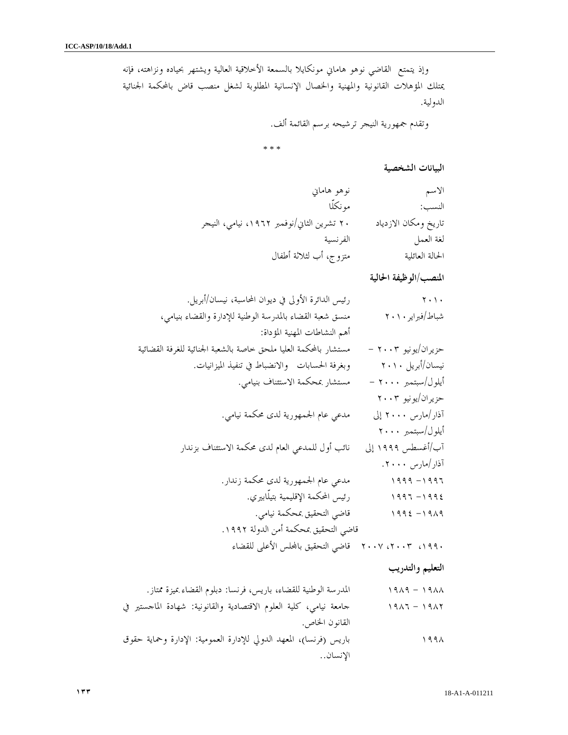وإذ يتمتع القاضي نوهو هاماني مونكايلا بالسمعة الأخلاقية العالية ويشتهر بحياده ونزاهته، فإنه يمتلك المؤهلات القانونية والمهنية والخصال الإنسانية المطلوبة لشغل منصب قاض بالمحكمة الجنائية الدولية .

وتقدم جمهورية النيجر ترشيحه برسم القائمة ألف.

\* \* \*

البيانات الشخصية

| نوهو هاماني                                | الاسم                |
|--------------------------------------------|----------------------|
| مو نكلًا                                   | النسب:               |
| ۲۰ تشرین الثاني/نوفمبر ۱۹۶۲، نیامي، النیجر | تاريخ ومكان الازدياد |
| الفر نسية                                  | لغة العمل            |
| متزوج، أب لثلاثة أطفال                     | الحالة العائلية      |

المنصب/الوظيفة الحالية

| $\mathbf{y} \cdot \mathbf{y}$ . | رئيس الدائرة الأولى في ديوان المحاسبة، نيسان/أبريل.                |
|---------------------------------|--------------------------------------------------------------------|
| شباط/فبراير ۲۰۱۰                | منسق شعبة القضاء بالمدرسة الوطنية للإدارة والقضاء بنيامي،          |
|                                 | أهم النشاطات المهنية المؤداة:                                      |
| حزیران/یونیو ۲۰۰۳ –             | مستشار بالمحكمة العليا ملحق حاصة بالشعبة الحنائية للغرفة القضائية  |
| نیسان/أبریل ۲۰۱۰                | وبغرفة الحسابات والانضباط في تنفيذ الميزانيات.                     |
| أيلول/سبتمبر ٢٠٠٠ –             | مستشار بمحكمة الاستئناف بنيامي.                                    |
| حزیران/یونیو ۲۰۰۳               |                                                                    |
| آذار/مارس ۲۰۰۰ إلى              | مدعى عام الجمهورية لدى محكمة نيامي.                                |
| أيلول/سبتمبر ٢٠٠٠               |                                                                    |
| آب/أغسطس ١٩٩٩ إلى               | نائب أول للمدعي العام لدى محكمة الاستئناف بزندار                   |
| آذار/مارس ۲۰۰۰.                 |                                                                    |
| $1999 - 1997$                   | مدعى عام الجمهورية لدى محكمة زندار.                                |
| $1997 - 1992$                   | رئيس المحكمة الإقليمية بتيلَّابيري.                                |
| $1992 - 1919$                   | قاضي التحقيق بمحكمة نيامي.                                         |
|                                 | قاضي التحقيق بمحكمة أمن الدولة ١٩٩٢.                               |
|                                 | ١٩٩٠، ٢٠٠٣، ٢٠٠٧   قاضي التحقيق بالمحلس الأعلى للقضاء              |
| التعليم والتدريب                |                                                                    |
| $1919 - 1911$                   | المدرسة الوطنية للقضاء، باريس، فرنسا: دبلوم القضاء بميزة ممتاز.    |
| $1917 - 1917$                   | جامعة نيامي، كلية العلوم الاقتصادية والقانونية: شهادة الماجستير في |
|                                 | القانون الخاص.                                                     |
| ۱۹۹۸                            | باريس (فرنسا)، المعهد الدولي للإدارة العمومية: الإدارة وحماية حقوق |
|                                 |                                                                    |

الإنسان ..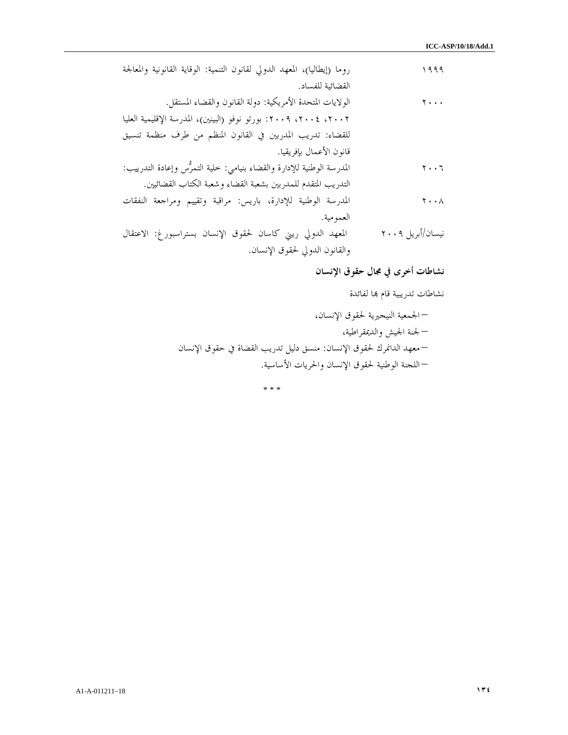| روما (إيطاليا)، المعهد الدولي لقانون التنمية: الوقاية القانونية والمعالجة | 1999                          |
|---------------------------------------------------------------------------|-------------------------------|
| القضائية للفساد.                                                          |                               |
| الولايات المتحدة الأمريكية: دولة القانون والقضاء المستقل.                 | $\mathbf{y}$                  |
| ٢٠٠٢، ٢٠٠٤، ٢٠٠٩: بورتو نوفو (البينين)، المدرسة الإقليمية العليا          |                               |
| للقضاء: تدريب المدربين في القانون المنظم من طرف منظمة تنسيق               |                               |
| قانون الأعمال بإفريقيا.                                                   |                               |
| المدرسة الوطنية للإدارة والقضاء بنيامي: حلية التمرُّس وإعادة التدرييب:    | $\mathbf{r} \cdot \mathbf{r}$ |
| التدريب المتقدم للمدربين بشعبة القضاء وشعبة الكتاب القضائيين.             |                               |
| المدرسة الوطنية للإدارة، باريس: مراقبة وتقييم ومراجعة النفقات             | $\mathbf{y} \cdot \mathbf{y}$ |
| العمو مية.                                                                |                               |
| المعهد الدولي ريني كاسان لحقوق الإنسان بستراسبورغ: الاعتقال               | نيسان/أبريل ٢٠٠٩              |
| والقانون الدولي لحقوق الإنسان.                                            |                               |

نشاطات أخرى في مجال حقوق الإنسان

نشاطات تدريبية قام بما لفائدة

– الجمعية النيجيرية لحقوق الإنسان، – لجنة الجيش والديمقراطية، – معهد الدانمرك لحقوق الإنسان: منسق دليل تدريب القضاة في حقوق الإنسان – اللجنة الوطنية لحقوق الإنسان والحريات الأساسية.

\* \* \*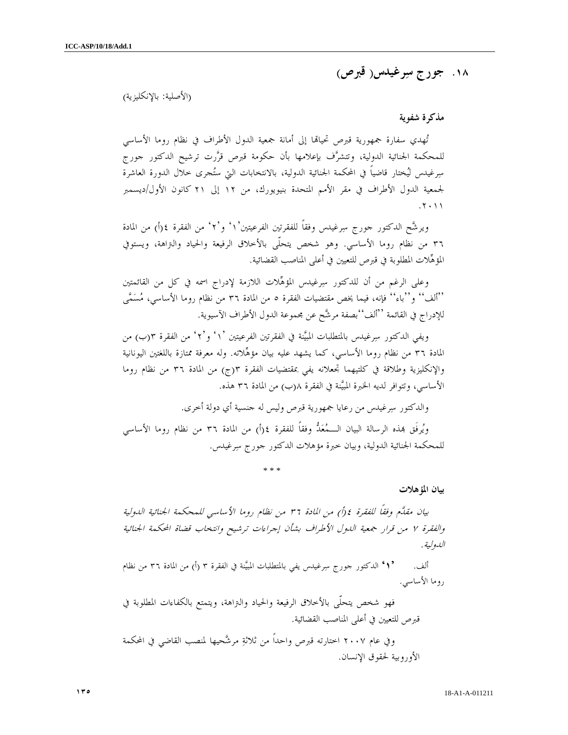١٨ . جورج سرغيدس( قبرص )

(الأصلية: بالإنكليزية)

مذكرة شفوية

تُهدي سفارة جمهورية قبرص تحيالها إلى أمانة جمعية الدول الأطراف في نظام روما الأساسي للمحكمة الجنائية الدولية، وتتشرف بإعلامها بأن حكومة قبرص قررت ترشيح الدكتور جورج سرغيدس ليختار قاضياً في المحكمة الجنائية الدولية، بالانتخابات التي ستجرى خلال الدورة العاشرة لجمعية الدول الأطراف في مقر الأمم المتحدة بنيويورك، من ١٢ إلى ٢١ كانون الأول/ديسمبر . ٢٠١١

ويرشَّح الدكتور جورج سِرغيدس وفقاً للفقرتين الفرعيتين'١' و'٢' من الفقرة ٤(أ) من المادة ٣٦ من نظام روما الأساسي. وهو شخص يتحلّى بالأخلاق الرفيعة والحياد والتراهة، ويستوفي المؤهلات المطلوبة في قبرص للتعيين في أعلى المناصب القضائية .

وعلى الرغم من أن للدكتور سرغيدس المؤهلات اللازمة لإدراج اسمه في كل من القائمتين ''ألف'' و''باء'' فإنه، فيما يخص مقتضيات الفقرة ٥ من المادة ٣٦ من نظام روما الأساسي، مُسَمًّى للإدراج في القائمة ''ألف''بصفة مرشح عن مجموعة الدول الأطراف الآسيوية .

ويفي الدكتور سرغيدس بالمتطلبات المبينة في الفقرتين الفرعيتين ١' ٢'و' ' من الفقرة ب(٣ ) من المادة ٣٦ من نظام روما الأساسي، كما يشهد عليه بيان مؤهلاته. وله معرفة ممتازة باللغتين اليونانية والإنكليزية وطلاقة في كلتيهما تجعلانه يفي بمقتضيات الفقرة ج(٣ ) من المادة ٣٦ من نظام روما الأساسي، وتتوافر لديه الخبرة المبيَّنة في الفقرة ٨(ب) من المادة ٣٦ هذه.

والدكتور سرغيدس من رعايا جمهورية قبرص وليس له جنسية أي دولة أخرى .

ويُرفَق بمذه الرسالة البيان الـــمُعَدُّ وفقاً للفقرة ٤(أ) من المادة ٣٦ من نظام روما الأساسي للمحكمة الجنائية الدولية، وبيان خبرة مؤهلات الدكتور جورج سرغيدس .

\* \* \*

بيان المؤهلات

بيان مقلَّم وفقاً للفقرة ٤ (أ) من المادة ٣٦ من نظام روما الأساسي للمحكمة الجنائية الدولية والفقرة ٧ من قرار جمعية الدول الأطراف بشأن إجراءات ترشيح وانتخاب قضاة المحكمة الجنائية الدولية .

ألف. ' ألدكتور جورج سِرغيدس يفي بالمتطلبات المبيَّنة في الفقرة ٣ (أ) من المادة ٣٦ من نظام روما الأساسي .

فهو شخص يتحلّى بالأخلاق الرفيعة والحياد والتراهة، ويتمتع بالكفاءات المطلوبة في قبرص للتعيين في أعلى المناصب القضائية . وفي عام ٢٠٠٧ اختارته قبرص واحداً من ثلاثة مرشحيها لمنصب القاضي في المحكمة الأوروبية لحقوق الإنسان .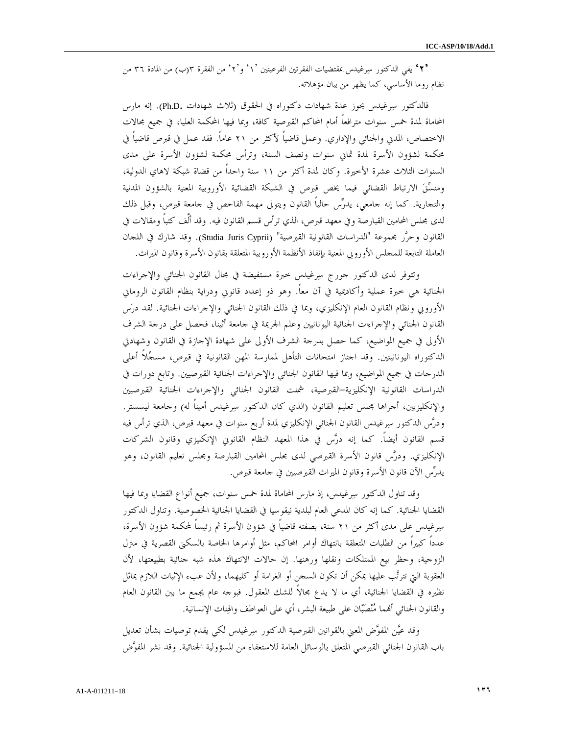'٢' يفي الدكتور سرغيدس بمقتضيات الفقرتين الفرعيتين ١' ' ٢'و' من الفقرة ب(٣ ) من المادة ٣٦ من نظام روما الأساسي، كما يظهر من بيان مؤهلاته .

فالدكتور سرغيدس يحوز عدة شهادات دكتوراه في الحقوق (ثلاث شهادات .D.Ph(. إنه مارس المحاماة لمدة خمس سنوات مترافعاً أمام المحاكم القبرصية كافة، وبما فيها المحكمة العليا، في جميع مجالات الاختصاص، المدني والجنائي والإداري. وعمل قاضياً لأكثر من ٢١ عاماً. فقد عمل في قبرص قاضياً في محكمة لشؤون الأسرة لمدة ثماني سنوات ونصف السنة، وترأس محكمة لشؤون الأسرة على مدى السنوات الثلاث عشرة الأخيرة. وكان لمدة أكثر من ١١ سنة واحداً من قضاة شبكة لاهاي الدولية، ومنسق الارتباط القضائي فيما يخص قبرص في الشبكة القضائية الأوروبية المعنية بالشؤون المدنية والتجارية. كما إنه جامعي، يدرس حالياً القانون ويتولى مهمة الفاحص في جامعة قبرص، وقبل ذلك لدى مجلس المحامين القبارصة وفي معهد قبرص، الذي ترأس قسم القانون فيه. وقد ألَّف كتباً ومقالات في القانون وحرَّر مجموعة "الدراسات القانونية القبرصية" (Studia Juris Cyprii). وقد شارك في اللجان العاملة التابعة للمجلس الأوروبي المعنية بإنفاذ الأنظمة الأوروبية المتعلقة بقانون الأسرة وقانون الميراث .

 وتتوفر لدى الدكتور جورج سرغيدس خبرة مستفيضة في مجال القانون الجنائي والإجراءات الجنائية هي خبرة عملية وأكاديمية في آن معاً. وهو ذو إعداد قانوني ودراية بنظام القانون الروماني الأوروبي ونظام القانون العام الإنكليزي، وبما في ذلك القانون الجنائي والإجراءات الجنائية. لقد درس القانون الجنائي والإجراءات الجنائية اليونانيين وعلم الجريمة في جامعة أثينا، فحصل على درجة الشرف الأولى في جميع المواضيع، كما حصل بدرجة الشرف الأولى على شهادة الإجازة في القانون وشهادتي الدكتوراه اليونانيتين. وقد اجتاز امتحانات التأهل لممارسة المهن القانونية في قبرص، مسجلاً أعلى الدرجات في جميع المواضيع، وبما فيها القانون الجنائي والإجراءات الجنائية القبرصيين. وتابع دورات في الدراسات القانونية الإنكليزية-القبرصية، شملت القانون الجنائي والإجراءات الجنائية القبرصيين والإنكليزيين، أجراها مجلس تعليم القانون (الذي كان الدكتور سرغيدس أميناً له) وجامعة ليسستر. ودرس الدكتور سرغيدس القانون الجنائي الإنكليزي لمدة أربع سنوات في معهد قبرص، الذي ترأس فيه قسم القانون أيضاً. كما إنه درس في هذا المعهد النظام القانوني الإنكليزي وقانون الشركات الإنكليزي. ودرس قانون الأسرة القبرصي لدى مجلس المحامين القبارصة ومجلس تعليم القانون، وهو يدرس الآن قانون الأسرة وقانون الميراث القبرصيين في جامعة قبرص .

 وقد تناول الدكتور سرغيدس، إذ مارس المحاماة لمدة خمس سنوات، جميع أنواع القضايا وبما فيها القضايا الجنائية. كما إنه كان المدعي العام لبلدية نيقوسيا في القضايا الجنائية الخصوصية. وتناول الدكتور سرغيدس على مدى أكثر من ٢١ سنة، بصفته قاضياً في شؤون الأسرة ثم رئيساً لمحكمة شؤون الأسرة، عدداً كبيراً من الطلبات المتعلقة بانتهاك أوامر المحاكم، مثل أوامرها الخاصة بالسكنى القصرية في مترل الزوجية، وحظر بيع الممتلكات ونقلها ورهنها. إن حالات الانتهاك هذه شبه جنائية بطبيعتها، لأن العقوبة التي تترتب عليها يمكن أن تكون السجن أو الغرامة أو كليهما، ولأن عبء الإثبات اللازم يماثل نظيره في القضايا الجنائية، أي ما لا يدع مجالاً للشك المعقول. فبوجه عام يجمع ما بين القانون العام والقانون الجنائي أنمما مُنْصَبّان على طبيعة البشر، أي على العواطف والهِنات الإنسانية.

 وقد عين المفوض المعني بالقوانين القبرصية الدكتور سرغيدس لكي يقدم توصيات بشأن تعديل باب القانون الجنائي القبرصي المتعلق بالوسائل العامة للاستعفاء من المسؤولية الجنائية. وقد نشر المفوض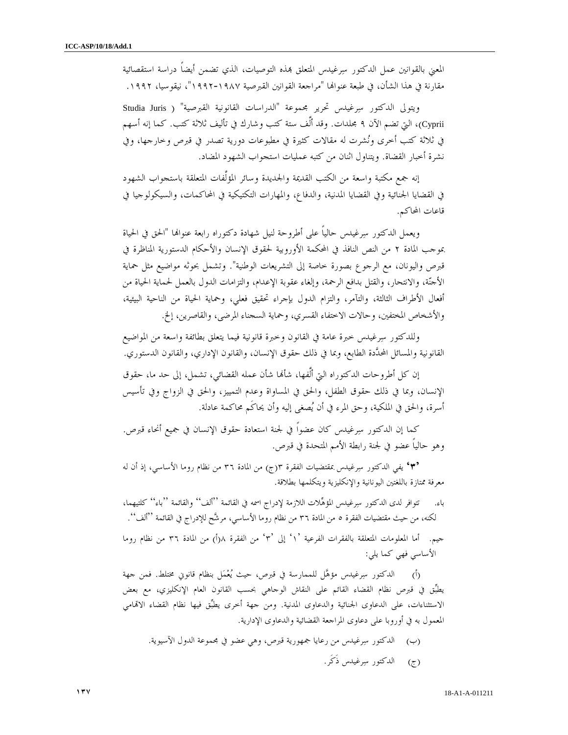المعني بالقوانين عمل الدكتور سرغيدس المتعلق بمذه التوصيات، الذي تضمن أيضاً دراسة استقصائية مقارنة في هذا الشأن، في طبعة عنوالها "مراجعة القوانين القبرصية ١٩٨٧-١٩٩٢"، نيقوسيا، ١٩٩٢.

 ويتولى الدكتور سرغيدس تحرير مجموعة "الدراسات القانونية القبرصية" ( Juris Studia Cyprii(، التي تضم الآن ٩ مجلدات. وقد ألَّف ستة كتب وشارك في تأليف ثلاثة كتب. كما إنه أسهم في ثلاثة كتب أخرى ونشرت له مقالات كثيرة في مطبوعات دورية تصدر في قبرص وخارجها، وفي نشرة أخبار القضاة. ويتناول اثنان من كتبه عمليات استجواب الشهود المضاد .

 إنه جمع مكتبة واسعة من الكتب القديمة والجديدة وسائر المؤلَّفات المتعلقة باستجواب الشهود في القضايا الجنائية وفي القضايا المدنية، والدفاع، والمهارات التكتيكية في المحاكمات، والسيكولوجيا في قاعات المحاكم .

ويعمل الدكتور سِرغيدس حالياً على أطروحة لنيل شهادة دكتوراه رابعة عنوالها "الحق في الحياة بموجب المادة ٢ من النص النافذ في المحكمة الأوروبية لحقوق الإنسان والأحكام الدستورية المناظرة في قبرص واليونان، مع الرجوع بصورة خاصة إلى التشريعات الوطنية". وتشمل بحوثه مواضيع مثل حماية الأجنة، والانتحار، والقتل بدافع الرحمة، وإلغاء عقوبة الإعدام، والتزامات الدول بالعمل لحماية الحياة من أفعال الأطراف الثالثة، والتآمر، والتزام الدول بإجراء تحقيق فعلي، وحماية الحياة من الناحية البيئية، والأشخاص المختفين، وحالات الاختفاء القسري، وحماية السجناء المرضى، والقاصرين، إلخ .

 وللدكتور سرغيدس خبرة عامة في القانون وخبرة قانونية فيما يتعلق بطائفة واسعة من المواضيع القانونية والمسائل المحددة الطابع، وبما في ذلك حقوق الإنسان، والقانون الإداري، والقانون الدستوري .

إن كل أطروحات الدكتوراه التيّ ألَّفها، شأَلها شأن عمله القضائي، تشمل، إلى حد ما، حقوق الإنسان، وبما في ذلك حقوق الطفل، والحق في المساواة وعدم التمييز، والحق في الزواج وفي تأسيس أسرة، والحق في الملكية، وحق المرء في أن يصغى إليه وأن يحاكَم محاكمة عادلة .

 كما إن الدكتور سرغيدس كان عضواً في لجنة استعادة حقوق الإنسان في جميع أنحاء قبرص. وهو حالياً عضو في لجنة رابطة الأمم المتحدة في قبرص .

 '٣' يفي الدكتور سرغيدس بمقتضيات الفقرة ج(٣ ) من المادة ٣٦ من نظام روما الأساسي، إذ أن له معرفة ممتازة باللغتين اليونانية والإنكليزية ويتكلمها بطلاقة .

باء. تتوافر لدى الدكتور سِرغيدس المؤهِّلات اللازمة لإدراج اسمه في القائمة ''ألف'' والقائمة ''باء'' كلتيهما، لكنه، من حيث مقتضيات الفقرة ٥ من المادة ٣٦ من نظام روما الأساسي، مرشح للإدراج في القائمة ''ألف .'' جيم. أما المعلومات المتعلقة بالفقرات الفرعية `١' إلى `٣' من الفقرة ١(أ) من المادة ٣٦ من نظام روما

الأساسي فهي كما يلي :

)أ( الدكتور سرغيدس مؤهل للممارسة في قبرص، حيث يعمل بنظام قانوني مختلط. فمن جهة يطبق في قبرص نظام القضاء القائم على النقاش الوجاهي بحسب القانون العام الإنكليزي، مع بعض الاستثناءات، على الدعاوى الجنائية والدعاوى المدنية. ومن جهة أخرى يطبِّق فيها نظام القضاء الاتمامي المعمول به في أوروبا على دعاوى المراجعة القضائية والدعاوى الإدارية .

)ب( الدكتور سرغيدس من رعايا جمهورية قبرص، وهي عضو في مجموعة الدول الآسيوية . )ج( الدكتور سرغيدس ذَكَر .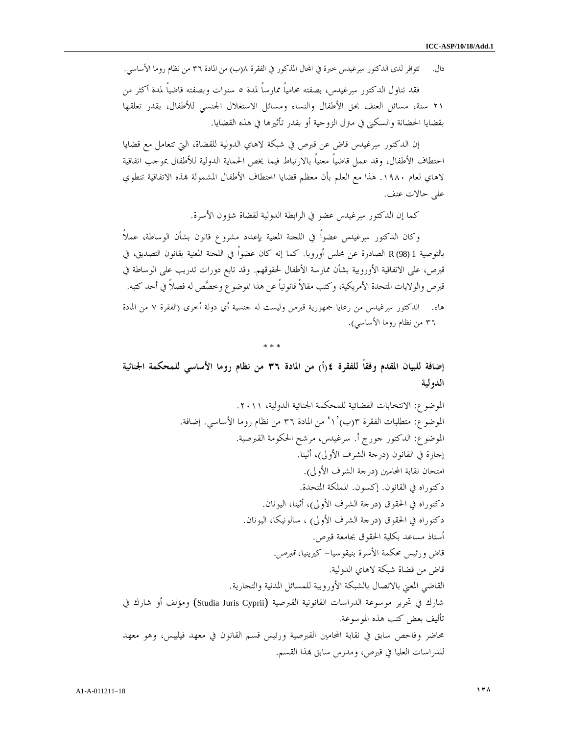دال. تتوافر لدى الدكتور سِرغيدس خبرة في المحال المذكور في الفقرة ١(ب) من المادة ٣٦ من نظام روما الأساسي.

 فقد تناول الدكتور سرغيدس، بصفته محامياً ممارساً لمدة ٥ سنوات وبصفته قاضياً لمدة أكثر من ٢١ سنة، مسائل العنف بحق الأطفال والنساء ومسائل الاستغلال الجنسي للأطفال، بقدر تعلقها بقضايا الحضانة والسكنى في مترل الزوجية أو بقدر تأثيرها في هذه القضايا .

 إن الدكتور سرغيدس قاض عن قبرص في شبكة لاهاي الدولية للقضاة، التي تتعامل مع قضايا اختطاف الأطفال، وقد عمل قاضياً معنياً بالارتباط فيما يخص الحماية الدولية للأطفال بموجب اتفاقية لاهاي لعام ١٩٨٠. هذا مع العلم بأن معظم قضايا اختطاف الأطفال المشمولة بمذه الاتفاقية تنطوي على حالات عنف .

كما إن الدكتور سرغيدس عضو في الرابطة الدولية لقضاة شؤون الأسرة .

 وكان الدكتور سرغيدس عضواً في اللجنة المعنية بإعداد مشروع قانون بشأن الوساطة، عملاً بالتوصية 1 (98) R الصادرة عن مجلس أوروبا. كما إنه كان عضواً في اللجنة المعنية بقانون التصديق، في قبرص، على الاتفاقية الأوروبية بشأن ممارسة الأطفال لحقوقهم. وقد تابع دورات تدريب على الوساطة في قبرص والولايات المتحدة الأمريكية، وكتب مقالاً قانونياً عن هذا الموضوع وخصص له فصلاً في أحد كتبه . .هاء الدكتور سرغيدس من رعايا جمهورية قبرص وليست له جنسية أي دولة أخرى (الفقرة ٧ من المادة ٣٦ من نظام روما الأساسي ).

\* \* \*

إضافة للبيان المقدم وفقاً للفقرة ) أ(٤ من المادة ٣٦ من نظام روما الأساسي للمحكمة الجنائية الدولية

الموضوع: الانتخابات القضائية للمحكمة الجنائية الدولية، ٢٠١١ . الموضوع: متطلبات الفقرة ' ١')ب(٣ من المادة ٣٦ من نظام روما الأساسي. إضافة . الموضوع: الدكتور جورج أ. سرغيدس، مرشح الحكومة القبرصية . إجازة في القانون (درجة الشرف الأولى)، أثينا. امتحان نقابة المحامين (درجة الشرف الأولى ). دكتوراه في القانون. إكسون. المملكة المتحدة . دكتوراه في الحقوق (درجة الشرف الأولى)، أثينا، اليونان . دكتوراه في الحقوق (درجة الشرف الأولى) ، سالونيكا، اليونان . أستاذ مساعد بكلية الحقوق بجامعة قبرص . قاض ورئيس محكمة الأسرة بنيقوسيا- كيرينيا، قبرص . قاض من قضاة شبكة لاهاي الدولية . القاضي المعني بالاتصال بالشبكة الأوروبية للمسائل المدنية والتجارية . شارك في تحرير موسوعة الدراسات القانونية القبرصية (Cyprii Juris Studia (ومؤلف أو شارك في تأليف بعض كتب هذه الموسوعة . محاضر وفاحص سابق في نقابة المحامين القبرصية ورئيس قسم القانون في معهد فيليبس، وهو معهد للدراسات العليا في قبرص، ومدرس سابق ذا القسم .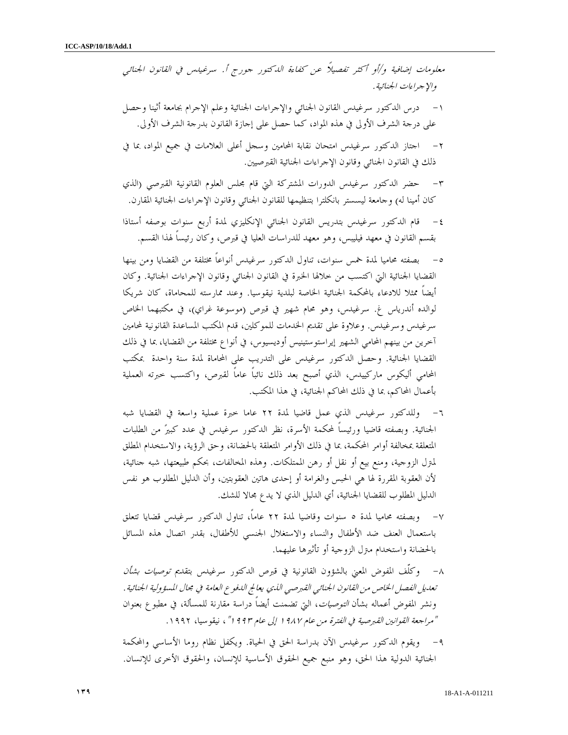معلومات إضافية و/أو أكثر تفصيلاً عن كفاءة الدكتور جورج أ. سرغيدس في القانون الجنائي والإجراءات الجنائية .

- ١- درس الدكتور سرغيدس القانون الجنائي والإجراءات الجنائية وعلم الإجرام بجامعة أثينا وحصل على درجة الشرف الأولى في هذه المواد، كما حصل على إجازة القانون بدرجة الشرف الأولى .
- ٢- اجتاز الدكتور سرغيدس امتحان نقابة المحامين وسجل أعلى العلامات في جميع المواد، بما في ذلك في القانون الجنائي وقانون الإجراءات الجنائية القبرصيين .
- ٣- حضر الدكتور سرغيدس الدورات المشتركة التي قام مجلس العلوم القانونية القبرصي (الذي كان أمينا له) وجامعة ليسستر بانكلترا بتنظيمها للقانون الجنائي وقانون الإجراءات الجنائية المقارن.
- ٤- قام الدكتور سرغيدس بتدريس القانون الجنائي الإنكليزي لمدة أربع سنوات بوصفه أستاذا بقسم القانون في معهد فيليبس، وهو معهد للدراسات العليا في قبرص، وكان رئيساً لهذا القسم .
- ٥- بصفته محاميا لمدة خمس سنوات، تناول الدكتور سرغيدس أنواعاً مختلفة من القضايا ومن بينها القضايا الجنائية التي اكتسب من خلالها الخبرة في القانون الجنائي وقانون الإجراءات الجنائية. وكان أيضاً ممثلا للادعاء بالمحكمة الجنائية الخاصة لبلدية نيقوسيا. وعند ممارسته للمحاماة، كان شريكا لوالده أندرياس غ. سرغيدس، وهو محام شهير في قبرص (موسوعة غراي)، في مكتبهما الخاص سرغيدس وسرغيدس. وعلاوة على تقديم الخدمات للموكلين، قدم المكتب المساعدة القانونية لمحامين آخرين من بينهم المحامي الشهير إيراستوستينيس أوديسيوس، في أنواع مختلفة من القضايا، بما في ذلك القضايا الجنائية. وحصل الدكتور سرغيدس على التدريب على المحاماة لمدة سنة واحدة بمكتب المحامي أليكوس ماركييدس، الذي أصبح بعد ذلك نائباً عاماً لقبرص، واكتسب خبرته العملية بأعمال المحاكم، بما في ذلك المحاكم الجنائية، في هذا المكتب .
- ٦- وللدكتور سرغيدس الذي عمل قاضيا لمدة ٢٢ عاما خبرة عملية واسعة في القضايا شبه الجنائية. وبصفته قاضيا ورئيساً لمحكمة الأسرة، نظر الدكتور سرغيدس في عدد كبير من الطلبات المتعلقة بمخالفة أوامر المحكمة، بما في ذلك الأوامر المتعلقة بالحضانة، وحق الرؤية، والاستخدام المطلق لمترل الزوجية، ومنع بيع أو نقل أو رهن الممتلكات. وهذه المخالفات، بحكم طبيعتها، شبه جنائية، لأن العقوبة المقررة لها هي الحبس والغرامة أو إحدى هاتين العقوبتين، وأن الدليل المطلوب هو نفس الدليل المطلوب للقضايا الجنائية، أي الدليل الذي لا يدع مجالا للشك.
- ٧- وبصفته محاميا لمدة ٥ سنوات وقاضيا لمدة ٢٢ عاماً، تناول الدكتور سرغيدس قضايا تتعلق باستعمال العنف ضد الأطفال والنساء والاستغلال الجنسي للأطفال، بقدر اتصال هذه المسائل بالحضانة واستخدام مترل الزوجية أو تأثيرها عليهما .
- ٨- وكلّف المفوض المعني بالشؤون القانونية في قبرص الدكتور سرغيدس بتقديم توصيات بشأن تعديل الفصل الخاص من القانون الجنائي القبرصي الذي يعالج الدفوع العامة في مجال المسؤولية الجنائية. ونشر المفوض أعماله بشأن التوصيات، التي تضمنت أيضاً دراسة مقارنة للمسألة، في مطبوع بعنوان "مراجعة القوانين القبرصية في الفترة من عام ١٩٨٧ إلى عام ١٩٩٣"، نيقوسيا، ١٩٩٢ .
- ٩- ويقوم الدكتور سرغيدس الآن بدراسة الحق في الحياة. ويكفل نظام روما الأساسي والمحكمة الجنائية الدولية هذا الحق، وهو منبع جميع الحقوق الأساسية للإنسان، والحقوق الأخرى للإنسان.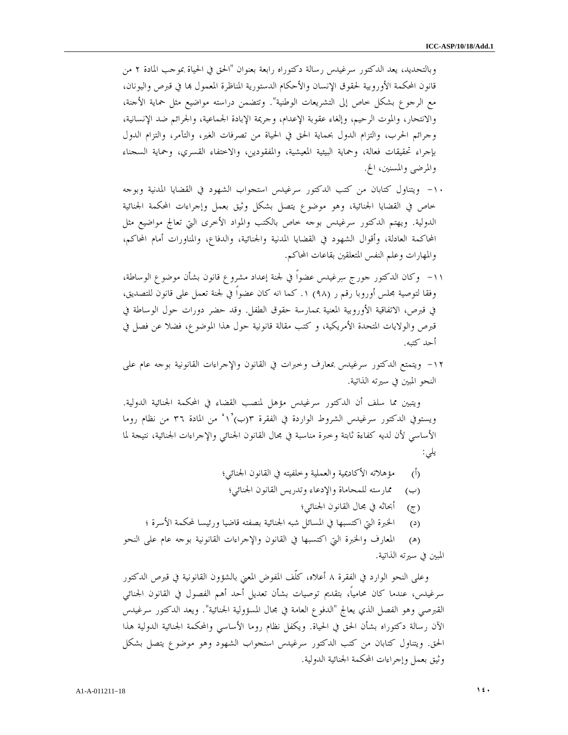وبالتحديد، يعد الدكتور سرغيدس رسالة دكتوراه رابعة بعنوان "الحق في الحياة بموجب المادة ٢ من قانون المحكمة الأوروبية لحقوق الإنسان والأحكام الدستورية المناظرة المعمول ها في قبرص واليونان، مع الرجوع بشكل خاص إلى التشريعات الوطنية". وتتضمن دراسته مواضيع مثل حماية الأجنة، والانتحار، والموت الرحيم، وإلغاء عقوبة الإعدام، وجريمة الإبادة الجماعية، والجرائم ضد الإنسانية، وجرائم الحرب، والتزام الدول بحماية الحق في الحياة من تصرفات الغير، والتآمر، والتزام الدول بإجراء تحقيقات فعالة، وحماية البيئية المعيشية، والمفقودين، والاختفاء القسري، وحماية السجناء والمرضى والمسنين، الخ.

- ١٠- ويتناول كتابان من كتب الدكتور سرغيدس استجواب الشهود في القضايا المدنية وبوجه خاص في القضايا الجنائية، وهو موضوع يتصل بشكل وثيق بعمل وإجراءات المحكمة الجنائية الدولية. ويهتم الدكتور سرغيدس بوجه خاص بالكتب والمواد الأخرى التي تعالج مواضيع مثل المحاكمة العادلة، وأقوال الشهود في القضايا المدنية والجنائية، والدفاع، والمناورات أمام المحاكم، والمهارات وعلم النفس المتعلقين بقاعات المحاكم .
- ١١- وكان الدكتور جورج سرغيدس عضواً في لجنة إعداد مشروع قانون بشأن موضوع الوساطة، وفقا لتوصية مجلس أوروبا رقم ر (٩٨ ١) . كما انه كان عضواً في لجنة تعمل على قانون للتصديق، في قبرص، الاتفاقية الأوروبية المعنية بممارسة حقوق الطفل. وقد حضر دورات حول الوساطة في قبرص والولايات المتحدة الأمريكية، و كتب مقالة قانونية حول هذا الموضوع، فضلا عن فصل في أحد كتبه.
- ١٢ ويتمتع الدكتور سرغيدس بمعارف وخبرات في القانون والإجراءات القانونية بوجه عام على النحو المبين في سيرته الذاتية.

ويتبين مما سلف أن الدكتور سرغيدس مؤهل لمنصب القضاء في المحكمة الجنائية الدولية. ويستوفي الدكتور سرغيدس الشروط الواردة في الفقرة ١')ب(٣ ' من المادة ٣٦ من نظام روما الأساسي لأن لديه كفاءة ثابتة وخبرة مناسبة في مجال القانون الجنائي والإجراءات الجنائية، نتيجة لما :يلي

- )أ( مؤهلاته الأكاديمية والعملية وخلفيته في القانون الجنائي؛
	- )ب( ممارسته للمحاماة والإدعاء وتدريس القانون الجنائي؛
		- )ج( أبحاثه في مجال القانون الجنائي؛
- )د( الخبرة التي اكتسبها في المسائل شبه الجنائية بصفته قاضيا ورئيسا لمحكمة الأسرة ؛

)ه( المعارف والخبرة التي اكتسبها في القانون والإجراءات القانونية بوجه عام على النحو المبين في سيرته الذاتية .

وعلى النحو الوارد في الفقرة ٨ أعلاه، كلّف المفوض المعني بالشؤون القانونية في قبرص الدكتور سرغيدس، عندما كان محامياً، بتقديم توصيات بشأن تعديل أحد أهم الفصول في القانون الجنائي القبرصي وهو الفصل الذي يعالج "الدفوع العامة في مجال المسؤولية الجنائية". ويعد الدكتور سرغيدس الآن رسالة دكتوراه بشأن الحق في الحياة. ويكفل نظام روما الأساسي والمحكمة الجنائية الدولية هذا الحق. ويتناول كتابان من كتب الدكتور سرغيدس استجواب الشهود وهو موضوع يتصل بشكل وثيق بعمل وإجراءات المحكمة الجنائية الدولية .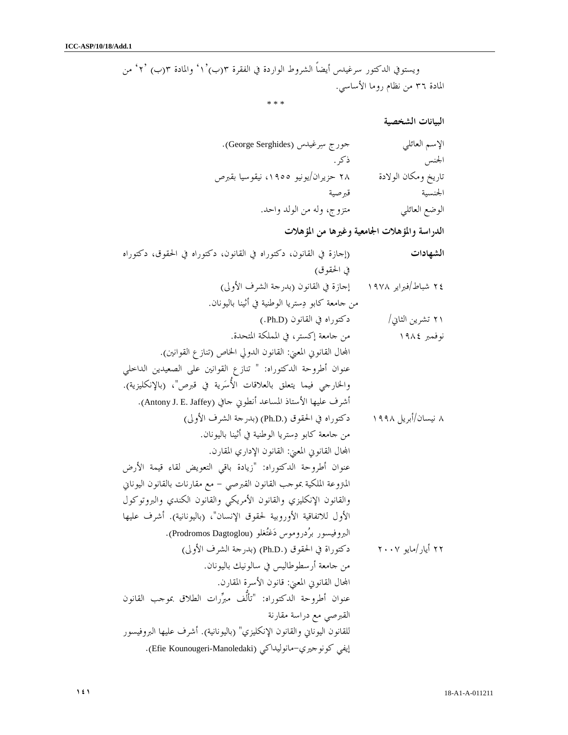ويستوفي الدكتور سرغيدس أيضاً الشروط الواردة في الفقرة ١')ب(٣ ' والمادة ب(٣ ٢') ' من المادة ٣٦ من نظام روما الأساسي .

\* \* \*

البيانات الشخصية

| الإسم العائلي       | حورج سِرغيدس (George Serghides).    |
|---------------------|-------------------------------------|
| الجنس               | ذكر .                               |
| تاريخ ومكان الولادة | ۲۸ حزیران/یونیو ۱۹۰۵، نیقوسیا بقبرص |
| الجنسية             | قبرصية                              |
| الوضع العائلي       | متزوج، وله من الولد واحد.           |

الدراسة والمؤهلات الجامعية وغيرها من المؤهلات

| (إجازة في القانون، دكتوراه في القانون، دكتوراه في الحقوق، دكتوراه        | الشهادات            |
|--------------------------------------------------------------------------|---------------------|
| في الحقوق)                                                               |                     |
| إجازة في القانون (بدرجة الشرف الأولى)                                    | ٢٤ شباط/فبراير ١٩٧٨ |
| من جامعة كابو دِستريا الوطنية في أثينا باليونان.                         |                     |
| دكتوراه في القانون (Ph.D.)                                               | ۲۱ تشرين الثاني/    |
| من جامعة إكستر، في المملكة المتحدة.                                      | نوفمبر ١٩٨٤         |
| المحال القانوي المعنى: القانون الدولي الخاص (تنازع القوانين).            |                     |
| عنوان أطروحة الدكتوراه: " تنازع القوانين على الصعيدين الداخلي            |                     |
| والخارجي فيما يتعلق بالعلاقات الأُسَرية في قبرص"، (بالإنكليزية).         |                     |
| أشرف عليها الأستاذ المساعد أنطوني حافي (Antony J. E. Jaffey).            |                     |
| دكتوراه في الحقوق (.Ph.D) (بدرجة الشرف الأولى)                           | ۸ نیسان/أبریل ۱۹۹۸  |
| من جامعة كابو دِستريا الوطنية في أثينا باليونان.                         |                     |
| المحال القانوني المعنى: القانون الإداري المقارن.                         |                     |
| عنوان أطروحة الدكتوراه: "زيادة باقى التعويض لقاء قيمة الأرض              |                     |
| المتروعة الملكية بموحب القانون القبرصي – مع مقارنات بالقانون اليوناني    |                     |
| والقانون الإنكليزي والقانون الأمريكي والقانون الكندي والبروتوكول         |                     |
| الأول للاتفاقية الأوروبية لحقوق الإنسان"، (باليونانية). أشرف عليها       |                     |
| البروفيسور برُدروموس دَغْتُغلو (Prodromos Dagtoglou).                    |                     |
| دكتوراة في الحقوق (.Ph.D) (بدرجة الشرف الأولى)                           | ۲۲ أيار /مايو ۲۰۰۷  |
| من جامعة أرسطوطاليس في سالونيك باليونان.                                 |                     |
| المحال القانوني المعنى: قانون الأسرة المقارن.                            |                     |
| عنوان أطروحة الدكتوراه: "تألَّف مبرِّرات الطلاق بموجب القانون            |                     |
| القبرصي مع دراسة مقارنة                                                  |                     |
| للقانون اليوناني والقانون الإنكليزي" (باليونانية). أشرف عليها البروفيسور |                     |
| إيفي كونوجيري–مانوليداكي (Efie Kounougeri-Manoledaki).                   |                     |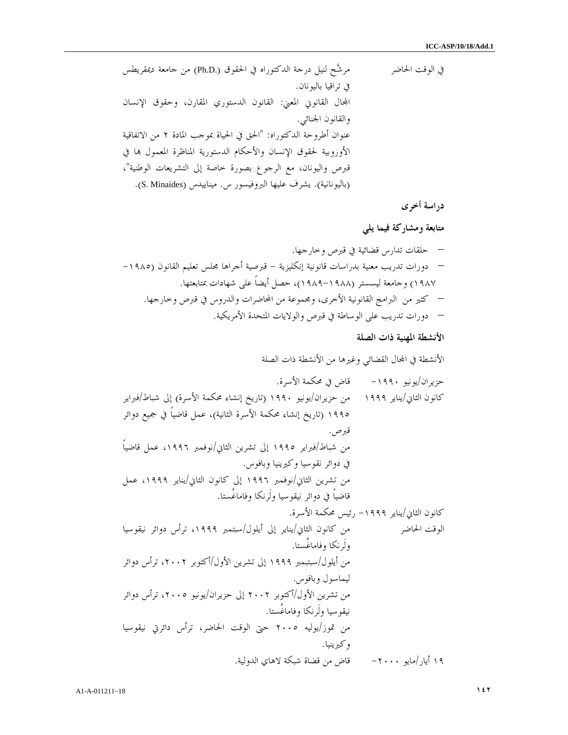في الوقت الحاضر مرشح لنيل درجة الدكتوراه في الحقوق (.D.Ph (من جامعة ديمقريطس في تراقيا باليونان . اال القانوني المعني: القانون الدستوري المقارن، وحقوق الإنسان والقانون الجنائي . عنوان أطروحة الدكتوراه: "الحق في الحياة بموجب المادة ٢ من الاتفاقية الأوروبية لحقوق الإنسان والأحكام الدستورية المناظرة المعمول ا في قبرص واليونان، مع الرجوع بصورة خاصة إلى التشريعات الوطنية ، " (باليونانية). يشرف عليها البروفيسور س. ميناييدس (Minaides .S( .

دراسة أخرى

متابعة ومشاركة فيما يلي

– حلقات تدارس قضائية في قبرص وخارجها. – دورات تدريب معنية بدراسات قانونية إنكليزية - قبرصية أجراها مجلس تعليم القانون (-١٩٨٥ ١٩٨٧) وجامعة ليسستر (١٩٨٩-١٩٨٨)، حصل أيضاً على شهادات بمتابعتها. – كثير من البرامج القانونية الأخرى، ومجموعة من المحاضرات والدروس في قبرص وخارجها. – دورات تدريب على الوساطة في قبرص والولايات المتحدة الأمريكية.

الأنشطة المهنية ذات الصلة

الأنشطة في اال القضائي وغيرها من الأنشطة ذات الصلة

حزيران/يونيو ١٩٩٠ - قاض في محكمة الأسرة . كانون الثاني/يناير ١٩٩٩ من حزيران/يونيو ١٩٩٠ (تاريخ إنشاء محكمة الأسرة) إلى شباط/فبراير ١٩٩٥ (تاريخ إنشاء محكمة الأسرة الثانية)، عمل قاضياً في جميع دوائر قبرص . من شباط/فبراير ١٩٩٥ إلى تشرين الثاني/نوفمبر ،١٩٩٦ عمل قاضياً في دوائر نقوسيا وكيرينيا وبافوس . من تشرين الثاني/نوفمبر ١٩٩٦ إلى كانون الثاني/يناير ،١٩٩٩ عمل قاضياً في دوائر نيقوسيا ولَرنكا وفاماغُستا . كانون الثاني/يناير -١٩٩٩ رئيس محكمة الأسرة . الوقت الحاضر من كانون الثاني/يناير إلى أيلول/سبتمبر ،١٩٩٩ ترأس دوائر نيقوسيا ولَرنكا وفاماغُستا . من أيلول/سبتبمبر ١٩٩٩ إلى تشرين الأول/أكتوبر ،٢٠٠٢ ترأس دوائر ليماسول وبافوس . من تشرين الأول/أكتوبر ٢٠٠٢ إلى حزيران/يونيو ،٢٠٠٥ ترأس دوائر نيقوسيا ولَرنكا وفاماغُستا . من تموز/يوليه ٢٠٠٥ حتى الوقت الحاضر، ترأس دائرتي نيقوسيا وكيرينيا . ١٩ أيار/مايو -٢٠٠٠ قاض من قضاة شبكة لاهاي الدولية .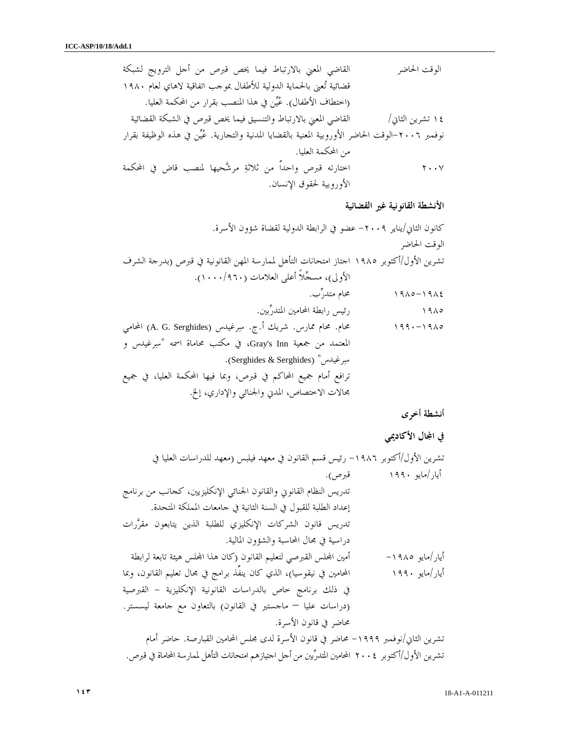الوقت الحاضر القاضي المعني بالارتباط فيما يخص قبرص من أجل الترويج لشبكة قضائية تعنى بالحماية الدولية للأطفال بموجب اتفاقية لاهاي لعام ١٩٨٠ (اختطاف الأطفال ). عين في هذا المنصب بقرار من المحكمة العليا . ١٤ تشرين الثاني/ القاضي المعني بالارتباط والتنسيق فيما يخص قبرص في الشبكة القضائية نوفمبر -٢٠٠٦الوقت الحاضر الأوروبية المعنية بالقضايا المدنية والتجارية . عين في هذه الوظيفة بقرار من المحكمة العليا . ٢٠٠٧ اختارته قبرص واحداًً من ثلاثة مرشحيها لمنصب قاض في المحكمة الأوروبية لحقوق الإنسان .

الأنشطة القانونية غير القضائية

كانون الثاني/يناير -٢٠٠٩ عضو في الرابطة الدولية لقضاة شؤون الأسرة . الوقت الحاضر تشرين الأول/أكتوبر ١٩٨٥ اجتاز امتحانات التأهل لممارسة المهن القانونية في قبرص (بدرجة الشرف الأولى)، مسجلاً أعلى العلامات (١٠٠٠/٩٦٠ .) ١٩٨٥-١٩٨٤ محام متدرب . ١٩٨٥ رئيس رابطة المحامين المتدربين . ١٩٩٠-١٩٨٥ محام. محام ممارس. شريك أ ج. . سرغيدس (Serghides .G .A (المحامي المعتمد من جمعية Inn s'Gray، في مكتب محاماة اسمه "سرغيدس و .( Serghides & Serghides) "رغيدسس ترافع أمام جميع المحاكم في قبرص، وبما فيها المحكمة العليا، في جميع مجالات الاختصاص، المدني والجنائي والإداري، إلخ .

أنشطة أخرى

في المجال الأكاديمي

تشرين الأول/أكتوبر -١٩٨٦ رئيس قسم القانون في معهد فيلبس (معهد للدراسات العليا في أيار/مايو ١٩٩٠ قبرص ). تدريس النظام القانوني والقانون الجنائي الإنكليزيين، كجانب من برنامج إعداد الطلبة للقبول في السنة الثانية في جامعات المملكة المتحدة . تدريس قانون الشركات الإنكليزي للطلبة الذين يتابعون مقررات دراسية في مجال المحاسبة والشؤون المالية . أيار/مايو ١٩٨٥ - أمين الس القبرصي لتعليم القانون كا( ن هذا الس هيئة تابعة لرابطة أيار/مايو ١٩٩٠ المحامين في نيقوسيا)، الذي كان ينفِّذ برامج في مجال تعليم القانون، وبما في ذلك برنامج خاص بالدراسات القانونية الإنكليزية - القبرصية (دراسات عليا – ماجستير في القانون) بالتعاون مع جامعة ليسستر. محاضر في قانون الأ .سرة تشرين الثاني/نوفمبر -١٩٩٩ محاضر في قانون الأسرة لدى مجلس المحامين القبارصة. حاضر أمام تشرين الأول/أكتوبر ٢٠٠٤ المحامين المتدربين من أجل اجتيازهم امتحانات التأهل لممارسة المحاماة في قبرص .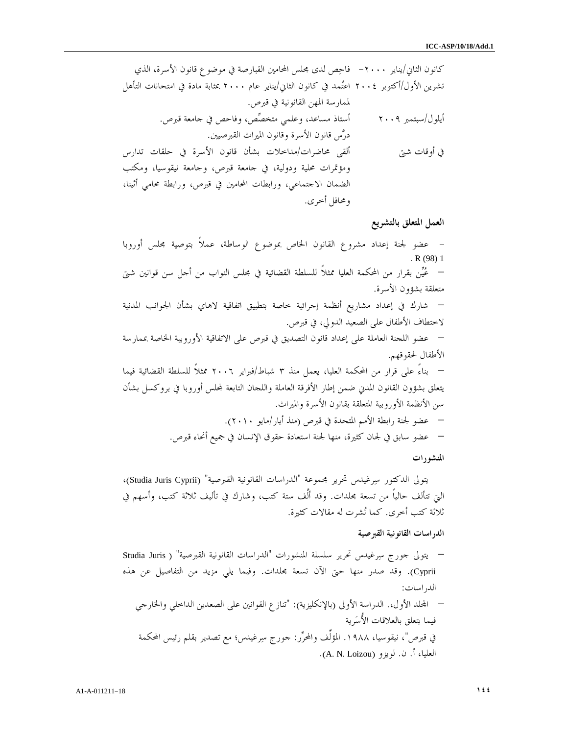كانون الثاني/يناير ٢٠٠٠ - فاحص لدى مجلس المحامين القبارصة في موضوع قانون الأسرة، الذي تشرين الأول/أكتوبر ٢٠٠٤ اعتمد في كانون الثاني/يناير عام ٢٠٠٠ بمثابة مادة في امتحانات التأهل لممارسة المهن القانونية في قبرص . أيلول/سبتمبر ٢٠٠٩ أستاذ مساعد، وعلمي متخصص، وفاحص في جامعة قبرص . درس قانون الأسرة وقانون الميراث القبرصيين . في أوقات شتى ألقى محاضرات/مداخلات بشأن قانون الأسرة في حلقات تدارس ومؤتمرات محلية ودولية، في جامعة قبرص، وجامعة نيقوسيا، ومكتب الضمان الاجتماعي، ورابطات المحامين في قبرص، ورابطة محامي أثينا، ومحافل أخرى .

العمل المتعلق بالتشريع

– عضو لجنة إعداد مشروع القانون الخاص بموضوع الوساطة، عملاً بتوصية مجلس أوروبا . R (98) 1 – عين بقرار من المحكمة العليا ممثلاً للسلطة القضائية في مجلس النواب من أجل سن قوانين شتى متعلقة بشؤون الأسرة. – شارك في إعداد مشاريع أنظمة إجرائية خاصة بتطبيق اتفاقية لاهاي بشأن الجوانب المدنية لاختطاف الأطفال على الصعيد الدولي، في قبرص. – عضو اللجنة العاملة على إعداد قانون التصديق في قبرص على الاتفاقية الأوروبية الخاصة بممارسة الأطفال لحقوقهم. – بناءً على قرار من المحكمة العليا، يعمل منذ ٣ شباط/فبراير ٢٠٠٦ ممثلاً للسلطة القضائية فيما يتعلق بشؤون القانون المدني ضمن إطار الأفرقة العاملة واللجان التابعة لس أوروبا في بروكسل بشأن سن الأنظمة الأوروبية المتعلقة بقانون الأسرة والميراث. – عضو لجنة رابطة الأمم المتحدة في قبرص (منذ أيار/مايو ٢٠١٠). – عضو سابق في لجان كثيرة، منها لجنة استعادة حقوق الإنسان في جميع أنحاء قبرص. المنشورات

يتولى الدكتور سرغيدس تحرير مجموعة "الدراسات القانونية القبرصية" (Cyprii Juris Studia ،( التي تتألف حالياً من تسعة مجلدات. وقد ألَّف ستة كتب، وشارك في تأليف ثلاثة كتب، وأسهم في ثلاثة كتب أخرى. كما نشرت له مقالات كثيرة .

#### الدراسات القانونية القبرصية

– يتولى جورج سرغيدس تحرير سلسلة المنشورات "الدراسات القانونية القبرصية" ( Juris Studia Cyprii(. وقد صدر منها حتى الآن تسعة مجلدات. وفيما يلي مزيد من التفاصيل عن هذه الدراسات : – الد الأول.، الدراسة الأولى (بالإنكليزية): "تنازع القوانين على الصعدين الداخلي والخارجي فيما يتعلق بالعلاقات الأُسرية في قبرص"، نيقوسيا، .١٩٨٨ المؤلِّف والمحرر: جورج سرغيدس؛ مع تصدير بقلم رئيس المحكمة العليا، أ. ن. لويزو (A. N. Loizou).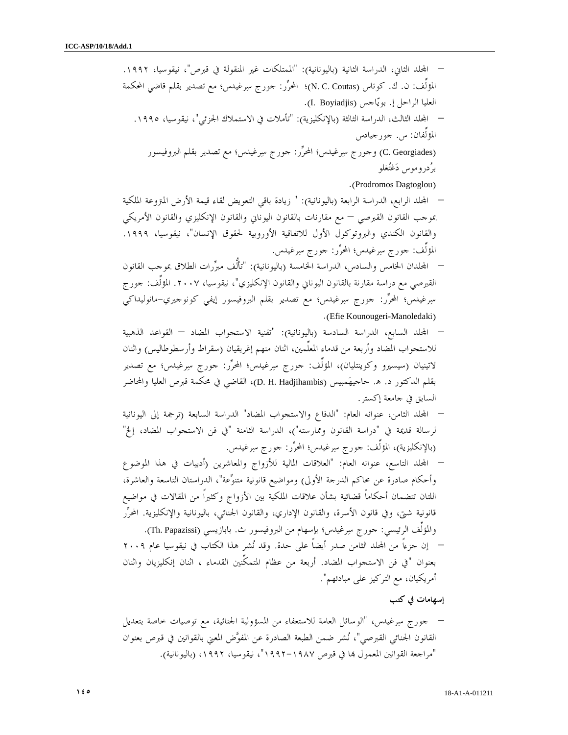– المجلد الثاني، الدراسة الثانية (باليونانية): "الممتلكات غير المنقولة في قبرص"، نيقوسيا، ١٩٩٢. المؤلِّف: ن. ك. كوتاس (N. C. Coutas)؛ المحرِّر: جورج سِرغيدس؛ مع تصدير بقلم قاضي المحكمة العليا الراحل إ. بويّاجس (I. Boyiadjis). – الد الثالث، الدراسة الثالثة (بالإنكليزية): "تأملات في الاستملاك الجزئي"، نيقوسيا، .١٩٩٥ المؤلِّفان س: . جورجيادس (Georgiades .C (وجورج سرغيدس؛ المحرر: جورج سرغيدس؛ مع تصدير بقلم البروفيسور بردروموس دغتغلو .(Prodromos Dagtoglou) – الد الرابع، الدراسة الرابعة (باليونانية): " زيادة باقي التعويض لقاء قيمة الأرض المتروعة الملكية بموجب القانون القبرصي – مع مقارنات بالقانون اليوناني والقانون الإنكليزي والقانون الأمريكي والقانون الكندي والبروتوكول الأول للاتفاقية الأوروبية لحقوق الإنسان"، نيقوسيا، .١٩٩٩ المؤلِّف: جورج سرغيدس؛ المحرر: جورج سرغيدس. – الدان الخامس والسادس، الدراسة الخامسة (باليونانية): "تألُّف مبررات الطلاق بموجب القانون القبرصي مع دراسة مقارنة بالقانون اليوناني والقانون الإنكليزي"، نيقوسيا، .٢٠٠٧ المؤلِّف: جورج سرغيدس؛ المحرر: جورج سرغيدس؛ مع تصدير بقلم البروفيسور إيفي كونوجيري-مانوليداكي .(Efie Kounougeri-Manoledaki) – الد السابع، الدراسة السادسة (باليونانية): "تقنية الاستجواب المضاد – القواعد الذهبية للاستجواب المضاد وأربعة من قدماء المعلِّمين، اثنان منهم إغريقيان (سقراط وأرسطوطاليس) واثنان لاتينيان (سيسيرو وكوينتليان)، المؤلِّف: جورج سرغيدس؛ المحرر: جورج سرغيدس؛ مع تصدير بقلم الدكتور د . ه. حاجيهمبيس (Hadjihambis .H .D(، القاضي في محكمة قبرص العليا والمحاضر السابق في جامعة إكستر. – الد الثامن، عنوانه العام: "الدفاع والاستجواب المضاد" الدراسة السابعة (ترجمة إلى اليونانية لرسالة قديمة في "دراسة القانون وممارسته")، الدراسة الثامنة "في فن الاستجواب المضاد، إلخ" (بالإنكليزية)، المؤلِّف: جورج سرغيدس؛ المحرر: جورج سرغيدس. – الد التاسع، عنوانه العام: "العلاقات المالية للأزواج والمعاشرين (أدبيات في هذا الموضوع وأحكام صادرة عن محاكم الدرجة الأولى) ومواضيع قانونية متنوعة"، الدراستان التاسعة والعاشرة، اللتان تتضمان أحكاماً قضائية بشأن علاقات الملكية بين الأزواج وكثيراً من المقالات في مواضيع قانونية شتى، وفي قانون الأسرة، والقانون الإداري، والقانون الجنائي، باليونانية والإنكليزية. المحرر والمؤلِّف الرئيسي: جورج سرغيدس؛ بإسهام من البروفيسور ث. بابازيسي (Papazissi .Th(. – إن جزءاً من الد الثامن صدر أيضاً على حدة. وقد نشر هذا الكتاب في نيقوسيا عام ٢٠٠٩ بعنوان "في فن الاستجواب المضاد. أربعة من عظام المتمكِّنين القدماء ، اثنان إنكليزيان واثنان أمريكيان، مع التركيز على مبادئهم".

إسهامات في كتب

– جورج سرغيدس، "الوسائل العامة للاستعفاء من المسؤولية الجنائية، مع توصيات خاصة بتعديل القانون الجنائي القبرصي"، نشر ضمن الطبعة الصادرة عن المفوض المعني بالقوانين في قبرص بعنوان "مراجعة القوانين المعمول ا في قبرص ١٩٩٢-١٩٨٧"، نيقوسيا، ١٩٩٢ (، باليونانية).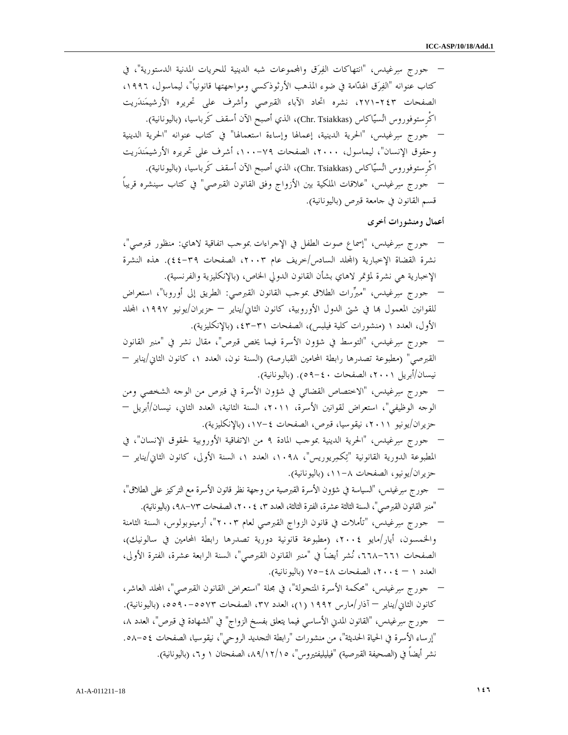– جورج سرغيدس، "انتهاكات الفرق واموعات شبه الدينية للحريات المدنية الدستورية"، في كتاب عنوانه "الفرق الهدامة في ضوء المذهب الأرثوذكسي ومواجهتها قانونياً"، ليماسول، ،١٩٩٦ الصفحات ،٢٧١-٢٤٣ نشره اتحاد الآباء القبرصي وأشرف على تحريره الأرشيمندريت اكْرِستوفوروس اتسياكاس (Tsiakkas .Chr(، الذي أصبح الآن أسقف كَرباسيا، (باليونانية). – جورج سرغيدس، "الحرية الدينية، إعمالها وإساءة استعمالها" في كتاب عنوانه "الحرية الدينية وحقوق الإنسان"، ليماسول، ،٢٠٠٠ الصفحات ٧٩- ،١٠٠ أشرف على تحريره الأرشيمندريت اكْرِستوفوروس اتسياكاس (Tsiakkas .Chr(، الذي أصبح الآن أسقف كَرباسيا، (باليونانية). – جورج سرغيدس، "علاقات الملكية بين الأزواج وفق القانون القبرصي" في كتاب سينشره قريباً قسم القانون في جامعة قبرص (باليونانية).

أعمال ومنشورات أخرى

– جورج سرغيدس، "إسماع صوت الطفل في الإجراءات بموجب اتفاقية لاهاي: منظور قبرصي ، " نشرة القضاة الإخبارية (المحلد السادس/خريف عام ٢٠٠٣، الصفحات ٣٩-٤٤). هذه النشرة الإخبارية هي نشرة لمؤتمر لاهاي بشأن القانون الدولي الخاص، (بالإنكليزية والفرنسية).

– جورج سرغيدس، "مبررات الطلاق بموجب القانون القبرصي: الطريق إلى أوروبا"، استعراض للقوانين المعمول ها في شتى الدول الأوروبية، كانون الثاني/يناير – حزيران/يونيو ١٩٩٧، المجلد الأول، العدد ١ (منشورات كلية فيلبس)، الصفحات ٣١-٤٣، (بالإنكليزية).

- جورج سرغيدس، "التوسط في شؤون الأسرة فيما يخص قبرص"، مقال نشر في "منبر القانون القبرصي" (مطبوعة تصدرها رابطة المحامين القبارصة) (السنة نون، العدد ،١ كانون الثاني/يناير – نيسان/أبريل ،٢٠٠١ الصفحات ٤٠- ٥٩). (باليونانية).
- جورج سرغيدس، "الاختصاص القضائي في شؤون الأسرة في قبرص من الوجه الشخصي ومن الوجه الوظيفي"، استعراض لقوانين الأسرة، ،٢٠١١ السنة الثانية، العدد الثاني، نيسان/أبريل – حزيران/يونيو ،٢٠١١ نيقوسيا، قبرص، الصفحات ٤- (، ١٧ بالإنكليزية).
- جورج سرغيدس، "الحرية الدينية بموجب المادة ٩ من الاتفاقية الأوروبية لحقوق الإنسان"، في المطبوعة الدورية القانونية "تِكمِريوريس"، ١٠٩٨، العدد ١، السنة الأولى، كانون الثاني/يناير – حزيران/يونيو، الصفحات ٨- (، ١١ باليونانية).
- جورج سرغيدس، "السياسة في شؤون الأسرة القبرصية من وجهة نظر قانون الأسرة مع التركيز على الطلاق ، " "منبر القانون القبرصي"، السنة الثالثة عشرة، الفترة الثالثة، العدد ، ٣ ،٢٠٠٤ الصفحات ٧٣- (، ٩٨ باليونانية).
- جورج سرغيدس، "تأملات في قانون الزواج القبرصي لعام ٢٠٠٣"، أرمينوبولوس، السنة الثامنة والخمسون، أيار/مايو ٢٠٠٤ (، مطبوعة قانونية دورية تصدرها رابطة المحامين في سالونيك ، ) الصفحات ،٦٦٨-٦٦١ نشر أيضاً في "منبر القانون القبرصي"، السنة الرابعة عشرة، الفترة الأولى، العدد – ١ ،٢٠٠٤ الصفحات ٤٨- (٧٥ باليونانية).
- جورج سرغيدس، "محكمة الأسرة المتجولة"، في مجلة "استعراض القانون القبرصي"، الد العاشر، كانون الثاني/يناير — آذار/مارس ١٩٩٢ (١)، العدد ٣٧، الصفحات ٥٥٧٣. -٥٥٩٠ (باليونانية). – جورج سرغيدس، "القانون المدني الأساسي فيما يتعلق بفسخ الزواج" "في الشهادة في قبرص"، العدد ، ٨ "إرساء الأسرة في الحياة الحديثة"، من منشورات "رابطة التجديد الروحي"، نيقوسيا، الصفحات ٥٤- . ٥٨ نشر أيضاً في (الصحيفة القبرصية) "فيليليفتيروس ، " ١٥/ ١٢/ ،٨٩ الصفحتان ١ (، ٦ و باليونانية).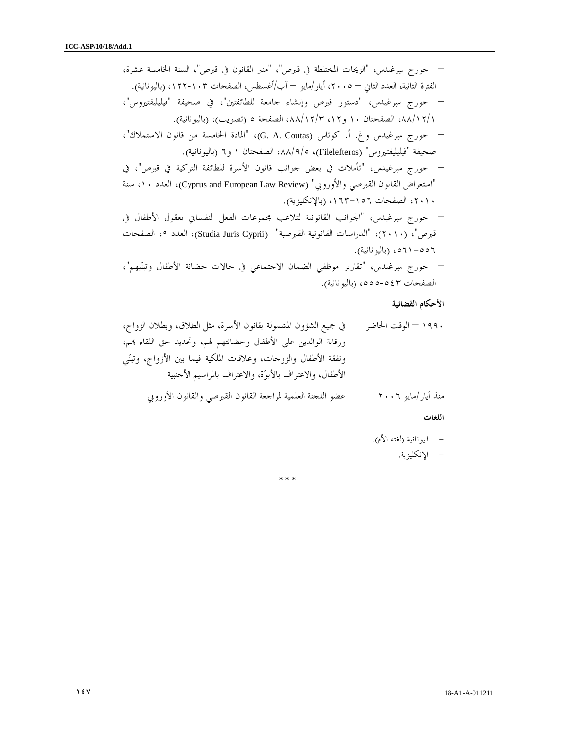– جورج سرغيدس، "الزيجات المختلطة في قبرص "، " منبر القانون في قبرص"، السنة الخامسة عشرة، الفترة الثانية، العدد الثاني – ،٢٠٠٥ أيار/مايو – آب/أغسطس، الصفحات ١٢٢-١٠٣ (، باليونانية). – جورج سرغيدس، "دستور قبرص وإنشاء جامعة للطائفتين"، في صحيفة "فيليليفتيروس ، " ١/١/ ٨٨، الصفحتان ١٠ و١٢، ١٢/٣، ١٨٨، الصفحة ٥ (تصويب)، (باليونانية). – جورج سرغيدس وغ . أ. كوتاس (Coutas .A .G" ، ( المادة الخامسة من قانون الاستملاك ، " صحيفة "فيليليفتيروس" (Filelefteros)، ٥/٩/٨، الصفحتان ١ و٦ (باليونانية). – جورج سرغيدس، تأم" لات في بعض جوانب قانون الأسرة للطائفة التركية في قبرص"، في "استعراض القانون القبرصي والأوروبي" (Review Law European and Cyprus(، العدد ،١٠ سنة ،٢٠١٠ الصفحات ١٦٣-١٥٦ (، بالإنكليزية). – جورج سرغيدس، "الجوانب القانونية لتلاعب مجموعات الفعل النفساني بعقول الأطفال في قبرص (، " ٢٠١٠ "، ) الدراسات القانونية القبرصية" (Cyprii Juris Studia(، العدد ،٩ الصفحات ٥٦١-٥٥٦ (، باليونانية). – جورج سرغيدس، "تقارير موظفي الضمان الاجتماعي في حالات حضانة الأطفال وتبنيهم ، " الصفحات ٥٥٥-٥٤٣ (، باليونانية).

## الأحكام القضائية

١٩٩٠ – الوقت الحاضر في جميع الشؤون المشمولة بقانون الأسرة، مثل الطلاق، وبطلان الزواج، ورقابة الوالدين على الأطفال وحضانتهم لهم، وتحديد حق اللقاء م، ونفقة الأطفال والزوجات، وعلاقات الملكية فيما بين الأزواج، وتبني الأطفال، والاعتراف بالأبوة، والاعتراف بالمراسيم الأجنبي .ة منذ أيار/مايو ٢٠٠٦ عضو اللجنة العلمية لمراجعة القانون القبرصي والقانون الأوروبي

اللغات

- اليونانية (لغته الأم ).
	- الإنكليزية.

\* \* \*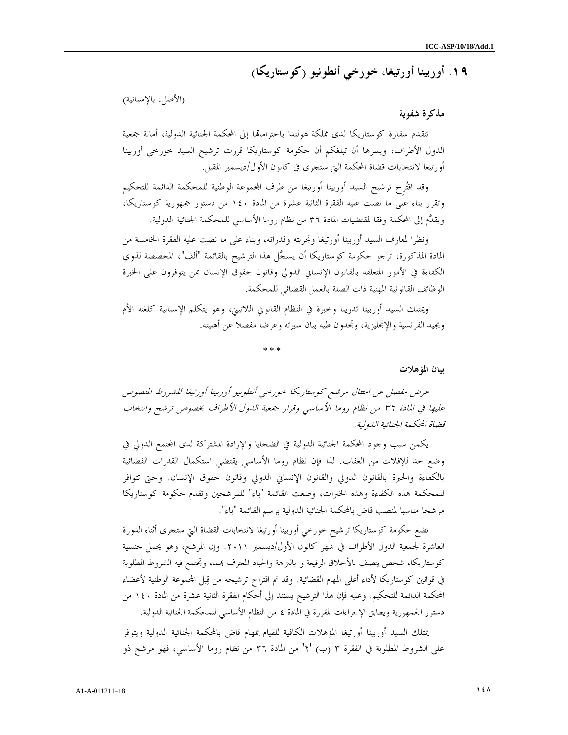١٩. أوربينا أورتيغا، خورخي أنطونيو (كوستاريكا )

(الأصل: بالإسبانية )

## مذكرة شفوية

تتقدم سفارة كوستاريكا لدى مملكة هولندا باحتراماتها إلى المحكمة الجنائية الدولية، أمانة جمعية الدول الأطراف، ويسرها أن تبلغكم أن حكومة كوستاريكا قررت ترشيح السيد خورخي أوربينا أورتيغا لانتخابات قضاة المحكمة التي ستجرى في كانون الأول/ديسمبر المقبل .

وقد اقترِح ترشيح السيد أوربينا أورتيغا من طرف اموعة الوطنية للمحكمة الدائمة للتحكيم وتقرر بناء على ما نصت عليه الفقرة الثانية عشرة من المادة ١٤٠ من دستور جمهورية كوستاريكا، ويقدم إلى المحكمة وفقا لمقتضيات المادة ٣٦ من نظام روما الأساسي للمحكمة الجنائية الدولية .

ونظرا لمعارف السيد أوربينا أورتيغا وتجربته وقدراته، وبناء على ما نصت عليه الفقرة الخامسة من المادة المذكورة، ترجو حكومة كوستاريكا أن يسجل هذا الترشيح بالقائمة "ألف"، المخصصة لذوي الكفاءة في الأمور المتعلقة بالقانون الإنساني الدولي وقانون حقوق الإنسان ممن يتوفرون على الخبرة الوظائف القانونية المهنية ذات الصلة بالعمل القضائي للمحكمة .

ويمتلك السيد أوربينا تدريبا وخبرة في النظام القانوني اللاتيني، وهو يتكلم الإسبانية كلغته الأم ويجيد الفرنسية والإنجليزية، وتجدون طيه بيان سيرته وعرضا مفصلا عن أهليته .

\* \* \*

بيان المؤهلات

عرض مفصل عن امتثال مرشح كوستاريكا خورخي أنطونيو أوربينا أورتيغا للشروط المنصوص عليها في المادة ٣٦ من نظام روما الأساسي وقرار جمعية الدول الأطراف بخصوص ترشح وانتخاب قضاة المحكمة الجنائية الدولية .

يكمن سبب وجود المحكمة الجنائية الدولية في الضحايا والإرادة المشتركة لدى اتمع الدولي في وضع حد للإفلات من العقاب. لذا فإن نظام روما الأساسي يقتضي استكمال القدرات القضائية بالكفاءة والخبرة بالقانون الدولي والقانون الإنساني الدولي وقانون حقوق الإنسان. وحتى تتوافر للمحكمة هذه الكفاءة وهذه الخبرات، وضعت القائمة باء" " للمرشحين وتقدم حكومة كوستاريكا مر شحا مناسبا لمنصب قاض بالمحكمة الجنائية الدولية برسم القائمة "باء".

تضع حكومة كوستاريكا ترشيح خورخي أوربينا أورتيغا لانتخابات القضاة التي ستجرى أثناء الدورة العاشرة لجمعية الدول الأطراف في شهر كانون الأول/ديسمبر .٢٠١١ وإن المرشح، وهو يحمل جنسية كوستاريكا، شخص يتصف بالأخلاق الرفيعة و بالتراهة والحياد المعترف بمما، وتجتمع فيه الشروط المطلوبة في قوانين كوستاريكا لأداء أعلى المهام القضائية. وقد تم اقتراح ترشيحه من قبل اموعة الوطنية لأعضاء المحكمة الدائمة للتحكيم. وعليه فإن هذا الترشيح يستند إلى أحكام الفقرة الثانية عشرة من المادة ١٤٠ من دستور الجمهورية ويطابق الإجراءات المقررة في المادة ٤ من النظام الأساسي للمحكمة الجنائية الدولية .

يمتلك السيد أوربينا أورتيغا المؤهلات الكافية للقيام بمهام قاض بالمحكمة الجنائية الدولية ويتوفر على الشروط المطلوبة في الفقرة ٣ (ب) '٢' من المادة ٣٦ من نظام روما الأساسي، فهو مرشح ذو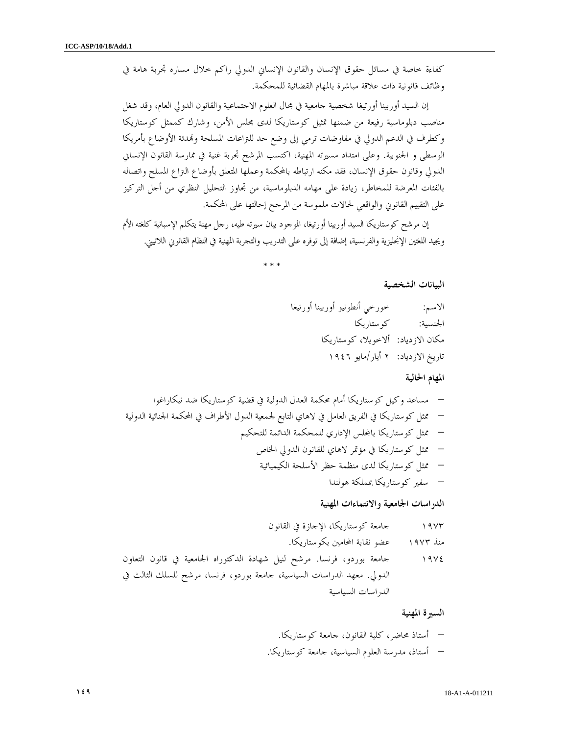كفاءة خاصة في مسائل حقوق الإنسان والقانون الإنساني الدولي راكم خلال مساره تجربة هامة في وظائف قانونية ذات علاقة مباشرة بالمهام القضائية للمحكمة .

إن السيد أوربينا أورتيغا شخصية جامعية في مجال العلوم الاجتماعية والقانون الدولي العام، وقد شغل مناصب دبلوماسية رفيعة من ضمنها تمثيل كوستاريكا لدى مجلس الأمن، وشارك كممثل كوستاريكا وكطرف في الدعم الدولي في مفاوضات ترمي إلى وضع حد للتراعات المسلحة ودئة الأوضاع بأمريكا الوسطى و الجنوبية. وعلى امتداد مسيرته المهنية، اكتسب المرشح تجربة غنية في ممارسة القانون الإنساني الدولي وقانون حقوق الإنسان، فقد مكنه ارتباطه بالمحكمة وعملها المتعلق بأوضاع التراع المسلح واتصاله بالفئات المعرضة للمخاطر، زيادة على مهامه الدبلوماسية، من تجاوز التحليل النظري من أجل التركيز على التقييم القانوني والواقعي لحالات ملموسة من المرجح إحالتها على المحكمة .

إن مرشح كوستاريكا السيد أوربينا أورتيغا، الموجود بيان سيرته طيه، رجل مهنة يتكلم الإسبانية كلغته الأم ويجيد اللغتين الإنجليزية والفرنسية، إضافة إلى توفره على التدريب والتجربة المهنية في النظام القانوني اللاتيني .

\* \* \*

البيانات الشخصية

الاسم: خورخي أنطونيو أوربينا أورتيغا الجنسية: كوستاريكا مكان الازدياد : ألاخويلا، كوستاريكا تاريخ الازدياد: ٢ أيار/مايو ١٩٤٦

المهام الحالية

– مساعد وكيل كوستاريكا أمام محكمة العدل الدولية في قضية كوستاريكا ضد نيكاراغوا – ممثل كوستاريكا في الفريق العامل في لاهاي التابع لجمعية الدول الأطراف في المحكمة الجنائية الدولية – ممثل كوستاريكا بالس الإداري للمحكمة الدائمة للتحكيم – ممثل كوستاريكا في مؤتمر لاهاي للقانون الدولي الخاص – ممثل كوستاريكا لدى منظمة حظر الأسلحة الكيميائية – سفير كوستاريكا بمملكة هولندا

الدراسات الجامعية والانتماءات المهنية

١٩٧٣ جامعة كوستاريكا، الإجازة في القانون منذ ١٩٧٣ عضو نقابة المحامين بكوستاريكا . ١٩٧٤ جامعة بوردو، فرنسا. مرشح لنيل شهادة الدكتوراه الجامعية في قانون التعاون الدولي. معهد الدراسات السياسية، جامعة بوردو، فرنسا، مرشح للسلك الثالث في الدراسات السياسية

السيرة المهنية

– أستاذ محاضر، كلية القانون، جامعة كوستاريكا . – أستاذ، مدرسة العلوم السياسية، جامعة كوستاريكا .